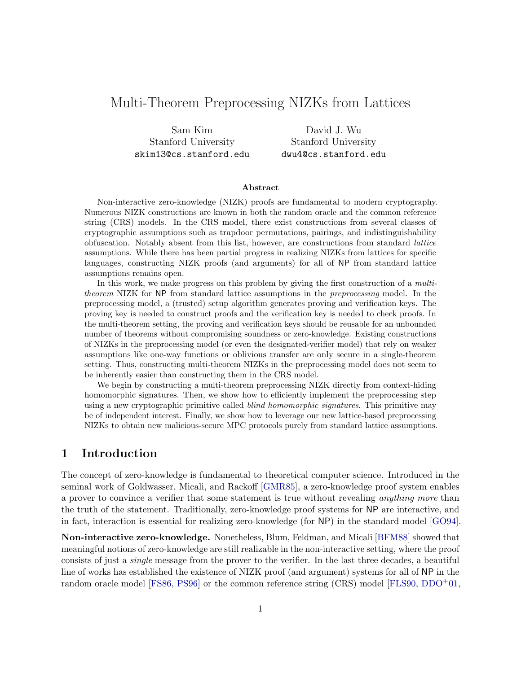# <span id="page-0-0"></span>Multi-Theorem Preprocessing NIZKs from Lattices

Sam Kim Stanford University skim13@cs.stanford.edu

David J. Wu Stanford University dwu4@cs.stanford.edu

#### Abstract

Non-interactive zero-knowledge (NIZK) proofs are fundamental to modern cryptography. Numerous NIZK constructions are known in both the random oracle and the common reference string (CRS) models. In the CRS model, there exist constructions from several classes of cryptographic assumptions such as trapdoor permutations, pairings, and indistinguishability obfuscation. Notably absent from this list, however, are constructions from standard lattice assumptions. While there has been partial progress in realizing NIZKs from lattices for specific languages, constructing NIZK proofs (and arguments) for all of NP from standard lattice assumptions remains open.

In this work, we make progress on this problem by giving the first construction of a multitheorem NIZK for NP from standard lattice assumptions in the preprocessing model. In the preprocessing model, a (trusted) setup algorithm generates proving and verification keys. The proving key is needed to construct proofs and the verification key is needed to check proofs. In the multi-theorem setting, the proving and verification keys should be reusable for an unbounded number of theorems without compromising soundness or zero-knowledge. Existing constructions of NIZKs in the preprocessing model (or even the designated-verifier model) that rely on weaker assumptions like one-way functions or oblivious transfer are only secure in a single-theorem setting. Thus, constructing multi-theorem NIZKs in the preprocessing model does not seem to be inherently easier than constructing them in the CRS model.

We begin by constructing a multi-theorem preprocessing NIZK directly from context-hiding homomorphic signatures. Then, we show how to efficiently implement the preprocessing step using a new cryptographic primitive called *blind homomorphic signatures*. This primitive may be of independent interest. Finally, we show how to leverage our new lattice-based preprocessing NIZKs to obtain new malicious-secure MPC protocols purely from standard lattice assumptions.

# 1 Introduction

The concept of zero-knowledge is fundamental to theoretical computer science. Introduced in the seminal work of Goldwasser, Micali, and Rackoff [\[GMR85\]](#page-41-0), a zero-knowledge proof system enables a prover to convince a verifier that some statement is true without revealing anything more than the truth of the statement. Traditionally, zero-knowledge proof systems for NP are interactive, and in fact, interaction is essential for realizing zero-knowledge (for NP) in the standard model [\[GO94\]](#page-42-0).

Non-interactive zero-knowledge. Nonetheless, Blum, Feldman, and Micali [\[BFM88\]](#page-39-0) showed that meaningful notions of zero-knowledge are still realizable in the non-interactive setting, where the proof consists of just a single message from the prover to the verifier. In the last three decades, a beautiful line of works has established the existence of NIZK proof (and argument) systems for all of NP in the random oracle model [\[FS86,](#page-41-1) [PS96\]](#page-43-0) or the common reference string (CRS) model [\[FLS90,](#page-41-2) [DDO](#page-40-0)+01,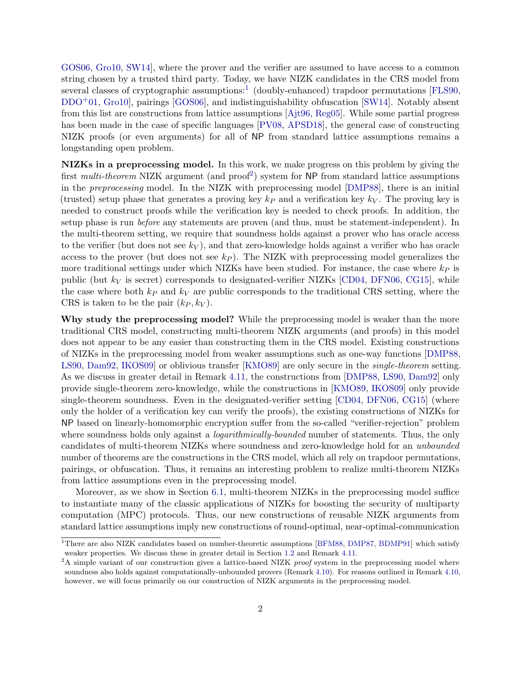[GOS06,](#page-42-1) [Gro10,](#page-42-2) [SW14\]](#page-44-0), where the prover and the verifier are assumed to have access to a common string chosen by a trusted third party. Today, we have NIZK candidates in the CRS model from several classes of cryptographic assumptions:<sup>[1](#page-0-0)</sup> (doubly-enhanced) trapdoor permutations [\[FLS90,](#page-41-2) [DDO](#page-40-0)+01, [Gro10\]](#page-42-2), pairings [\[GOS06\]](#page-42-1), and indistinguishability obfuscation [\[SW14\]](#page-44-0). Notably absent from this list are constructions from lattice assumptions [\[Ajt96,](#page-38-0) [Reg05\]](#page-44-1). While some partial progress has been made in the case of specific languages [\[PV08,](#page-44-2) [APSD18\]](#page-38-1), the general case of constructing NIZK proofs (or even arguments) for all of NP from standard lattice assumptions remains a longstanding open problem.

NIZKs in a preprocessing model. In this work, we make progress on this problem by giving the first multi-theorem NIZK argument (and proof<sup>[2](#page-0-0)</sup>) system for NP from standard lattice assumptions in the preprocessing model. In the NIZK with preprocessing model [\[DMP88\]](#page-41-3), there is an initial (trusted) setup phase that generates a proving key  $k_P$  and a verification key  $k_V$ . The proving key is needed to construct proofs while the verification key is needed to check proofs. In addition, the setup phase is run before any statements are proven (and thus, must be statement-independent). In the multi-theorem setting, we require that soundness holds against a prover who has oracle access to the verifier (but does not see  $k_V$ ), and that zero-knowledge holds against a verifier who has oracle access to the prover (but does not see  $k_P$ ). The NIZK with preprocessing model generalizes the more traditional settings under which NIZKs have been studied. For instance, the case where  $k_P$  is public (but  $k_V$  is secret) corresponds to designated-verifier NIZKs [\[CD04,](#page-40-1) [DFN06,](#page-40-2) [CG15\]](#page-40-3), while the case where both  $k_P$  and  $k_V$  are public corresponds to the traditional CRS setting, where the CRS is taken to be the pair  $(k_P, k_V)$ .

Why study the preprocessing model? While the preprocessing model is weaker than the more traditional CRS model, constructing multi-theorem NIZK arguments (and proofs) in this model does not appear to be any easier than constructing them in the CRS model. Existing constructions of NIZKs in the preprocessing model from weaker assumptions such as one-way functions [\[DMP88,](#page-41-3) [LS90,](#page-43-1) [Dam92,](#page-40-4) [IKOS09\]](#page-42-3) or oblivious transfer [\[KMO89\]](#page-43-2) are only secure in the single-theorem setting. As we discuss in greater detail in Remark [4.11,](#page-24-0) the constructions from [\[DMP88,](#page-41-3) [LS90,](#page-43-1) [Dam92\]](#page-40-4) only provide single-theorem zero-knowledge, while the constructions in [\[KMO89,](#page-43-2) [IKOS09\]](#page-42-3) only provide single-theorem soundness. Even in the designated-verifier setting [\[CD04,](#page-40-1) [DFN06,](#page-40-2) [CG15\]](#page-40-3) (where only the holder of a verification key can verify the proofs), the existing constructions of NIZKs for NP based on linearly-homomorphic encryption suffer from the so-called "verifier-rejection" problem where soundness holds only against a *logarithmically-bounded* number of statements. Thus, the only candidates of multi-theorem NIZKs where soundness and zero-knowledge hold for an unbounded number of theorems are the constructions in the CRS model, which all rely on trapdoor permutations, pairings, or obfuscation. Thus, it remains an interesting problem to realize multi-theorem NIZKs from lattice assumptions even in the preprocessing model.

Moreover, as we show in Section [6.1,](#page-34-0) multi-theorem NIZKs in the preprocessing model suffice to instantiate many of the classic applications of NIZKs for boosting the security of multiparty computation (MPC) protocols. Thus, our new constructions of reusable NIZK arguments from standard lattice assumptions imply new constructions of round-optimal, near-optimal-communication

<sup>&</sup>lt;sup>1</sup>There are also NIZK candidates based on number-theoretic assumptions [\[BFM88,](#page-39-0) [DMP87,](#page-41-4) [BDMP91\]](#page-38-2) which satisfy weaker properties. We discuss these in greater detail in Section [1.2](#page-6-0) and Remark [4.11.](#page-24-0)

<sup>&</sup>lt;sup>2</sup>A simple variant of our construction gives a lattice-based NIZK proof system in the preprocessing model where soundness also holds against computationally-unbounded provers (Remark [4.10\)](#page-24-1). For reasons outlined in Remark [4.10,](#page-24-1) however, we will focus primarily on our construction of NIZK arguments in the preprocessing model.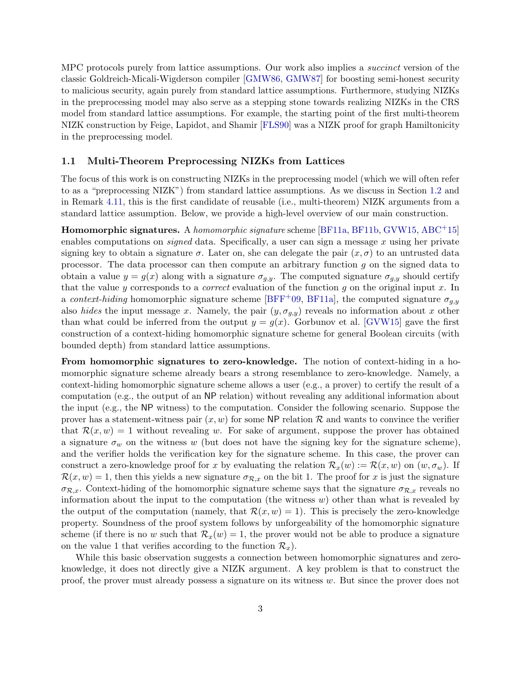MPC protocols purely from lattice assumptions. Our work also implies a *succinct* version of the classic Goldreich-Micali-Wigderson compiler [\[GMW86,](#page-42-4) [GMW87\]](#page-42-5) for boosting semi-honest security to malicious security, again purely from standard lattice assumptions. Furthermore, studying NIZKs in the preprocessing model may also serve as a stepping stone towards realizing NIZKs in the CRS model from standard lattice assumptions. For example, the starting point of the first multi-theorem NIZK construction by Feige, Lapidot, and Shamir [\[FLS90\]](#page-41-2) was a NIZK proof for graph Hamiltonicity in the preprocessing model.

### <span id="page-2-0"></span>1.1 Multi-Theorem Preprocessing NIZKs from Lattices

The focus of this work is on constructing NIZKs in the preprocessing model (which we will often refer to as a "preprocessing NIZK") from standard lattice assumptions. As we discuss in Section [1.2](#page-6-0) and in Remark [4.11,](#page-24-0) this is the first candidate of reusable (i.e., multi-theorem) NIZK arguments from a standard lattice assumption. Below, we provide a high-level overview of our main construction.

Homomorphic signatures. A homomorphic signature scheme [\[BF11a,](#page-39-1) [BF11b,](#page-39-2) [GVW15,](#page-42-6) [ABC](#page-38-3)+15] enables computations on *signed* data. Specifically, a user can sign a message  $x$  using her private signing key to obtain a signature  $\sigma$ . Later on, she can delegate the pair  $(x, \sigma)$  to an untrusted data processor. The data processor can then compute an arbitrary function  $g$  on the signed data to obtain a value  $y = g(x)$  along with a signature  $\sigma_{q,y}$ . The computed signature  $\sigma_{q,y}$  should certify that the value y corresponds to a *correct* evaluation of the function  $g$  on the original input  $x$ . In a context-hiding homomorphic signature scheme [\[BFF](#page-39-3)+09, [BF11a\]](#page-39-1), the computed signature  $\sigma_{q,y}$ also hides the input message x. Namely, the pair  $(y, \sigma_{g,y})$  reveals no information about x other than what could be inferred from the output  $y = g(x)$ . Gorbunov et al. [\[GVW15\]](#page-42-6) gave the first construction of a context-hiding homomorphic signature scheme for general Boolean circuits (with bounded depth) from standard lattice assumptions.

From homomorphic signatures to zero-knowledge. The notion of context-hiding in a homomorphic signature scheme already bears a strong resemblance to zero-knowledge. Namely, a context-hiding homomorphic signature scheme allows a user (e.g., a prover) to certify the result of a computation (e.g., the output of an NP relation) without revealing any additional information about the input (e.g., the NP witness) to the computation. Consider the following scenario. Suppose the prover has a statement-witness pair  $(x, w)$  for some NP relation R and wants to convince the verifier that  $\mathcal{R}(x, w) = 1$  without revealing w. For sake of argument, suppose the prover has obtained a signature  $\sigma_w$  on the witness w (but does not have the signing key for the signature scheme), and the verifier holds the verification key for the signature scheme. In this case, the prover can construct a zero-knowledge proof for x by evaluating the relation  $\mathcal{R}_x(w) := \mathcal{R}(x, w)$  on  $(w, \sigma_w)$ . If  $\mathcal{R}(x, w) = 1$ , then this yields a new signature  $\sigma_{\mathcal{R},x}$  on the bit 1. The proof for x is just the signature  $\sigma_{\mathcal{R},x}$ . Context-hiding of the homomorphic signature scheme says that the signature  $\sigma_{\mathcal{R},x}$  reveals no information about the input to the computation (the witness  $w$ ) other than what is revealed by the output of the computation (namely, that  $\mathcal{R}(x, w) = 1$ ). This is precisely the zero-knowledge property. Soundness of the proof system follows by unforgeability of the homomorphic signature scheme (if there is no w such that  $\mathcal{R}_x(w) = 1$ , the prover would not be able to produce a signature on the value 1 that verifies according to the function  $\mathcal{R}_x$ ).

While this basic observation suggests a connection between homomorphic signatures and zeroknowledge, it does not directly give a NIZK argument. A key problem is that to construct the proof, the prover must already possess a signature on its witness  $w$ . But since the prover does not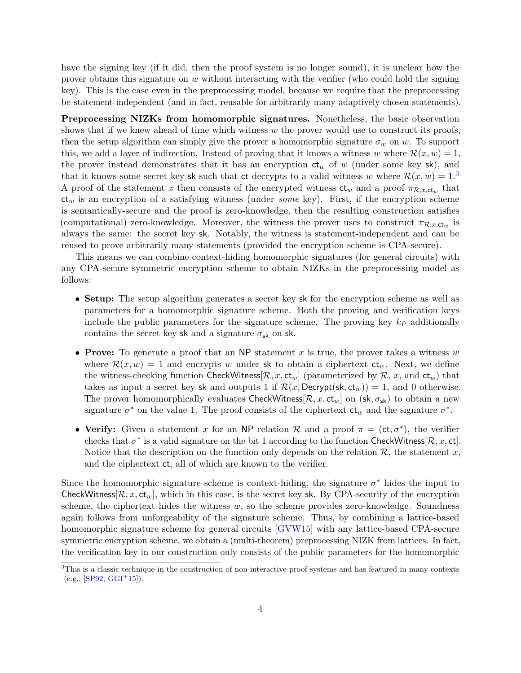have the signing key (if it did, then the proof system is no longer sound), it is unclear how the prover obtains this signature on  $w$  without interacting with the verifier (who could hold the signing key). This is the case even in the preprocessing model, because we require that the preprocessing be statement-independent (and in fact, reusable for arbitrarily many adaptively-chosen statements).

Preprocessing NIZKs from homomorphic signatures. Nonetheless, the basic observation shows that if we knew ahead of time which witness  $w$  the prover would use to construct its proofs, then the setup algorithm can simply give the prover a homomorphic signature  $\sigma_w$  on w. To support this, we add a layer of indirection. Instead of proving that it knows a witness w where  $\mathcal{R}(x, w) = 1$ , the prover instead demonstrates that it has an encryption  $ct_w$  of w (under some key sk), and that it knows some secret key sk such that ct decrypts to a valid witness w where  $\mathcal{R}(x, w) = 1.3$  $\mathcal{R}(x, w) = 1.3$ A proof of the statement x then consists of the encrypted witness  $ct_w$  and a proof  $\pi_{\mathcal{R},x,ct_w}$  that  $ct_w$  is an encryption of a satisfying witness (under *some* key). First, if the encryption scheme is semantically-secure and the proof is zero-knowledge, then the resulting construction satisfies (computational) zero-knowledge. Moreover, the witness the prover uses to construct  $\pi_{\mathcal{R},x,\text{ct}_w}$  is always the same: the secret key sk. Notably, the witness is statement-independent and can be reused to prove arbitrarily many statements (provided the encryption scheme is CPA-secure).

This means we can combine context-hiding homomorphic signatures (for general circuits) with any CPA-secure symmetric encryption scheme to obtain NIZKs in the preprocessing model as follows:

- Setup: The setup algorithm generates a secret key sk for the encryption scheme as well as parameters for a homomorphic signature scheme. Both the proving and verification keys include the public parameters for the signature scheme. The proving key  $k_P$  additionally contains the secret key sk and a signature  $\sigma_{sk}$  on sk.
- Prove: To generate a proof that an NP statement x is true, the prover takes a witness  $w$ where  $\mathcal{R}(x, w) = 1$  and encrypts w under sk to obtain a ciphertext  $ct_w$ . Next, we define the witness-checking function CheckWitness[ $\mathcal{R}, x, \mathsf{ct}_w$ ] (parameterized by  $\mathcal{R}, x$ , and  $\mathsf{ct}_w$ ) that takes as input a secret key sk and outputs 1 if  $\mathcal{R}(x, \text{Decrypt}(\text{sk}, \text{ct}_w)) = 1$ , and 0 otherwise. The prover homomorphically evaluates CheckWitness[ $\mathcal{R}, x, ct_w$ ] on (sk,  $\sigma_{sk}$ ) to obtain a new signature  $\sigma^*$  on the value 1. The proof consists of the ciphertext  $ct_w$  and the signature  $\sigma^*$ .
- Verify: Given a statement x for an NP relation R and a proof  $\pi = (ct, \sigma^*)$ , the verifier checks that  $\sigma^*$  is a valid signature on the bit 1 according to the function CheckWitness[ $\mathcal{R}, x$ , ct]. Notice that the description on the function only depends on the relation  $\mathcal{R}$ , the statement x, and the ciphertext ct, all of which are known to the verifier.

Since the homomorphic signature scheme is context-hiding, the signature  $\sigma^*$  hides the input to CheckWitness $[\mathcal{R}, x, ct_w]$ , which in this case, is the secret key sk. By CPA-security of the encryption scheme, the ciphertext hides the witness  $w$ , so the scheme provides zero-knowledge. Soundness again follows from unforgeability of the signature scheme. Thus, by combining a lattice-based homomorphic signature scheme for general circuits [\[GVW15\]](#page-42-6) with any lattice-based CPA-secure symmetric encryption scheme, we obtain a (multi-theorem) preprocessing NIZK from lattices. In fact, the verification key in our construction only consists of the public parameters for the homomorphic

<sup>&</sup>lt;sup>3</sup>This is a classic technique in the construction of non-interactive proof systems and has featured in many contexts  $(e.g., [SP92, GGI<sup>+</sup>15]).$  $(e.g., [SP92, GGI<sup>+</sup>15]).$  $(e.g., [SP92, GGI<sup>+</sup>15]).$  $(e.g., [SP92, GGI<sup>+</sup>15]).$  $(e.g., [SP92, GGI<sup>+</sup>15]).$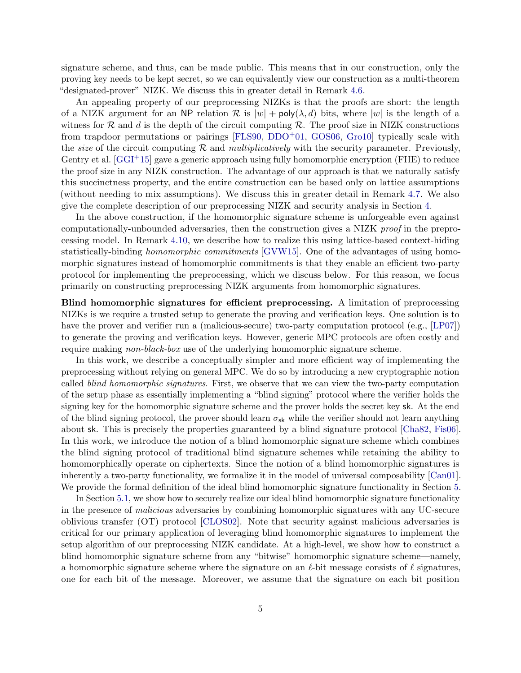signature scheme, and thus, can be made public. This means that in our construction, only the proving key needs to be kept secret, so we can equivalently view our construction as a multi-theorem "designated-prover" NIZK. We discuss this in greater detail in Remark [4.6.](#page-23-0)

An appealing property of our preprocessing NIZKs is that the proofs are short: the length of a NIZK argument for an NP relation  $\mathcal R$  is  $|w| + \text{poly}(\lambda, d)$  bits, where  $|w|$  is the length of a witness for  $\mathcal R$  and d is the depth of the circuit computing  $\mathcal R$ . The proof size in NIZK constructions from trapdoor permutations or pairings  $[FLS90, DDO<sup>+</sup>01, GOS06, Gro10]$  $[FLS90, DDO<sup>+</sup>01, GOS06, Gro10]$  $[FLS90, DDO<sup>+</sup>01, GOS06, Gro10]$  $[FLS90, DDO<sup>+</sup>01, GOS06, Gro10]$  $[FLS90, DDO<sup>+</sup>01, GOS06, Gro10]$  $[FLS90, DDO<sup>+</sup>01, GOS06, Gro10]$  $[FLS90, DDO<sup>+</sup>01, GOS06, Gro10]$  typically scale with the size of the circuit computing  $R$  and *multiplicatively* with the security parameter. Previously, Gentry et al.  $[GGI+15]$  $[GGI+15]$  gave a generic approach using fully homomorphic encryption (FHE) to reduce the proof size in any NIZK construction. The advantage of our approach is that we naturally satisfy this succinctness property, and the entire construction can be based only on lattice assumptions (without needing to mix assumptions). We discuss this in greater detail in Remark [4.7.](#page-23-1) We also give the complete description of our preprocessing NIZK and security analysis in Section [4.](#page-20-0)

In the above construction, if the homomorphic signature scheme is unforgeable even against computationally-unbounded adversaries, then the construction gives a NIZK proof in the preprocessing model. In Remark [4.10,](#page-24-1) we describe how to realize this using lattice-based context-hiding statistically-binding homomorphic commitments [\[GVW15\]](#page-42-6). One of the advantages of using homomorphic signatures instead of homomorphic commitments is that they enable an efficient two-party protocol for implementing the preprocessing, which we discuss below. For this reason, we focus primarily on constructing preprocessing NIZK arguments from homomorphic signatures.

Blind homomorphic signatures for efficient preprocessing. A limitation of preprocessing NIZKs is we require a trusted setup to generate the proving and verification keys. One solution is to have the prover and verifier run a (malicious-secure) two-party computation protocol (e.g., [\[LP07\]](#page-43-3)) to generate the proving and verification keys. However, generic MPC protocols are often costly and require making *non-black-box* use of the underlying homomorphic signature scheme.

In this work, we describe a conceptually simpler and more efficient way of implementing the preprocessing without relying on general MPC. We do so by introducing a new cryptographic notion called blind homomorphic signatures. First, we observe that we can view the two-party computation of the setup phase as essentially implementing a "blind signing" protocol where the verifier holds the signing key for the homomorphic signature scheme and the prover holds the secret key sk. At the end of the blind signing protocol, the prover should learn  $\sigma_{sk}$  while the verifier should not learn anything about sk. This is precisely the properties guaranteed by a blind signature protocol [\[Cha82,](#page-40-5) [Fis06\]](#page-41-6). In this work, we introduce the notion of a blind homomorphic signature scheme which combines the blind signing protocol of traditional blind signature schemes while retaining the ability to homomorphically operate on ciphertexts. Since the notion of a blind homomorphic signatures is inherently a two-party functionality, we formalize it in the model of universal composability [\[Can01\]](#page-39-4). We provide the formal definition of the ideal blind homomorphic signature functionality in Section [5.](#page-26-0)

In Section [5.1,](#page-31-0) we show how to securely realize our ideal blind homomorphic signature functionality in the presence of malicious adversaries by combining homomorphic signatures with any UC-secure oblivious transfer (OT) protocol [\[CLOS02\]](#page-40-6). Note that security against malicious adversaries is critical for our primary application of leveraging blind homomorphic signatures to implement the setup algorithm of our preprocessing NIZK candidate. At a high-level, we show how to construct a blind homomorphic signature scheme from any "bitwise" homomorphic signature scheme—namely, a homomorphic signature scheme where the signature on an  $\ell$ -bit message consists of  $\ell$  signatures, one for each bit of the message. Moreover, we assume that the signature on each bit position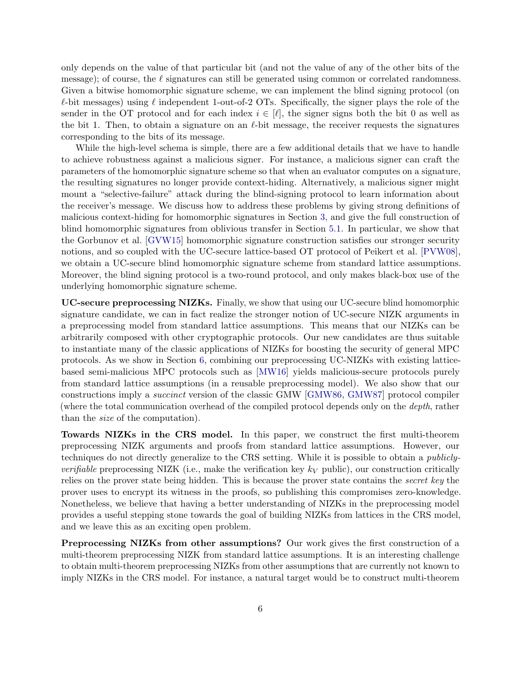only depends on the value of that particular bit (and not the value of any of the other bits of the message); of course, the  $\ell$  signatures can still be generated using common or correlated randomness. Given a bitwise homomorphic signature scheme, we can implement the blind signing protocol (on  $\ell$ -bit messages) using  $\ell$  independent 1-out-of-2 OTs. Specifically, the signer plays the role of the sender in the OT protocol and for each index  $i \in [\ell]$ , the signer signs both the bit 0 as well as the bit 1. Then, to obtain a signature on an  $\ell$ -bit message, the receiver requests the signatures corresponding to the bits of its message.

While the high-level schema is simple, there are a few additional details that we have to handle to achieve robustness against a malicious signer. For instance, a malicious signer can craft the parameters of the homomorphic signature scheme so that when an evaluator computes on a signature, the resulting signatures no longer provide context-hiding. Alternatively, a malicious signer might mount a "selective-failure" attack during the blind-signing protocol to learn information about the receiver's message. We discuss how to address these problems by giving strong definitions of malicious context-hiding for homomorphic signatures in Section [3,](#page-10-0) and give the full construction of blind homomorphic signatures from oblivious transfer in Section [5.1.](#page-31-0) In particular, we show that the Gorbunov et al. [\[GVW15\]](#page-42-6) homomorphic signature construction satisfies our stronger security notions, and so coupled with the UC-secure lattice-based OT protocol of Peikert et al. [\[PVW08\]](#page-44-4), we obtain a UC-secure blind homomorphic signature scheme from standard lattice assumptions. Moreover, the blind signing protocol is a two-round protocol, and only makes black-box use of the underlying homomorphic signature scheme.

UC-secure preprocessing NIZKs. Finally, we show that using our UC-secure blind homomorphic signature candidate, we can in fact realize the stronger notion of UC-secure NIZK arguments in a preprocessing model from standard lattice assumptions. This means that our NIZKs can be arbitrarily composed with other cryptographic protocols. Our new candidates are thus suitable to instantiate many of the classic applications of NIZKs for boosting the security of general MPC protocols. As we show in Section [6,](#page-32-0) combining our preprocessing UC-NIZKs with existing latticebased semi-malicious MPC protocols such as [\[MW16\]](#page-43-4) yields malicious-secure protocols purely from standard lattice assumptions (in a reusable preprocessing model). We also show that our constructions imply a succinct version of the classic GMW [\[GMW86,](#page-42-4) [GMW87\]](#page-42-5) protocol compiler (where the total communication overhead of the compiled protocol depends only on the *depth*, rather than the size of the computation).

Towards NIZKs in the CRS model. In this paper, we construct the first multi-theorem preprocessing NIZK arguments and proofs from standard lattice assumptions. However, our techniques do not directly generalize to the CRS setting. While it is possible to obtain a publicly*verifiable* preprocessing NIZK (i.e., make the verification key  $k_V$  public), our construction critically relies on the prover state being hidden. This is because the prover state contains the *secret key* the prover uses to encrypt its witness in the proofs, so publishing this compromises zero-knowledge. Nonetheless, we believe that having a better understanding of NIZKs in the preprocessing model provides a useful stepping stone towards the goal of building NIZKs from lattices in the CRS model, and we leave this as an exciting open problem.

Preprocessing NIZKs from other assumptions? Our work gives the first construction of a multi-theorem preprocessing NIZK from standard lattice assumptions. It is an interesting challenge to obtain multi-theorem preprocessing NIZKs from other assumptions that are currently not known to imply NIZKs in the CRS model. For instance, a natural target would be to construct multi-theorem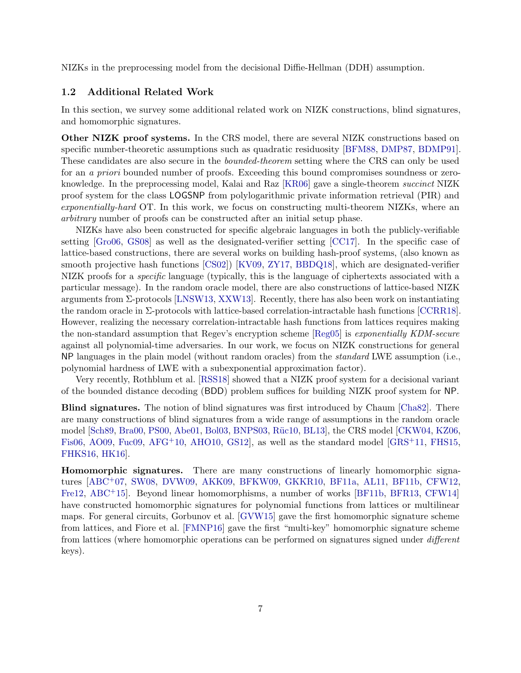NIZKs in the preprocessing model from the decisional Diffie-Hellman (DDH) assumption.

#### <span id="page-6-0"></span>1.2 Additional Related Work

In this section, we survey some additional related work on NIZK constructions, blind signatures, and homomorphic signatures.

Other NIZK proof systems. In the CRS model, there are several NIZK constructions based on specific number-theoretic assumptions such as quadratic residuosity [\[BFM88,](#page-39-0) [DMP87,](#page-41-4) [BDMP91\]](#page-38-2). These candidates are also secure in the *bounded-theorem* setting where the CRS can only be used for an *a priori* bounded number of proofs. Exceeding this bound compromises soundness or zeroknowledge. In the preprocessing model, Kalai and Raz [\[KR06\]](#page-43-5) gave a single-theorem succinct NIZK proof system for the class LOGSNP from polylogarithmic private information retrieval (PIR) and exponentially-hard OT. In this work, we focus on constructing multi-theorem NIZKs, where an arbitrary number of proofs can be constructed after an initial setup phase.

NIZKs have also been constructed for specific algebraic languages in both the publicly-verifiable setting [\[Gro06,](#page-42-7) [GS08\]](#page-42-8) as well as the designated-verifier setting [\[CC17\]](#page-40-7). In the specific case of lattice-based constructions, there are several works on building hash-proof systems, (also known as smooth projective hash functions [\[CS02\]](#page-40-8)) [\[KV09,](#page-43-6) [ZY17,](#page-44-5) [BBDQ18\]](#page-38-4), which are designated-verifier NIZK proofs for a specific language (typically, this is the language of ciphertexts associated with a particular message). In the random oracle model, there are also constructions of lattice-based NIZK arguments from  $\Sigma$ -protocols [\[LNSW13,](#page-43-7) [XXW13\]](#page-44-6). Recently, there has also been work on instantiating the random oracle in  $\Sigma$ -protocols with lattice-based correlation-intractable hash functions [\[CCRR18\]](#page-40-9). However, realizing the necessary correlation-intractable hash functions from lattices requires making the non-standard assumption that Regev's encryption scheme [\[Reg05\]](#page-44-1) is exponentially KDM-secure against all polynomial-time adversaries. In our work, we focus on NIZK constructions for general NP languages in the plain model (without random oracles) from the standard LWE assumption (i.e., polynomial hardness of LWE with a subexponential approximation factor).

Very recently, Rothblum et al. [\[RSS18\]](#page-44-7) showed that a NIZK proof system for a decisional variant of the bounded distance decoding (BDD) problem suffices for building NIZK proof system for NP.

Blind signatures. The notion of blind signatures was first introduced by Chaum [\[Cha82\]](#page-40-5). There are many constructions of blind signatures from a wide range of assumptions in the random oracle model [\[Sch89,](#page-44-8) [Bra00,](#page-39-5) [PS00,](#page-44-9) [Abe01,](#page-38-5) [Bol03,](#page-39-6) [BNPS03,](#page-39-7) Rüc10, [BL13\]](#page-39-8), the CRS model [\[CKW04,](#page-40-10) [KZ06,](#page-43-8) [Fis06,](#page-41-6) [AO09,](#page-38-6) [Fuc09,](#page-41-7) [AFG](#page-38-7)<sup>+</sup>10, [AHO10,](#page-38-8) GS12, as well as the standard model  $[GRS<sup>+</sup>11, FHS15,$  $[GRS<sup>+</sup>11, FHS15,$  $[GRS<sup>+</sup>11, FHS15,$ [FHKS16,](#page-41-9) [HK16\]](#page-42-11).

Homomorphic signatures. There are many constructions of linearly homomorphic signatures [\[ABC](#page-37-0)+07, [SW08,](#page-44-11) [DVW09,](#page-41-10) [AKK09,](#page-38-9) [BFKW09,](#page-39-9) [GKKR10,](#page-41-11) [BF11a,](#page-39-1) [AL11,](#page-38-10) [BF11b,](#page-39-2) [CFW12,](#page-40-11) [Fre12,](#page-41-12) [ABC](#page-38-3)+15]. Beyond linear homomorphisms, a number of works [\[BF11b,](#page-39-2) [BFR13,](#page-39-10) [CFW14\]](#page-40-12) have constructed homomorphic signatures for polynomial functions from lattices or multilinear maps. For general circuits, Gorbunov et al. [\[GVW15\]](#page-42-6) gave the first homomorphic signature scheme from lattices, and Fiore et al. [\[FMNP16\]](#page-41-13) gave the first "multi-key" homomorphic signature scheme from lattices (where homomorphic operations can be performed on signatures signed under *different* keys).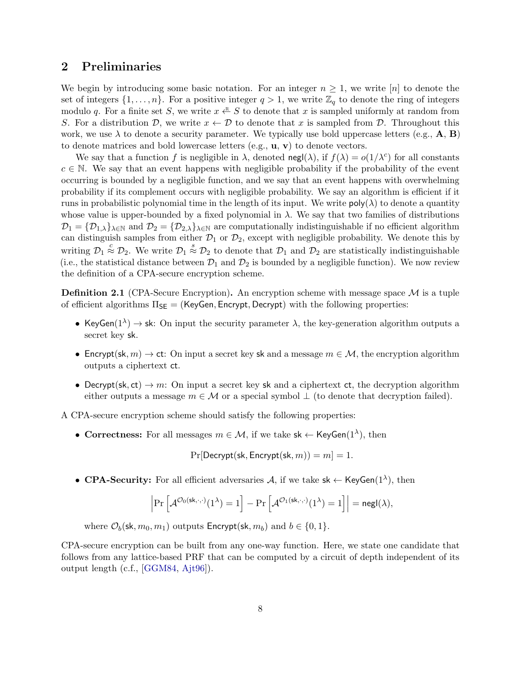# 2 Preliminaries

We begin by introducing some basic notation. For an integer  $n \geq 1$ , we write [n] to denote the set of integers  $\{1, \ldots, n\}$ . For a positive integer  $q > 1$ , we write  $\mathbb{Z}_q$  to denote the ring of integers modulo q. For a finite set S, we write  $x \stackrel{\text{R}}{\leftarrow} S$  to denote that x is sampled uniformly at random from S. For a distribution D, we write  $x \leftarrow \mathcal{D}$  to denote that x is sampled from D. Throughout this work, we use  $\lambda$  to denote a security parameter. We typically use bold uppercase letters (e.g.,  $\mathbf{A}, \mathbf{B}$ ) to denote matrices and bold lowercase letters  $(e.g., u, v)$  to denote vectors.

We say that a function f is negligible in  $\lambda$ , denoted negl( $\lambda$ ), if  $f(\lambda) = o(1/\lambda^c)$  for all constants  $c \in \mathbb{N}$ . We say that an event happens with negligible probability if the probability of the event occurring is bounded by a negligible function, and we say that an event happens with overwhelming probability if its complement occurs with negligible probability. We say an algorithm is efficient if it runs in probabilistic polynomial time in the length of its input. We write  $poly(\lambda)$  to denote a quantity whose value is upper-bounded by a fixed polynomial in  $\lambda$ . We say that two families of distributions  $\mathcal{D}_1 = {\mathcal{D}_{1,\lambda}}_{\lambda \in \mathbb{N}}$  and  $\mathcal{D}_2 = {\mathcal{D}_{2,\lambda}}_{\lambda \in \mathbb{N}}$  are computationally indistinguishable if no efficient algorithm can distinguish samples from either  $\mathcal{D}_1$  or  $\mathcal{D}_2$ , except with negligible probability. We denote this by writing  $\mathcal{D}_1 \stackrel{c}{\approx} \mathcal{D}_2$ . We write  $\mathcal{D}_1 \stackrel{s}{\approx} \mathcal{D}_2$  to denote that  $\mathcal{D}_1$  and  $\mathcal{D}_2$  are statistically indistinguishable (i.e., the statistical distance between  $\mathcal{D}_1$  and  $\mathcal{D}_2$  is bounded by a negligible function). We now review the definition of a CPA-secure encryption scheme.

**Definition 2.1** (CPA-Secure Encryption). An encryption scheme with message space  $\mathcal{M}$  is a tuple of efficient algorithms  $\Pi_{\mathsf{SE}} = (\mathsf{KeyGen}, \mathsf{Encrypt}, \mathsf{Decrypt})$  with the following properties:

- KeyGen( $1^{\lambda}$ )  $\rightarrow$  sk: On input the security parameter  $\lambda$ , the key-generation algorithm outputs a secret key sk.
- Encrypt(sk,  $m$ )  $\rightarrow$  ct: On input a secret key sk and a message  $m \in \mathcal{M}$ , the encryption algorithm outputs a ciphertext ct.
- Decrypt(sk, ct)  $\rightarrow$  m: On input a secret key sk and a ciphertext ct, the decryption algorithm either outputs a message  $m \in \mathcal{M}$  or a special symbol  $\perp$  (to denote that decryption failed).

A CPA-secure encryption scheme should satisfy the following properties:

• Correctness: For all messages  $m \in \mathcal{M}$ , if we take sk  $\leftarrow$  KeyGen $(1^{\lambda})$ , then

 $Pr[Decrypt(sk, \text{Encrypt}(sk, m)) = m] = 1.$ 

• CPA-Security: For all efficient adversaries A, if we take  $sk \leftarrow \mathsf{KeyGen}(1^{\lambda})$ , then

$$
\left|\Pr\left[\mathcal{A}^{\mathcal{O}_0(\mathsf{sk},\cdot,\cdot)}(1^\lambda)=1\right]-\Pr\left[\mathcal{A}^{\mathcal{O}_1(\mathsf{sk},\cdot,\cdot)}(1^\lambda)=1\right]\right|=\mathsf{negl}(\lambda),
$$

where  $\mathcal{O}_b(\mathsf{sk}, m_0, m_1)$  outputs Encrypt( $\mathsf{sk}, m_b$ ) and  $b \in \{0, 1\}$ .

CPA-secure encryption can be built from any one-way function. Here, we state one candidate that follows from any lattice-based PRF that can be computed by a circuit of depth independent of its output length (c.f., [\[GGM84,](#page-41-14) [Ajt96\]](#page-38-0)).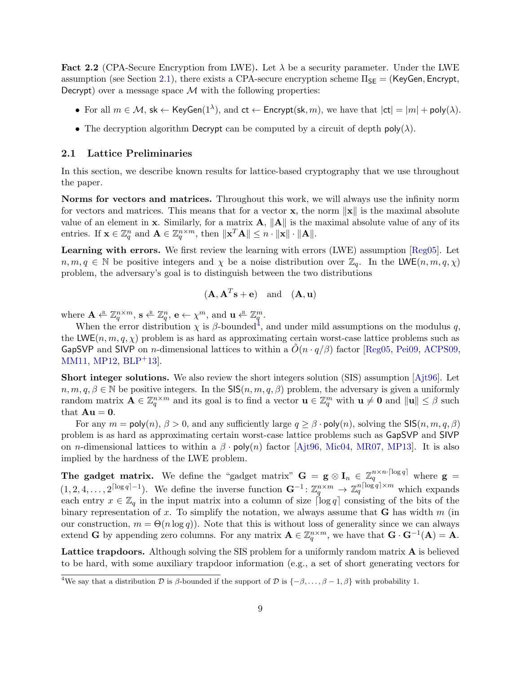<span id="page-8-1"></span>Fact 2.2 (CPA-Secure Encryption from LWE). Let  $\lambda$  be a security parameter. Under the LWE assumption (see Section [2.1\)](#page-8-0), there exists a CPA-secure encryption scheme  $\Pi_{\mathsf{SE}} = (\mathsf{KeyGen}, \mathsf{Encrypt}, \mathsf{S}$ Decrypt) over a message space  $M$  with the following properties:

- For all  $m \in \mathcal{M}$ , sk  $\leftarrow$  KeyGen(1<sup> $\lambda$ </sup>), and  $ct \leftarrow$  Encrypt(sk, m), we have that  $|ct| = |m| + poly(\lambda)$ .
- The decryption algorithm Decrypt can be computed by a circuit of depth  $poly(\lambda)$ .

### <span id="page-8-0"></span>2.1 Lattice Preliminaries

In this section, we describe known results for lattice-based cryptography that we use throughout the paper.

Norms for vectors and matrices. Throughout this work, we will always use the infinity norm for vectors and matrices. This means that for a vector  $\bf{x}$ , the norm  $\|\bf{x}\|$  is the maximal absolute value of an element in x. Similarly, for a matrix  $A$ ,  $||A||$  is the maximal absolute value of any of its entries. If  $\mathbf{x} \in \mathbb{Z}_q^n$  and  $\mathbf{A} \in \mathbb{Z}_q^{n \times m}$ , then  $\|\mathbf{x}^T \mathbf{A}\| \leq n \cdot \|\mathbf{x}\| \cdot \|\mathbf{A}\|$ .

Learning with errors. We first review the learning with errors (LWE) assumption [\[Reg05\]](#page-44-1). Let  $n, m, q \in \mathbb{N}$  be positive integers and  $\chi$  be a noise distribution over  $\mathbb{Z}_q$ . In the LWE $(n, m, q, \chi)$ problem, the adversary's goal is to distinguish between the two distributions

$$
(\mathbf{A}, \mathbf{A}^T \mathbf{s} + \mathbf{e})
$$
 and  $(\mathbf{A}, \mathbf{u})$ 

where  $\mathbf{A} \leftarrow \mathbb{Z}_q^{n \times m}$ ,  $\mathbf{s} \leftarrow \mathbb{Z}_q^n$ ,  $\mathbf{e} \leftarrow \chi^m$ , and  $\mathbf{u} \leftarrow \mathbb{Z}_q^m$ .

When the error distribution  $\chi$  is  $\beta$ -bounded<sup>[4](#page-0-0)</sup>, and under mild assumptions on the modulus q, the LWE(n, m, q,  $\chi$ ) problem is as hard as approximating certain worst-case lattice problems such as GapSVP and SIVP on *n*-dimensional lattices to within a  $O(n \cdot q/\beta)$  factor [\[Reg05,](#page-44-1) [Pei09,](#page-43-9) [ACPS09,](#page-38-11) [MM11,](#page-43-10) [MP12,](#page-43-11)  $BLP+13$  $BLP+13$ .

Short integer solutions. We also review the short integers solution (SIS) assumption [\[Ajt96\]](#page-38-0). Let  $n, m, q, \beta \in \mathbb{N}$  be positive integers. In the SIS $(n, m, q, \beta)$  problem, the adversary is given a uniformly random matrix  $\mathbf{A} \in \mathbb{Z}_q^{n \times m}$  and its goal is to find a vector  $\mathbf{u} \in \mathbb{Z}_q^m$  with  $\mathbf{u} \neq \mathbf{0}$  and  $\|\mathbf{u}\| \leq \beta$  such that  $Au = 0$ .

For any  $m = \text{poly}(n)$ ,  $\beta > 0$ , and any sufficiently large  $q \geq \beta \cdot \text{poly}(n)$ , solving the SIS $(n, m, q, \beta)$ problem is as hard as approximating certain worst-case lattice problems such as GapSVP and SIVP on *n*-dimensional lattices to within a  $\beta \cdot \text{poly}(n)$  factor [\[Ajt96,](#page-38-0) [Mic04,](#page-43-12) [MR07,](#page-43-13) [MP13\]](#page-43-14). It is also implied by the hardness of the LWE problem.

The gadget matrix. We define the "gadget matrix"  $G = g \otimes I_n \in \mathbb{Z}_q^{n \times n \cdot \lceil \log q \rceil}$  where  $g =$  $(1, 2, 4, \ldots, 2^{\lceil \log q \rceil - 1})$ . We define the inverse function  $\mathbf{G}^{-1} \colon \mathbb{Z}_q^{n \times m} \to \mathbb{Z}_q^{n \lceil \log q \rceil \times m}$  which expands each entry  $x \in \mathbb{Z}_q$  in the input matrix into a column of size  $\lceil \log q \rceil$  consisting of the bits of the binary representation of x. To simplify the notation, we always assume that **G** has width  $m$  (in our construction,  $m = \Theta(n \log q)$ . Note that this is without loss of generality since we can always extend **G** by appending zero columns. For any matrix  $\mathbf{A} \in \mathbb{Z}_q^{n \times m}$ , we have that  $\mathbf{G} \cdot \mathbf{G}^{-1}(\mathbf{A}) = \mathbf{A}$ .

Lattice trapdoors. Although solving the SIS problem for a uniformly random matrix **A** is believed to be hard, with some auxiliary trapdoor information (e.g., a set of short generating vectors for

<sup>&</sup>lt;sup>4</sup>We say that a distribution  $\mathcal D$  is  $\beta$ -bounded if the support of  $\mathcal D$  is  $\{-\beta,\ldots,\beta-1,\beta\}$  with probability 1.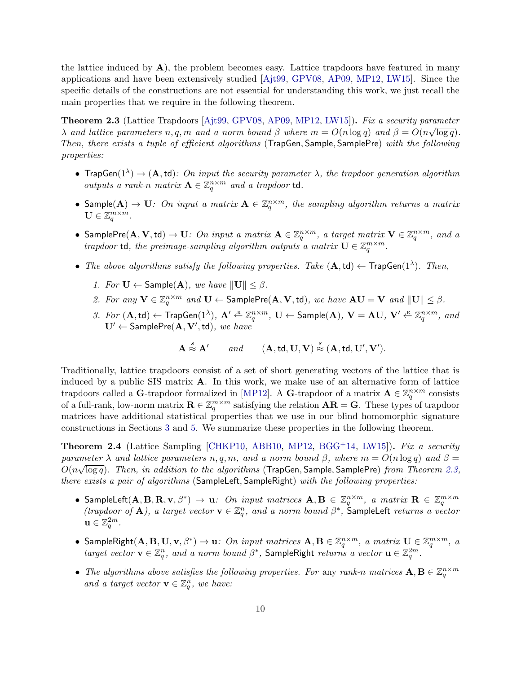the lattice induced by  $\mathbf{A}$ ), the problem becomes easy. Lattice trapdoors have featured in many applications and have been extensively studied [\[Ajt99,](#page-38-12) [GPV08,](#page-42-12) [AP09,](#page-38-13) [MP12,](#page-43-11) [LW15\]](#page-43-15). Since the specific details of the constructions are not essential for understanding this work, we just recall the main properties that we require in the following theorem.

<span id="page-9-0"></span>Theorem 2.3 (Lattice Trapdoors [\[Ajt99,](#page-38-12) [GPV08,](#page-42-12) [AP09,](#page-38-13) [MP12,](#page-43-11) [LW15\]](#page-43-15)). Fix a security parameter λ and lattice parameters n, q, m and a norm bound β where  $m = O(n \log q)$  and  $\beta = O(n \sqrt{\log q})$ . Then, there exists a tuple of efficient algorithms (TrapGen, Sample, SamplePre) with the following properties:

- TrapGen( $1^{\lambda}$ )  $\rightarrow$  (A,td): On input the security parameter  $\lambda$ , the trapdoor generation algorithm outputs a rank-n matrix  $\mathbf{A} \in \mathbb{Z}_q^{n \times m}$  and a trapdoor td.
- Sample $(\mathbf{A}) \to \mathbf{U}$ : On input a matrix  $\mathbf{A} \in \mathbb{Z}_q^{n \times m}$ , the sampling algorithm returns a matrix  $\mathbf{U} \in \mathbb{Z}_q^{m \times m}$  .
- SamplePre $(\mathbf{A}, \mathbf{V}, \mathsf{td}) \to \mathbf{U}$ : On input a matrix  $\mathbf{A} \in \mathbb{Z}_q^{n \times m}$ , a target matrix  $\mathbf{V} \in \mathbb{Z}_q^{n \times m}$ , and a trapdoor td, the preimage-sampling algorithm outputs a matrix  $\mathbf{U} \in \mathbb{Z}_q^{m \times m}$ .
- The above algorithms satisfy the following properties. Take  $(A, td) \leftarrow TrapGen(1^{\lambda})$ . Then,
	- 1. For  $U \leftarrow$  Sample(A), we have  $||U|| \leq \beta$ .
	- 2. For any  $\mathbf{V} \in \mathbb{Z}_q^{n \times m}$  and  $\mathbf{U} \leftarrow$  SamplePre $(\mathbf{A}, \mathbf{V}, \mathsf{td})$ , we have  $\mathbf{A}\mathbf{U} = \mathbf{V}$  and  $\|\mathbf{U}\| \leq \beta$ .
	- 3. For  $(A, td) \leftarrow \textsf{TrapGen}(1^{\lambda}), A' \leftarrow \mathbb{Z}_q^{n \times m}, U \leftarrow \textsf{Sample}(A), V = AU, V' \leftarrow \mathbb{Z}_q^{n \times m}, \text{ and}$  $U' \leftarrow$  SamplePre $(A, V', td)$ , we have

$$
\mathbf{A} \stackrel{s}{\approx} \mathbf{A}' \qquad \text{and} \qquad (\mathbf{A}, \mathsf{td}, \mathbf{U}, \mathbf{V}) \stackrel{s}{\approx} (\mathbf{A}, \mathsf{td}, \mathbf{U}', \mathbf{V}').
$$

Traditionally, lattice trapdoors consist of a set of short generating vectors of the lattice that is induced by a public SIS matrix  $\bf{A}$ . In this work, we make use of an alternative form of lattice trapdoors called a G-trapdoor formalized in [\[MP12\]](#page-43-11). A G-trapdoor of a matrix  $\mathbf{A} \in \mathbb{Z}_q^{n \times m}$  consists of a full-rank, low-norm matrix  $\mathbf{R} \in \mathbb{Z}_q^{m \times m}$  satisfying the relation  $\mathbf{AR} = \mathbf{G}$ . These types of trapdoor matrices have additional statistical properties that we use in our blind homomorphic signature constructions in Sections [3](#page-10-0) and [5.](#page-26-0) We summarize these properties in the following theorem.

<span id="page-9-1"></span>**Theorem 2.4** (Lattice Sampling [\[CHKP10,](#page-40-13) [ABB10,](#page-37-1) [MP12,](#page-43-11) [BGG](#page-39-12)<sup>+</sup>14, [LW15\]](#page-43-15)). Fix a security parameter  $\lambda$  and lattice parameters n, q, m, and a norm bound  $\beta$ , where  $m = O(n \log q)$  and  $\beta = O(n \log q)$  $O(n\sqrt{\log q})$ . Then, in addition to the algorithms (TrapGen, Sample, SamplePre) from Theorem [2.3,](#page-9-0) there exists a pair of algorithms (SampleLeft, SampleRight) with the following properties:

- SampleLeft( $\mathbf{A}, \mathbf{B}, \mathbf{R}, \mathbf{v}, \beta^*$ )  $\rightarrow$  u: On input matrices  $\mathbf{A}, \mathbf{B} \in \mathbb{Z}_q^{n \times m}$ , a matrix  $\mathbf{R} \in \mathbb{Z}_q^{m \times m}$  (trapdoor of  $\mathbf{A}$ ), a target vector  $\mathbf{v} \in \mathbb{Z}_q^n$ , and a norm bound  $\beta^*$ , S  $\mathbf{u} \in \mathbb{Z}_q^{2m}$ .
- SampleRight $(\mathbf{A}, \mathbf{B}, \mathbf{U}, \mathbf{v}, \beta^*) \to \mathbf{u}$ : On input matrices  $\mathbf{A}, \mathbf{B} \in \mathbb{Z}_q^{n \times m}$ , a matrix  $\mathbf{U} \in \mathbb{Z}_q^{m \times m}$ , a target vector  $\mathbf{v} \in \mathbb{Z}_q^n$ , and a norm bound  $\beta^*$ , SampleRight returns a vector  $\mathbf{u} \in \mathbb{Z}_q^{2m}$ .
- The algorithms above satisfies the following properties. For any rank-n matrices  $\mathbf{A}, \mathbf{B} \in \mathbb{Z}_q^{n \times m}$ and a target vector  $\mathbf{v} \in \mathbb{Z}_q^n$ , we have: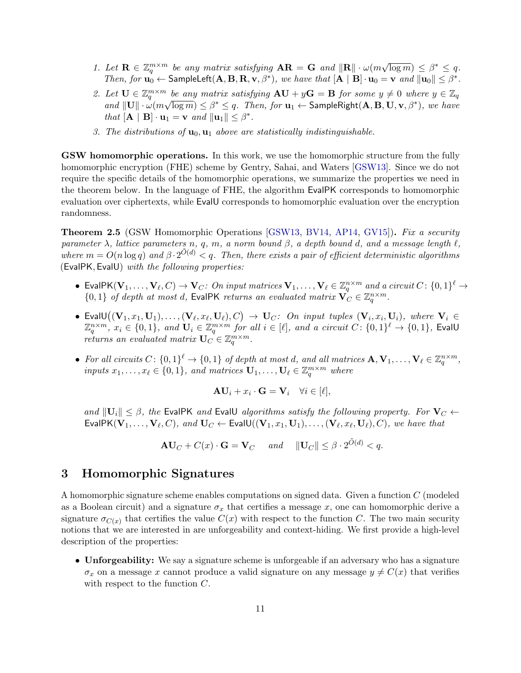- 1. Let  $\mathbf{R} \in \mathbb{Z}_q^{m \times m}$  be any matrix satisfying  $\mathbf{AR} = \mathbf{G}$  and  $\|\mathbf{R}\| \cdot \omega(m)$ √  $\overline{\log m}$ )  $\leq \beta^* \leq q$ . Then, for  $\mathbf{u}_0 \leftarrow$  SampleLeft $(\mathbf{A}, \mathbf{B}, \mathbf{R}, \mathbf{v}, \beta^*)$ , we have that  $[\mathbf{A} \mid \mathbf{B}] \cdot \mathbf{u}_0 = \mathbf{v}$  and  $\|\mathbf{u}_0\| \leq \beta^*$ .
- 2. Let  $\mathbf{U} \in \mathbb{Z}_q^{m \times m}$  be any matrix satisfying  $\mathbf{A}\mathbf{U} + y\mathbf{G} = \mathbf{B}$  for some  $y \neq 0$  where  $y \in \mathbb{Z}_q$ and  $||\mathbf{U}|| \cdot \omega(m\sqrt{\log m}) \leq \beta^* \leq q$ . Then, for  $\mathbf{u}_1 \leftarrow$  SampleRight $(\mathbf{A}, \mathbf{B}, \mathbf{U}, \mathbf{v}, \beta^*)$ , we have that  $[\mathbf{A} \mid \mathbf{B}] \cdot \mathbf{u}_1 = \mathbf{v}$  and  $\|\mathbf{u}_1\| \leq \beta^*$ .
- 3. The distributions of  $\mathbf{u}_0$ ,  $\mathbf{u}_1$  above are statistically indistinguishable.

GSW homomorphic operations. In this work, we use the homomorphic structure from the fully homomorphic encryption (FHE) scheme by Gentry, Sahai, and Waters [\[GSW13\]](#page-42-13). Since we do not require the specific details of the homomorphic operations, we summarize the properties we need in the theorem below. In the language of FHE, the algorithm EvalPK corresponds to homomorphic evaluation over ciphertexts, while EvalU corresponds to homomorphic evaluation over the encryption randomness.

<span id="page-10-1"></span>**Theorem 2.5** (GSW Homomorphic Operations [\[GSW13,](#page-42-13) [BV14,](#page-39-13) [AP14,](#page-38-14) [GV15\]](#page-42-14)). Fix a security parameter  $\lambda$ , lattice parameters n, q, m, a norm bound  $\beta$ , a depth bound d, and a message length  $\ell$ , where  $m = O(n \log q)$  and  $\beta \cdot 2^{\tilde{O}(d)} < q$ . Then, there exists a pair of efficient deterministic algorithms (EvalPK, EvalU) with the following properties:

- EvalPK $(\mathbf{V}_1,\ldots,\mathbf{V}_\ell,C)\to\mathbf{V}_C$ : On input matrices  $\mathbf{V}_1,\ldots,\mathbf{V}_\ell\in\mathbb{Z}_q^{n\times m}$  and a circuit  $C\colon\{0,1\}^\ell\to$  ${0, 1}$  of depth at most d, EvalPK returns an evaluated matrix  $\mathbf{V}_C \in \mathbb{Z}_q^{n \times m}$ .
- Eval ${\sf U}\big(({\bf V}_1,x_1,{\bf U}_1),\ldots,({\bf V}_{\ell},x_{\ell},{\bf U}_{\ell}),C\big)\,\to\,{\bf U}_C\colon\;{\it On\,\, input\,\, tuples}\,\;({\bf V}_i,x_i,{\bf U}_i),\,\,where \,\,{\bf V}_i\,\in\,$  $\mathbb{Z}_q^{n\times m},\ x_i\in\{0,1\},\ and\ \mathbf{U}_i\in\mathbb{Z}_q^{m\times m} \ for\ all\ i\in[\ell],\ and\ a\ circuit\ C\colon \{0,1\}^\ell\to\{0,1\},$  EvalU returns an evaluated matrix  $\mathbf{U}_C \in \mathbb{Z}_q^{m \times m}$ .
- For all circuits  $C: \{0,1\}^{\ell} \to \{0,1\}$  of depth at most d, and all matrices  $\mathbf{A}, \mathbf{V}_1, \ldots, \mathbf{V}_{\ell} \in \mathbb{Z}_q^{n \times m}$ , inputs  $x_1, \ldots, x_\ell \in \{0, 1\}$ , and matrices  $\mathbf{U}_1, \ldots, \mathbf{U}_\ell \in \mathbb{Z}_q^{m \times m}$  where

$$
AU_i + x_i \cdot G = V_i \quad \forall i \in [\ell],
$$

and  $||\mathbf{U}_i|| \leq \beta$ , the EvalPK and EvalU algorithms satisfy the following property. For  $\mathbf{V}_C$   $\leftarrow$ Eval $\mathsf{PK}(\mathbf{V}_1,\ldots,\mathbf{V}_\ell,C)$ , and  $\mathbf{U}_C \leftarrow \mathsf{EvalU}((\mathbf{V}_1,x_1,\mathbf{U}_1),\ldots,(\mathbf{V}_\ell,x_\ell,\mathbf{U}_\ell),C),$  we have that

 $\mathbf{A} \mathbf{U}_C + C(x) \cdot \mathbf{G} = \mathbf{V}_C \quad \textit{and} \quad \Vert \mathbf{U}_C \Vert \leq \beta \cdot 2^{\tilde{O}(d)} < q.$ 

# <span id="page-10-0"></span>3 Homomorphic Signatures

A homomorphic signature scheme enables computations on signed data. Given a function C (modeled as a Boolean circuit) and a signature  $\sigma_x$  that certifies a message x, one can homomorphic derive a signature  $\sigma_{C(x)}$  that certifies the value  $C(x)$  with respect to the function C. The two main security notions that we are interested in are unforgeability and context-hiding. We first provide a high-level description of the properties:

• Unforgeability: We say a signature scheme is unforgeable if an adversary who has a signature  $\sigma_x$  on a message x cannot produce a valid signature on any message  $y \neq C(x)$  that verifies with respect to the function C.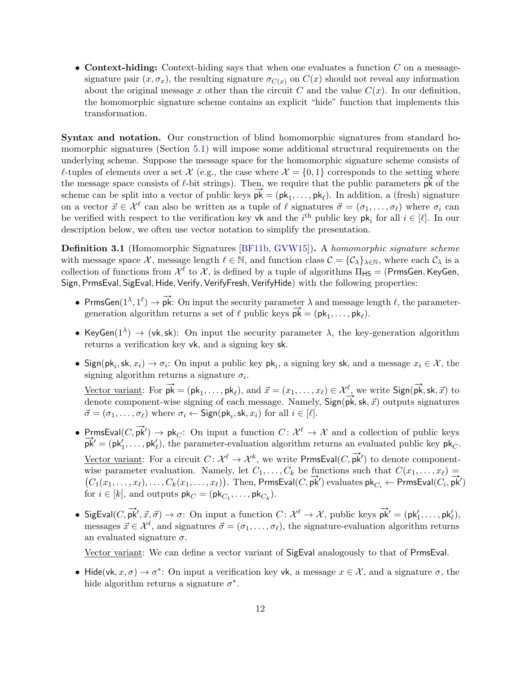• Context-hiding: Context-hiding says that when one evaluates a function  $C$  on a messagesignature pair  $(x, \sigma_x)$ , the resulting signature  $\sigma_{C(x)}$  on  $C(x)$  should not reveal any information about the original message x other than the circuit C and the value  $C(x)$ . In our definition, the homomorphic signature scheme contains an explicit "hide" function that implements this transformation.

Syntax and notation. Our construction of blind homomorphic signatures from standard homomorphic signatures (Section [5.1\)](#page-31-0) will impose some additional structural requirements on the underlying scheme. Suppose the message space for the homomorphic signature scheme consists of  $\ell$ -tuples of elements over a set X (e.g., the case where  $\mathcal{X} = \{0,1\}$  corresponds to the setting where the message space consists of  $\ell$ -bit strings). Then, we require that the public parameters  $pk$  of the the message space consists of  $\ell$ -bit strings). Then, we require that the public parameters pk of the scheme can be split into a vector of public keys  $\vec{pk} = (pk_1, \ldots, pk_\ell)$ . In addition, a (fresh) signature on a vector  $\vec{x} \in \mathcal{X}^{\ell}$  can also be written as a tuple of  $\ell$  signatures  $\vec{\sigma} = (\sigma_1, \ldots, \sigma_{\ell})$  where  $\sigma_i$  can be verified with respect to the verification key vk and the  $i^{\text{th}}$  public key  $\mathsf{pk}_i$  for all  $i \in [\ell]$ . In our description below, we often use vector notation to simplify the presentation.

**Definition 3.1** (Homomorphic Signatures [\[BF11b,](#page-39-2) [GVW15\]](#page-42-6)). A homomorphic signature scheme with message space X, message length  $\ell \in \mathbb{N}$ , and function class  $\mathcal{C} = {\mathcal{C}_{\lambda}}_{\lambda \in \mathbb{N}}$ , where each  $\mathcal{C}_{\lambda}$  is a collection of functions from  $\mathcal{X}^{\ell}$  to  $\mathcal{X},$  is defined by a tuple of algorithms  $\Pi_{\mathsf{HS}} =$  (PrmsGen, KeyGen, Sign, PrmsEval, SigEval, Hide, Verify, VerifyFresh, VerifyHide) with the following properties:

- PrmsGen( $1^{\lambda}, 1^{\ell}$ )  $\rightarrow \overrightarrow{pk}$ : On input the security parameter  $\lambda$  and message length  $\ell$ , the parameter-PrmsGen( $\Gamma$ ,  $\Gamma$ )  $\rightarrow$  pk: On input the security parameter  $\lambda$  and message is generation algorithm returns a set of  $\ell$  public keys  $\overrightarrow{pk} = (pk_1, \ldots, pk_\ell)$ .
- KeyGen( $1^{\lambda}$ )  $\rightarrow$  (vk, sk): On input the security parameter  $\lambda$ , the key-generation algorithm returns a verification key vk, and a signing key sk.
- Sign( $pk_i, sk, x_i$ )  $\rightarrow \sigma_i$ : On input a public key  $pk_i$ , a signing key sk, and a message  $x_i \in \mathcal{X}$ , the signing algorithm returns a signature  $\sigma_i$ .

Vector variant: For  $\overrightarrow{pk} = (pk_1, \ldots, pk_\ell)$ , and  $\overrightarrow{x} = (x_1, \ldots, x_\ell) \in \mathcal{X}_{\underline{\cdot}}^\ell$  we write Sign( $\overrightarrow{pk}$ , sk,  $\overrightarrow{x}$ ) to vector variant: For  $\mathsf{pk} = (\mathsf{pk}_1, \ldots, \mathsf{pk}_\ell)$ , and  $x = (x_1, \ldots, x_\ell) \in \mathcal{X}^*$ , we write  $\mathsf{sign}(\mathsf{pk}, \mathsf{sk}, x)$  to denote component-wise signing of each message. Namely,  $\mathsf{Sign}(\mathsf{pk}, \mathsf{sk}, \vec{x})$  outputs signatures  $\vec{\sigma} = (\sigma_1, \dots, \sigma_\ell)$  where  $\sigma_i \leftarrow \mathsf{Sign}(\mathsf{pk}_i, \mathsf{sk}, x_i)$  for all  $i \in [\ell].$ 

- PrmsEval $(C, \overrightarrow{pk}) \rightarrow pk_C$ : On input a function  $C \colon \mathcal{X}^{\ell} \to \mathcal{X}$  and a collection of public keys **EXECTED**  $\vec{p}$  = ( $\vec{p}$ k<sub>1</sub>, ..., $\vec{p}$ k<sub>l</sub><sub>k</sub>), the parameter-evaluation algorithm returns an evaluated public key  $\vec{p}$ k<sub>c</sub>. Vector variant: For a circuit  $C: \mathcal{X}^{\ell} \to \mathcal{X}^k$ , we write PrmsEval( $C, \overrightarrow{pk}$ ) to denote componentwise parameter evaluation. Namely, let  $C_1, \ldots, C_k$  be functions such that  $C(x_1, \ldots, x_\ell) =$ wise parameter evaluation. Namely, let  $C_1, \ldots, C_k$  be functions such that  $C(x_1, \ldots, x_\ell) =$ <br>  $(C_1(x_1, \ldots, x_\ell), \ldots, C_k(x_1, \ldots, x_\ell))$ . Then, PrmsEval(C,  $\overrightarrow{pk'}$ ) evaluates  $pk_{C_i} \leftarrow PrmsEval(C_i, \overrightarrow{pk'})$ for  $i \in [k]$ , and outputs  $\mathsf{pk}_C = (\mathsf{pk}_{C_1}, \dots, \mathsf{pk}_{C_k})$ .
- SigEval(C,  $\overrightarrow{pk}', \overrightarrow{x}, \overrightarrow{\sigma} \rangle \rightarrow \sigma$ : On input a function  $C \colon \mathcal{X}^{\ell} \rightarrow \mathcal{X}$ , public keys  $\overrightarrow{pk}' = (pk'_1, \ldots, pk'_{\ell}),$  $\vec{J}$  messages  $\vec{x} \in \mathcal{X}^{\ell}$ , and signatures  $\vec{\sigma} = (\sigma_1, \dots, \sigma_{\ell})$ , the signature-evaluation algorithm returns an evaluated signature  $\sigma$ .

Vector variant: We can define a vector variant of SigEval analogously to that of PrmsEval.

• Hide(vk,  $x, \sigma$ )  $\rightarrow \sigma^*$ : On input a verification key vk, a message  $x \in \mathcal{X}$ , and a signature  $\sigma$ , the hide algorithm returns a signature  $\sigma^*$ .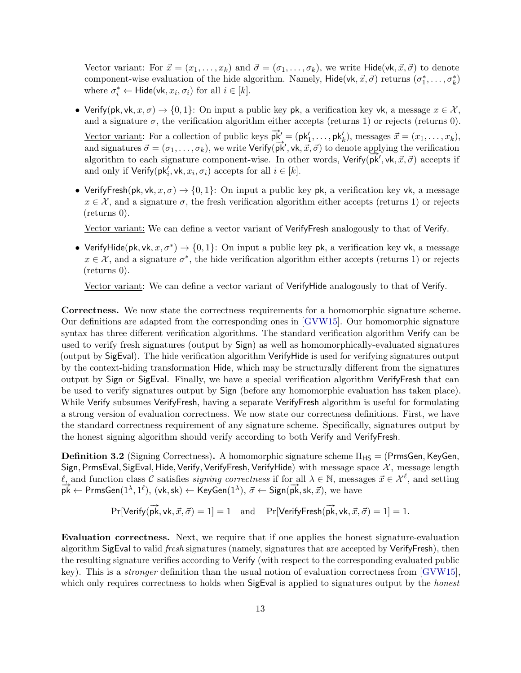Vector variant: For  $\vec{x} = (x_1, \ldots, x_k)$  and  $\vec{\sigma} = (\sigma_1, \ldots, \sigma_k)$ , we write Hide(vk,  $\vec{x}, \vec{\sigma}$ ) to denote component-wise evaluation of the hide algorithm. Namely,  $\text{Hide}(vk, \vec{x}, \vec{\sigma})$  returns  $(\sigma_1^*, \ldots, \sigma_k^*)$ where  $\sigma_i^* \leftarrow \text{Hide}(\mathsf{vk}, x_i, \sigma_i)$  for all  $i \in [k]$ .

- Verify(pk, vk,  $x, \sigma$ )  $\rightarrow$  {0, 1}: On input a public key pk, a verification key vk, a message  $x \in \mathcal{X}$ , and a signature  $\sigma$ , the verification algorithm either accepts (returns 1) or rejects (returns 0). Vector variant: For a collection of public keys  $\overrightarrow{pk}' = (pk'_1, \ldots, pk'_k)$ , messages  $\vec{x} = (x_1, \ldots, x_k)$ , vector variant: For a collection of public keys  $pK = (pK_1, \ldots, pK_k)$ , messages  $x = (x_1, \ldots, x_k)$ ,<br>and signatures  $\vec{\sigma} = (\sigma_1, \ldots, \sigma_k)$ , we write Verify( $pK'$ , vk,  $\vec{x}, \vec{\sigma}$ ) to denote applying the verification and signatures  $\sigma = (\sigma_1, \dots, \sigma_k)$ , we write verify( $\mathsf{pk}, \mathsf{vk}, x, \sigma$ ) to denote applying the verification algorithm to each signature component-wise. In other words, Verify( $\overrightarrow{\mathsf{pk}}'$ ,  $\mathsf{vk}, \vec{x}, \vec{\sigma}$ ) accepts if and only if  $Verify(\mathsf{pk}'_i, \mathsf{vk}, x_i, \sigma_i)$  accepts for all  $i \in [k]$ .
- VerifyFresh(pk, vk,  $x, \sigma$ )  $\rightarrow$  {0, 1}: On input a public key pk, a verification key vk, a message  $x \in \mathcal{X}$ , and a signature  $\sigma$ , the fresh verification algorithm either accepts (returns 1) or rejects (returns 0).

Vector variant: We can define a vector variant of VerifyFresh analogously to that of Verify.

• VerifyHide(pk, vk,  $x, \sigma^*$ )  $\rightarrow$  {0, 1}: On input a public key pk, a verification key vk, a message  $x \in \mathcal{X}$ , and a signature  $\sigma^*$ , the hide verification algorithm either accepts (returns 1) or rejects (returns 0).

Vector variant: We can define a vector variant of VerifyHide analogously to that of Verify.

Correctness. We now state the correctness requirements for a homomorphic signature scheme. Our definitions are adapted from the corresponding ones in [\[GVW15\]](#page-42-6). Our homomorphic signature syntax has three different verification algorithms. The standard verification algorithm Verify can be used to verify fresh signatures (output by Sign) as well as homomorphically-evaluated signatures (output by SigEval). The hide verification algorithm VerifyHide is used for verifying signatures output by the context-hiding transformation Hide, which may be structurally different from the signatures output by Sign or SigEval. Finally, we have a special verification algorithm VerifyFresh that can be used to verify signatures output by Sign (before any homomorphic evaluation has taken place). While Verify subsumes VerifyFresh, having a separate VerifyFresh algorithm is useful for formulating a strong version of evaluation correctness. We now state our correctness definitions. First, we have the standard correctness requirement of any signature scheme. Specifically, signatures output by the honest signing algorithm should verify according to both Verify and VerifyFresh.

<span id="page-12-0"></span>**Definition 3.2** (Signing Correctness). A homomorphic signature scheme  $\Pi_{HS} = (PrmsGen, KeyGen,$ Sign, PrmsEval, SigEval, Hide, Verify, VerifyFresh, VerifyHide) with message space  $\mathcal{X}$ , message length  $\ell$ , and function class C satisfies *signing correctness* if for all  $\lambda \in \mathbb{N}$ , messages  $\vec{x} \in \mathcal{X}^{\ell}$ , and setting  $\mu$ , and function class C satisfies *signing correctness* if for all  $\lambda \in \mathbb{N}$ , messa<br>  $\overrightarrow{pk} \leftarrow$  PrmsGen( $1^{\lambda}, 1^{\ell}$ ), (vk, sk)  $\leftarrow$  KeyGen( $1^{\lambda}$ ),  $\vec{\sigma} \leftarrow$  Sign( $\overrightarrow{pk}$ , sk,  $\vec{x}$ ), we have

$$
\Pr[\mathsf{Verify}(\overrightarrow{\mathsf{pk}}, \mathsf{vk}, \vec{x}, \vec{\sigma}) = 1] = 1 \quad \text{and} \quad \Pr[\mathsf{VerifyFresh}(\overrightarrow{\mathsf{pk}}, \mathsf{vk}, \vec{x}, \vec{\sigma}) = 1] = 1.
$$

Evaluation correctness. Next, we require that if one applies the honest signature-evaluation algorithm SigEval to valid *fresh* signatures (namely, signatures that are accepted by VerifyFresh), then the resulting signature verifies according to Verify (with respect to the corresponding evaluated public key). This is a *stronger* definition than the usual notion of evaluation correctness from [\[GVW15\]](#page-42-6), which only requires correctness to holds when SigEval is applied to signatures output by the *honest*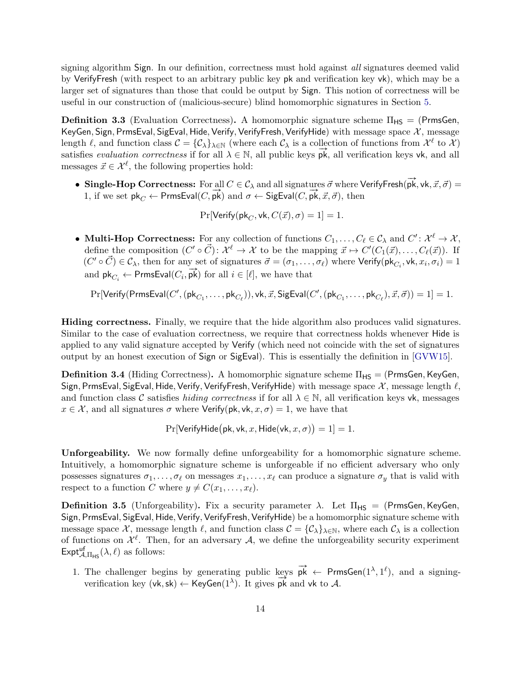signing algorithm Sign. In our definition, correctness must hold against *all* signatures deemed valid by VerifyFresh (with respect to an arbitrary public key pk and verification key vk), which may be a larger set of signatures than those that could be output by Sign. This notion of correctness will be useful in our construction of (malicious-secure) blind homomorphic signatures in Section [5.](#page-26-0)

<span id="page-13-1"></span>**Definition 3.3** (Evaluation Correctness). A homomorphic signature scheme  $\Pi_{\rm HS} = (P \text{rmsGen},$ KeyGen, Sign, PrmsEval, SigEval, Hide, Verify, VerifyFresh, VerifyHide) with message space  $\mathcal{X}$ , message length  $\ell$ , and function class  $\mathcal{C} = {\mathcal{C}_{\lambda}}_{\lambda \in \mathbb{N}}$  (where each  $\mathcal{C}_{\lambda}$  is a collection of functions from  $\mathcal{X}^{\ell}$  to  $\mathcal{X}$ ) satisfies *evaluation correctness* if for all  $\lambda \in \mathbb{N}$ , all public keys  $\overrightarrow{pk}$ , all verification keys vk, and all messages  $\vec{x} \in \mathcal{X}^{\ell}$ , the following properties hold:

• Single-Hop Correctness: For all  $C \in \mathcal{C}_{\lambda}$  and all signatures  $\vec{\sigma}$  where VerifyFresh( $\overrightarrow{pk}$ , vk,  $\vec{x}, \vec{\sigma}$ ) = 1, if we set  $pk_C \leftarrow PrmsEval(C, pk)$  and  $\sigma \leftarrow SigEval(C, pk, \vec{x}, \vec{\sigma})$ , then

$$
\Pr[\mathsf{Verify}(\mathsf{pk}_C,\mathsf{vk},C(\vec{x}),\sigma)=1]=1.
$$

• Multi-Hop Correctness: For any collection of functions  $C_1, \ldots, C_\ell \in \mathcal{C}_\lambda$  and  $C' : \mathcal{X}^\ell \to \mathcal{X},$ define the composition  $(C' \circ \vec{C})$ :  $\mathcal{X}^{\ell} \to \mathcal{X}$  to be the mapping  $\vec{x} \mapsto C'(C_1(\vec{x}), \dots, C_{\ell}(\vec{x}))$ . If  $(C' \circ \vec{C}) \in \mathcal{C}_{\lambda}$ , then for any set of signatures  $\vec{\sigma} = (\sigma_1, \ldots, \sigma_{\ell})$  where Verify $(\mathsf{pk}_{C_i}, \mathsf{vk}, x_i, \sigma_i) = 1$ and  $pk_{C_i} \leftarrow PrmsEval(C_i, pk)$  for all  $i \in [\ell]$ , we have that

 $\Pr[\mathsf{Verify}(\mathsf{PrmsEval}(C',(\mathsf{pk}_{C_1},\ldots,\mathsf{pk}_{C_\ell})), \mathsf{vk}, \vec{x}, \mathsf{SigEval}(C',(\mathsf{pk}_{C_1},\ldots,\mathsf{pk}_{C_\ell}), \vec{x},\vec{\sigma})) = 1] = 1.$ 

Hiding correctness. Finally, we require that the hide algorithm also produces valid signatures. Similar to the case of evaluation correctness, we require that correctness holds whenever Hide is applied to any valid signature accepted by Verify (which need not coincide with the set of signatures output by an honest execution of Sign or SigEval). This is essentially the definition in [\[GVW15\]](#page-42-6).

<span id="page-13-2"></span>**Definition 3.4** (Hiding Correctness). A homomorphic signature scheme  $\Pi_{HS} = (P \text{rmsGen}, \text{KeyGen}, \text{KeyGen}, \text{KeyGen}, \text{KeyGen}, \text{KeyGen}, \text{KeyGen}, \text{KeyGen}, \text{KeyGen}, \text{KeyGen}, \text{KeyGen}, \text{KeyGen}, \text{KeyGen}, \text{KeyGen}, \text{KeyGen}, \text{KeyGen}, \text{KeyGen}, \text{KeyGen}, \text{KeyGen}, \text{KeyGen}, \text{KeyGen}, \text{KeyGen}, \text{KeyGen}, \text{Key$ Sign, PrmsEval, SigEval, Hide, Verify, VerifyFresh, VerifyHide) with message space  $\mathcal{X}$ , message length  $\ell$ , and function class C satisfies hiding correctness if for all  $\lambda \in \mathbb{N}$ , all verification keys vk, messages  $x \in \mathcal{X}$ , and all signatures  $\sigma$  where Verify(pk, vk,  $x, \sigma$ ) = 1, we have that

 $Pr[VerifyHide(pk, vk, x, Hide(vk, x, \sigma))] = 1] = 1.$ 

Unforgeability. We now formally define unforgeability for a homomorphic signature scheme. Intuitively, a homomorphic signature scheme is unforgeable if no efficient adversary who only possesses signatures  $\sigma_1, \ldots, \sigma_\ell$  on messages  $x_1, \ldots, x_\ell$  can produce a signature  $\sigma_y$  that is valid with respect to a function C where  $y \neq C(x_1, \ldots, x_\ell)$ .

<span id="page-13-0"></span>**Definition 3.5** (Unforgeability). Fix a security parameter  $\lambda$ . Let  $\Pi_{HS} = (P \text{rmsGen}, \text{KeyGen}, \text{KeyGen}, \text{KeyGen}, \text{KeyGen}, \text{KeyGen}, \text{KeyGen}, \text{KeyGen}, \text{KeyGen}, \text{KeyGen}, \text{KeyGen}, \text{KeyGen}, \text{KeyGen}, \text{KeyGen}, \text{KeyGen}, \text{KeyGen}, \text{KeyGen}, \text{KeyGen}, \text{KeyGen}, \text{KeyGen}, \text{KeyGen}, \text{KeyGen}, \text{KeyGen}, \text{$ Sign, PrmsEval, SigEval, Hide, Verify, VerifyFresh, VerifyHide) be a homomorphic signature scheme with message space X, message length  $\ell$ , and function class  $\mathcal{C} = {\mathcal{C}_{\lambda}}_{\lambda \in \mathbb{N}}$ , where each  $\mathcal{C}_{\lambda}$  is a collection of functions on  $\mathcal{X}^{\ell}$ . Then, for an adversary  $\mathcal{A}$ , we define the unforgeability security experiment  $\mathsf{Expt}_{\mathcal{A},\Pi_{\mathsf{HS}}}^{\mathsf{uf}}(\lambda,\ell)$  as follows:

1. The challenger begins by generating public keys  $\overrightarrow{pk} \leftarrow$  PrmsGen(1<sup> $\lambda$ </sup>, 1<sup> $\ell$ </sup>), and a signing-The challenger begins by generating public keys  $p\kappa \leftarrow Pf\hat{f}$ <br>verification key (vk, sk)  $\leftarrow$  KeyGen(1<sup> $\lambda$ </sup>). It gives  $\overrightarrow{pk}$  and vk to A.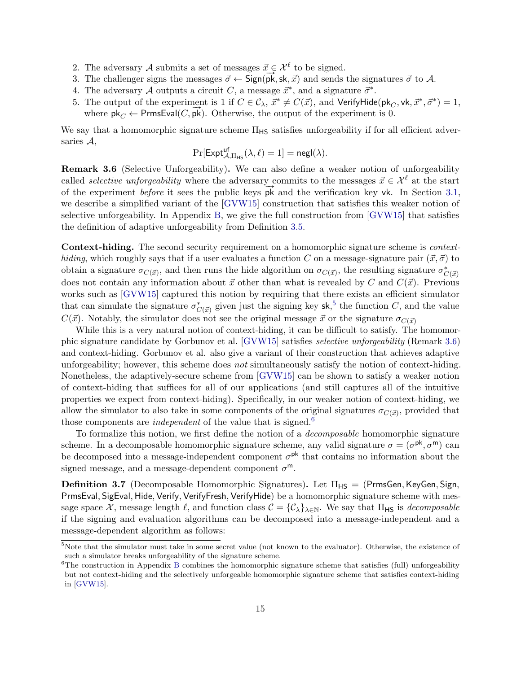- 2. The adversary A submits a set of messages  $\vec{x} \in \mathcal{X}^{\ell}$  to be signed.
- 2. The adversary A submits a set of messages  $x \in \lambda^*$  to be signed.<br>3. The challenger signs the messages  $\vec{\sigma} \leftarrow$  Sign( $\overrightarrow{pk}$ , sk,  $\vec{x}$ ) and sends the signatures  $\vec{\sigma}$  to A.
- 4. The adversary A outputs a circuit C, a message  $\vec{x}^*$ , and a signature  $\vec{\sigma}^*$ .
- 5. The output of the experiment is 1 if  $C \in \mathcal{C}_{\lambda}, \, \vec{x}^* \neq C(\vec{x})$ , and VerifyHide(pk<sub>C</sub>, vk,  $\vec{x}^*, \vec{\sigma}^*$ ) = 1, where  $pk_C \leftarrow PrmsEval(C, pk)$ . Otherwise, the output of the experiment is 0.

We say that a homomorphic signature scheme  $\Pi_{\mathsf{HS}}$  satisfies unforgeability if for all efficient adversaries A,

$$
\Pr[\mathsf{Expt}_{\mathcal{A},\Pi_{\mathsf{HS}}}^{\mathsf{uf}}(\lambda,\ell)=1] = \mathsf{negl}(\lambda).
$$

<span id="page-14-0"></span>Remark 3.6 (Selective Unforgeability). We can also define a weaker notion of unforgeability called *selective unforgeability* where the adversary commits to the messages  $\vec{x} \in \mathcal{X}^{\ell}$  at the start of the experiment *before* it sees the public keys  $\overrightarrow{pk}$  and the verification key vk. In Section [3.1,](#page-17-0) we describe a simplified variant of the [\[GVW15\]](#page-42-6) construction that satisfies this weaker notion of selective unforgeability. In Appendix [B,](#page-48-0) we give the full construction from [\[GVW15\]](#page-42-6) that satisfies the definition of adaptive unforgeability from Definition [3.5.](#page-13-0)

Context-hiding. The second security requirement on a homomorphic signature scheme is contexthiding, which roughly says that if a user evaluates a function C on a message-signature pair  $(\vec{x}, \vec{\sigma})$  to obtain a signature  $\sigma_{C(\vec{x})}$ , and then runs the hide algorithm on  $\sigma_{C(\vec{x})}$ , the resulting signature  $\sigma^*_{C(\vec{x})}$ does not contain any information about  $\vec{x}$  other than what is revealed by C and  $C(\vec{x})$ . Previous works such as [\[GVW15\]](#page-42-6) captured this notion by requiring that there exists an efficient simulator that can simulate the signature  $\sigma_{C(\vec{x})}^*$  given just the signing key sk,<sup>[5](#page-0-0)</sup> the function C, and the value  $C(\vec{x})$ . Notably, the simulator does not see the original message  $\vec{x}$  or the signature  $\sigma_{C(\vec{x})}$ 

While this is a very natural notion of context-hiding, it can be difficult to satisfy. The homomorphic signature candidate by Gorbunov et al. [\[GVW15\]](#page-42-6) satisfies selective unforgeability (Remark [3.6\)](#page-14-0) and context-hiding. Gorbunov et al. also give a variant of their construction that achieves adaptive unforgeability; however, this scheme does not simultaneously satisfy the notion of context-hiding. Nonetheless, the adaptively-secure scheme from [\[GVW15\]](#page-42-6) can be shown to satisfy a weaker notion of context-hiding that suffices for all of our applications (and still captures all of the intuitive properties we expect from context-hiding). Specifically, in our weaker notion of context-hiding, we allow the simulator to also take in some components of the original signatures  $\sigma_{C(\vec{x})}$ , provided that those components are *independent* of the value that is signed.<sup>[6](#page-0-0)</sup>

To formalize this notion, we first define the notion of a *decomposable* homomorphic signature scheme. In a decomposable homomorphic signature scheme, any valid signature  $\sigma = (\sigma^{\rm pk}, \sigma^{\rm m})$  can be decomposed into a message-independent component  $\sigma^{\text{pk}}$  that contains no information about the signed message, and a message-dependent component  $\sigma^{\mathsf{m}}$ .

<span id="page-14-1"></span>**Definition 3.7** (Decomposable Homomorphic Signatures). Let  $\Pi_{HS} = (P_{HS})$  KeyGen, Sign, PrmsEval, SigEval, Hide, Verify, VerifyFresh, VerifyHide) be a homomorphic signature scheme with message space X, message length  $\ell$ , and function class  $C = {\mathcal{C}_{\lambda}}_{\lambda \in \mathbb{N}}$ . We say that  $\Pi_{\mathsf{HS}}$  is decomposable if the signing and evaluation algorithms can be decomposed into a message-independent and a message-dependent algorithm as follows:

<sup>5</sup>Note that the simulator must take in some secret value (not known to the evaluator). Otherwise, the existence of such a simulator breaks unforgeability of the signature scheme.

<sup>&</sup>lt;sup>6</sup>The construction in Appendix [B](#page-48-0) combines the homomorphic signature scheme that satisfies (full) unforgeability but not context-hiding and the selectively unforgeable homomorphic signature scheme that satisfies context-hiding in [\[GVW15\]](#page-42-6).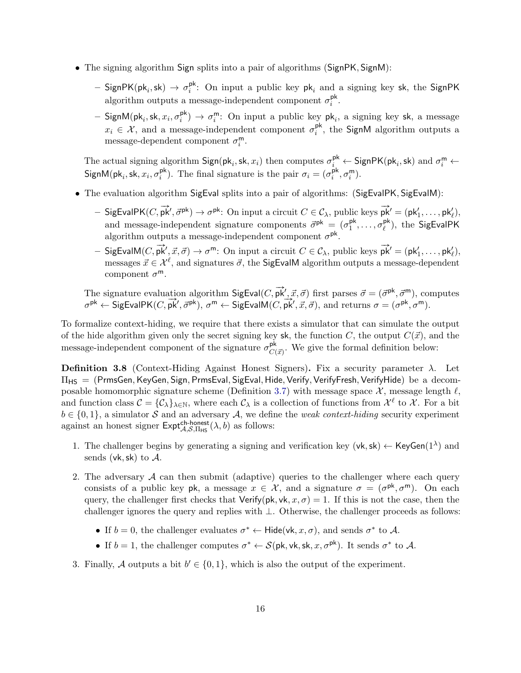- The signing algorithm Sign splits into a pair of algorithms (SignPK, SignM):
	- $-$  SignPK $(\mathsf{pk}_i, \mathsf{sk}) \rightarrow \sigma_i^{\mathsf{pk}}$ <sup>pk</sup>: On input a public key  $pk_i$  and a signing key sk, the SignPK algorithm outputs a message-independent component  $\sigma_i^{\text{pk}}$ рк $\frac{i}{}$ .
	- $-$  SignM $(\mathsf{pk}_i, \mathsf{sk}, x_i, \sigma_i^{\mathsf{pk}})$  $\sigma_i^{\mathsf{pk}}$ )  $\rightarrow \sigma_i^{\mathsf{m}}$ : On input a public key  $\mathsf{pk}_i$ , a signing key sk, a message  $x_i \in \mathcal{X}$ , and a message-independent component  $\sigma_i^{\text{pk}}$  $i^{\text{pk}}$ , the SignM algorithm outputs a message-dependent component  $\sigma_i^{\mathsf{m}}$ .

The actual signing algorithm  $Sign(\mathsf{pk}_i, \mathsf{sk}, x_i)$  then computes  $\sigma_i^{\mathsf{pk}} \leftarrow SignPK(\mathsf{pk}_i, \mathsf{sk})$  and  $\sigma_i^{\mathsf{m}} \leftarrow$  $\mathsf{SignM}(\mathsf{pk}_i,\mathsf{sk}, x_i, \sigma_i^{\mathsf{pk}}$ <sup>pk</sup>). The final signature is the pair  $\sigma_i = (\sigma_i^{\text{pk}})$  $i^{\mathsf{pk}}, \sigma_i^{\mathsf{m}}$ ).

- The evaluation algorithm SigEval splits into a pair of algorithms: (SigEvalPK, SigEvalM):
	- $-$  SigEvalPK $(C, \overrightarrow{pk'}, \overrightarrow{\sigma}^{pk}) \rightarrow \sigma^{pk}$ : On input a circuit  $C \in C_{\lambda}$ , public keys  $\overrightarrow{pk'} = (pk'_1, \ldots, pk'_\ell)$ , and message-independent signature components  $\vec{\sigma}^{\text{pk}} = (\sigma_1^{\text{pk}})$  $\frac{\mathsf{pk}}{1}, \ldots, \sigma_\ell^{\mathsf{pk}}$  $_{\ell}^{\mathsf{pk}}$ ), the SigEvalPK algorithm outputs a message-independent component  $\sigma^{\text{pk}}$ .
	- $-$  SigEvalM(C,  $\overrightarrow{pk}', \overrightarrow{x}, \overrightarrow{\sigma}$ )  $\rightarrow \sigma^m$ : On input a circuit  $C \in C_\lambda$ , public keys  $\overrightarrow{pk}' = (pk'_1, \ldots, pk'_\ell)$ , messages  $\vec{x} \in \mathcal{X}^{\ell}$ , and signatures  $\vec{\sigma}$ , the SigEvalM algorithm outputs a message-dependent component  $\sigma^m$ .

The signature evaluation algorithm  $\mathsf{SigEval}(C, \overrightarrow{\mathsf{pk}}', \vec{x}, \vec{\sigma})$  first parses  $\vec{\sigma} = (\vec{\sigma}^{\mathsf{pk}}, \vec{\sigma}^{\mathsf{m}})$ , computes The signature evaluation algorithm  $\text{SigEvall}(C, pk, x, \sigma)$  first parses  $\sigma = (\sigma^{rw}, \sigma^{rw})$ , corrected  $\sigma^{pk}$   $\leftarrow$  SigEvalPK(C,  $pk', \vec{\sigma}^{pk}$ ),  $\sigma^{m}$   $\leftarrow$  SigEvalM(C,  $pk', \vec{x}, \vec{\sigma}$ ), and returns  $\sigma = (\sigma^{pk}, \sigma^{m})$ .

To formalize context-hiding, we require that there exists a simulator that can simulate the output of the hide algorithm given only the secret signing key sk, the function  $C$ , the output  $C(\vec{x})$ , and the message-independent component of the signature  $\sigma_{Cl}^{\text{pk}}$  $C(\vec{x})$ . We give the formal definition below:

<span id="page-15-0"></span>**Definition 3.8** (Context-Hiding Against Honest Signers). Fix a security parameter  $\lambda$ . Let  $\Pi_{\rm HS}$  = (PrmsGen, KeyGen, Sign, PrmsEval, SigEval, Hide, Verify, VerifyFresh, VerifyHide) be a decom-posable homomorphic signature scheme (Definition [3.7\)](#page-14-1) with message space  $\mathcal{X}$ , message length  $\ell$ , and function class  $\mathcal{C} = {\mathcal{C}_{\lambda}}_{\lambda \in \mathbb{N}}$ , where each  $\mathcal{C}_{\lambda}$  is a collection of functions from  $\mathcal{X}^{\ell}$  to X. For a bit  $b \in \{0,1\}$ , a simulator S and an adversary A, we define the *weak context-hiding* security experiment against an honest signer  $\text{Expt}_{\mathcal{A},\mathcal{S},\Pi_{\text{HS}}}^{\text{ch-honest}}(\lambda, b)$  as follows:

- 1. The challenger begins by generating a signing and verification key ( $vk, sk$ )  $\leftarrow$  KeyGen( $1^{\lambda}$ ) and sends (vk, sk) to  $\mathcal{A}$ .
- 2. The adversary  $A$  can then submit (adaptive) queries to the challenger where each query consists of a public key pk, a message  $x \in \mathcal{X}$ , and a signature  $\sigma = (\sigma^{pk}, \sigma^m)$ . On each query, the challenger first checks that Verify(pk, vk,  $x, \sigma$ ) = 1. If this is not the case, then the challenger ignores the query and replies with  $\perp$ . Otherwise, the challenger proceeds as follows:
	- If  $b = 0$ , the challenger evaluates  $\sigma^* \leftarrow \text{Hide}(vk, x, \sigma)$ , and sends  $\sigma^*$  to A.
	- If  $b = 1$ , the challenger computes  $\sigma^* \leftarrow S(\mathsf{pk}, \mathsf{vk}, \mathsf{sk}, x, \sigma^{\mathsf{pk}})$ . It sends  $\sigma^*$  to A.

3. Finally, A outputs a bit  $b' \in \{0, 1\}$ , which is also the output of the experiment.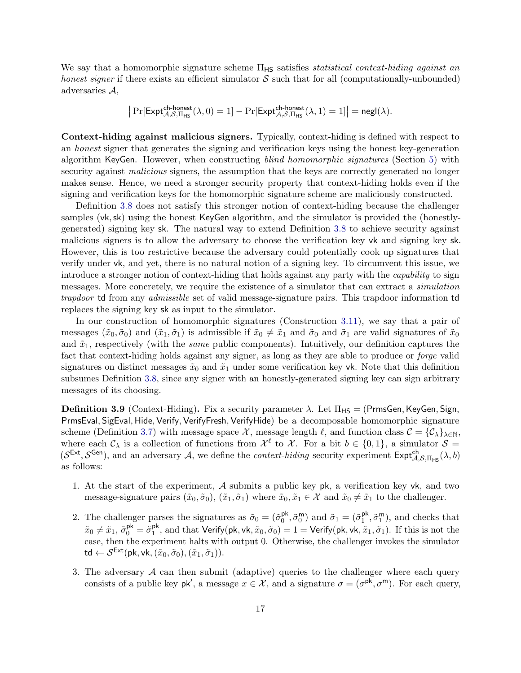We say that a homomorphic signature scheme  $\Pi_{\mathsf{HS}}$  satisfies statistical context-hiding against an honest signer if there exists an efficient simulator  $S$  such that for all (computationally-unbounded) adversaries A,

$$
\left|\Pr[\mathsf{Expt}_{\mathcal{A},\mathcal{S},\Pi_{\mathsf{HS}}}^{\mathsf{ch\text{-}honest}}(\lambda,0)=1]-\Pr[\mathsf{Expt}_{\mathcal{A},\mathcal{S},\Pi_{\mathsf{HS}}}^{\mathsf{ch\text{-}honest}}(\lambda,1)=1]\right|=\mathsf{negl}(\lambda).
$$

Context-hiding against malicious signers. Typically, context-hiding is defined with respect to an honest signer that generates the signing and verification keys using the honest key-generation algorithm KeyGen. However, when constructing blind homomorphic signatures (Section [5\)](#page-26-0) with security against *malicious* signers, the assumption that the keys are correctly generated no longer makes sense. Hence, we need a stronger security property that context-hiding holds even if the signing and verification keys for the homomorphic signature scheme are maliciously constructed.

Definition [3.8](#page-15-0) does not satisfy this stronger notion of context-hiding because the challenger samples (vk, sk) using the honest KeyGen algorithm, and the simulator is provided the (honestlygenerated) signing key sk. The natural way to extend Definition [3.8](#page-15-0) to achieve security against malicious signers is to allow the adversary to choose the verification key vk and signing key sk. However, this is too restrictive because the adversary could potentially cook up signatures that verify under vk, and yet, there is no natural notion of a signing key. To circumvent this issue, we introduce a stronger notion of context-hiding that holds against any party with the *capability* to sign messages. More concretely, we require the existence of a simulator that can extract a simulation trapdoor td from any *admissible* set of valid message-signature pairs. This trapdoor information td replaces the signing key sk as input to the simulator.

In our construction of homomorphic signatures (Construction [3.11\)](#page-17-1), we say that a pair of messages  $(\tilde{x}_0, \tilde{\sigma}_0)$  and  $(\tilde{x}_1, \tilde{\sigma}_1)$  is admissible if  $\tilde{x}_0 \neq \tilde{x}_1$  and  $\tilde{\sigma}_0$  and  $\tilde{\sigma}_1$  are valid signatures of  $\tilde{x}_0$ and  $\tilde{x}_1$ , respectively (with the *same* public components). Intuitively, our definition captures the fact that context-hiding holds against any signer, as long as they are able to produce or forge valid signatures on distinct messages  $\tilde{x}_0$  and  $\tilde{x}_1$  under some verification key vk. Note that this definition subsumes Definition [3.8,](#page-15-0) since any signer with an honestly-generated signing key can sign arbitrary messages of its choosing.

<span id="page-16-0"></span>**Definition 3.9** (Context-Hiding). Fix a security parameter  $\lambda$ . Let  $\Pi_{HS} = (P_{HS})$  KeyGen, Sign, PrmsEval, SigEval, Hide, Verify, VerifyFresh, VerifyHide) be a decomposable homomorphic signature scheme (Definition [3.7\)](#page-14-1) with message space X, message length  $\ell$ , and function class  $\mathcal{C} = {\mathcal{C}_{\lambda}}_{\lambda \in \mathbb{N}}$ , where each  $\mathcal{C}_{\lambda}$  is a collection of functions from  $\mathcal{X}^{\ell}$  to  $\mathcal{X}$ . For a bit  $b \in \{0,1\}$ , a simulator  $\mathcal{S} =$  $(S^{\text{Ext}}, S^{\text{Gen}})$ , and an adversary A, we define the *context-hiding* security experiment  $\text{Expt}_{\mathcal{A},\mathcal{S},\Pi_{\text{HS}}}^{\text{ch}}(\lambda, b)$ as follows:

- 1. At the start of the experiment, A submits a public key pk, a verification key vk, and two message-signature pairs  $(\tilde{x}_0, \tilde{\sigma}_0), (\tilde{x}_1, \tilde{\sigma}_1)$  where  $\tilde{x}_0, \tilde{x}_1 \in \mathcal{X}$  and  $\tilde{x}_0 \neq \tilde{x}_1$  to the challenger.
- 2. The challenger parses the signatures as  $\tilde{\sigma}_0 = (\tilde{\sigma}_0^{\text{pk}})$  $\{\tilde{\sigma}_0^{\mathsf{pk}}, \tilde{\sigma}_0^{\mathsf{m}}\}$  and  $\tilde{\sigma}_1 = (\tilde{\sigma}_1^{\mathsf{pk}})$  $1^{\mathsf{pk}}, \tilde{\sigma}_1^{\mathsf{m}}$ , and checks that  $\tilde{x}_0 \neq \tilde{x}_1$ ,  $\tilde{\sigma}_0^{\mathsf{pk}} = \tilde{\sigma}_1^{\mathsf{pk}}$ <sup>pk</sup>, and that Verify(pk, vk,  $\tilde{x}_0$ ,  $\tilde{\sigma}_0$ ) = 1 = Verify(pk, vk,  $\tilde{x}_1$ ,  $\tilde{\sigma}_1$ ). If this is not the case, then the experiment halts with output 0. Otherwise, the challenger invokes the simulator  $\mathsf{td} \leftarrow \mathcal{S}^{\mathsf{Ext}}(\mathsf{pk}, \mathsf{vk}, (\tilde{x}_0, \tilde{\sigma}_0), (\tilde{x}_1, \tilde{\sigma}_1)).$
- 3. The adversary  $A$  can then submit (adaptive) queries to the challenger where each query consists of a public key  $pk'$ , a message  $x \in \mathcal{X}$ , and a signature  $\sigma = (\sigma^{pk}, \sigma^{m})$ . For each query,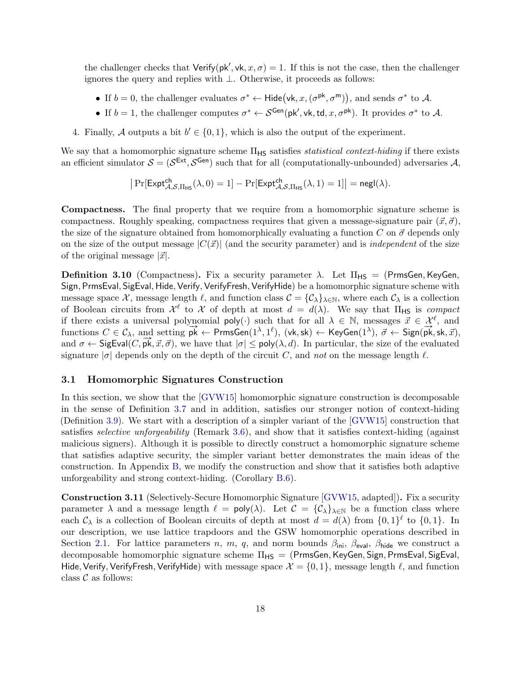the challenger checks that  $Verify(pk', vk, x, \sigma) = 1$ . If this is not the case, then the challenger ignores the query and replies with ⊥. Otherwise, it proceeds as follows:

- If  $b = 0$ , the challenger evaluates  $\sigma^* \leftarrow \text{Hide}(\mathsf{vk}, x, (\sigma^{\mathsf{pk}}, \sigma^{\mathsf{m}}))$ , and sends  $\sigma^*$  to A.
- If  $b = 1$ , the challenger computes  $\sigma^* \leftarrow S^{\text{Gen}}(\text{pk}', \text{vk}, \text{td}, x, \sigma^{\text{pk}})$ . It provides  $\sigma^*$  to A.
- 4. Finally, A outputs a bit  $b' \in \{0, 1\}$ , which is also the output of the experiment.

We say that a homomorphic signature scheme  $\Pi_{\rm HS}$  satisfies statistical context-hiding if there exists an efficient simulator  $S = (S^{Ext}, S^{Gen})$  such that for all (computationally-unbounded) adversaries A,

$$
\big|\Pr[\mathsf{Expt}_{\mathcal{A},\mathcal{S},\Pi_{\mathsf{HS}}}^{\mathsf{ch}}(\lambda,0)=1]-\Pr[\mathsf{Expt}_{\mathcal{A},\mathcal{S},\Pi_{\mathsf{HS}}}^{\mathsf{ch}}(\lambda,1)=1]\big|=\mathsf{negl}(\lambda).
$$

Compactness. The final property that we require from a homomorphic signature scheme is compactness. Roughly speaking, compactness requires that given a message-signature pair  $(\vec{x}, \vec{\sigma})$ , the size of the signature obtained from homomorphically evaluating a function C on  $\vec{\sigma}$  depends only on the size of the output message  $|C(\vec{x})|$  (and the security parameter) and is *independent* of the size of the original message  $|\vec{x}|$ .

<span id="page-17-2"></span>**Definition 3.10** (Compactness). Fix a security parameter λ. Let  $\Pi$ <sub>HS</sub> = (PrmsGen, KeyGen, Sign, PrmsEval, SigEval, Hide, Verify, VerifyFresh, VerifyHide) be a homomorphic signature scheme with message space X, message length  $\ell$ , and function class  $\mathcal{C} = {\mathcal{C}_{\lambda}}_{\lambda \in \mathbb{N}}$ , where each  $\mathcal{C}_{\lambda}$  is a collection of Boolean circuits from  $\mathcal{X}^{\ell}$  to X of depth at most  $d = d(\lambda)$ . We say that  $\Pi_{\mathsf{HS}}$  is compact if there exists a universal polynomial poly( $\cdot$ ) such that for all  $\lambda \in \mathbb{N}$ , messages  $\vec{x} \in \mathcal{X}^{\ell}$ , and If there exists a universal polynomial poly( $\cdot$ ) such that for all  $\lambda \in \mathbb{N}$ , messages  $x \in \mathcal{X}^*$ , and  $f$  functions  $C \in \mathcal{C}_{\lambda}$ , and setting  $\overrightarrow{pk} \leftarrow PrmsGen(1^{\lambda}, 1^{\ell})$ ,  $(vk, sk) \leftarrow KeyGen(1^{\lambda})$ ,  $\vec{\sigma} \leftarrow Sign(\overrightarrow{pk}, sk, \vec{x$ and  $\sigma \leftarrow$  SigEval(C, pk,  $\vec{x}, \vec{\sigma}$ ), we have that  $|\sigma| \leq \text{poly}(\lambda, d)$ . In particular, the size of the evaluated signature  $|\sigma|$  depends only on the depth of the circuit C, and not on the message length  $\ell$ .

#### <span id="page-17-0"></span>3.1 Homomorphic Signatures Construction

In this section, we show that the [\[GVW15\]](#page-42-6) homomorphic signature construction is decomposable in the sense of Definition [3.7](#page-14-1) and in addition, satisfies our stronger notion of context-hiding (Definition [3.9\)](#page-16-0). We start with a description of a simpler variant of the [\[GVW15\]](#page-42-6) construction that satisfies selective unforgeability (Remark [3.6\)](#page-14-0), and show that it satisfies context-hiding (against malicious signers). Although it is possible to directly construct a homomorphic signature scheme that satisfies adaptive security, the simpler variant better demonstrates the main ideas of the construction. In Appendix [B,](#page-48-0) we modify the construction and show that it satisfies both adaptive unforgeability and strong context-hiding. (Corollary [B.6\)](#page-52-0).

<span id="page-17-1"></span>Construction 3.11 (Selectively-Secure Homomorphic Signature [\[GVW15,](#page-42-6) adapted]). Fix a security parameter  $\lambda$  and a message length  $\ell = \text{poly}(\lambda)$ . Let  $\mathcal{C} = {\mathcal{C}_{\lambda}}_{\lambda \in \mathbb{N}}$  be a function class where each  $\mathcal{C}_{\lambda}$  is a collection of Boolean circuits of depth at most  $d = d(\lambda)$  from  $\{0,1\}^{\ell}$  to  $\{0,1\}$ . In our description, we use lattice trapdoors and the GSW homomorphic operations described in Section [2.1.](#page-8-0) For lattice parameters n, m, q, and norm bounds  $\beta_{\text{ini}}$ ,  $\beta_{\text{eval}}$ ,  $\beta_{\text{hide}}$  we construct a decomposable homomorphic signature scheme  $\Pi_{\mathsf{HS}} = (\mathsf{PrmsGen}, \mathsf{KeyGen}, \mathsf{Sign}, \mathsf{PrmsEval}, \mathsf{SigEval}, \mathsf{H})$ Hide, Verify, VerifyFresh, VerifyHide) with message space  $\mathcal{X} = \{0, 1\}$ , message length  $\ell$ , and function class  $\mathcal C$  as follows: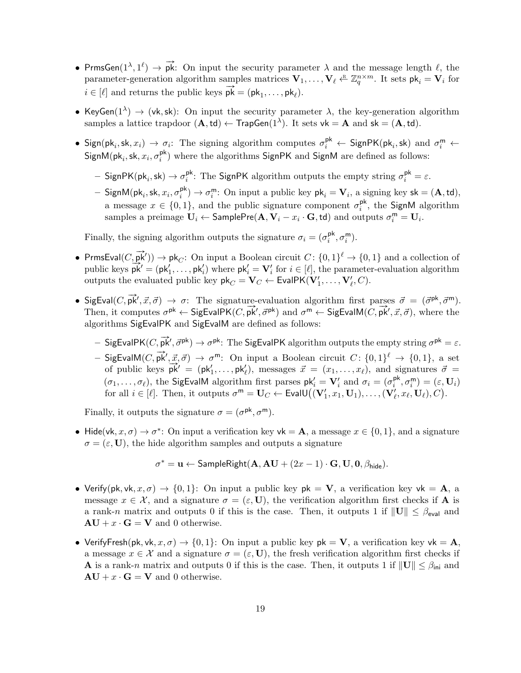- PrmsGen( $1^{\lambda}, 1^{\ell}$ )  $\rightarrow \vec{pk}$ : On input the security parameter  $\lambda$  and the message length  $\ell$ , the parameter-generation algorithm samples matrices  $\mathbf{V}_1, \ldots, \mathbf{V}_{\ell} \in \mathbb{Z}_q^{n \times m}$ . It sets  $\mathsf{pk}_i = \mathbf{V}_i$  for parameter-generation algorithm samples matrices  $\vec{v}_1$ <br>  $i \in [\ell]$  and returns the public keys  $\vec{pk} = (pk_1, \dots, pk_\ell)$ .
- KeyGen( $1^{\lambda}$ )  $\rightarrow$  (vk, sk): On input the security parameter  $\lambda$ , the key-generation algorithm samples a lattice trapdoor  $(A, td) \leftarrow TrapGen(1^{\lambda})$ . It sets  $vk = A$  and  $sk = (A, td)$ .
- Sign(pk<sub>i</sub>, sk,  $x_i$ )  $\rightarrow \sigma_i$ : The signing algorithm computes  $\sigma_i^{pk} \leftarrow$  SignPK(pk<sub>i</sub>, sk) and  $\sigma_i^{m} \leftarrow$  $\mathsf{SignM}(\mathsf{pk}_i,\mathsf{sk}, x_i, \sigma_i^{\mathsf{pk}}$  $i^{pK}$ ) where the algorithms SignPK and SignM are defined as follows:
	- $-$  SignPK $(\mathsf{pk}_i, \mathsf{sk}) \rightarrow \sigma_i^{\mathsf{pk}}$ <sup>pk</sup>: The SignPK algorithm outputs the empty string  $\sigma_i^{\mathsf{pk}} = \varepsilon$ .
	- $-$  SignM $(\mathsf{pk}_i, \mathsf{sk}, x_i, \sigma^{\mathsf{pk}}_i$  $\mathsf{p}^{[p]}(i) \to \sigma_i^m$ : On input a public key  $\mathsf{p}\mathsf{k}_i = \mathbf{V}_i$ , a signing key  $\mathsf{sk} = (\mathbf{A}, \mathsf{td})$ , a message  $x \in \{0,1\}$ , and the public signature component  $\sigma_i^{\text{pk}}$  $i^{\mathsf{pk}}$ , the SignM algorithm samples a preimage  $U_i \leftarrow$  SamplePre $(A, V_i - x_i \cdot G, \text{td})$  and outputs  $\sigma_i^m = U_i$ .

Finally, the signing algorithm outputs the signature  $\sigma_i = (\sigma_i^{\text{pk}})$  $i^{\mathsf{pk}}, \sigma_i^{\mathsf{m}}$ ).

- PrmsEval $(C, \overrightarrow{pk}')$   $\rightarrow$  pk<sub>C</sub>: On input a Boolean circuit  $C: \{0,1\}^{\ell} \rightarrow \{0,1\}$  and a collection of **PHISEVAI**( $C, pK$ )  $\rightarrow$   $pK$ <sub>*C*</sub>: On input a Boolean circuit  $C: \{0, 1\}^{\circ} \rightarrow \{0, 1\}$  and a conection of public keys  $\overrightarrow{pk}' = (pk'_1, ..., pk'_i)$  where  $pk'_i = V'_i$  for  $i \in [\ell]$ , the parameter-evaluation algorithm outputs the evaluated public key  $\mathsf{pk}_C = \mathbf{V}_C \leftarrow \mathsf{EvalPK}(\mathbf{V}'_1, \dots, \mathbf{V}'_{\ell}, C)$ .
- SigEval(C,  $\vec{pk'}, \vec{x}, \vec{\sigma}$ )  $\rightarrow \sigma$ : The signature-evaluation algorithm first parses  $\vec{\sigma} = (\vec{\sigma}^{\text{pk}}, \vec{\sigma}^{\text{m}})$ .  $\sigma$  SigEval(C, pk, x,  $\sigma$ )  $\rightarrow \sigma$ : The signature-evaluation algorithm first parses  $\sigma = (\sigma^{F}$ ,  $\sigma^{m})$ <br>Then, it computes  $\sigma^{pk} \leftarrow$  SigEvalPK(C,  $\overrightarrow{pk}$ ,  $\overrightarrow{\sigma}^{pk}$ ) and  $\sigma^{m} \leftarrow$  SigEvalM(C,  $\overrightarrow{pk}$ ,  $\overrightarrow{x}$ ,  $\overrightarrow{\$ algorithms SigEvalPK and SigEvalM are defined as follows:
	- SigEvalPK $(C, \overrightarrow{pk'}, \overrightarrow{\sigma}^{pk}) \rightarrow \sigma^{pk}$ : The SigEvalPK algorithm outputs the empty string  $\sigma^{pk} = \varepsilon$ .  $-$  SigEvalM(*C*,  $\overrightarrow{pk'}, \overrightarrow{x}, \overrightarrow{\sigma}$ )  $\rightarrow \sigma^m$ : On input a Boolean circuit *C*: {0, 1}<sup> $\ell$ </sup>  $\rightarrow$  {0, 1}, a set SIGEVAINI(C,  $\mathsf{pk}', \mathsf{x}, \sigma$ )  $\rightarrow \sigma''$ : On input a Boolean circuit C: {0, 1}<sup>2</sup>  $\rightarrow$  {0, 1}, a set of public keys  $\mathsf{pk}' = (\mathsf{pk}'_1, \dots, \mathsf{pk}'_\ell)$ , messages  $\vec{x} = (x_1, \dots, x_\ell)$ , and signatures  $\vec{\sigma} =$  $(\sigma_1,\ldots,\sigma_\ell)$ , the SigEvalM algorithm first parses  $pk_i' = V_i'$  and  $\sigma_i = (\sigma_i^{pk}$  $\mathbf{e}_i^{\mathsf{pk}}, \sigma_i^{\mathsf{m}}) = (\varepsilon, \mathbf{U}_i)$ for all  $i \in [\ell]$ . Then, it outputs  $\sigma^{\mathsf{m}} = \mathbf{U}_C \leftarrow \mathsf{EvalU}\big((\mathbf{V}_1', x_1, \mathbf{U}_1), \ldots, (\mathbf{V}_{\ell}', x_{\ell}, \mathbf{U}_{\ell}), C\big)$ .

Finally, it outputs the signature  $\sigma = (\sigma^{\rm pk}, \sigma^{\rm m})$ .

• Hide(vk,  $x, \sigma$ )  $\rightarrow \sigma^*$ : On input a verification key vk = A, a message  $x \in \{0, 1\}$ , and a signature  $\sigma = (\varepsilon, \mathbf{U})$ , the hide algorithm samples and outputs a signature

$$
\sigma^* = \mathbf{u} \leftarrow \mathsf{SampleRight}(\mathbf{A}, \mathbf{A}\mathbf{U} + (2x-1) \cdot \mathbf{G}, \mathbf{U}, \mathbf{0}, \beta_{\mathsf{hide}}).
$$

- Verify(pk, vk,  $x, \sigma$ )  $\rightarrow$  {0, 1}: On input a public key pk = V, a verification key vk = A, a message  $x \in \mathcal{X}$ , and a signature  $\sigma = (\varepsilon, \mathbf{U})$ , the verification algorithm first checks if **A** is a rank-n matrix and outputs 0 if this is the case. Then, it outputs 1 if  $||\mathbf{U}|| \leq \beta_{\text{eval}}$  and  $AU + x \cdot G = V$  and 0 otherwise.
- VerifyFresh(pk, vk,  $x, \sigma$ )  $\rightarrow$  {0, 1}: On input a public key pk = V, a verification key vk = A, a message  $x \in \mathcal{X}$  and a signature  $\sigma = (\varepsilon, \mathbf{U})$ , the fresh verification algorithm first checks if **A** is a rank-n matrix and outputs 0 if this is the case. Then, it outputs 1 if  $||U|| \leq \beta_{\text{ini}}$  and  $AU + x \cdot G = V$  and 0 otherwise.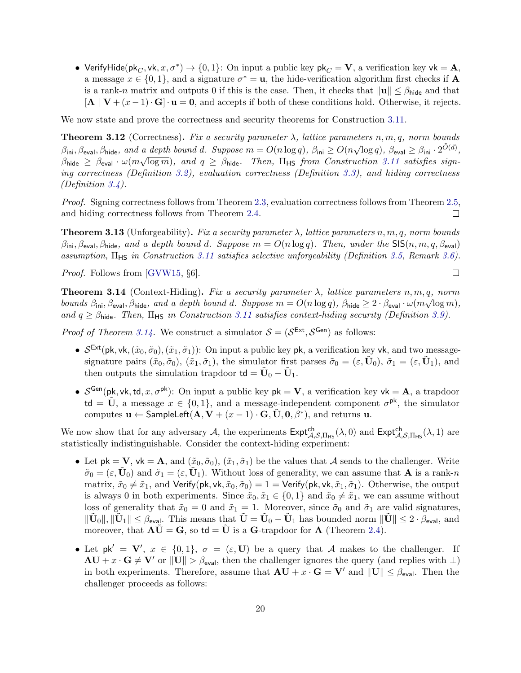• VerifyHide(pk<sub>C</sub>, vk, x,  $\sigma^*$ )  $\to$  {0, 1}: On input a public key pk<sub>C</sub> = V, a verification key vk = A, a message  $x \in \{0, 1\}$ , and a signature  $\sigma^* = \mathbf{u}$ , the hide-verification algorithm first checks if **A** is a rank-n matrix and outputs 0 if this is the case. Then, it checks that  $\|\mathbf{u}\| \leq \beta_{\text{hide}}$  and that  $[\mathbf{A} \mid \mathbf{V} + (x-1) \cdot \mathbf{G}] \cdot \mathbf{u} = \mathbf{0}$ , and accepts if both of these conditions hold. Otherwise, it rejects.

We now state and prove the correctness and security theorems for Construction [3.11.](#page-17-1)

**Theorem 3.12** (Correctness). Fix a security parameter  $\lambda$ , lattice parameters  $n, m, q$ , norm bounds  $\beta_{\text{ini}}, \beta_{\text{eval}}, \beta_{\text{hide}}, \text{ and } a \text{ depth bound } d.$  Suppose  $m = O(n \log q), \beta_{\text{ini}} \geq O(n \sqrt{\log q}), \beta_{\text{eval}} \geq \beta_{\text{ini}} \cdot 2^{\tilde{O}(d)},$  $\beta_{\sf{hide}} \geq \beta_{\sf eval} \cdot \omega(m\sqrt{\log m}), \; \mathit{and} \; q \, \geq \, \beta_{\sf{hide}}.\;$  Then,  $\Pi_{\sf HS}$  from Construction [3.11](#page-17-1) satisfies signing correctness (Definition [3.2\)](#page-12-0), evaluation correctness (Definition [3.3\)](#page-13-1), and hiding correctness (Definition [3.4\)](#page-13-2).

Proof. Signing correctness follows from Theorem [2.3,](#page-9-0) evaluation correctness follows from Theorem [2.5,](#page-10-1) and hiding correctness follows from Theorem [2.4.](#page-9-1)  $\Box$ 

**Theorem 3.13** (Unforgeability). Fix a security parameter  $\lambda$ , lattice parameters n, m, q, norm bounds  $\beta_{\text{ini}}, \beta_{\text{eval}}, \beta_{\text{hide}},$  and a depth bound d. Suppose  $m = O(n \log q)$ . Then, under the SIS $(n, m, q, \beta_{\text{eval}})$ assumption,  $\Pi_{\mathsf{HS}}$  in Construction [3.11](#page-17-1) satisfies selective unforgeability (Definition [3.5,](#page-13-0) Remark [3.6\)](#page-14-0).

 $\Box$ 

Proof. Follows from [\[GVW15,](#page-42-6) §6].

<span id="page-19-0"></span>**Theorem 3.14** (Context-Hiding). Fix a security parameter  $\lambda$ , lattice parameters n, m, q, norm bounds  $\beta_{\text{ini}}, \beta_{\text{eval}}, \beta_{\text{hide}},$  and a depth bound d. Suppose  $m = O(n \log q)$ ,  $\beta_{\text{hide}} \geq 2 \cdot \beta_{\text{eval}} \cdot \omega(m \sqrt{\log m})$ , and  $q \geq \beta_{\text{hide}}$ . Then,  $\Pi_{\text{HS}}$  in Construction [3.11](#page-17-1) satisfies context-hiding security (Definition [3.9\)](#page-16-0).

*Proof of Theorem [3.14.](#page-19-0)* We construct a simulator  $S = (S^{Ext}, S^{Gen})$  as follows:

- $S^{Ext}(pk, vk,(\tilde{x}_0, \tilde{\sigma}_0),(\tilde{x}_1, \tilde{\sigma}_1))$ : On input a public key pk, a verification key vk, and two messagesignature pairs  $(\tilde{x}_0, \tilde{\sigma}_0)$ ,  $(\tilde{x}_1, \tilde{\sigma}_1)$ , the simulator first parses  $\tilde{\sigma}_0 = (\varepsilon, \tilde{\mathbf{U}}_0)$ ,  $\tilde{\sigma}_1 = (\varepsilon, \tilde{\mathbf{U}}_1)$ , and then outputs the simulation trapdoor  $td = \tilde{U}_0 - \tilde{U}_1$ .
- $S^{\text{Gen}}(\text{pk}, \text{vk}, \text{td}, x, \sigma^{\text{pk}})$ : On input a public key  $\text{pk} = V$ , a verification key  $\text{vk} = A$ , a trapdoor td =  $\tilde{U}$ , a message  $x \in \{0,1\}$ , and a message-independent component  $\sigma^{pk}$ , the simulator computes  $\mathbf{u} \leftarrow$  SampleLeft $(\mathbf{A}, \mathbf{V} + (x-1) \cdot \mathbf{G}, \tilde{\mathbf{U}}, \mathbf{0}, \beta^*)$ , and returns  $\mathbf{u}$ .

We now show that for any adversary A, the experiments  $\text{Expt}_{\mathcal{A},\mathcal{S},\Pi_{\text{HS}}}^{\text{ch}}(\lambda,0)$  and  $\text{Expt}_{\mathcal{A},\mathcal{S},\Pi_{\text{HS}}}^{\text{ch}}(\lambda,1)$  are statistically indistinguishable. Consider the context-hiding experiment:

- Let  $pk = V$ ,  $vk = A$ , and  $(\tilde{x}_0, \tilde{\sigma}_0), (\tilde{x}_1, \tilde{\sigma}_1)$  be the values that A sends to the challenger. Write  $\tilde{\sigma}_0 = (\varepsilon, \tilde{\mathbf{U}}_0)$  and  $\tilde{\sigma}_1 = (\varepsilon, \tilde{\mathbf{U}}_1)$ . Without loss of generality, we can assume that **A** is a rank-n matrix,  $\tilde{x}_0 \neq \tilde{x}_1$ , and Verify(pk, vk,  $\tilde{x}_0, \tilde{\sigma}_0$ ) = 1 = Verify(pk, vk,  $\tilde{x}_1, \tilde{\sigma}_1$ ). Otherwise, the output is always 0 in both experiments. Since  $\tilde{x}_0, \tilde{x}_1 \in \{0, 1\}$  and  $\tilde{x}_0 \neq \tilde{x}_1$ , we can assume without loss of generality that  $\tilde{x}_0 = 0$  and  $\tilde{x}_1 = 1$ . Moreover, since  $\tilde{\sigma}_0$  and  $\tilde{\sigma}_1$  are valid signatures,  $\|\tilde{\mathbf{U}}_0\|, \|\tilde{\mathbf{U}}_1\| \leq \beta_{\mathsf{eval}}.$  This means that  $\tilde{\mathbf{U}} = \tilde{\mathbf{U}}_0 - \tilde{\mathbf{U}}_1$  has bounded norm  $\|\tilde{\mathbf{U}}\| \leq 2 \cdot \beta_{\mathsf{eval}}$ , and moreover, that  $AU = G$ , so td = U is a G-trapdoor for A (Theorem [2.4\)](#page-9-1).
- Let  $pk' = V'$ ,  $x \in \{0,1\}$ ,  $\sigma = (\varepsilon, U)$  be a query that A makes to the challenger. If  $AU + x \cdot G \neq V'$  or  $||U|| > \beta_{eval}$ , then the challenger ignores the query (and replies with  $\bot$ ) in both experiments. Therefore, assume that  $AU + x \cdot G = V'$  and  $||U|| \leq \beta_{eval}$ . Then the challenger proceeds as follows: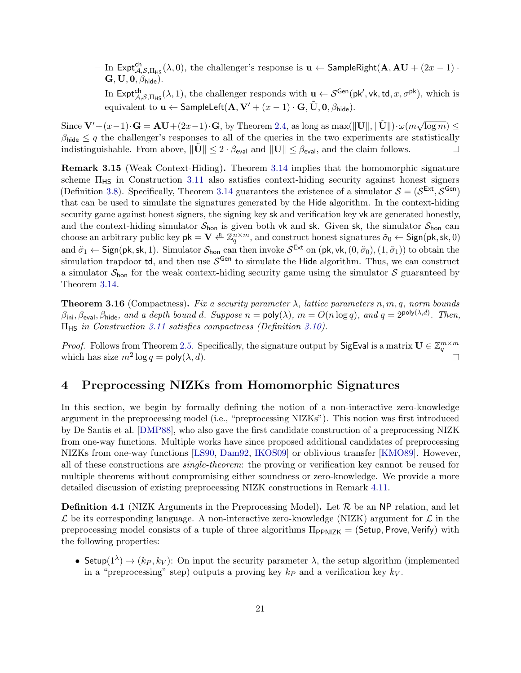- $-$  In Exptch  $A$ ,  $S$ ,  $\Pi_{HS}(\lambda,0)$ , the challenger's response is  $\mathbf{u} \leftarrow \mathsf{SampleRight}(\mathbf{A},\mathbf{A}\mathbf{U} + (2x-1) \cdot \mathbf{A}$  $\mathbf{G}, \mathbf{U}, \mathbf{0}, \beta_{\mathsf{hide}}).$
- $-$  In Expt<sup>ch</sup><sub> $A, S, \Pi_{HS}(\lambda, 1)$ , the challenger responds with  $\mathbf{u} \leftarrow S^{\text{Gen}}(\mathsf{pk}', \mathsf{vk}, \mathsf{td}, x, \sigma^{\mathsf{pk}})$ , which is</sub> equivalent to  $\mathbf{u} \leftarrow$  SampleLeft $(\mathbf{A}, \mathbf{V}' + (x - 1) \cdot \mathbf{G}, \tilde{\mathbf{U}}, \mathbf{0}, \beta_{\text{hide}}).$

Since  $\mathbf{V'}+(x-1)\cdot\mathbf{G}=\mathbf{A}\mathbf{U}+(2x-1)\cdot\mathbf{G}$ , by Theorem [2.4,](#page-9-1) as long as max $(\|\mathbf{U}\|, \|\tilde{\mathbf{U}}\|)\cdot\omega(m\sqrt{\kappa})$  $\overline{\log m}) \leq$  $\beta_{\text{hide}} \leq q$  the challenger's responses to all of the queries in the two experiments are statistically indistinguishable. From above,  $\|\mathbf{U}\| \leq 2 \cdot \beta_{\text{eval}}$  and  $\|\mathbf{U}\| \leq \beta_{\text{eval}}$ , and the claim follows.  $\Box$ 

Remark 3.15 (Weak Context-Hiding). Theorem [3.14](#page-19-0) implies that the homomorphic signature scheme  $\Pi$ <sub>HS</sub> in Construction [3.11](#page-17-1) also satisfies context-hiding security against honest signers (Definition [3.8\)](#page-15-0). Specifically, Theorem [3.14](#page-19-0) guarantees the existence of a simulator  $S = (S^{Ext}, S^{Gen})$ that can be used to simulate the signatures generated by the Hide algorithm. In the context-hiding security game against honest signers, the signing key sk and verification key vk are generated honestly, and the context-hiding simulator  $S_{\text{hon}}$  is given both vk and sk. Given sk, the simulator  $S_{\text{hon}}$  can choose an arbitrary public key  $pk = V \leftarrow \mathbb{Z}_q^{n \times m}$ , and construct honest signatures  $\tilde{\sigma}_0 \leftarrow$  Sign(pk, sk, 0) and  $\tilde{\sigma}_1 \leftarrow$  Sign(pk, sk, 1). Simulator  $S_{\text{hon}}$  can then invoke  $S^{\text{Ext}}$  on (pk, vk,  $(0, \tilde{\sigma}_0), (1, \tilde{\sigma}_1)$ ) to obtain the simulation trapdoor td, and then use  $S^{\text{Gen}}$  to simulate the Hide algorithm. Thus, we can construct a simulator  $S_{\text{hon}}$  for the weak context-hiding security game using the simulator S guaranteed by Theorem [3.14.](#page-19-0)

**Theorem 3.16** (Compactness). Fix a security parameter  $\lambda$ , lattice parameters n, m, q, norm bounds  $\beta_{\text{ini}}, \beta_{\text{eval}}, \beta_{\text{hide}},$  and a depth bound d. Suppose  $n = \text{poly}(\lambda), m = O(n \log q),$  and  $q = 2^{\text{poly}(\lambda,d)}$ . Then, ΠHS in Construction [3.11](#page-17-1) satisfies compactness (Definition [3.10\)](#page-17-2).

*Proof.* Follows from Theorem [2.5.](#page-10-1) Specifically, the signature output by SigEval is a matrix  $U \in \mathbb{Z}_q^{m \times m}$ which has size  $m^2 \log q = \text{poly}(\lambda, d)$ .  $\Box$ 

## <span id="page-20-0"></span>4 Preprocessing NIZKs from Homomorphic Signatures

In this section, we begin by formally defining the notion of a non-interactive zero-knowledge argument in the preprocessing model (i.e., "preprocessing NIZKs"). This notion was first introduced by De Santis et al. [\[DMP88\]](#page-41-3), who also gave the first candidate construction of a preprocessing NIZK from one-way functions. Multiple works have since proposed additional candidates of preprocessing NIZKs from one-way functions [\[LS90,](#page-43-1) [Dam92,](#page-40-4) [IKOS09\]](#page-42-3) or oblivious transfer [\[KMO89\]](#page-43-2). However, all of these constructions are single-theorem: the proving or verification key cannot be reused for multiple theorems without compromising either soundness or zero-knowledge. We provide a more detailed discussion of existing preprocessing NIZK constructions in Remark [4.11.](#page-24-0)

<span id="page-20-1"></span>**Definition 4.1** (NIZK Arguments in the Preprocessing Model). Let  $\mathcal{R}$  be an NP relation, and let  $\mathcal L$  be its corresponding language. A non-interactive zero-knowledge (NIZK) argument for  $\mathcal L$  in the preprocessing model consists of a tuple of three algorithms  $\Pi_{PPNIZK} = (Setup, Prove, Verify)$  with the following properties:

• Setup $(1^{\lambda}) \rightarrow (k_P, k_V)$ : On input the security parameter  $\lambda$ , the setup algorithm (implemented in a "preprocessing" step) outputs a proving key  $k_P$  and a verification key  $k_V$ .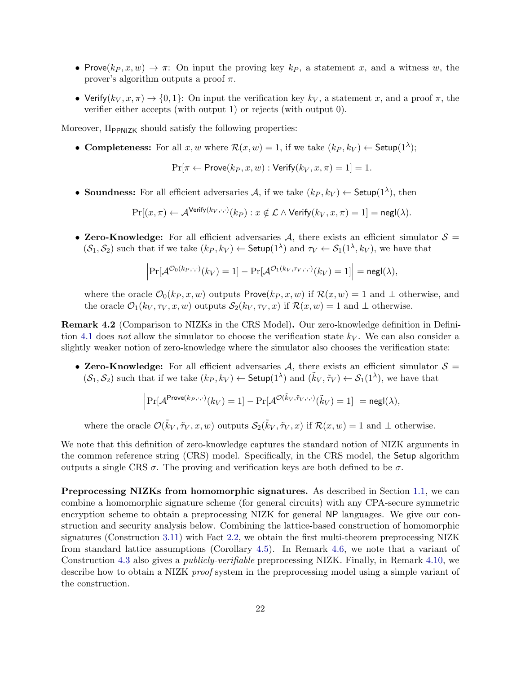- Prove $(k_P, x, w) \rightarrow \pi$ : On input the proving key  $k_P$ , a statement x, and a witness w, the prover's algorithm outputs a proof  $\pi$ .
- Verify $(k_V, x, \pi) \rightarrow \{0, 1\}$ : On input the verification key  $k_V$ , a statement x, and a proof  $\pi$ , the verifier either accepts (with output 1) or rejects (with output 0).

Moreover, Π<sub>PPNIZK</sub> should satisfy the following properties:

• Completeness: For all  $x, w$  where  $\mathcal{R}(x, w) = 1$ , if we take  $(k_P, k_V) \leftarrow$  Setup $(1^{\lambda})$ ;

 $Pr[\pi \leftarrow Prove(k_P, x, w):$  Verify $(k_V, x, \pi) = 1] = 1$ .

• Soundness: For all efficient adversaries A, if we take  $(k_P, k_V) \leftarrow$  Setup $(1^{\lambda})$ , then

 $\Pr[(x, \pi) \leftarrow \mathcal{A}^{\mathsf{Verify}(k_V, \cdot, \cdot)}(k_P) : x \notin \mathcal{L} \land \mathsf{Verify}(k_V, x, \pi) = 1] = {\sf negl}(\lambda).$ 

• Zero-Knowledge: For all efficient adversaries A, there exists an efficient simulator  $S =$  $(S_1, S_2)$  such that if we take  $(k_P, k_V) \leftarrow$  Setup $(1^{\lambda})$  and  $\tau_V \leftarrow S_1(1^{\lambda}, k_V)$ , we have that

$$
\left|\Pr[\mathcal{A}^{\mathcal{O}_0(k_P,\cdot,\cdot)}(k_V)=1]-\Pr[\mathcal{A}^{\mathcal{O}_1(k_V,\tau_V,\cdot,\cdot)}(k_V)=1]\right|=\mathsf{negl}(\lambda),
$$

where the oracle  $\mathcal{O}_0(k_P, x, w)$  outputs Prove $(k_P, x, w)$  if  $\mathcal{R}(x, w) = 1$  and  $\perp$  otherwise, and the oracle  $\mathcal{O}_1(k_V, \tau_V, x, w)$  outputs  $\mathcal{S}_2(k_V, \tau_V, x)$  if  $\mathcal{R}(x, w) = 1$  and  $\perp$  otherwise.

<span id="page-21-0"></span>Remark 4.2 (Comparison to NIZKs in the CRS Model). Our zero-knowledge definition in Defini-tion [4.1](#page-20-1) does not allow the simulator to choose the verification state  $k_V$ . We can also consider a slightly weaker notion of zero-knowledge where the simulator also chooses the verification state:

• Zero-Knowledge: For all efficient adversaries A, there exists an efficient simulator  $S =$  $(S_1, S_2)$  such that if we take  $(k_P, k_V) \leftarrow$  Setup $(1^{\lambda})$  and  $(\tilde{k}_V, \tilde{\tau}_V) \leftarrow S_1(1^{\lambda})$ , we have that

$$
\left|\Pr[\mathcal{A}^{\mathsf{Prove}(k_P,\cdot,\cdot)}(k_V)=1]-\Pr[\mathcal{A}^{\mathcal{O}(\tilde{k}_V,\tilde{\tau}_V,\cdot,\cdot)}(\tilde{k}_V)=1]\right|=\mathsf{negl}(\lambda),
$$

where the oracle  $\mathcal{O}(\tilde{k}_V, \tilde{\tau}_V, x, w)$  outputs  $\mathcal{S}_2(\tilde{k}_V, \tilde{\tau}_V, x)$  if  $\mathcal{R}(x, w) = 1$  and  $\perp$  otherwise.

We note that this definition of zero-knowledge captures the standard notion of NIZK arguments in the common reference string (CRS) model. Specifically, in the CRS model, the Setup algorithm outputs a single CRS σ. The proving and verification keys are both defined to be σ.

Preprocessing NIZKs from homomorphic signatures. As described in Section [1.1,](#page-2-0) we can combine a homomorphic signature scheme (for general circuits) with any CPA-secure symmetric encryption scheme to obtain a preprocessing NIZK for general NP languages. We give our construction and security analysis below. Combining the lattice-based construction of homomorphic signatures (Construction [3.11\)](#page-17-1) with Fact [2.2,](#page-8-1) we obtain the first multi-theorem preprocessing NIZK from standard lattice assumptions (Corollary [4.5\)](#page-22-0). In Remark [4.6,](#page-23-0) we note that a variant of Construction [4.3](#page-22-1) also gives a publicly-verifiable preprocessing NIZK. Finally, in Remark [4.10,](#page-24-1) we describe how to obtain a NIZK *proof* system in the preprocessing model using a simple variant of the construction.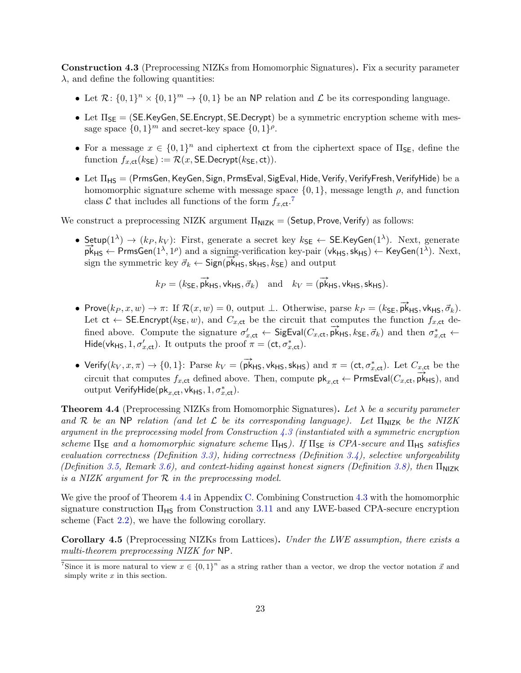<span id="page-22-1"></span>Construction 4.3 (Preprocessing NIZKs from Homomorphic Signatures). Fix a security parameter  $\lambda$ , and define the following quantities:

- Let  $\mathcal{R}: \{0,1\}^n \times \{0,1\}^m \to \{0,1\}$  be an NP relation and  $\mathcal{L}$  be its corresponding language.
- Let  $\Pi_{\mathsf{SE}} = (\mathsf{SE}.\mathsf{KeyGen}, \mathsf{SE}.\mathsf{Energy}, \mathsf{SE}.\mathsf{Decrypt})$  be a symmetric encryption scheme with message space  $\{0,1\}^m$  and secret-key space  $\{0,1\}^{\rho}$ .
- For a message  $x \in \{0,1\}^n$  and ciphertext ct from the ciphertext space of  $\Pi_{\mathsf{SE}}$ , define the function  $f_{x,\text{ct}}(k_{\text{SE}}) := \mathcal{R}(x,\text{SE}.\text{Decrypt}(k_{\text{SE}},\text{ct})).$
- Let  $\Pi_{HS}$  = (PrmsGen, KeyGen, Sign, PrmsEval, SigEval, Hide, Verify, VerifyFresh, VerifyHide) be a homomorphic signature scheme with message space  $\{0, 1\}$ , message length  $\rho$ , and function class C that includes all functions of the form  $f_{x,\text{ct}}$ .<sup>[7](#page-0-0)</sup>

We construct a preprocessing NIZK argument  $\Pi_{NIZK} = (Setup, Prove, Verify)$  as follows:

• Setup $(1^{\lambda}) \to (k_P, k_V)$ : First, generate a secret key  $k_{SE} \leftarrow$  SE.KeyGen $(1^{\lambda})$ . Next, generate  $\Rightarrow$   $\Rightarrow$   $\forall$  ( $\kappa$ <sub>*P*</sub>,  $\kappa$ <sub>*V*</sub>): First, generate a secret key  $\kappa$ <sub>SE</sub>  $\leftrightarrow$  5E. NeyGen(1<sup>\</sup>). Next, generate  $\Rightarrow$   $\kappa$ <sub>HS</sub>  $\leftrightarrow$  PrmsGen(1<sup>\2</sup>). And a signing-verification key-pair ( $\nu$ k<sub>HS</sub>, sk<sub>HS</sub>)  $\leftrightarrow$  KeyGen  $p_{\text{HIS}} \leftarrow P_{\text{HIS}} \text{gen}(1^n, 1^p)$  and a signing-verification key-pair (vk sign the symmetric key  $\vec{\sigma}_k \leftarrow \text{Sign}(\vec{pk}_{\text{HS}}, sk_{\text{HS}}, k_{\text{SE}})$  and output

$$
k_P = (k_{\text{SE}}, \overrightarrow{\text{pk}}_{\text{HS}}, \text{vk}_{\text{HS}}, \overrightarrow{\sigma}_k)
$$
 and  $k_V = (\overrightarrow{\text{pk}}_{\text{HS}}, \text{vk}_{\text{HS}}, \text{sk}_{\text{HS}}).$ 

- Prove $(k_P, x, w) \to \pi$ : If  $\mathcal{R}(x, w) = 0$ , output  $\perp$ . Otherwise, parse  $k_P = (k_{\mathsf{SE}}, \overrightarrow{pk}_{\mathsf{HS}}, \mathsf{vk}_{\mathsf{HS}}, \overrightarrow{\sigma}_k)$ . Let  $ct \leftarrow$  SE. Encrypt $(k_{SE}, w)$ , and  $C_{x,ct}$  be the circuit that computes the function  $f_{x,ct}$  de-Let  $c \mapsto$  51. Literypt( $\kappa$ SE,  $\omega$ ), and  $C_{x,ct}$  be the circuit that computes the function  $f_{x,ct}$  defined above. Compute the signature  $\sigma'_{x,ct} \leftarrow$  SigEval( $C_{x,ct}$ ,  $\vec{pk}_{HS}$ ,  $k_{SE}$ ,  $\vec{\sigma}_k$ ) and then  $\sigma^*_{x,ct}$ Hide(vk<sub>HS</sub>, 1,  $\sigma'_{x,\text{ct}}$ ). It outputs the proof  $\pi = (\text{ct}, \sigma^*_{x,\text{ct}})$ .
- Verify $(k_V, x, \pi) \to \{0, 1\}$ : Parse  $k_V = (\overrightarrow{\mathsf{pk}}_{\mathsf{HS}}, \mathsf{vk}_{\mathsf{HS}}, \mathsf{sk}_{\mathsf{HS}})$  and  $\pi = (\mathsf{ct}, \sigma^*_{x, \mathsf{ct}})$ . Let  $C_{x, \mathsf{ct}}$  be the circuit that computes  $f_{x,\text{ct}}$  defined above. Then, compute  $\mathsf{pk}_{x,\text{ct}} \leftarrow \mathsf{PrmsEval}(C_{x,\text{ct}}, \overrightarrow{\mathsf{pk}}_{\mathsf{HS}})$ , and output VerifyHide(p $\mathsf{k}_{x,\mathsf{ct}}$ , v $\mathsf{k}_{\mathsf{HS}}, 1, \sigma^*_{x,\mathsf{ct}}$ ).

<span id="page-22-2"></span>**Theorem 4.4** (Preprocessing NIZKs from Homomorphic Signatures). Let  $\lambda$  be a security parameter and R be an NP relation (and let L be its corresponding language). Let  $\Pi_{NIZK}$  be the NIZK argument in the preprocessing model from Construction  $4.3$  (instantiated with a symmetric encryption scheme  $\Pi_{\mathsf{SE}}$  and a homomorphic signature scheme  $\Pi_{\mathsf{HS}}$ ). If  $\Pi_{\mathsf{SE}}$  is CPA-secure and  $\Pi_{\mathsf{HS}}$  satisfies evaluation correctness (Definition [3.3\)](#page-13-1), hiding correctness (Definition [3.4\)](#page-13-2), selective unforgeability (Definition [3.5,](#page-13-0) Remark [3.6\)](#page-14-0), and context-hiding against honest signers (Definition [3.8\)](#page-15-0), then  $\Pi_{NIX}$ is a NIZK argument for  $R$  in the preprocessing model.

We give the proof of Theorem [4.4](#page-22-2) in Appendix [C.](#page-52-1) Combining Construction [4.3](#page-22-1) with the homomorphic signature construction  $\Pi_{\rm HS}$  from Construction [3.11](#page-17-1) and any LWE-based CPA-secure encryption scheme (Fact [2.2\)](#page-8-1), we have the following corollary.

<span id="page-22-0"></span>Corollary 4.5 (Preprocessing NIZKs from Lattices). Under the LWE assumption, there exists a multi-theorem preprocessing NIZK for NP.

<sup>&</sup>lt;sup>7</sup>Since it is more natural to view  $x \in \{0,1\}^n$  as a string rather than a vector, we drop the vector notation  $\vec{x}$  and simply write  $x$  in this section.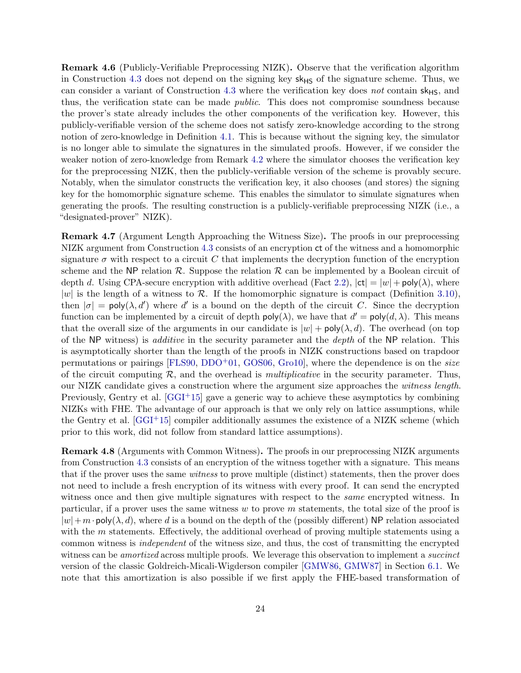<span id="page-23-0"></span>Remark 4.6 (Publicly-Verifiable Preprocessing NIZK). Observe that the verification algorithm in Construction [4.3](#page-22-1) does not depend on the signing key  $s_{H<sub>S</sub>}$  of the signature scheme. Thus, we can consider a variant of Construction [4.3](#page-22-1) where the verification key does not contain  $sk<sub>HS</sub>$ , and thus, the verification state can be made public. This does not compromise soundness because the prover's state already includes the other components of the verification key. However, this publicly-verifiable version of the scheme does not satisfy zero-knowledge according to the strong notion of zero-knowledge in Definition [4.1.](#page-20-1) This is because without the signing key, the simulator is no longer able to simulate the signatures in the simulated proofs. However, if we consider the weaker notion of zero-knowledge from Remark [4.2](#page-21-0) where the simulator chooses the verification key for the preprocessing NIZK, then the publicly-verifiable version of the scheme is provably secure. Notably, when the simulator constructs the verification key, it also chooses (and stores) the signing key for the homomorphic signature scheme. This enables the simulator to simulate signatures when generating the proofs. The resulting construction is a publicly-verifiable preprocessing NIZK (i.e., a "designated-prover" NIZK).

<span id="page-23-1"></span>Remark 4.7 (Argument Length Approaching the Witness Size). The proofs in our preprocessing NIZK argument from Construction [4.3](#page-22-1) consists of an encryption ct of the witness and a homomorphic signature  $\sigma$  with respect to a circuit C that implements the decryption function of the encryption scheme and the NP relation R. Suppose the relation R can be implemented by a Boolean circuit of depth d. Using CPA-secure encryption with additive overhead (Fact [2.2\)](#page-8-1),  $|ct| = |w| + \text{poly}(\lambda)$ , where |w| is the length of a witness to  $\mathcal R$ . If the homomorphic signature is compact (Definition [3.10\)](#page-17-2), then  $|\sigma| = \text{poly}(\lambda, d')$  where d' is a bound on the depth of the circuit C. Since the decryption function can be implemented by a circuit of depth  $poly(\lambda)$ , we have that  $d' = poly(d, \lambda)$ . This means that the overall size of the arguments in our candidate is  $|w| + \text{poly}(\lambda, d)$ . The overhead (on top of the NP witness) is additive in the security parameter and the depth of the NP relation. This is asymptotically shorter than the length of the proofs in NIZK constructions based on trapdoor permutations or pairings  $[FLS90, DDO<sup>+</sup>01, GOS06, Gro10]$  $[FLS90, DDO<sup>+</sup>01, GOS06, Gro10]$  $[FLS90, DDO<sup>+</sup>01, GOS06, Gro10]$  $[FLS90, DDO<sup>+</sup>01, GOS06, Gro10]$  $[FLS90, DDO<sup>+</sup>01, GOS06, Gro10]$  $[FLS90, DDO<sup>+</sup>01, GOS06, Gro10]$  $[FLS90, DDO<sup>+</sup>01, GOS06, Gro10]$ , where the dependence is on the *size* of the circuit computing  $\mathcal{R}$ , and the overhead is *multiplicative* in the security parameter. Thus, our NIZK candidate gives a construction where the argument size approaches the witness length. Previously, Gentry et al.  $[GGI^+15]$  $[GGI^+15]$  gave a generic way to achieve these asymptotics by combining NIZKs with FHE. The advantage of our approach is that we only rely on lattice assumptions, while the Gentry et al. [\[GGI](#page-41-5)+15] compiler additionally assumes the existence of a NIZK scheme (which prior to this work, did not follow from standard lattice assumptions).

<span id="page-23-2"></span>Remark 4.8 (Arguments with Common Witness). The proofs in our preprocessing NIZK arguments from Construction [4.3](#page-22-1) consists of an encryption of the witness together with a signature. This means that if the prover uses the same witness to prove multiple (distinct) statements, then the prover does not need to include a fresh encryption of its witness with every proof. It can send the encrypted witness once and then give multiple signatures with respect to the *same* encrypted witness. In particular, if a prover uses the same witness w to prove m statements, the total size of the proof is  $|w|+m \cdot \text{poly}(\lambda, d)$ , where d is a bound on the depth of the (possibly different) NP relation associated with the  $m$  statements. Effectively, the additional overhead of proving multiple statements using a common witness is independent of the witness size, and thus, the cost of transmitting the encrypted witness can be *amortized* across multiple proofs. We leverage this observation to implement a *succinct* version of the classic Goldreich-Micali-Wigderson compiler [\[GMW86,](#page-42-4) [GMW87\]](#page-42-5) in Section [6.1.](#page-34-0) We note that this amortization is also possible if we first apply the FHE-based transformation of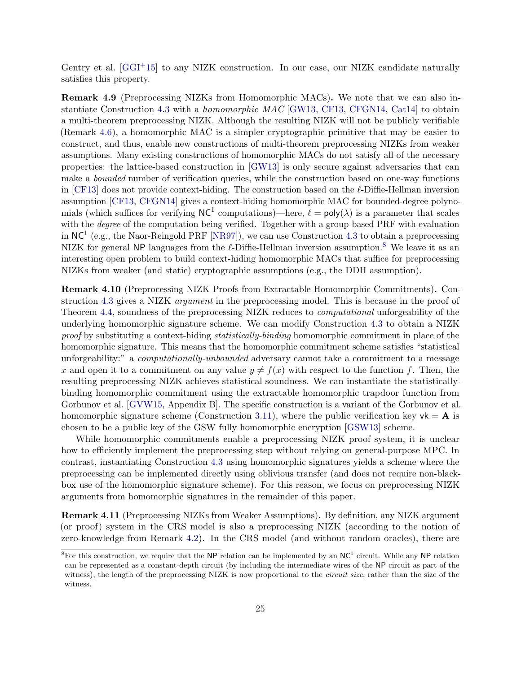Gentry et al.  $[GGI+15]$  $[GGI+15]$  to any NIZK construction. In our case, our NIZK candidate naturally satisfies this property.

Remark 4.9 (Preprocessing NIZKs from Homomorphic MACs). We note that we can also in-stantiate Construction [4.3](#page-22-1) with a *homomorphic MAC* [\[GW13,](#page-42-15) [CF13,](#page-40-14) [CFGN14,](#page-40-15) [Cat14\]](#page-40-16) to obtain a multi-theorem preprocessing NIZK. Although the resulting NIZK will not be publicly verifiable (Remark [4.6\)](#page-23-0), a homomorphic MAC is a simpler cryptographic primitive that may be easier to construct, and thus, enable new constructions of multi-theorem preprocessing NIZKs from weaker assumptions. Many existing constructions of homomorphic MACs do not satisfy all of the necessary properties: the lattice-based construction in [\[GW13\]](#page-42-15) is only secure against adversaries that can make a bounded number of verification queries, while the construction based on one-way functions in [\[CF13\]](#page-40-14) does not provide context-hiding. The construction based on the  $\ell$ -Diffie-Hellman inversion assumption [\[CF13,](#page-40-14) [CFGN14\]](#page-40-15) gives a context-hiding homomorphic MAC for bounded-degree polynomials (which suffices for verifying  $NC^1$  computations)—here,  $\ell = \text{poly}(\lambda)$  is a parameter that scales with the *degree* of the computation being verified. Together with a group-based PRF with evaluation in  $NC<sup>1</sup>$  (e.g., the Naor-Reingold PRF [\[NR97\]](#page-43-16)), we can use Construction [4.3](#page-22-1) to obtain a preprocessing NIZK for general NP languages from the  $\ell$ -Diffie-Hellman inversion assumption.<sup>[8](#page-0-0)</sup> We leave it as an interesting open problem to build context-hiding homomorphic MACs that suffice for preprocessing NIZKs from weaker (and static) cryptographic assumptions (e.g., the DDH assumption).

<span id="page-24-1"></span>Remark 4.10 (Preprocessing NIZK Proofs from Extractable Homomorphic Commitments). Con-struction [4.3](#page-22-1) gives a NIZK *argument* in the preprocessing model. This is because in the proof of Theorem [4.4,](#page-22-2) soundness of the preprocessing NIZK reduces to computational unforgeability of the underlying homomorphic signature scheme. We can modify Construction [4.3](#page-22-1) to obtain a NIZK proof by substituting a context-hiding *statistically-binding* homomorphic commitment in place of the homomorphic signature. This means that the homomorphic commitment scheme satisfies "statistical unforgeability:" a *computationally-unbounded* adversary cannot take a commitment to a message x and open it to a commitment on any value  $y \neq f(x)$  with respect to the function f. Then, the resulting preprocessing NIZK achieves statistical soundness. We can instantiate the statisticallybinding homomorphic commitment using the extractable homomorphic trapdoor function from Gorbunov et al. [\[GVW15,](#page-42-6) Appendix B]. The specific construction is a variant of the Gorbunov et al. homomorphic signature scheme (Construction [3.11\)](#page-17-1), where the public verification key  $vk = A$  is chosen to be a public key of the GSW fully homomorphic encryption [\[GSW13\]](#page-42-13) scheme.

While homomorphic commitments enable a preprocessing NIZK proof system, it is unclear how to efficiently implement the preprocessing step without relying on general-purpose MPC. In contrast, instantiating Construction [4.3](#page-22-1) using homomorphic signatures yields a scheme where the preprocessing can be implemented directly using oblivious transfer (and does not require non-blackbox use of the homomorphic signature scheme). For this reason, we focus on preprocessing NIZK arguments from homomorphic signatures in the remainder of this paper.

<span id="page-24-0"></span>Remark 4.11 (Preprocessing NIZKs from Weaker Assumptions). By definition, any NIZK argument (or proof) system in the CRS model is also a preprocessing NIZK (according to the notion of zero-knowledge from Remark [4.2\)](#page-21-0). In the CRS model (and without random oracles), there are

 ${}^{8}$  For this construction, we require that the NP relation can be implemented by an NC<sup>1</sup> circuit. While any NP relation can be represented as a constant-depth circuit (by including the intermediate wires of the NP circuit as part of the witness), the length of the preprocessing NIZK is now proportional to the *circuit size*, rather than the size of the witness.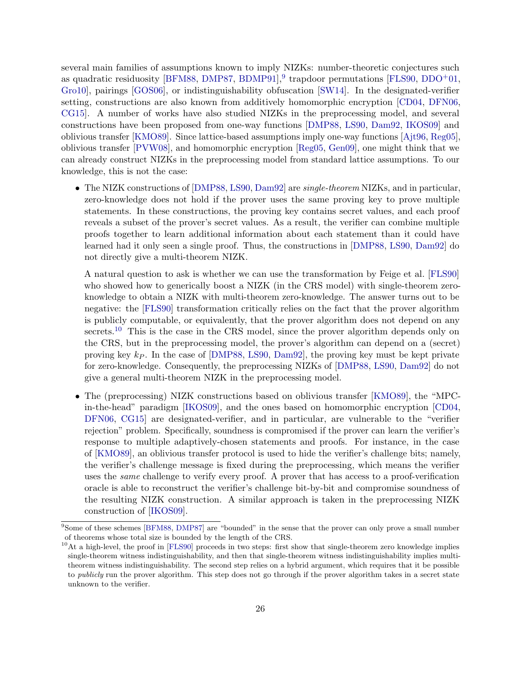several main families of assumptions known to imply NIZKs: number-theoretic conjectures such as quadratic residuosity [\[BFM88,](#page-39-0) [DMP87,](#page-41-4) [BDMP91\]](#page-38-2),<sup>[9](#page-0-0)</sup> trapdoor permutations [\[FLS90,](#page-41-2) [DDO](#page-40-0)<sup>+</sup>01, [Gro10\]](#page-42-2), pairings [\[GOS06\]](#page-42-1), or indistinguishability obfuscation [\[SW14\]](#page-44-0). In the designated-verifier setting, constructions are also known from additively homomorphic encryption [\[CD04,](#page-40-1) [DFN06,](#page-40-2) [CG15\]](#page-40-3). A number of works have also studied NIZKs in the preprocessing model, and several constructions have been proposed from one-way functions [\[DMP88,](#page-41-3) [LS90,](#page-43-1) [Dam92,](#page-40-4) [IKOS09\]](#page-42-3) and oblivious transfer [\[KMO89\]](#page-43-2). Since lattice-based assumptions imply one-way functions [\[Ajt96,](#page-38-0) [Reg05\]](#page-44-1), oblivious transfer [\[PVW08\]](#page-44-4), and homomorphic encryption [\[Reg05,](#page-44-1) [Gen09\]](#page-41-15), one might think that we can already construct NIZKs in the preprocessing model from standard lattice assumptions. To our knowledge, this is not the case:

• The NIZK constructions of [\[DMP88,](#page-41-3) [LS90,](#page-43-1) [Dam92\]](#page-40-4) are *single-theorem* NIZKs, and in particular, zero-knowledge does not hold if the prover uses the same proving key to prove multiple statements. In these constructions, the proving key contains secret values, and each proof reveals a subset of the prover's secret values. As a result, the verifier can combine multiple proofs together to learn additional information about each statement than it could have learned had it only seen a single proof. Thus, the constructions in [\[DMP88,](#page-41-3) [LS90,](#page-43-1) [Dam92\]](#page-40-4) do not directly give a multi-theorem NIZK.

A natural question to ask is whether we can use the transformation by Feige et al. [\[FLS90\]](#page-41-2) who showed how to generically boost a NIZK (in the CRS model) with single-theorem zeroknowledge to obtain a NIZK with multi-theorem zero-knowledge. The answer turns out to be negative: the [\[FLS90\]](#page-41-2) transformation critically relies on the fact that the prover algorithm is publicly computable, or equivalently, that the prover algorithm does not depend on any secrets.<sup>[10](#page-0-0)</sup> This is the case in the CRS model, since the prover algorithm depends only on the CRS, but in the preprocessing model, the prover's algorithm can depend on a (secret) proving key  $k_P$ . In the case of [\[DMP88,](#page-41-3) [LS90,](#page-43-1) [Dam92\]](#page-40-4), the proving key must be kept private for zero-knowledge. Consequently, the preprocessing NIZKs of [\[DMP88,](#page-41-3) [LS90,](#page-43-1) [Dam92\]](#page-40-4) do not give a general multi-theorem NIZK in the preprocessing model.

• The (preprocessing) NIZK constructions based on oblivious transfer [\[KMO89\]](#page-43-2), the "MPCin-the-head" paradigm [\[IKOS09\]](#page-42-3), and the ones based on homomorphic encryption [\[CD04,](#page-40-1) [DFN06,](#page-40-2) [CG15\]](#page-40-3) are designated-verifier, and in particular, are vulnerable to the "verifier rejection" problem. Specifically, soundness is compromised if the prover can learn the verifier's response to multiple adaptively-chosen statements and proofs. For instance, in the case of [\[KMO89\]](#page-43-2), an oblivious transfer protocol is used to hide the verifier's challenge bits; namely, the verifier's challenge message is fixed during the preprocessing, which means the verifier uses the *same* challenge to verify every proof. A prover that has access to a proof-verification oracle is able to reconstruct the verifier's challenge bit-by-bit and compromise soundness of the resulting NIZK construction. A similar approach is taken in the preprocessing NIZK construction of [\[IKOS09\]](#page-42-3).

<sup>&</sup>lt;sup>9</sup>Some of these schemes [\[BFM88,](#page-39-0) [DMP87\]](#page-41-4) are "bounded" in the sense that the prover can only prove a small number of theorems whose total size is bounded by the length of the CRS.

<sup>&</sup>lt;sup>10</sup>At a high-level, the proof in [\[FLS90\]](#page-41-2) proceeds in two steps: first show that single-theorem zero knowledge implies single-theorem witness indistinguishability, and then that single-theorem witness indistinguishability implies multitheorem witness indistinguishability. The second step relies on a hybrid argument, which requires that it be possible to *publicly* run the prover algorithm. This step does not go through if the prover algorithm takes in a secret state unknown to the verifier.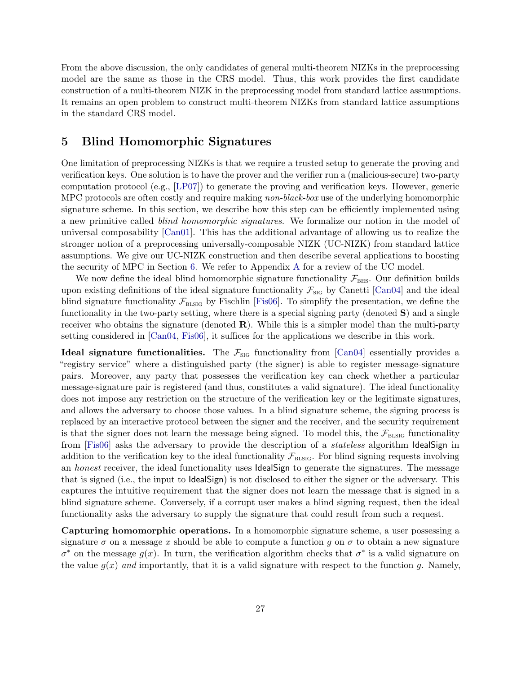From the above discussion, the only candidates of general multi-theorem NIZKs in the preprocessing model are the same as those in the CRS model. Thus, this work provides the first candidate construction of a multi-theorem NIZK in the preprocessing model from standard lattice assumptions. It remains an open problem to construct multi-theorem NIZKs from standard lattice assumptions in the standard CRS model.

# <span id="page-26-0"></span>5 Blind Homomorphic Signatures

One limitation of preprocessing NIZKs is that we require a trusted setup to generate the proving and verification keys. One solution is to have the prover and the verifier run a (malicious-secure) two-party computation protocol (e.g., [\[LP07\]](#page-43-3)) to generate the proving and verification keys. However, generic MPC protocols are often costly and require making non-black-box use of the underlying homomorphic signature scheme. In this section, we describe how this step can be efficiently implemented using a new primitive called blind homomorphic signatures. We formalize our notion in the model of universal composability [\[Can01\]](#page-39-4). This has the additional advantage of allowing us to realize the stronger notion of a preprocessing universally-composable NIZK (UC-NIZK) from standard lattice assumptions. We give our UC-NIZK construction and then describe several applications to boosting the security of MPC in Section [6.](#page-32-0) We refer to Appendix [A](#page-44-12) for a review of the UC model.

We now define the ideal blind homomorphic signature functionality  $\mathcal{F}_{\text{BHS}}$ . Our definition builds upon existing definitions of the ideal signature functionality  $\mathcal{F}_{\text{SIG}}$  by Canetti [\[Can04\]](#page-39-14) and the ideal blind signature functionality  $\mathcal{F}_{\text{BLSG}}$  by Fischlin [\[Fis06\]](#page-41-6). To simplify the presentation, we define the functionality in the two-party setting, where there is a special signing party (denoted S) and a single receiver who obtains the signature (denoted  $\bf{R}$ ). While this is a simpler model than the multi-party setting considered in [\[Can04,](#page-39-14) [Fis06\]](#page-41-6), it suffices for the applications we describe in this work.

**Ideal signature functionalities.** The  $\mathcal{F}_{\text{SIG}}$  functionality from [\[Can04\]](#page-39-14) essentially provides a "registry service" where a distinguished party (the signer) is able to register message-signature pairs. Moreover, any party that possesses the verification key can check whether a particular message-signature pair is registered (and thus, constitutes a valid signature). The ideal functionality does not impose any restriction on the structure of the verification key or the legitimate signatures, and allows the adversary to choose those values. In a blind signature scheme, the signing process is replaced by an interactive protocol between the signer and the receiver, and the security requirement is that the signer does not learn the message being signed. To model this, the  $\mathcal{F}_{\text{BLSG}}$  functionality from [\[Fis06\]](#page-41-6) asks the adversary to provide the description of a stateless algorithm IdealSign in addition to the verification key to the ideal functionality  $\mathcal{F}_{\text{BLSIG}}$ . For blind signing requests involving an honest receiver, the ideal functionality uses IdealSign to generate the signatures. The message that is signed (i.e., the input to IdealSign) is not disclosed to either the signer or the adversary. This captures the intuitive requirement that the signer does not learn the message that is signed in a blind signature scheme. Conversely, if a corrupt user makes a blind signing request, then the ideal functionality asks the adversary to supply the signature that could result from such a request.

Capturing homomorphic operations. In a homomorphic signature scheme, a user possessing a signature  $\sigma$  on a message x should be able to compute a function g on  $\sigma$  to obtain a new signature  $\sigma^*$  on the message  $g(x)$ . In turn, the verification algorithm checks that  $\sigma^*$  is a valid signature on the value  $g(x)$  and importantly, that it is a valid signature with respect to the function g. Namely,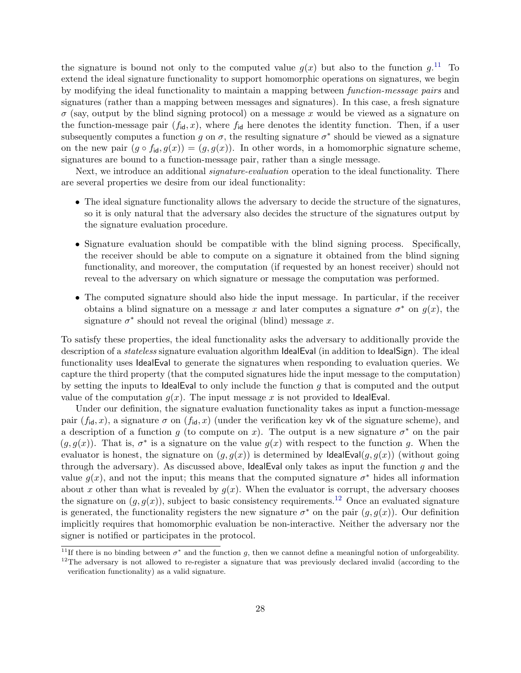the signature is bound not only to the computed value  $g(x)$  but also to the function  $g^{11}$  $g^{11}$  $g^{11}$ . To extend the ideal signature functionality to support homomorphic operations on signatures, we begin by modifying the ideal functionality to maintain a mapping between function-message pairs and signatures (rather than a mapping between messages and signatures). In this case, a fresh signature  $\sigma$  (say, output by the blind signing protocol) on a message x would be viewed as a signature on the function-message pair  $(f_{id}, x)$ , where  $f_{id}$  here denotes the identity function. Then, if a user subsequently computes a function g on  $\sigma$ , the resulting signature  $\sigma^*$  should be viewed as a signature on the new pair  $(g \circ f_{id}, g(x)) = (g, g(x))$ . In other words, in a homomorphic signature scheme, signatures are bound to a function-message pair, rather than a single message.

Next, we introduce an additional *signature-evaluation* operation to the ideal functionality. There are several properties we desire from our ideal functionality:

- The ideal signature functionality allows the adversary to decide the structure of the signatures, so it is only natural that the adversary also decides the structure of the signatures output by the signature evaluation procedure.
- Signature evaluation should be compatible with the blind signing process. Specifically, the receiver should be able to compute on a signature it obtained from the blind signing functionality, and moreover, the computation (if requested by an honest receiver) should not reveal to the adversary on which signature or message the computation was performed.
- The computed signature should also hide the input message. In particular, if the receiver obtains a blind signature on a message x and later computes a signature  $\sigma^*$  on  $g(x)$ , the signature  $\sigma^*$  should not reveal the original (blind) message x.

To satisfy these properties, the ideal functionality asks the adversary to additionally provide the description of a *stateless* signature evaluation algorithm **IdealEval** (in addition to **IdealSign**). The ideal functionality uses IdealEval to generate the signatures when responding to evaluation queries. We capture the third property (that the computed signatures hide the input message to the computation) by setting the inputs to IdealEval to only include the function  $g$  that is computed and the output value of the computation  $g(x)$ . The input message x is not provided to IdealEval.

Under our definition, the signature evaluation functionality takes as input a function-message pair  $(f_{id}, x)$ , a signature  $\sigma$  on  $(f_{id}, x)$  (under the verification key vk of the signature scheme), and a description of a function g (to compute on x). The output is a new signature  $\sigma^*$  on the pair  $(g, g(x))$ . That is,  $\sigma^*$  is a signature on the value  $g(x)$  with respect to the function g. When the evaluator is honest, the signature on  $(g, g(x))$  is determined by IdealEval $(g, g(x))$  (without going through the adversary). As discussed above, **IdealEval** only takes as input the function  $g$  and the value  $g(x)$ , and not the input; this means that the computed signature  $\sigma^*$  hides all information about x other than what is revealed by  $g(x)$ . When the evaluator is corrupt, the adversary chooses the signature on  $(g, g(x))$ , subject to basic consistency requirements.<sup>[12](#page-0-0)</sup> Once an evaluated signature is generated, the functionality registers the new signature  $\sigma^*$  on the pair  $(g, g(x))$ . Our definition implicitly requires that homomorphic evaluation be non-interactive. Neither the adversary nor the signer is notified or participates in the protocol.

<sup>&</sup>lt;sup>11</sup>If there is no binding between  $\sigma^*$  and the function g, then we cannot define a meaningful notion of unforgeability.

 $12$ The adversary is not allowed to re-register a signature that was previously declared invalid (according to the verification functionality) as a valid signature.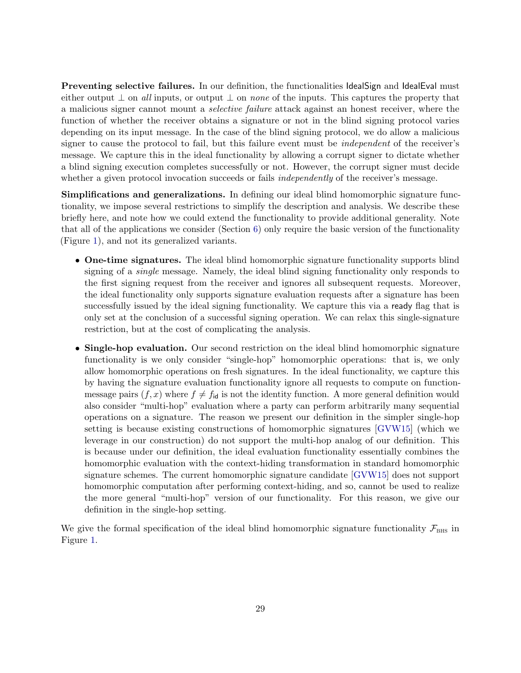Preventing selective failures. In our definition, the functionalities IdealSign and IdealEval must either output  $\perp$  on all inputs, or output  $\perp$  on none of the inputs. This captures the property that a malicious signer cannot mount a selective failure attack against an honest receiver, where the function of whether the receiver obtains a signature or not in the blind signing protocol varies depending on its input message. In the case of the blind signing protocol, we do allow a malicious signer to cause the protocol to fail, but this failure event must be independent of the receiver's message. We capture this in the ideal functionality by allowing a corrupt signer to dictate whether a blind signing execution completes successfully or not. However, the corrupt signer must decide whether a given protocol invocation succeeds or fails *independently* of the receiver's message.

Simplifications and generalizations. In defining our ideal blind homomorphic signature functionality, we impose several restrictions to simplify the description and analysis. We describe these briefly here, and note how we could extend the functionality to provide additional generality. Note that all of the applications we consider (Section [6\)](#page-32-0) only require the basic version of the functionality (Figure [1\)](#page-29-0), and not its generalized variants.

- One-time signatures. The ideal blind homomorphic signature functionality supports blind signing of a single message. Namely, the ideal blind signing functionality only responds to the first signing request from the receiver and ignores all subsequent requests. Moreover, the ideal functionality only supports signature evaluation requests after a signature has been successfully issued by the ideal signing functionality. We capture this via a ready flag that is only set at the conclusion of a successful signing operation. We can relax this single-signature restriction, but at the cost of complicating the analysis.
- Single-hop evaluation. Our second restriction on the ideal blind homomorphic signature functionality is we only consider "single-hop" homomorphic operations: that is, we only allow homomorphic operations on fresh signatures. In the ideal functionality, we capture this by having the signature evaluation functionality ignore all requests to compute on functionmessage pairs  $(f, x)$  where  $f \neq f_{id}$  is not the identity function. A more general definition would also consider "multi-hop" evaluation where a party can perform arbitrarily many sequential operations on a signature. The reason we present our definition in the simpler single-hop setting is because existing constructions of homomorphic signatures [\[GVW15\]](#page-42-6) (which we leverage in our construction) do not support the multi-hop analog of our definition. This is because under our definition, the ideal evaluation functionality essentially combines the homomorphic evaluation with the context-hiding transformation in standard homomorphic signature schemes. The current homomorphic signature candidate [\[GVW15\]](#page-42-6) does not support homomorphic computation after performing context-hiding, and so, cannot be used to realize the more general "multi-hop" version of our functionality. For this reason, we give our definition in the single-hop setting.

We give the formal specification of the ideal blind homomorphic signature functionality  $\mathcal{F}_{\text{BHS}}$  in Figure [1.](#page-29-0)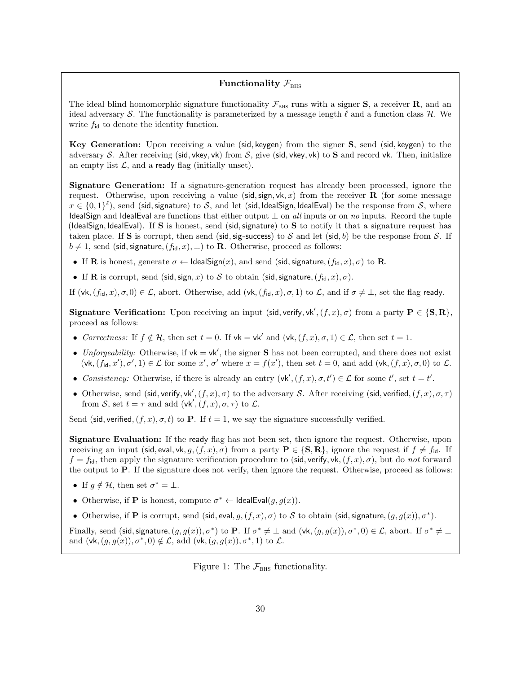### Functionality  $\mathcal{F}_{\text{BHS}}$

<span id="page-29-0"></span>The ideal blind homomorphic signature functionality  $\mathcal{F}_{\text{BHS}}$  runs with a signer **S**, a receiver **R**, and an ideal adversary S. The functionality is parameterized by a message length  $\ell$  and a function class  $\mathcal{H}$ . We write  $f_{\text{id}}$  to denote the identity function.

Key Generation: Upon receiving a value (sid, keygen) from the signer S, send (sid, keygen) to the adversary S. After receiving (sid, vkey, vk) from S, give (sid, vkey, vk) to S and record vk. Then, initialize an empty list  $\mathcal{L}$ , and a ready flag (initially unset).

Signature Generation: If a signature-generation request has already been processed, ignore the request. Otherwise, upon receiving a value (sid, sign, vk, x) from the receiver **R** (for some message  $x \in \{0,1\}^{\ell}$ ), send (sid, signature) to  $\mathcal{S}$ , and let (sid, IdealSign, IdealEval) be the response from  $\mathcal{S}$ , where IdealSign and IdealEval are functions that either output  $\perp$  on all inputs or on no inputs. Record the tuple (IdealSign, IdealEval). If S is honest, send (sid, signature) to S to notify it that a signature request has taken place. If S is corrupt, then send (sid, sig-success) to S and let (sid, b) be the response from S. If  $b \neq 1$ , send (sid, signature,  $(f_{id}, x)$ ,  $\perp$ ) to **R**. Otherwise, proceed as follows:

- If **R** is honest, generate  $\sigma \leftarrow$  IdealSign(x), and send (sid, signature,  $(f_{id}, x)$ ,  $\sigma$ ) to **R**.
- If **R** is corrupt, send (sid, sign, x) to S to obtain (sid, signature,  $(f_{id}, x)$ ,  $\sigma$ ).

If  $(vk,(f_{id}, x), \sigma, 0) \in \mathcal{L}$ , abort. Otherwise, add  $(vk,(f_{id}, x), \sigma, 1)$  to  $\mathcal{L}$ , and if  $\sigma \neq \bot$ , set the flag ready.

**Signature Verification:** Upon receiving an input (sid, verify, vk',  $(f, x)$ ,  $\sigma$ ) from a party  $P \in \{S, R\}$ , proceed as follows:

- Correctness: If  $f \notin \mathcal{H}$ , then set  $t = 0$ . If  $\mathsf{vk} = \mathsf{vk}'$  and  $(\mathsf{vk},(f,x), \sigma, 1) \in \mathcal{L}$ , then set  $t = 1$ .
- Unforgeability: Otherwise, if  $vk = vk'$ , the signer S has not been corrupted, and there does not exist  $(\mathsf{vk},(f_{\mathsf{id}}, x'), \sigma', 1) \in \mathcal{L}$  for some  $x', \sigma'$  where  $x = f(x')$ , then set  $t = 0$ , and add  $(\mathsf{vk},(f, x), \sigma, 0)$  to  $\mathcal{L}$ .
- Consistency: Otherwise, if there is already an entry  $(\mathsf{vk}', (f, x), \sigma, t') \in \mathcal{L}$  for some t', set  $t = t'$ .
- Otherwise, send (sid, verify, vk',  $(f, x)$ ,  $\sigma$ ) to the adversary S. After receiving (sid, verified,  $(f, x)$ ,  $\sigma$ ,  $\tau$ ) from S, set  $t = \tau$  and add  $(\mathsf{vk}', (f, x), \sigma, \tau)$  to L.

Send (sid, verified,  $(f, x)$ ,  $\sigma$ , t) to **P**. If  $t = 1$ , we say the signature successfully verified.

Signature Evaluation: If the ready flag has not been set, then ignore the request. Otherwise, upon receiving an input (sid, eval, vk, g,  $(f, x)$ ,  $\sigma$ ) from a party  $P \in \{S, R\}$ , ignore the request if  $f \neq f_{id}$ . If  $f = f_{\text{id}}$ , then apply the signature verification procedure to (sid, verify, vk,  $(f, x)$ ,  $\sigma$ ), but do not forward the output to P. If the signature does not verify, then ignore the request. Otherwise, proceed as follows:

- If  $g \notin \mathcal{H}$ , then set  $\sigma^* = \bot$ .
- Otherwise, if **P** is honest, compute  $\sigma^* \leftarrow \text{IdealEval}(g, g(x)).$
- Otherwise, if **P** is corrupt, send (sid, eval,  $g$ ,  $(f, x)$ ,  $\sigma$ ) to S to obtain (sid, signature,  $(g, g(x))$ ,  $\sigma^*$ ).

Finally, send (sid, signature,  $(g, g(x))$ ,  $\sigma^*$ ) to **P**. If  $\sigma^* \neq \bot$  and  $(\forall k, (g, g(x)), \sigma^*, 0) \in \mathcal{L}$ , abort. If  $\sigma^* \neq \bot$ and  $(\mathsf{vk}, (g, g(x)), \sigma^*, 0) \notin \mathcal{L}$ , add  $(\mathsf{vk}, (g, g(x)), \sigma^*, 1)$  to  $\mathcal{L}$ .

Figure 1: The  $\mathcal{F}_{\text{BHS}}$  functionality.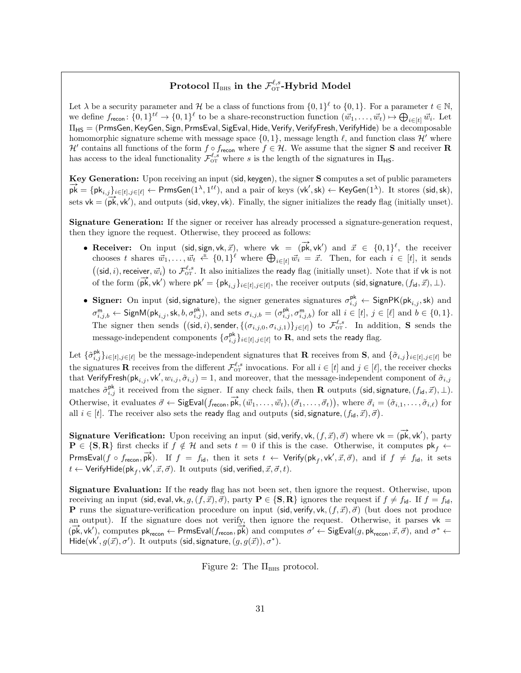# Protocol  $\Pi_{\scriptscriptstyle \text{BHS}}$  in the  $\mathcal{F}_{\scriptscriptstyle \text{OT}}^{\ell,s}$ -Hybrid Model

<span id="page-30-0"></span>Let  $\lambda$  be a security parameter and H be a class of functions from  $\{0,1\}^{\ell}$  to  $\{0,1\}$ . For a parameter  $t \in \mathbb{N}$ , we define  $f_{\text{recon}}: \{0,1\}^{\ell} \to \{0,1\}^{\ell}$  to be a share-reconstruction function  $(\vec{w}_1,\ldots,\vec{w}_t) \mapsto \bigoplus_{i \in [t]} \vec{w}_i$ . Let  $\Pi_{\rm HS}$  = (PrmsGen, KeyGen, Sign, PrmsEval, SigEval, Hide, Verify, VerifyFresh, VerifyHide) be a decomposable homomorphic signature scheme with message space  $\{0, 1\}$ , message length  $\ell$ , and function class  $\mathcal{H}'$  where  $\mathcal{H}'$  contains all functions of the form  $f \circ f_{\text{recon}}$  where  $f \in \mathcal{H}$ . We assume that the signer **S** and receiver **R** has access to the ideal functionality  $\mathcal{F}_{\text{or}}^{\ell,s}$  where s is the length of the signatures in  $\Pi_{\text{HS}}$ .

Key Generation: Upon receiving an input (sid, keygen), the signer S computes a set of public parameters **Example 3** Generation: Upon receiving an input (sid, keygen), the sigher 5 computes a set of public parameters  $\overrightarrow{pk} = \{pk_{i,j}\}_{i \in [t], j \in [\ell]}$  ← PrmsGen $(1^{\lambda}, 1^{t\ell})$ , and a pair of keys  $(vk', sk)$  ← KeyGen $(1^{\lambda})$ . It store  $\mathbf{p} \mathbf{w} = \{ \mathbf{p} \mathbf{k}_i, j \mathbf{l} \in [t], j \in [t] \}$ . This set  $(\mathbf{r}, \mathbf{r})$ , and a pair of keys  $(\mathbf{w}, \mathbf{s} \mathbf{s})$ . Registrict for the signer initializes the ready flag (initially unset).

Signature Generation: If the signer or receiver has already processed a signature-generation request, then they ignore the request. Otherwise, they proceed as follows:

- Receiver: On input (sid, sign, vk,  $\vec{x}$ ), where vk = ( $\vec{pk}$ , vk') and  $\vec{x} \in \{0,1\}^{\ell}$ , the receiver chooses t shares  $\vec{w}_1, \ldots, \vec{w}_t \stackrel{\text{R}}{\leftarrow} \{0,1\}^{\ell}$  where  $\bigoplus_{i \in [t]} \vec{w}_i = \vec{x}$ . Then, for each  $i \in [t]$ , it sends  $((\text{sid}, i), \text{receiver}, \vec{w_i})$  to  $\mathcal{F}_{\text{OT}}^{\ell, s}$ . It also initializes the ready flag (initially unset). Note that if vk is not of the form  $(\overrightarrow{pk}, vk')$  where  $pk' = {pk_{i,j}}_{i \in [t], j \in [\ell]},$  the receiver outputs (sid, signature,  $(f_{id}, \vec{x})$ , ⊥).
- Signer: On input (sid, signature), the signer generates signatures  $\sigma_{i,j}^{\mathsf{pk}} \leftarrow \mathsf{SignPK}(\mathsf{pk}_{i,j}, \mathsf{sk})$  and  $\sigma^{\mathsf{m}}_{i,j,b} \leftarrow \mathsf{SignM}(\mathsf{pk}_{i,j},\mathsf{sk}, b, \sigma^{\mathsf{pk}}_{i,j}),$  and sets  $\sigma_{i,j,b} = (\sigma^{\mathsf{pk}}_{i,j}, \sigma^{\mathsf{m}}_{i,j,b})$  for all  $i \in [t], j \in [\ell]$  and  $b \in \{0,1\}.$ The signer then sends  $((\mathsf{sid}, i), \mathsf{sender}, \{(\sigma_{i,j,0}, \sigma_{i,j,1})\}_{j \in [\ell]})$  to  $\mathcal{F}_{\text{OT}}^{\ell,s}$ . In addition, **S** sends the message-independent components  $\{\sigma_{i,j}^{\mathsf{pk}}\}_{i \in [t], j \in [\ell]}$  to  $\mathbf R$ , and sets the ready flag.

Let  $\{\tilde{\sigma}_{i,j}^{\mathsf{pk}}\}_{i \in [t],j \in [\ell]}$  be the message-independent signatures that **R** receives from **S**, and  $\{\tilde{\sigma}_{i,j}\}_{i \in [t],j \in [\ell]}$  be the signatures **R** receives from the different  $\mathcal{F}_{\text{OT}}^{\ell,s}$  invocations. For all  $i \in [t]$  and  $j \in [\ell]$ , the receiver checks that VerifyFresh( $pk_{i,j}$ , vk',  $w_{i,j}, \tilde{\sigma}_{i,j}$ ) = 1, and moreover, that the message-independent component of  $\tilde{\sigma}_{i,j}$ matches  $\tilde{\sigma}^{\text{pk}}_{i,j}$  it received from the signer. If any check fails, then **R** outputs (sid, signature,  $(f_{\text{id}}, \vec{x})$ ,  $\perp$ ). Materies  $\vec{v}_{i,j}$  is received from the signer. If any eneck rans, then **1** outputs (3.0, signature,  $(y_i, y_j, \pm j$ )<br>Otherwise, it evaluates  $\vec{\sigma} \leftarrow$  SigEval( $f_{\text{recon}}, \vec{pk}}, (\vec{w}_1, \dots, \vec{w}_t), (\vec{\sigma}_1, \dots, \vec{\sigma}_t)$ ), where  $\vec{\sigma$ all  $i \in [t]$ . The receiver also sets the ready flag and outputs (sid, signature,  $(f_{id}, \vec{x}), \vec{\sigma}$ ).

**Signature Verification:** Upon receiving an input (sid, verify, vk,  $(f, \vec{x}), \vec{\sigma}$ ) where vk = ( $\overrightarrow{pk}$ , vk'), party  $P \in \{S, R\}$  first checks if  $f \notin H$  and sets  $t = 0$  if this is the case. Otherwise, it computes  $pk_f \leftarrow$ PrmsEval( $f \circ f_{\text{recon}}, \overrightarrow{pk}$ ). If  $f = f_{\text{id}}$ , then it sets  $t \leftarrow \text{Verify}(pk_f, vk', \vec{x}, \vec{\sigma})$ , and if  $f \neq f_{\text{id}}$ , it sets  $t \leftarrow$  VerifyHide(pk<sub>f</sub>, vk',  $\vec{x}, \vec{\sigma}$ ). It outputs (sid, verified,  $\vec{x}, \vec{\sigma}, t$ ).

Signature Evaluation: If the ready flag has not been set, then ignore the request. Otherwise, upon receiving an input (sid, eval, vk, g,  $(f, \vec{x})$ ,  $\vec{\sigma}$ ), party  $P \in \{S, R\}$  ignores the request if  $f \neq f_{id}$ . If  $f = f_{id}$ , **P** runs the signature-verification procedure on input (sid, verify, vk,  $(f, \vec{x}), \vec{\sigma}$ ) (but does not produce an output). If the signature does not verify, then ignore the request. Otherwise, it parses  $vk =$ an output). It the signature does not verify, then ignore the request. Otherwise, it parses  $v_k = (\vec{pk}, vk')$ , computes  $pk_{recon} \leftarrow \text{PrmsEval}(f_{recon}, \vec{pk})$  and computes  $\sigma' \leftarrow \text{SigEval}(g, pk_{recon}, \vec{x}, \vec{\sigma})$ , and  $\sigma^* \leftarrow$ Hide(vk',  $g(\vec{x}), \sigma'$ ). It outputs (sid, signature,  $(g, g(\vec{x})), \sigma^*$ ).

Figure 2: The  $\Pi_{\text{BHS}}$  protocol.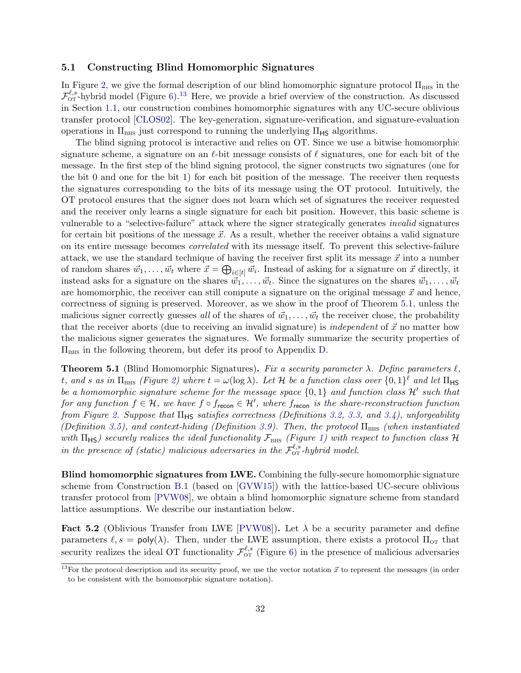#### <span id="page-31-0"></span>5.1 Constructing Blind Homomorphic Signatures

In Figure [2,](#page-30-0) we give the formal description of our blind homomorphic signature protocol  $\Pi_{\text{BHS}}$  in the  $\mathcal{F}_{\text{OT}}^{\ell,s}$ -hybrid model (Figure [6\)](#page-47-0).<sup>[13](#page-0-0)</sup> Here, we provide a brief overview of the construction. As discussed in Section [1.1,](#page-2-0) our construction combines homomorphic signatures with any UC-secure oblivious transfer protocol [\[CLOS02\]](#page-40-6). The key-generation, signature-verification, and signature-evaluation operations in  $\Pi_{\text{BHS}}$  just correspond to running the underlying  $\Pi_{\text{HS}}$  algorithms.

The blind signing protocol is interactive and relies on OT. Since we use a bitwise homomorphic signature scheme, a signature on an  $\ell$ -bit message consists of  $\ell$  signatures, one for each bit of the message. In the first step of the blind signing protocol, the signer constructs two signatures (one for the bit 0 and one for the bit 1) for each bit position of the message. The receiver then requests the signatures corresponding to the bits of its message using the OT protocol. Intuitively, the OT protocol ensures that the signer does not learn which set of signatures the receiver requested and the receiver only learns a single signature for each bit position. However, this basic scheme is vulnerable to a "selective-failure" attack where the signer strategically generates invalid signatures for certain bit positions of the message  $\vec{x}$ . As a result, whether the receiver obtains a valid signature on its entire message becomes correlated with its message itself. To prevent this selective-failure attack, we use the standard technique of having the receiver first split its message  $\vec{x}$  into a number of random shares  $\vec{w}_1, \ldots, \vec{w}_t$  where  $\vec{x} = \bigoplus_{i \in [t]} \vec{w}_i$ . Instead of asking for a signature on  $\vec{x}$  directly, it instead asks for a signature on the shares  $\vec{w}_1, \ldots, \vec{w}_t$ . Since the signatures on the shares  $\vec{w}_1, \ldots, \vec{w}_t$ are homomorphic, the receiver can still compute a signature on the original message  $\vec{x}$  and hence, correctness of signing is preserved. Moreover, as we show in the proof of Theorem [5.1,](#page-31-1) unless the malicious signer correctly guesses all of the shares of  $\vec{w}_1, \ldots, \vec{w}_t$  the receiver chose, the probability that the receiver aborts (due to receiving an invalid signature) is *independent* of  $\vec{x}$  no matter how the malicious signer generates the signatures. We formally summarize the security properties of  $\Pi_{\text{BHS}}$  in the following theorem, but defer its proof to Appendix [D.](#page-54-0)

<span id="page-31-1"></span>**Theorem 5.1** (Blind Homomorphic Signatures). Fix a security parameter  $\lambda$ . Define parameters  $\ell$ , t, and s as in  $\Pi_{\text{BHS}}$  (Figure [2\)](#page-30-0) where  $t = \omega(\log \lambda)$ . Let H be a function class over  $\{0,1\}^{\ell}$  and let  $\Pi_{\text{HS}}$ be a homomorphic signature scheme for the message space  $\{0,1\}$  and function class  $\mathcal{H}'$  such that for any function  $f \in \mathcal{H}$ , we have  $f \circ f_{\text{recon}} \in \mathcal{H}'$ , where  $f_{\text{recon}}$  is the share-reconstruction function from Figure [2.](#page-30-0) Suppose that  $\Pi_{\text{HS}}$  satisfies correctness (Definitions [3.2,](#page-12-0) [3.3,](#page-13-1) and [3.4\)](#page-13-2), unforgeability (Definition [3.5\)](#page-13-0), and context-hiding (Definition [3.9\)](#page-16-0). Then, the protocol  $\Pi_{\text{BHS}}$  (when instantiated with  $\Pi_{\rm HS}$ ) securely realizes the ideal functionality  $\mathcal{F}_{\rm BHS}$  (Figure [1\)](#page-29-0) with respect to function class H in the presence of (static) malicious adversaries in the  $\mathcal{F}_{\text{OT}}^{\ell,s}$ -hybrid model.

Blind homomorphic signatures from LWE. Combining the fully-secure homomorphic signature scheme from Construction [B.1](#page-48-1) (based on [\[GVW15\]](#page-42-6)) with the lattice-based UC-secure oblivious transfer protocol from [\[PVW08\]](#page-44-4), we obtain a blind homomorphic signature scheme from standard lattice assumptions. We describe our instantiation below.

<span id="page-31-2"></span>Fact 5.2 (Oblivious Transfer from LWE [\[PVW08\]](#page-44-4)). Let  $\lambda$  be a security parameter and define parameters  $\ell, s = \text{poly}(\lambda)$ . Then, under the LWE assumption, there exists a protocol  $\Pi_{\text{OT}}$  that security realizes the ideal OT functionality  $\mathcal{F}_{\text{OT}}^{\ell,s}$  (Figure [6\)](#page-47-0) in the presence of malicious adversaries

<sup>&</sup>lt;sup>13</sup>For the protocol description and its security proof, we use the vector notation  $\vec{x}$  to represent the messages (in order to be consistent with the homomorphic signature notation).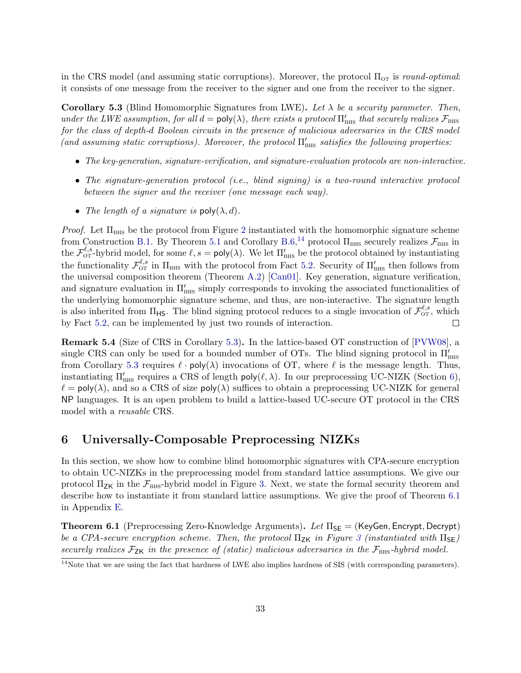in the CRS model (and assuming static corruptions). Moreover, the protocol  $\Pi_{\text{or}}$  is round-optimal: it consists of one message from the receiver to the signer and one from the receiver to the signer.

<span id="page-32-1"></span>**Corollary 5.3** (Blind Homomorphic Signatures from LWE). Let  $\lambda$  be a security parameter. Then, under the LWE assumption, for all  $d = \text{poly}(\lambda)$ , there exists a protocol  $\Pi'_{\text{BHS}}$  that securely realizes  $\mathcal{F}_{\text{BHS}}$ for the class of depth-d Boolean circuits in the presence of malicious adversaries in the CRS model (and assuming static corruptions). Moreover, the protocol  $\Pi'_{BHS}$  satisfies the following properties:

- The key-generation, signature-verification, and signature-evaluation protocols are non-interactive.
- The signature-generation protocol (i.e., blind signing) is a two-round interactive protocol between the signer and the receiver (one message each way).
- The length of a signature is  $\text{poly}(\lambda, d)$ .

*Proof.* Let  $\Pi_{\text{BHS}}$  be the protocol from Figure [2](#page-30-0) instantiated with the homomorphic signature scheme from Construction [B.1.](#page-48-1) By Theorem [5.1](#page-31-1) and Corollary [B.6,](#page-52-0)<sup>[14](#page-0-0)</sup> protocol  $\Pi_{\text{BHS}}$  securely realizes  $\mathcal{F}_{\text{BHS}}$  in the  $\mathcal{F}_{\text{OT}}^{\ell,s}$ -hybrid model, for some  $\ell,s = \text{poly}(\lambda)$ . We let  $\Pi_{\text{BHS}}'$  be the protocol obtained by instantiating the functionality  $\mathcal{F}_{\text{OT}}^{\ell,s}$  in  $\Pi_{\text{BHS}}$  with the protocol from Fact [5.2.](#page-31-2) Security of  $\Pi_{\text{BHS}}'$  then follows from the universal composition theorem (Theorem [A.2\)](#page-45-0) [\[Can01\]](#page-39-4). Key generation, signature verification, and signature evaluation in  $\Pi'_{\text{BHS}}$  simply corresponds to invoking the associated functionalities of the underlying homomorphic signature scheme, and thus, are non-interactive. The signature length is also inherited from  $\Pi_{HS}$ . The blind signing protocol reduces to a single invocation of  $\mathcal{F}_{OT}^{\ell,s}$ , which by Fact [5.2,](#page-31-2) can be implemented by just two rounds of interaction.  $\Box$ 

Remark 5.4 (Size of CRS in Corollary [5.3\)](#page-32-1). In the lattice-based OT construction of [\[PVW08\]](#page-44-4), a single CRS can only be used for a bounded number of OTs. The blind signing protocol in  $\Pi'_{\text{BHS}}$ from Corollary [5.3](#page-32-1) requires  $\ell \cdot \text{poly}(\lambda)$  invocations of OT, where  $\ell$  is the message length. Thus, instantiating  $\Pi'_{\text{BHS}}$  requires a CRS of length poly $(\ell, \lambda)$ . In our preprocessing UC-NIZK (Section [6\)](#page-32-0),  $\ell = \text{poly}(\lambda)$ , and so a CRS of size  $\text{poly}(\lambda)$  suffices to obtain a preprocessing UC-NIZK for general NP languages. It is an open problem to build a lattice-based UC-secure OT protocol in the CRS model with a reusable CRS.

## <span id="page-32-0"></span>6 Universally-Composable Preprocessing NIZKs

In this section, we show how to combine blind homomorphic signatures with CPA-secure encryption to obtain UC-NIZKs in the preprocessing model from standard lattice assumptions. We give our protocol  $\Pi_{\text{ZK}}$  in the  $\mathcal{F}_{\text{BHS}}$ -hybrid model in Figure [3.](#page-33-0) Next, we state the formal security theorem and describe how to instantiate it from standard lattice assumptions. We give the proof of Theorem [6.1](#page-32-2) in Appendix [E.](#page-68-0)

<span id="page-32-2"></span>**Theorem 6.1** (Preprocessing Zero-Knowledge Arguments). Let  $\Pi_{\mathsf{SE}} = (\mathsf{KeyGen}, \mathsf{Encrypt}, \mathsf{Decrypt})$ be a CPA-secure encryption scheme. Then, the protocol  $\Pi_{ZK}$  in Figure [3](#page-33-0) (instantiated with  $\Pi_{\mathsf{SE}}$ ) securely realizes  $\mathcal{F}_{ZK}$  in the presence of (static) malicious adversaries in the  $\mathcal{F}_{BHS}$ -hybrid model.

 $14$ Note that we are using the fact that hardness of LWE also implies hardness of SIS (with corresponding parameters).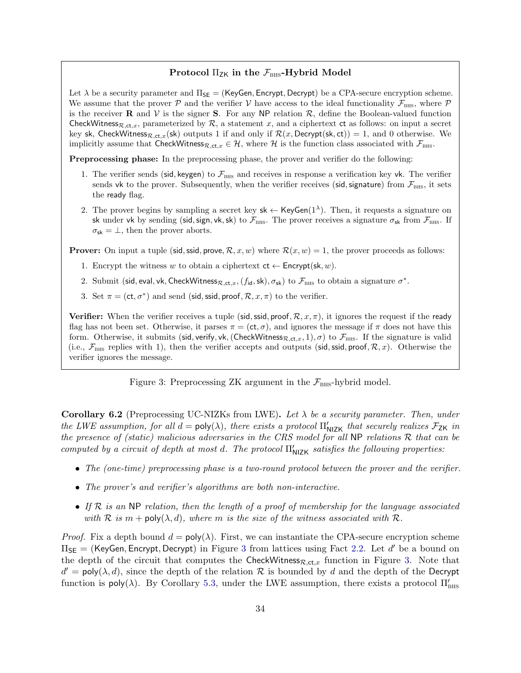#### Protocol  $\Pi_{ZK}$  in the  $\mathcal{F}_{BHS}$ -Hybrid Model

<span id="page-33-0"></span>Let  $\lambda$  be a security parameter and  $\Pi_{\mathsf{SE}} = (\mathsf{KeyGen}, \mathsf{Encrypt}, \mathsf{Decrypt})$  be a CPA-secure encryption scheme. We assume that the prover P and the verifier V have access to the ideal functionality  $\mathcal{F}_{\text{BHS}}$ , where P is the receiver **R** and  $V$  is the signer **S**. For any NP relation  $\mathcal{R}$ , define the Boolean-valued function CheckWitness<sub>R,ct,x</sub>, parameterized by R, a statement x, and a ciphertext ct as follows: on input a secret key sk, CheckWitness $_{\mathcal{R},ct,x}$ (sk) outputs 1 if and only if  $\mathcal{R}(x,$  Decrypt(sk, ct)) = 1, and 0 otherwise. We implicitly assume that CheckWitness $_{\mathcal{R},\text{ct},x} \in \mathcal{H}$ , where  $\mathcal{H}$  is the function class associated with  $\mathcal{F}_{\text{BHS}}$ .

Preprocessing phase: In the preprocessing phase, the prover and verifier do the following:

- 1. The verifier sends (sid, keygen) to  $\mathcal{F}_{\text{BHS}}$  and receives in response a verification key vk. The verifier sends vk to the prover. Subsequently, when the verifier receives (sid, signature) from  $\mathcal{F}_{\text{BHS}}$ , it sets the ready flag.
- 2. The prover begins by sampling a secret key  $sk \leftarrow \text{KeyGen}(1^{\lambda})$ . Then, it requests a signature on sk under vk by sending (sid, sign, vk, sk) to  $\mathcal{F}_{BHS}$ . The prover receives a signature  $\sigma_{sk}$  from  $\mathcal{F}_{BHS}$ . If  $\sigma_{\mathsf{sk}} = \bot$ , then the prover aborts.

**Prover:** On input a tuple (sid, ssid, prove,  $\mathcal{R}, x, w$ ) where  $\mathcal{R}(x, w) = 1$ , the prover proceeds as follows:

- 1. Encrypt the witness w to obtain a ciphertext  $ct \leftarrow$  Encrypt(sk, w).
- 2. Submit (sid, eval, vk, CheckWitness $\mathcal{R}_{\text{,ct},x}$ ,  $(f_{\text{id}}, \text{sk}), \sigma_{\text{sk}}$ ) to  $\mathcal{F}_{\text{BHS}}$  to obtain a signature  $\sigma^*$ .
- 3. Set  $\pi = (ct, \sigma^*)$  and send (sid, ssid, proof,  $\mathcal{R}, x, \pi$ ) to the verifier.

Verifier: When the verifier receives a tuple (sid, ssid, proof,  $\mathcal{R}, x, \pi$ ), it ignores the request if the ready flag has not been set. Otherwise, it parses  $\pi = (ct, \sigma)$ , and ignores the message if  $\pi$  does not have this form. Otherwise, it submits (sid, verify, vk, (CheckWitness $_{\mathcal{R},ct,x}$ , 1),  $\sigma$ ) to  $\mathcal{F}_{\text{BHS}}$ . If the signature is valid (i.e.,  $\mathcal{F}_{\text{BHS}}$  replies with 1), then the verifier accepts and outputs (sid, ssid, proof, R, x). Otherwise the verifier ignores the message.

Figure 3: Preprocessing ZK argument in the  $\mathcal{F}_{\text{BHS}}$ -hybrid model.

<span id="page-33-1"></span>**Corollary 6.2** (Preprocessing UC-NIZKs from LWE). Let  $\lambda$  be a security parameter. Then, under the LWE assumption, for all  $d = \text{poly}(\lambda)$ , there exists a protocol  $\Pi'_{NIZK}$  that securely realizes  $\mathcal{F}_{ZK}$  in the presence of (static) malicious adversaries in the CRS model for all NP relations  $R$  that can be computed by a circuit of depth at most d. The protocol  $\Pi'_{NIZK}$  satisfies the following properties:

- The (one-time) preprocessing phase is a two-round protocol between the prover and the verifier.
- The prover's and verifier's algorithms are both non-interactive.
- If  $\mathcal R$  is an NP relation, then the length of a proof of membership for the language associated with R is  $m + \text{poly}(\lambda, d)$ , where m is the size of the witness associated with R.

*Proof.* Fix a depth bound  $d = \text{poly}(\lambda)$ . First, we can instantiate the CPA-secure encryption scheme  $\Pi_{\mathsf{SE}} = (\mathsf{KeyGen}, \mathsf{Encrypt}, \mathsf{Decrypt})$  in Figure [3](#page-33-0) from lattices using Fact [2.2.](#page-8-1) Let d' be a bound on the depth of the circuit that computes the CheckWitness<sub>R,ct,x</sub> function in Figure [3.](#page-33-0) Note that  $d' = \text{poly}(\lambda, d)$ , since the depth of the relation R is bounded by d and the depth of the Decrypt function is  $poly(\lambda)$ . By Corollary [5.3,](#page-32-1) under the LWE assumption, there exists a protocol  $\Pi'_{BHS}$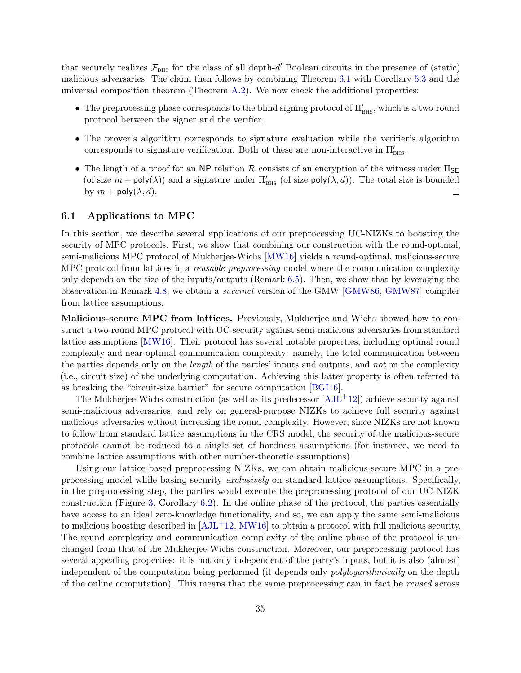that securely realizes  $\mathcal{F}_{\text{BHS}}$  for the class of all depth-d' Boolean circuits in the presence of (static) malicious adversaries. The claim then follows by combining Theorem [6.1](#page-32-2) with Corollary [5.3](#page-32-1) and the universal composition theorem (Theorem [A.2\)](#page-45-0). We now check the additional properties:

- The preprocessing phase corresponds to the blind signing protocol of  $\Pi'_{\text{BHS}}$ , which is a two-round protocol between the signer and the verifier.
- The prover's algorithm corresponds to signature evaluation while the verifier's algorithm corresponds to signature verification. Both of these are non-interactive in  $\Pi'_{\text{BHS}}$ .
- The length of a proof for an NP relation R consists of an encryption of the witness under  $\Pi_{\mathsf{SE}}$ (of size  $m + \text{poly}(\lambda)$ ) and a signature under  $\Pi'_{\text{BHS}}$  (of size poly $(\lambda, d)$ ). The total size is bounded by  $m + \text{poly}(\lambda, d)$ .  $\Box$

#### <span id="page-34-0"></span>6.1 Applications to MPC

In this section, we describe several applications of our preprocessing UC-NIZKs to boosting the security of MPC protocols. First, we show that combining our construction with the round-optimal, semi-malicious MPC protocol of Mukherjee-Wichs [\[MW16\]](#page-43-4) yields a round-optimal, malicious-secure MPC protocol from lattices in a *reusable preprocessing* model where the communication complexity only depends on the size of the inputs/outputs (Remark [6.5\)](#page-36-0). Then, we show that by leveraging the observation in Remark [4.8,](#page-23-2) we obtain a succinct version of the GMW [\[GMW86,](#page-42-4) [GMW87\]](#page-42-5) compiler from lattice assumptions.

Malicious-secure MPC from lattices. Previously, Mukherjee and Wichs showed how to construct a two-round MPC protocol with UC-security against semi-malicious adversaries from standard lattice assumptions [\[MW16\]](#page-43-4). Their protocol has several notable properties, including optimal round complexity and near-optimal communication complexity: namely, the total communication between the parties depends only on the *length* of the parties' inputs and outputs, and *not* on the complexity (i.e., circuit size) of the underlying computation. Achieving this latter property is often referred to as breaking the "circuit-size barrier" for secure computation [\[BGI16\]](#page-39-15).

The Mukherjee-Wichs construction (as well as its predecessor  $[AJL+12]$  $[AJL+12]$ ) achieve security against semi-malicious adversaries, and rely on general-purpose NIZKs to achieve full security against malicious adversaries without increasing the round complexity. However, since NIZKs are not known to follow from standard lattice assumptions in the CRS model, the security of the malicious-secure protocols cannot be reduced to a single set of hardness assumptions (for instance, we need to combine lattice assumptions with other number-theoretic assumptions).

Using our lattice-based preprocessing NIZKs, we can obtain malicious-secure MPC in a preprocessing model while basing security exclusively on standard lattice assumptions. Specifically, in the preprocessing step, the parties would execute the preprocessing protocol of our UC-NIZK construction (Figure [3,](#page-33-0) Corollary [6.2\)](#page-33-1). In the online phase of the protocol, the parties essentially have access to an ideal zero-knowledge functionality, and so, we can apply the same semi-malicious to malicious boosting described in  $[AJ<sub>L</sub>+12, MW16]$  $[AJ<sub>L</sub>+12, MW16]$  to obtain a protocol with full malicious security. The round complexity and communication complexity of the online phase of the protocol is unchanged from that of the Mukherjee-Wichs construction. Moreover, our preprocessing protocol has several appealing properties: it is not only independent of the party's inputs, but it is also (almost) independent of the computation being performed (it depends only polylogarithmically on the depth of the online computation). This means that the same preprocessing can in fact be reused across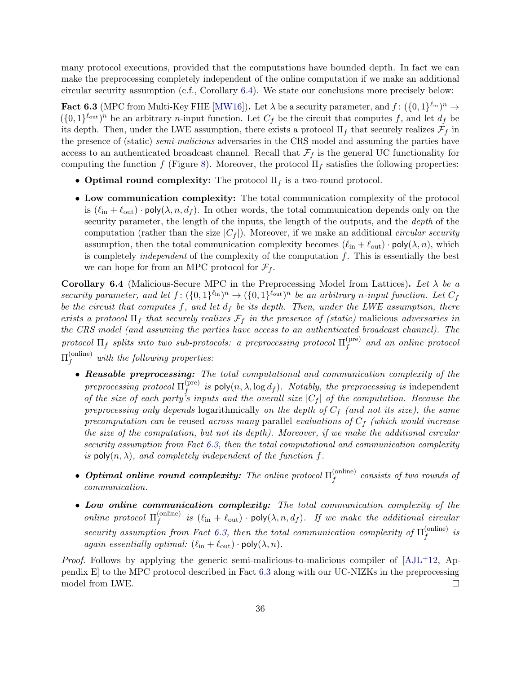many protocol executions, provided that the computations have bounded depth. In fact we can make the preprocessing completely independent of the online computation if we make an additional circular security assumption (c.f., Corollary [6.4\)](#page-35-0). We state our conclusions more precisely below:

<span id="page-35-1"></span>**Fact 6.3** (MPC from Multi-Key FHE [\[MW16\]](#page-43-4)). Let  $\lambda$  be a security parameter, and  $f: (\{0,1\}^{\ell_{\text{in}}})^n \to$  $({0,1})^{\ell_{\text{out}}}}$  be an arbitrary *n*-input function. Let  $C_f$  be the circuit that computes f, and let  $d_f$  be its depth. Then, under the LWE assumption, there exists a protocol  $\Pi_f$  that securely realizes  $\mathcal{F}_f$  in the presence of (static) semi-malicious adversaries in the CRS model and assuming the parties have access to an authenticated broadcast channel. Recall that  $\mathcal{F}_f$  is the general UC functionality for computing the function f (Figure [8\)](#page-48-2). Moreover, the protocol  $\Pi_f$  satisfies the following properties:

- Optimal round complexity: The protocol  $\Pi_f$  is a two-round protocol.
- Low communication complexity: The total communication complexity of the protocol is  $(\ell_{\rm in} + \ell_{\rm out}) \cdot \text{poly}(\lambda, n, d_f)$ . In other words, the total communication depends only on the security parameter, the length of the inputs, the length of the outputs, and the depth of the computation (rather than the size  $|C_f|$ ). Moreover, if we make an additional *circular security* assumption, then the total communication complexity becomes  $(\ell_{in} + \ell_{out}) \cdot poly(\lambda, n)$ , which is completely *independent* of the complexity of the computation  $f$ . This is essentially the best we can hope for from an MPC protocol for  $\mathcal{F}_f$ .

<span id="page-35-0"></span>Corollary 6.4 (Malicious-Secure MPC in the Preprocessing Model from Lattices). Let  $\lambda$  be a security parameter, and let  $f: (\{0,1\}^{\ell_{\text{in}}})^n \to (\{0,1\}^{\ell_{\text{out}}})^n$  be an arbitrary n-input function. Let  $C_f$ be the circuit that computes f, and let  $d_f$  be its depth. Then, under the LWE assumption, there exists a protocol  $\Pi_f$  that securely realizes  $\mathcal{F}_f$  in the presence of (static) malicious adversaries in the CRS model (and assuming the parties have access to an authenticated broadcast channel). The protocol  $\Pi_f$  splits into two sub-protocols: a preprocessing protocol  $\Pi_f^{\text{(pre)}}$  $f_f^{\rm (pre)}$  and an online protocol  $\Pi_f^{\rm (online)}$  with the following properties:

- Reusable preprocessing: The total computational and communication complexity of the preprocessing protocol  $\Pi_f^{\mathrm{(pre)}}$  $\int_{f}^{(\text{pre})}$  is poly $(n, \lambda, \log d_f)$ . Notably, the preprocessing is independent of the size of each party's inputs and the overall size  $|C_f|$  of the computation. Because the preprocessing only depends logarithmically on the depth of  $C_f$  (and not its size), the same precomputation can be reused across many parallel evaluations of  $C_f$  (which would increase the size of the computation, but not its depth). Moreover, if we make the additional circular security assumption from Fact [6.3,](#page-35-1) then the total computational and communication complexity is poly $(n, \lambda)$ , and completely independent of the function f.
- Optimal online round complexity: The online protocol  $\Pi_f^{(\text{online})}$  $\int_f^{\text{comm}e}$  consists of two rounds of communication.
- Low online communication complexity: The total communication complexity of the online protocol  $\Pi_f^{(\text{online})}$  $\int_{f}^{(\text{online})}$  is  $(\ell_{\text{in}} + \ell_{\text{out}}) \cdot \text{poly}(\lambda, n, d_f)$ . If we make the additional circular security assumption from Fact [6.3,](#page-35-1) then the total communication complexity of  $\Pi_f^{(\text{online})}$  $\stackrel{\text{(onune)}}{f}$  is again essentially optimal:  $(\ell_{in} + \ell_{out}) \cdot \text{poly}(\lambda, n)$ .

*Proof.* Follows by applying the generic semi-malicious-to-malicious compiler of  $[AJ<sub>L</sub>+12, Ap$ pendix E] to the MPC protocol described in Fact [6.3](#page-35-1) along with our UC-NIZKs in the preprocessing model from LWE.  $\Box$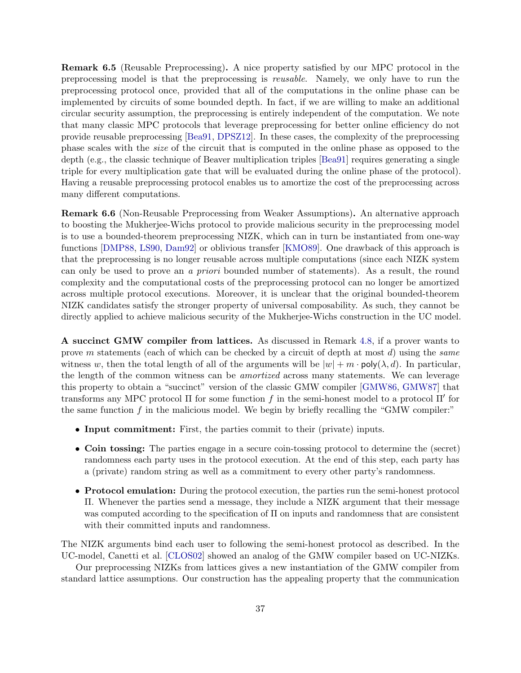Remark 6.5 (Reusable Preprocessing). A nice property satisfied by our MPC protocol in the preprocessing model is that the preprocessing is reusable. Namely, we only have to run the preprocessing protocol once, provided that all of the computations in the online phase can be implemented by circuits of some bounded depth. In fact, if we are willing to make an additional circular security assumption, the preprocessing is entirely independent of the computation. We note that many classic MPC protocols that leverage preprocessing for better online efficiency do not provide reusable preprocessing [\[Bea91,](#page-38-0) [DPSZ12\]](#page-41-0). In these cases, the complexity of the preprocessing phase scales with the size of the circuit that is computed in the online phase as opposed to the depth (e.g., the classic technique of Beaver multiplication triples [\[Bea91\]](#page-38-0) requires generating a single triple for every multiplication gate that will be evaluated during the online phase of the protocol). Having a reusable preprocessing protocol enables us to amortize the cost of the preprocessing across many different computations.

Remark 6.6 (Non-Reusable Preprocessing from Weaker Assumptions). An alternative approach to boosting the Mukherjee-Wichs protocol to provide malicious security in the preprocessing model is to use a bounded-theorem preprocessing NIZK, which can in turn be instantiated from one-way functions [\[DMP88,](#page-41-1) [LS90,](#page-43-0) [Dam92\]](#page-40-0) or oblivious transfer [\[KMO89\]](#page-43-1). One drawback of this approach is that the preprocessing is no longer reusable across multiple computations (since each NIZK system can only be used to prove an a priori bounded number of statements). As a result, the round complexity and the computational costs of the preprocessing protocol can no longer be amortized across multiple protocol executions. Moreover, it is unclear that the original bounded-theorem NIZK candidates satisfy the stronger property of universal composability. As such, they cannot be directly applied to achieve malicious security of the Mukherjee-Wichs construction in the UC model.

A succinct GMW compiler from lattices. As discussed in Remark [4.8,](#page-23-0) if a prover wants to prove m statements (each of which can be checked by a circuit of depth at most  $d$ ) using the same witness w, then the total length of all of the arguments will be  $|w| + m \cdot \text{poly}(\lambda, d)$ . In particular, the length of the common witness can be amortized across many statements. We can leverage this property to obtain a "succinct" version of the classic GMW compiler [\[GMW86,](#page-42-0) [GMW87\]](#page-42-1) that transforms any MPC protocol  $\Pi$  for some function f in the semi-honest model to a protocol  $\Pi'$  for the same function  $f$  in the malicious model. We begin by briefly recalling the "GMW compiler:"

- Input commitment: First, the parties commit to their (private) inputs.
- Coin tossing: The parties engage in a secure coin-tossing protocol to determine the (secret) randomness each party uses in the protocol execution. At the end of this step, each party has a (private) random string as well as a commitment to every other party's randomness.
- Protocol emulation: During the protocol execution, the parties run the semi-honest protocol Π. Whenever the parties send a message, they include a NIZK argument that their message was computed according to the specification of Π on inputs and randomness that are consistent with their committed inputs and randomness.

The NIZK arguments bind each user to following the semi-honest protocol as described. In the UC-model, Canetti et al. [\[CLOS02\]](#page-40-1) showed an analog of the GMW compiler based on UC-NIZKs.

Our preprocessing NIZKs from lattices gives a new instantiation of the GMW compiler from standard lattice assumptions. Our construction has the appealing property that the communication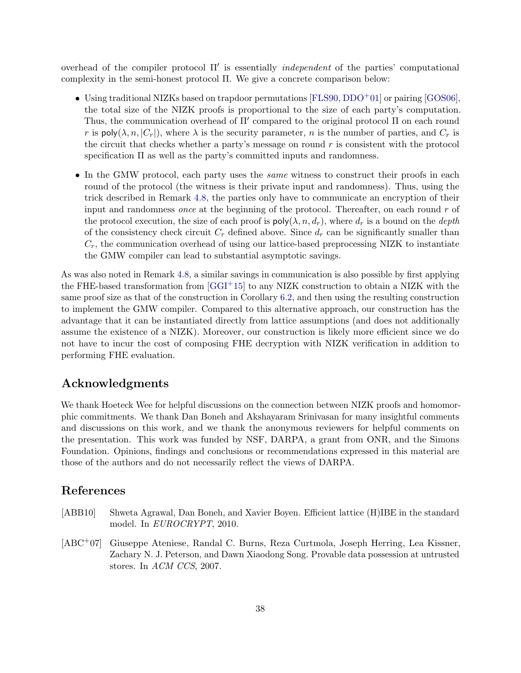overhead of the compiler protocol  $\Pi'$  is essentially *independent* of the parties' computational complexity in the semi-honest protocol Π. We give a concrete comparison below:

- Using traditional NIZKs based on trapdoor permutations [\[FLS90,](#page-41-2) [DDO](#page-40-2)+01] or pairing [\[GOS06\]](#page-42-2), the total size of the NIZK proofs is proportional to the size of each party's computation. Thus, the communication overhead of  $\Pi'$  compared to the original protocol  $\Pi$  on each round r is poly $(\lambda, n, |C_r|)$ , where  $\lambda$  is the security parameter, n is the number of parties, and  $C_r$  is the circuit that checks whether a party's message on round  $r$  is consistent with the protocol specification  $\Pi$  as well as the party's committed inputs and randomness.
- In the GMW protocol, each party uses the *same* witness to construct their proofs in each round of the protocol (the witness is their private input and randomness). Thus, using the trick described in Remark [4.8,](#page-23-0) the parties only have to communicate an encryption of their input and randomness *once* at the beginning of the protocol. Thereafter, on each round  $r$  of the protocol execution, the size of each proof is  $poly(\lambda, n, d_r)$ , where  $d_r$  is a bound on the depth of the consistency check circuit  $C_r$  defined above. Since  $d_r$  can be significantly smaller than  $C_r$ , the communication overhead of using our lattice-based preprocessing NIZK to instantiate the GMW compiler can lead to substantial asymptotic savings.

As was also noted in Remark [4.8,](#page-23-0) a similar savings in communication is also possible by first applying the FHE-based transformation from [\[GGI](#page-41-3)+15] to any NIZK construction to obtain a NIZK with the same proof size as that of the construction in Corollary [6.2,](#page-33-0) and then using the resulting construction to implement the GMW compiler. Compared to this alternative approach, our construction has the advantage that it can be instantiated directly from lattice assumptions (and does not additionally assume the existence of a NIZK). Moreover, our construction is likely more efficient since we do not have to incur the cost of composing FHE decryption with NIZK verification in addition to performing FHE evaluation.

## Acknowledgments

We thank Hoeteck Wee for helpful discussions on the connection between NIZK proofs and homomorphic commitments. We thank Dan Boneh and Akshayaram Srinivasan for many insightful comments and discussions on this work, and we thank the anonymous reviewers for helpful comments on the presentation. This work was funded by NSF, DARPA, a grant from ONR, and the Simons Foundation. Opinions, findings and conclusions or recommendations expressed in this material are those of the authors and do not necessarily reflect the views of DARPA.

## References

- [ABB10] Shweta Agrawal, Dan Boneh, and Xavier Boyen. Efficient lattice (H)IBE in the standard model. In EUROCRYPT, 2010.
- [ABC+07] Giuseppe Ateniese, Randal C. Burns, Reza Curtmola, Joseph Herring, Lea Kissner, Zachary N. J. Peterson, and Dawn Xiaodong Song. Provable data possession at untrusted stores. In ACM CCS, 2007.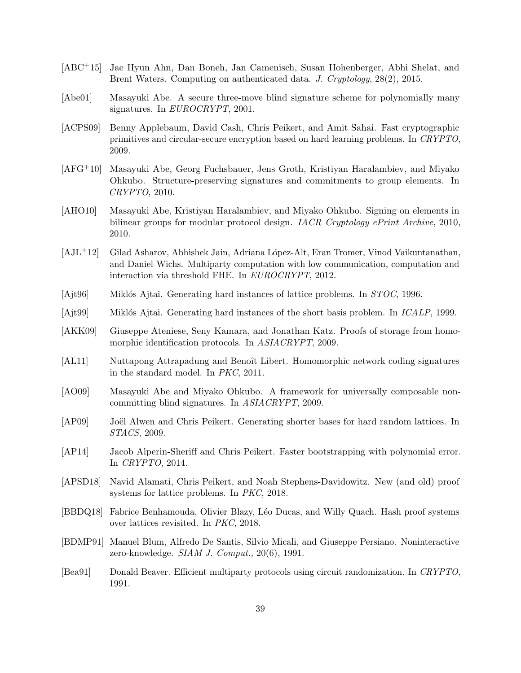- [ABC+15] Jae Hyun Ahn, Dan Boneh, Jan Camenisch, Susan Hohenberger, Abhi Shelat, and Brent Waters. Computing on authenticated data. J. Cryptology, 28(2), 2015.
- [Abe01] Masayuki Abe. A secure three-move blind signature scheme for polynomially many signatures. In *EUROCRYPT*, 2001.
- [ACPS09] Benny Applebaum, David Cash, Chris Peikert, and Amit Sahai. Fast cryptographic primitives and circular-secure encryption based on hard learning problems. In CRYPTO, 2009.
- [AFG+10] Masayuki Abe, Georg Fuchsbauer, Jens Groth, Kristiyan Haralambiev, and Miyako Ohkubo. Structure-preserving signatures and commitments to group elements. In CRYPTO, 2010.
- [AHO10] Masayuki Abe, Kristiyan Haralambiev, and Miyako Ohkubo. Signing on elements in bilinear groups for modular protocol design. *IACR Cryptology ePrint Archive*, 2010, 2010.
- [AJL+12] Gilad Asharov, Abhishek Jain, Adriana L´opez-Alt, Eran Tromer, Vinod Vaikuntanathan, and Daniel Wichs. Multiparty computation with low communication, computation and interaction via threshold FHE. In EUROCRYPT, 2012.
- [Ajt96] Miklós Ajtai. Generating hard instances of lattice problems. In *STOC*, 1996.
- [Ajt99] Miklós Ajtai. Generating hard instances of the short basis problem. In *ICALP*, 1999.
- [AKK09] Giuseppe Ateniese, Seny Kamara, and Jonathan Katz. Proofs of storage from homomorphic identification protocols. In ASIACRYPT, 2009.
- [AL11] Nuttapong Attrapadung and Benoît Libert. Homomorphic network coding signatures in the standard model. In PKC, 2011.
- [AO09] Masayuki Abe and Miyako Ohkubo. A framework for universally composable noncommitting blind signatures. In ASIACRYPT, 2009.
- [AP09] Joël Alwen and Chris Peikert. Generating shorter bases for hard random lattices. In STACS, 2009.
- [AP14] Jacob Alperin-Sheriff and Chris Peikert. Faster bootstrapping with polynomial error. In CRYPTO, 2014.
- [APSD18] Navid Alamati, Chris Peikert, and Noah Stephens-Davidowitz. New (and old) proof systems for lattice problems. In PKC, 2018.
- [BBDQ18] Fabrice Benhamouda, Olivier Blazy, L´eo Ducas, and Willy Quach. Hash proof systems over lattices revisited. In PKC, 2018.
- [BDMP91] Manuel Blum, Alfredo De Santis, Silvio Micali, and Giuseppe Persiano. Noninteractive zero-knowledge. SIAM J. Comput., 20(6), 1991.
- <span id="page-38-0"></span>[Bea91] Donald Beaver. Efficient multiparty protocols using circuit randomization. In CRYPTO, 1991.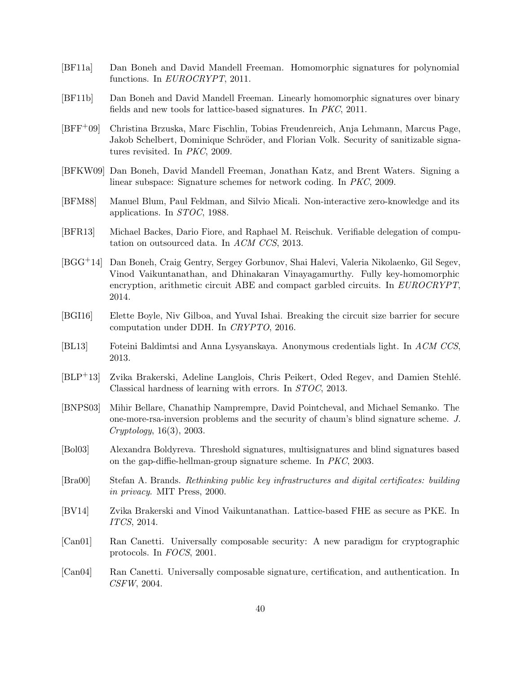- [BF11a] Dan Boneh and David Mandell Freeman. Homomorphic signatures for polynomial functions. In EUROCRYPT, 2011.
- [BF11b] Dan Boneh and David Mandell Freeman. Linearly homomorphic signatures over binary fields and new tools for lattice-based signatures. In PKC, 2011.
- [BFF+09] Christina Brzuska, Marc Fischlin, Tobias Freudenreich, Anja Lehmann, Marcus Page, Jakob Schelbert, Dominique Schröder, and Florian Volk. Security of sanitizable signatures revisited. In PKC, 2009.
- [BFKW09] Dan Boneh, David Mandell Freeman, Jonathan Katz, and Brent Waters. Signing a linear subspace: Signature schemes for network coding. In PKC, 2009.
- [BFM88] Manuel Blum, Paul Feldman, and Silvio Micali. Non-interactive zero-knowledge and its applications. In STOC, 1988.
- [BFR13] Michael Backes, Dario Fiore, and Raphael M. Reischuk. Verifiable delegation of computation on outsourced data. In ACM CCS, 2013.
- [BGG+14] Dan Boneh, Craig Gentry, Sergey Gorbunov, Shai Halevi, Valeria Nikolaenko, Gil Segev, Vinod Vaikuntanathan, and Dhinakaran Vinayagamurthy. Fully key-homomorphic encryption, arithmetic circuit ABE and compact garbled circuits. In EUROCRYPT, 2014.
- [BGI16] Elette Boyle, Niv Gilboa, and Yuval Ishai. Breaking the circuit size barrier for secure computation under DDH. In CRYPTO, 2016.
- [BL13] Foteini Baldimtsi and Anna Lysyanskaya. Anonymous credentials light. In ACM CCS, 2013.
- [BLP+13] Zvika Brakerski, Adeline Langlois, Chris Peikert, Oded Regev, and Damien Stehl´e. Classical hardness of learning with errors. In STOC, 2013.
- [BNPS03] Mihir Bellare, Chanathip Namprempre, David Pointcheval, and Michael Semanko. The one-more-rsa-inversion problems and the security of chaum's blind signature scheme. J. Cryptology, 16(3), 2003.
- [Bol03] Alexandra Boldyreva. Threshold signatures, multisignatures and blind signatures based on the gap-diffie-hellman-group signature scheme. In PKC, 2003.
- [Bra00] Stefan A. Brands. Rethinking public key infrastructures and digital certificates: building in privacy. MIT Press, 2000.
- [BV14] Zvika Brakerski and Vinod Vaikuntanathan. Lattice-based FHE as secure as PKE. In ITCS, 2014.
- <span id="page-39-0"></span>[Can01] Ran Canetti. Universally composable security: A new paradigm for cryptographic protocols. In FOCS, 2001.
- [Can04] Ran Canetti. Universally composable signature, certification, and authentication. In CSFW, 2004.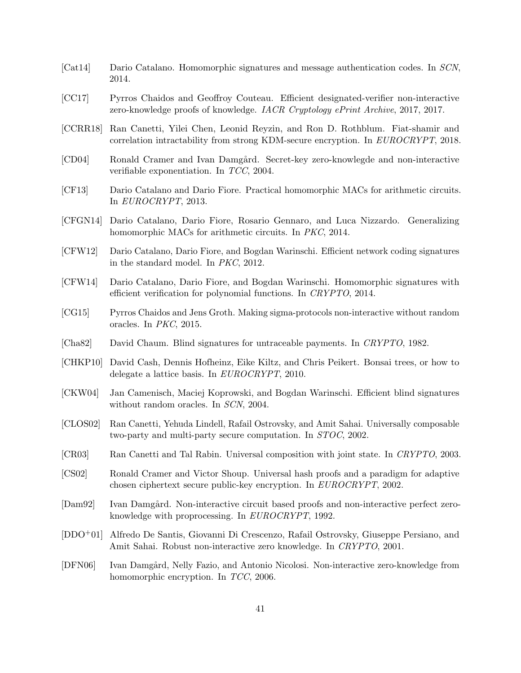- [Cat14] Dario Catalano. Homomorphic signatures and message authentication codes. In SCN, 2014.
- [CC17] Pyrros Chaidos and Geoffroy Couteau. Efficient designated-verifier non-interactive zero-knowledge proofs of knowledge. IACR Cryptology ePrint Archive, 2017, 2017.
- [CCRR18] Ran Canetti, Yilei Chen, Leonid Reyzin, and Ron D. Rothblum. Fiat-shamir and correlation intractability from strong KDM-secure encryption. In EUROCRYPT, 2018.
- [CD04] Ronald Cramer and Ivan Damgård. Secret-key zero-knowlegde and non-interactive verifiable exponentiation. In TCC, 2004.
- [CF13] Dario Catalano and Dario Fiore. Practical homomorphic MACs for arithmetic circuits. In EUROCRYPT, 2013.
- [CFGN14] Dario Catalano, Dario Fiore, Rosario Gennaro, and Luca Nizzardo. Generalizing homomorphic MACs for arithmetic circuits. In *PKC*, 2014.
- [CFW12] Dario Catalano, Dario Fiore, and Bogdan Warinschi. Efficient network coding signatures in the standard model. In PKC, 2012.
- [CFW14] Dario Catalano, Dario Fiore, and Bogdan Warinschi. Homomorphic signatures with efficient verification for polynomial functions. In CRYPTO, 2014.
- [CG15] Pyrros Chaidos and Jens Groth. Making sigma-protocols non-interactive without random oracles. In PKC, 2015.
- [Cha82] David Chaum. Blind signatures for untraceable payments. In CRYPTO, 1982.
- [CHKP10] David Cash, Dennis Hofheinz, Eike Kiltz, and Chris Peikert. Bonsai trees, or how to delegate a lattice basis. In EUROCRYPT, 2010.
- [CKW04] Jan Camenisch, Maciej Koprowski, and Bogdan Warinschi. Efficient blind signatures without random oracles. In SCN, 2004.
- <span id="page-40-1"></span>[CLOS02] Ran Canetti, Yehuda Lindell, Rafail Ostrovsky, and Amit Sahai. Universally composable two-party and multi-party secure computation. In STOC, 2002.
- <span id="page-40-3"></span>[CR03] Ran Canetti and Tal Rabin. Universal composition with joint state. In CRYPTO, 2003.
- [CS02] Ronald Cramer and Victor Shoup. Universal hash proofs and a paradigm for adaptive chosen ciphertext secure public-key encryption. In EUROCRYPT, 2002.
- <span id="page-40-0"></span>[Dam92] Ivan Damgård. Non-interactive circuit based proofs and non-interactive perfect zeroknowledge with proprocessing. In EUROCRYPT, 1992.
- <span id="page-40-2"></span>[DDO+01] Alfredo De Santis, Giovanni Di Crescenzo, Rafail Ostrovsky, Giuseppe Persiano, and Amit Sahai. Robust non-interactive zero knowledge. In CRYPTO, 2001.
- [DFN06] Ivan Damgård, Nelly Fazio, and Antonio Nicolosi. Non-interactive zero-knowledge from homomorphic encryption. In TCC, 2006.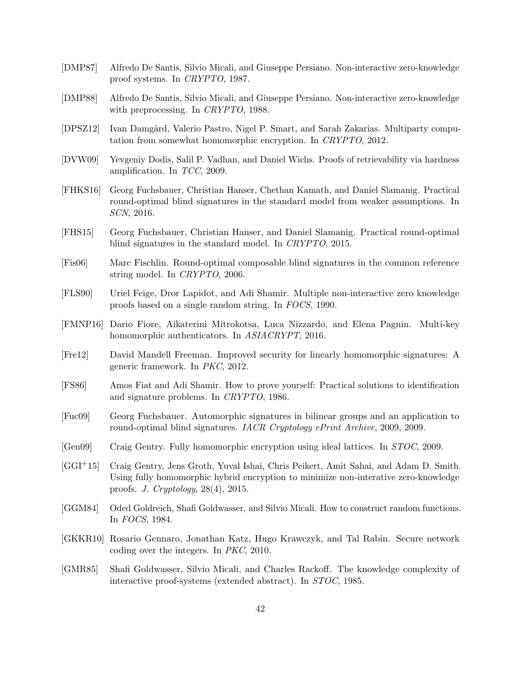- [DMP87] Alfredo De Santis, Silvio Micali, and Giuseppe Persiano. Non-interactive zero-knowledge proof systems. In CRYPTO, 1987.
- <span id="page-41-1"></span>[DMP88] Alfredo De Santis, Silvio Micali, and Giuseppe Persiano. Non-interactive zero-knowledge with preprocessing. In *CRYPTO*, 1988.
- <span id="page-41-0"></span>[DPSZ12] Ivan Damgård, Valerio Pastro, Nigel P. Smart, and Sarah Zakarias. Multiparty computation from somewhat homomorphic encryption. In CRYPTO, 2012.
- [DVW09] Yevgeniy Dodis, Salil P. Vadhan, and Daniel Wichs. Proofs of retrievability via hardness amplification. In TCC, 2009.
- [FHKS16] Georg Fuchsbauer, Christian Hanser, Chethan Kamath, and Daniel Slamanig. Practical round-optimal blind signatures in the standard model from weaker assumptions. In SCN, 2016.
- [FHS15] Georg Fuchsbauer, Christian Hanser, and Daniel Slamanig. Practical round-optimal blind signatures in the standard model. In CRYPTO, 2015.
- [Fis06] Marc Fischlin. Round-optimal composable blind signatures in the common reference string model. In CRYPTO, 2006.
- <span id="page-41-2"></span>[FLS90] Uriel Feige, Dror Lapidot, and Adi Shamir. Multiple non-interactive zero knowledge proofs based on a single random string. In FOCS, 1990.
- [FMNP16] Dario Fiore, Aikaterini Mitrokotsa, Luca Nizzardo, and Elena Pagnin. Multi-key homomorphic authenticators. In ASIACRYPT, 2016.
- [Fre12] David Mandell Freeman. Improved security for linearly homomorphic signatures: A generic framework. In PKC, 2012.
- [FS86] Amos Fiat and Adi Shamir. How to prove yourself: Practical solutions to identification and signature problems. In CRYPTO, 1986.
- [Fuc09] Georg Fuchsbauer. Automorphic signatures in bilinear groups and an application to round-optimal blind signatures. IACR Cryptology ePrint Archive, 2009, 2009.
- [Gen09] Craig Gentry. Fully homomorphic encryption using ideal lattices. In STOC, 2009.
- <span id="page-41-3"></span>[GGI+15] Craig Gentry, Jens Groth, Yuval Ishai, Chris Peikert, Amit Sahai, and Adam D. Smith. Using fully homomorphic hybrid encryption to minimize non-interative zero-knowledge proofs. J. Cryptology, 28(4), 2015.
- [GGM84] Oded Goldreich, Shafi Goldwasser, and Silvio Micali. How to construct random functions. In FOCS, 1984.
- [GKKR10] Rosario Gennaro, Jonathan Katz, Hugo Krawczyk, and Tal Rabin. Secure network coding over the integers. In PKC, 2010.
- [GMR85] Shafi Goldwasser, Silvio Micali, and Charles Rackoff. The knowledge complexity of interactive proof-systems (extended abstract). In STOC, 1985.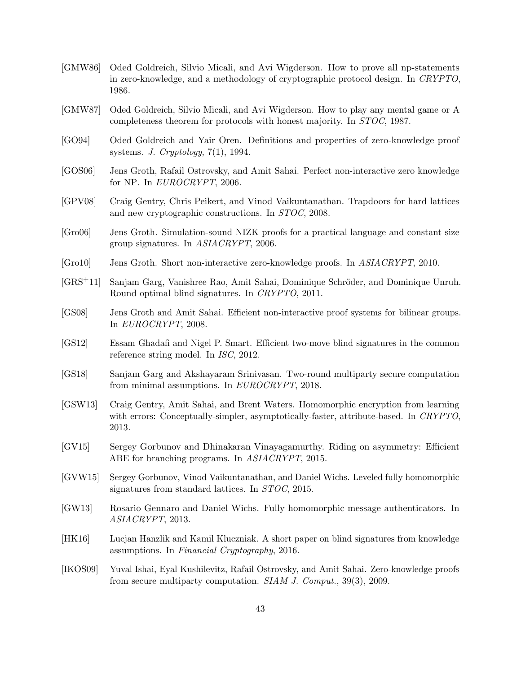- <span id="page-42-0"></span>[GMW86] Oded Goldreich, Silvio Micali, and Avi Wigderson. How to prove all np-statements in zero-knowledge, and a methodology of cryptographic protocol design. In CRYPTO, 1986.
- <span id="page-42-1"></span>[GMW87] Oded Goldreich, Silvio Micali, and Avi Wigderson. How to play any mental game or A completeness theorem for protocols with honest majority. In STOC, 1987.
- [GO94] Oded Goldreich and Yair Oren. Definitions and properties of zero-knowledge proof systems. J. Cryptology, 7(1), 1994.
- <span id="page-42-2"></span>[GOS06] Jens Groth, Rafail Ostrovsky, and Amit Sahai. Perfect non-interactive zero knowledge for NP. In EUROCRYPT, 2006.
- [GPV08] Craig Gentry, Chris Peikert, and Vinod Vaikuntanathan. Trapdoors for hard lattices and new cryptographic constructions. In STOC, 2008.
- [Gro06] Jens Groth. Simulation-sound NIZK proofs for a practical language and constant size group signatures. In ASIACRYPT, 2006.
- [Gro10] Jens Groth. Short non-interactive zero-knowledge proofs. In ASIACRYPT, 2010.
- [GRS<sup>+</sup>11] Sanjam Garg, Vanishree Rao, Amit Sahai, Dominique Schröder, and Dominique Unruh. Round optimal blind signatures. In CRYPTO, 2011.
- [GS08] Jens Groth and Amit Sahai. Efficient non-interactive proof systems for bilinear groups. In EUROCRYPT, 2008.
- [GS12] Essam Ghadafi and Nigel P. Smart. Efficient two-move blind signatures in the common reference string model. In ISC, 2012.
- <span id="page-42-3"></span>[GS18] Sanjam Garg and Akshayaram Srinivasan. Two-round multiparty secure computation from minimal assumptions. In EUROCRYPT, 2018.
- [GSW13] Craig Gentry, Amit Sahai, and Brent Waters. Homomorphic encryption from learning with errors: Conceptually-simpler, asymptotically-faster, attribute-based. In CRYPTO, 2013.
- [GV15] Sergey Gorbunov and Dhinakaran Vinayagamurthy. Riding on asymmetry: Efficient ABE for branching programs. In ASIACRYPT, 2015.
- <span id="page-42-4"></span>[GVW15] Sergey Gorbunov, Vinod Vaikuntanathan, and Daniel Wichs. Leveled fully homomorphic signatures from standard lattices. In STOC, 2015.
- [GW13] Rosario Gennaro and Daniel Wichs. Fully homomorphic message authenticators. In ASIACRYPT, 2013.
- [HK16] Lucjan Hanzlik and Kamil Kluczniak. A short paper on blind signatures from knowledge assumptions. In Financial Cryptography, 2016.
- [IKOS09] Yuval Ishai, Eyal Kushilevitz, Rafail Ostrovsky, and Amit Sahai. Zero-knowledge proofs from secure multiparty computation. SIAM J. Comput., 39(3), 2009.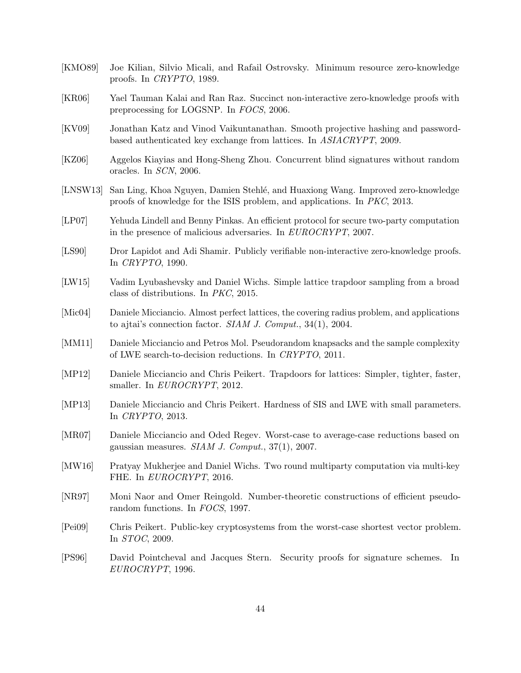- <span id="page-43-1"></span>[KMO89] Joe Kilian, Silvio Micali, and Rafail Ostrovsky. Minimum resource zero-knowledge proofs. In CRYPTO, 1989.
- [KR06] Yael Tauman Kalai and Ran Raz. Succinct non-interactive zero-knowledge proofs with preprocessing for LOGSNP. In FOCS, 2006.
- [KV09] Jonathan Katz and Vinod Vaikuntanathan. Smooth projective hashing and passwordbased authenticated key exchange from lattices. In ASIACRYPT, 2009.
- [KZ06] Aggelos Kiayias and Hong-Sheng Zhou. Concurrent blind signatures without random oracles. In SCN, 2006.
- [LNSW13] San Ling, Khoa Nguyen, Damien Stehl´e, and Huaxiong Wang. Improved zero-knowledge proofs of knowledge for the ISIS problem, and applications. In PKC, 2013.
- [LP07] Yehuda Lindell and Benny Pinkas. An efficient protocol for secure two-party computation in the presence of malicious adversaries. In EUROCRYPT, 2007.
- <span id="page-43-0"></span>[LS90] Dror Lapidot and Adi Shamir. Publicly verifiable non-interactive zero-knowledge proofs. In CRYPTO, 1990.
- [LW15] Vadim Lyubashevsky and Daniel Wichs. Simple lattice trapdoor sampling from a broad class of distributions. In PKC, 2015.
- [Mic04] Daniele Micciancio. Almost perfect lattices, the covering radius problem, and applications to ajtai's connection factor. SIAM J. Comput., 34(1), 2004.
- [MM11] Daniele Micciancio and Petros Mol. Pseudorandom knapsacks and the sample complexity of LWE search-to-decision reductions. In CRYPTO, 2011.
- [MP12] Daniele Micciancio and Chris Peikert. Trapdoors for lattices: Simpler, tighter, faster, smaller. In *EUROCRYPT*, 2012.
- [MP13] Daniele Micciancio and Chris Peikert. Hardness of SIS and LWE with small parameters. In CRYPTO, 2013.
- [MR07] Daniele Micciancio and Oded Regev. Worst-case to average-case reductions based on gaussian measures. SIAM J. Comput., 37(1), 2007.
- <span id="page-43-2"></span>[MW16] Pratyay Mukherjee and Daniel Wichs. Two round multiparty computation via multi-key FHE. In *EUROCRYPT*, 2016.
- [NR97] Moni Naor and Omer Reingold. Number-theoretic constructions of efficient pseudorandom functions. In FOCS, 1997.
- [Pei09] Chris Peikert. Public-key cryptosystems from the worst-case shortest vector problem. In STOC, 2009.
- [PS96] David Pointcheval and Jacques Stern. Security proofs for signature schemes. In EUROCRYPT, 1996.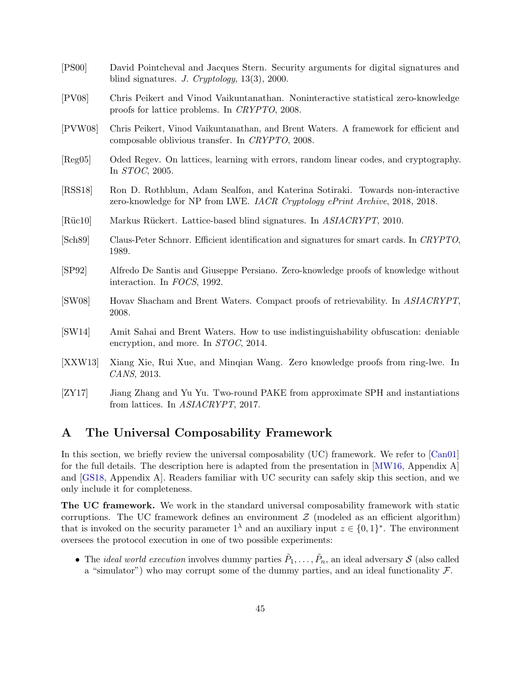- [PS00] David Pointcheval and Jacques Stern. Security arguments for digital signatures and blind signatures. J. Cryptology, 13(3), 2000.
- [PV08] Chris Peikert and Vinod Vaikuntanathan. Noninteractive statistical zero-knowledge proofs for lattice problems. In CRYPTO, 2008.
- [PVW08] Chris Peikert, Vinod Vaikuntanathan, and Brent Waters. A framework for efficient and composable oblivious transfer. In CRYPTO, 2008.
- [Reg05] Oded Regev. On lattices, learning with errors, random linear codes, and cryptography. In STOC, 2005.
- [RSS18] Ron D. Rothblum, Adam Sealfon, and Katerina Sotiraki. Towards non-interactive zero-knowledge for NP from LWE. IACR Cryptology ePrint Archive, 2018, 2018.
- [Rüc10] Markus Rückert. Lattice-based blind signatures. In *ASIACRYPT*, 2010.
- [Sch89] Claus-Peter Schnorr. Efficient identification and signatures for smart cards. In CRYPTO, 1989.
- [SP92] Alfredo De Santis and Giuseppe Persiano. Zero-knowledge proofs of knowledge without interaction. In FOCS, 1992.
- [SW08] Hovav Shacham and Brent Waters. Compact proofs of retrievability. In ASIACRYPT, 2008.
- [SW14] Amit Sahai and Brent Waters. How to use indistinguishability obfuscation: deniable encryption, and more. In STOC, 2014.
- [XXW13] Xiang Xie, Rui Xue, and Minqian Wang. Zero knowledge proofs from ring-lwe. In CANS, 2013.
- [ZY17] Jiang Zhang and Yu Yu. Two-round PAKE from approximate SPH and instantiations from lattices. In ASIACRYPT, 2017.

## A The Universal Composability Framework

In this section, we briefly review the universal composability (UC) framework. We refer to  $\text{[Can01]}$  $\text{[Can01]}$  $\text{[Can01]}$ for the full details. The description here is adapted from the presentation in [\[MW16,](#page-43-2) Appendix A] and [\[GS18,](#page-42-3) Appendix A]. Readers familiar with UC security can safely skip this section, and we only include it for completeness.

The UC framework. We work in the standard universal composability framework with static corruptions. The UC framework defines an environment  $\mathcal Z$  (modeled as an efficient algorithm) that is invoked on the security parameter  $1^{\lambda}$  and an auxiliary input  $z \in \{0,1\}^*$ . The environment oversees the protocol execution in one of two possible experiments:

• The *ideal world execution* involves dummy parties  $\tilde{P}_1, \ldots, \tilde{P}_n$ , an ideal adversary S (also called a "simulator") who may corrupt some of the dummy parties, and an ideal functionality  $\mathcal{F}$ .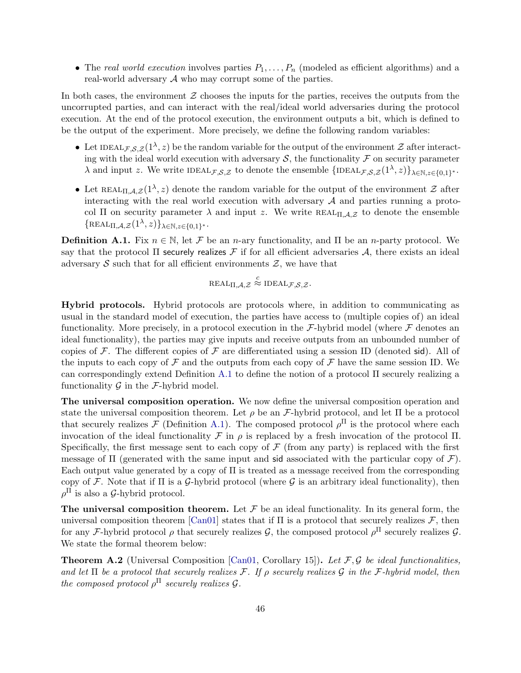• The real world execution involves parties  $P_1, \ldots, P_n$  (modeled as efficient algorithms) and a real-world adversary  $A$  who may corrupt some of the parties.

In both cases, the environment  $\mathcal Z$  chooses the inputs for the parties, receives the outputs from the uncorrupted parties, and can interact with the real/ideal world adversaries during the protocol execution. At the end of the protocol execution, the environment outputs a bit, which is defined to be the output of the experiment. More precisely, we define the following random variables:

- Let IDEAL $_{\mathcal{F},\mathcal{S},\mathcal{Z}}(1^{\lambda},z)$  be the random variable for the output of the environment  $\mathcal{Z}$  after interacting with the ideal world execution with adversary  $S$ , the functionality  $\mathcal F$  on security parameter  $\lambda$  and input z. We write IDEAL $_{\mathcal{F},\mathcal{S},\mathcal{Z}}$  to denote the ensemble  $\{IDEAL_{\mathcal{F},\mathcal{S},\mathcal{Z}}(1^\lambda,z)\}_{\lambda\in\mathbb{N},z\in\{0,1\}^*}$ .
- Let REAL<sub>II,A,Z</sub>(1<sup> $\lambda$ </sup>, z) denote the random variable for the output of the environment Z after interacting with the real world execution with adversary  $A$  and parties running a protocol Π on security parameter  $\lambda$  and input z. We write REAL<sub>Π, A, Z</sub> to denote the ensemble  $\{\text{REAL}_{\Pi,\mathcal{A},\mathcal{Z}}(1^{\lambda},z)\}_{\lambda\in\mathbb{N},z\in\{0,1\}^*}.$

<span id="page-45-0"></span>**Definition A.1.** Fix  $n \in \mathbb{N}$ , let F be an n-ary functionality, and  $\Pi$  be an n-party protocol. We say that the protocol  $\Pi$  securely realizes  $\mathcal F$  if for all efficient adversaries  $\mathcal A$ , there exists an ideal adversary  $S$  such that for all efficient environments  $\mathcal{Z}$ , we have that

$$
\text{REAL}_{\Pi,\mathcal{A},\mathcal{Z}} \overset{c}{\approx} \text{IDEAL}_{\mathcal{F},\mathcal{S},\mathcal{Z}}.
$$

Hybrid protocols. Hybrid protocols are protocols where, in addition to communicating as usual in the standard model of execution, the parties have access to (multiple copies of) an ideal functionality. More precisely, in a protocol execution in the  $\mathcal{F}\text{-hybrid model}$  (where  $\mathcal F$  denotes an ideal functionality), the parties may give inputs and receive outputs from an unbounded number of copies of  $\mathcal F$ . The different copies of  $\mathcal F$  are differentiated using a session ID (denoted sid). All of the inputs to each copy of  $\mathcal F$  and the outputs from each copy of  $\mathcal F$  have the same session ID. We can correspondingly extend Definition [A.1](#page-45-0) to define the notion of a protocol Π securely realizing a functionality  $\mathcal G$  in the  $\mathcal F$ -hybrid model.

The universal composition operation. We now define the universal composition operation and state the universal composition theorem. Let  $\rho$  be an F-hybrid protocol, and let  $\Pi$  be a protocol that securely realizes  $\mathcal F$  (Definition [A.1\)](#page-45-0). The composed protocol  $\rho^{\Pi}$  is the protocol where each invocation of the ideal functionality F in  $\rho$  is replaced by a fresh invocation of the protocol  $\Pi$ . Specifically, the first message sent to each copy of  $\mathcal F$  (from any party) is replaced with the first message of  $\Pi$  (generated with the same input and sid associated with the particular copy of  $\mathcal{F}$ ). Each output value generated by a copy of  $\Pi$  is treated as a message received from the corresponding copy of F. Note that if  $\Pi$  is a G-hybrid protocol (where G is an arbitrary ideal functionality), then  $\rho^{\Pi}$  is also a *G*-hybrid protocol.

The universal composition theorem. Let  $\mathcal F$  be an ideal functionality. In its general form, the universal composition theorem [\[Can01\]](#page-39-0) states that if  $\Pi$  is a protocol that securely realizes  $\mathcal{F}$ , then for any F-hybrid protocol  $\rho$  that securely realizes  $\mathcal{G}$ , the composed protocol  $\rho^{\Pi}$  securely realizes  $\mathcal{G}$ . We state the formal theorem below:

**Theorem A.2** (Universal Composition [\[Can01,](#page-39-0) Corollary 15]). Let  $\mathcal{F}, \mathcal{G}$  be ideal functionalities, and let  $\Pi$  be a protocol that securely realizes F. If  $\rho$  securely realizes G in the F-hybrid model, then the composed protocol  $\rho^{\Pi}$  securely realizes  $\mathcal{G}$ .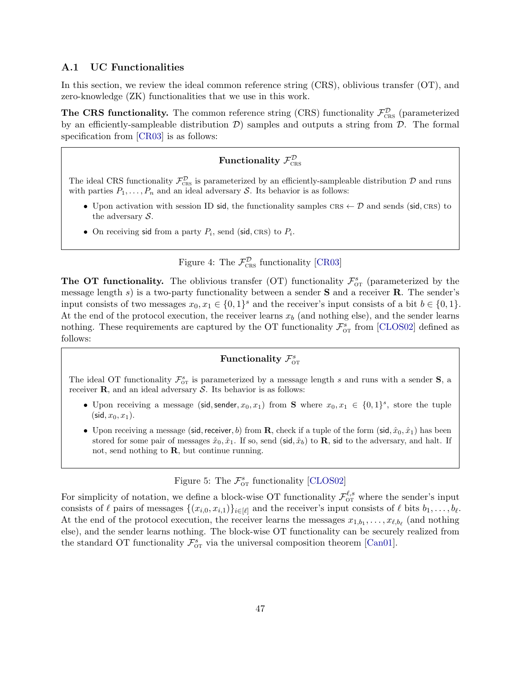#### A.1 UC Functionalities

In this section, we review the ideal common reference string (CRS), oblivious transfer (OT), and zero-knowledge (ZK) functionalities that we use in this work.

**The CRS functionality.** The common reference string (CRS) functionality  $\mathcal{F}_{CRS}^{\mathcal{D}}$  (parameterized by an efficiently-sampleable distribution  $\mathcal{D}$ ) samples and outputs a string from  $\mathcal{D}$ . The formal specification from [\[CR03\]](#page-40-3) is as follows:

## $\rm Functionality\;\cal F_{\rm CAS}^D$

The ideal CRS functionality  $\mathcal{F}_{\text{CRS}}^{\mathcal{D}}$  is parameterized by an efficiently-sampleable distribution D and runs with parties  $P_1, \ldots, P_n$  and an ideal adversary S. Its behavior is as follows:

- Upon activation with session ID sid, the functionality samples  $CRS \leftarrow \mathcal{D}$  and sends (sid, CRS) to the adversary  $S$ .
- On receiving sid from a party  $P_i$ , send (sid, CRS) to  $P_i$ .

### Figure 4: The  $\mathcal{F}_{\text{CRS}}^{\mathcal{D}}$  functionality [\[CR03\]](#page-40-3)

**The OT functionality.** The oblivious transfer (OT) functionality  $\mathcal{F}_{\text{OT}}^s$  (parameterized by the message length  $s$ ) is a two-party functionality between a sender  $S$  and a receiver  $R$ . The sender's input consists of two messages  $x_0, x_1 \in \{0, 1\}^s$  and the receiver's input consists of a bit  $b \in \{0, 1\}$ . At the end of the protocol execution, the receiver learns  $x<sub>b</sub>$  (and nothing else), and the sender learns nothing. These requirements are captured by the OT functionality  $\mathcal{F}_{\text{OT}}^s$  from [\[CLOS02\]](#page-40-1) defined as follows:

## Functionality  $\mathcal{F}_{\text{OT}}^s$

The ideal OT functionality  $\mathcal{F}_{\text{OT}}^s$  is parameterized by a message length s and runs with a sender **S**, a receiver  $\bf{R}$ , and an ideal adversary  $\cal{S}$ . Its behavior is as follows:

- Upon receiving a message (sid, sender,  $x_0, x_1$ ) from **S** where  $x_0, x_1 \in \{0, 1\}^s$ , store the tuple  $(sid, x_0, x_1).$
- Upon receiving a message (sid, receiver, b) from **R**, check if a tuple of the form (sid,  $\hat{x}_0$ ,  $\hat{x}_1$ ) has been stored for some pair of messages  $\hat{x}_0, \hat{x}_1$ . If so, send (sid,  $\hat{x}_b$ ) to **R**, sid to the adversary, and halt. If not, send nothing to  $\mathbf{R}$ , but continue running.

### Figure 5: The  $\mathcal{F}_{\text{OT}}^s$  functionality [\[CLOS02\]](#page-40-1)

For simplicity of notation, we define a block-wise OT functionality  $\mathcal{F}_{\text{OT}}^{\ell,s}$  where the sender's input consists of  $\ell$  pairs of messages  $\{(x_{i,0}, x_{i,1})\}_{i\in[\ell]}$  and the receiver's input consists of  $\ell$  bits  $b_1, \ldots, b_\ell$ . At the end of the protocol execution, the receiver learns the messages  $x_{1,b_1}, \ldots, x_{\ell,b_\ell}$  (and nothing else), and the sender learns nothing. The block-wise OT functionality can be securely realized from the standard OT functionality  $\mathcal{F}_{\text{OT}}^s$  via the universal composition theorem [\[Can01\]](#page-39-0).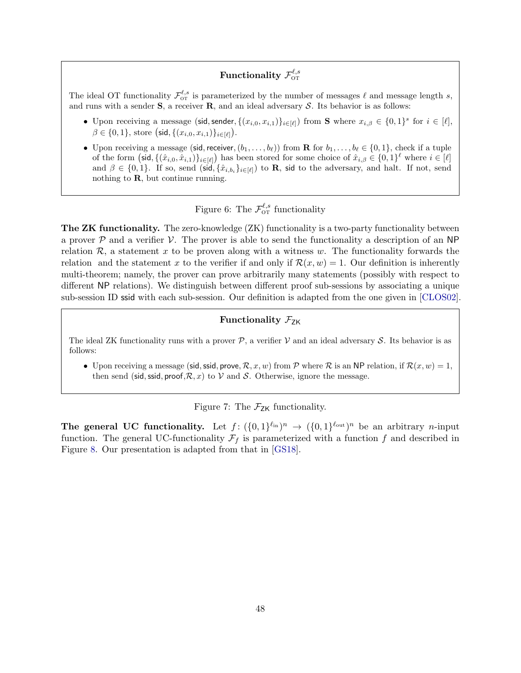# $\rm Functionality\; \mathcal{F}_{\rm OT}^{\ell,s}$

The ideal OT functionality  $\mathcal{F}_{\text{OT}}^{\ell,s}$  is parameterized by the number of messages  $\ell$  and message length s, and runs with a sender  $S$ , a receiver  $R$ , and an ideal adversary  $S$ . Its behavior is as follows:

- Upon receiving a message (sid, sender,  $\{(x_{i,0}, x_{i,1})\}_{i\in[\ell]}$ ) from S where  $x_{i,\beta} \in \{0,1\}^s$  for  $i \in [\ell],$  $\beta \in \{0, 1\}$ , store  $(\text{sid}, \{(x_{i,0}, x_{i,1})\}_{i \in [\ell]})$ .
- Upon receiving a message (sid, receiver,  $(b_1, \ldots, b_\ell)$ ) from **R** for  $b_1, \ldots, b_\ell \in \{0, 1\}$ , check if a tuple of the form  $(\text{sid}, \{(\hat{x}_{i,0}, \hat{x}_{i,1})\}_{i \in [\ell]})$  has been stored for some choice of  $\hat{x}_{i,\beta} \in \{0,1\}^{\ell}$  where  $i \in [\ell]$ and  $\beta \in \{0,1\}$ . If so, send (sid,  $\{\hat{x}_{i,b_i}\}_{i \in [\ell]}$ ) to **R**, sid to the adversary, and halt. If not, send nothing to **, but continue running.**

<span id="page-47-0"></span>Figure 6: The  $\mathcal{F}_{\text{OT}}^{\ell,s}$  functionality

The ZK functionality. The zero-knowledge (ZK) functionality is a two-party functionality between a prover  $P$  and a verifier  $V$ . The prover is able to send the functionality a description of an NP relation  $\mathcal{R}$ , a statement x to be proven along with a witness w. The functionality forwards the relation and the statement x to the verifier if and only if  $\mathcal{R}(x, w) = 1$ . Our definition is inherently multi-theorem; namely, the prover can prove arbitrarily many statements (possibly with respect to different NP relations). We distinguish between different proof sub-sessions by associating a unique sub-session ID ssid with each sub-session. Our definition is adapted from the one given in [\[CLOS02\]](#page-40-1).

#### Functionality  $\mathcal{F}_{ZK}$

The ideal ZK functionality runs with a prover  $P$ , a verifier  $V$  and an ideal adversary  $S$ . Its behavior is as follows:

• Upon receiving a message (sid, ssid, prove, R, x, w) from P where R is an NP relation, if  $\mathcal{R}(x, w) = 1$ , then send (sid, ssid, proof, $\mathcal{R}, x$ ) to  $\mathcal V$  and  $\mathcal S$ . Otherwise, ignore the message.

Figure 7: The  $\mathcal{F}_{ZK}$  functionality.

The general UC functionality. Let  $f: (\{0,1\}^{\ell_{\rm in}})^n \to (\{0,1\}^{\ell_{\rm out}})^n$  be an arbitrary *n*-input function. The general UC-functionality  $\mathcal{F}_f$  is parameterized with a function f and described in Figure [8.](#page-48-0) Our presentation is adapted from that in [\[GS18\]](#page-42-3).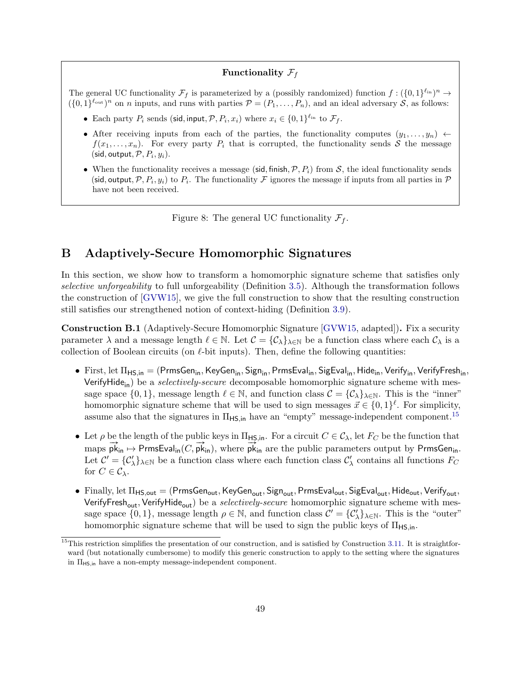#### Functionality  $\mathcal{F}_f$

The general UC functionality  $\mathcal{F}_f$  is parameterized by a (possibly randomized) function  $f: (\{0,1\}^{\ell_{\text{in}}})^n \to$  $({0,1})^{\ell_{\text{out}}}}$  on n inputs, and runs with parties  $\mathcal{P} = (P_1, \ldots, P_n)$ , and an ideal adversary  $\mathcal{S}$ , as follows:

• Each party  $P_i$  sends (sid, input,  $\mathcal{P}, P_i, x_i$ ) where  $x_i \in \{0, 1\}^{\ell_{\text{in}}}$  to  $\mathcal{F}_f$ .

- After receiving inputs from each of the parties, the functionality computes  $(y_1, \ldots, y_n)$   $\leftarrow$  $f(x_1, \ldots, x_n)$ . For every party  $P_i$  that is corrupted, the functionality sends S the message (sid, output,  $\mathcal{P}, P_i, y_i$ ).
- When the functionality receives a message (sid, finish,  $P$ ,  $P_i$ ) from S, the ideal functionality sends (sid, output,  $\mathcal{P}, P_i, y_i$ ) to  $P_i$ . The functionality  $\mathcal F$  ignores the message if inputs from all parties in  $\mathcal P$ have not been received.

<span id="page-48-0"></span>Figure 8: The general UC functionality  $\mathcal{F}_f$ .

## B Adaptively-Secure Homomorphic Signatures

In this section, we show how to transform a homomorphic signature scheme that satisfies only selective unforgeability to full unforgeability (Definition [3.5\)](#page-13-0). Although the transformation follows the construction of [\[GVW15\]](#page-42-4), we give the full construction to show that the resulting construction still satisfies our strengthened notion of context-hiding (Definition [3.9\)](#page-16-0).

<span id="page-48-1"></span>Construction B.1 (Adaptively-Secure Homomorphic Signature [\[GVW15,](#page-42-4) adapted]). Fix a security parameter  $\lambda$  and a message length  $\ell \in \mathbb{N}$ . Let  $\mathcal{C} = {\mathcal{C}_{\lambda}}_{\lambda \in \mathbb{N}}$  be a function class where each  $\mathcal{C}_{\lambda}$  is a collection of Boolean circuits (on  $\ell$ -bit inputs). Then, define the following quantities:

- First, let  $\Pi_{HS,in} = (PrmsGen_{in}, KeyGen_{in}, Sign_{in}, PrmsEval_{in}, SigEval_{in}, Hide_{in}, Verify_{in}, VerifyFresh_{in},$ VerifyHide $_{\text{in}}$ ) be a *selectively-secure* decomposable homomorphic signature scheme with message space  $\{0, 1\}$ , message length  $\ell \in \mathbb{N}$ , and function class  $\mathcal{C} = {\mathcal{C}_{\lambda}}_{\lambda \in \mathbb{N}}$ . This is the "inner" homomorphic signature scheme that will be used to sign messages  $\vec{x} \in \{0,1\}^{\ell}$ . For simplicity, assume also that the signatures in  $\Pi_{\mathsf{HS},\mathsf{in}}$  have an "empty" message-independent component.<sup>[15](#page-0-0)</sup>
- Let  $\rho$  be the length of the public keys in  $\Pi_{\mathsf{HS},\mathsf{in}}$ . For a circuit  $C \in \mathcal{C}_{\lambda}$ , let  $F_C$  be the function that  $\overrightarrow{pk}_{in} \mapsto$  PrmsEval<sub>in</sub>( $\overrightarrow{C}$ ,  $\overrightarrow{pk}_{in}$ ), where  $\overrightarrow{pk}_{in}$  are the public parameters output by PrmsGen<sub>in</sub>. Let  $\mathcal{C}' = \{ \mathcal{C}'_{\lambda} \}_{\lambda \in \mathbb{N}}$  be a function class where each function class  $\mathcal{C}'_{\lambda}$  contains all functions  $F_C$ for  $C \in \mathcal{C}_{\lambda}$ .
- Finally, let  $\Pi_{HS,out} = (PrmsGen_{out}, KeyGen_{out}, Sign_{out}, PrmsEval_{out}, SigEval_{out}, Hide_{out}, Verify_{out},$ VerifyFresh<sub>out</sub>, VerifyHide<sub>out</sub>) be a *selectively-secure* homomorphic signature scheme with message space  $\{0,1\}$ , message length  $\rho \in \mathbb{N}$ , and function class  $\mathcal{C}' = {\mathcal{C}'_{\lambda}}_{\lambda \in \mathbb{N}}$ . This is the "outer" homomorphic signature scheme that will be used to sign the public keys of  $\Pi_{\mathsf{HS},\mathsf{in}}$ .

 $15$ This restriction simplifies the presentation of our construction, and is satisfied by Construction [3.11.](#page-17-0) It is straightforward (but notationally cumbersome) to modify this generic construction to apply to the setting where the signatures in Π<sub>HS,in</sub> have a non-empty message-independent component.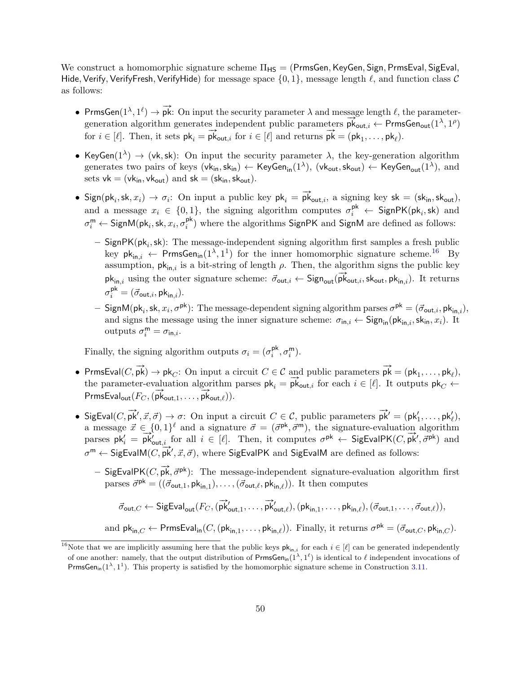We construct a homomorphic signature scheme  $\Pi_{HS} = (P \text{rmsGen}, \text{KeyGen}, \text{Sign}, \text{PrmsEval}, \text{SigEval}, \text{SigEval})$ Hide, Verify, VerifyFresh, VerifyHide) for message space  $\{0, 1\}$ , message length  $\ell$ , and function class C as follows:

- PrmsGen( $1^{\lambda}, 1^{\ell}$ )  $\rightarrow \overrightarrow{pk}$ : On input the security parameter  $\lambda$  and message length  $\ell$ , the parameter-**PrmsGen**(1<sup>1</sup>, 1<sup>o</sup>)  $\rightarrow$  **pk**: On input the security parameter  $\lambda$  and message length  $\ell$ , the parameter-<br>generation algorithm generates independent public parameters  $\vec{pk}_{\text{out},i} \leftarrow \text{PrmsGen}_{\text{out}}(1^{\lambda}, 1^{\rho})$ generation argorithm generates independent public parameters  $\mathsf{p}_{\mathsf{k}_{\text{out},i}} \leftarrow \mathsf{r}_{\text{inis}}$ <br>for  $i \in [\ell]$ . Then, it sets  $\mathsf{pk}_i = \overrightarrow{\mathsf{pk}}_{\text{out},i}$  for  $i \in [\ell]$  and returns  $\overrightarrow{\mathsf{pk}} = (\mathsf{pk}_1, \dots, \mathsf{pk}_\ell)$ .
- KeyGen( $1^{\lambda}$ )  $\rightarrow$  (vk, sk): On input the security parameter  $\lambda$ , the key-generation algorithm generates two pairs of keys  $(v k_{in}, s k_{in}) \leftarrow \text{KeyGen}_{in}(1^{\lambda}), (vk_{out}, sk_{out}) \leftarrow \text{KeyGen}_{out}(1^{\lambda}),$  and sets  $vk = (vk_{in}, vk_{out})$  and  $sk = (sk_{in}, sk_{out})$ .
- Sign(pk<sub>i</sub>, sk,  $x_i$ )  $\rightarrow \sigma_i$ : On input a public key pk<sub>i</sub> =  $\overrightarrow{pk}_{out,i}$ , a signing key sk = (sk<sub>in</sub>, sk<sub>out</sub>), and a message  $x_i \in \{0,1\}$ , the signing algorithm computes  $\sigma_i^{\mathsf{pk}} \leftarrow \mathsf{SignPK}(\mathsf{pk}_i,\mathsf{sk})$  and  $\sigma_i^\mathsf{m} \leftarrow \mathsf{SignM}(\mathsf{pk}_i,\mathsf{sk},x_i,\sigma_i^\mathsf{pk}$  $i<sup>pK</sup>$ ) where the algorithms SignPK and SignM are defined as follows:
	- $-$  SignPK( $pk<sub>i</sub>$ , sk): The message-independent signing algorithm first samples a fresh public key  $\mathsf{pk}_{\mathsf{in},i} \leftarrow \mathsf{PrmsGen}_{\mathsf{in}}(1^\lambda,1^1)$  for the inner homomorphic signature scheme.<sup>[16](#page-0-0)</sup> By assumption,  $pk_{in,i}$  is a bit-string of length  $\rho$ . Then, the algorithm signs the public key  $p_{\text{kin},i}$  using the outer signature scheme:  $\vec{\sigma}_{\text{out},i} \leftarrow \text{Sign}_{\text{out},i}, \vec{p}_{\text{out},i}, s_{\text{out}}, p_{\text{kin},i}$ ). It returns  $\sigma_i^{\mathsf{pk}} = (\vec{\sigma}_{\mathsf{out},i}, \mathsf{pk}_{\mathsf{in},i}).$
	- SignM( $pk_i, sk, x_i, \sigma^{pk}$ ): The message-dependent signing algorithm parses  $\sigma^{pk} = (\vec{\sigma}_{out,i}, pk_{in,i}),$ and signs the message using the inner signature scheme:  $\sigma_{\text{in},i} \leftarrow \text{Sign}_{\text{in}}(\text{pk}_{\text{in},i},\text{sk}_{\text{in}},x_i)$ . It outputs  $\sigma_i^{\mathsf{m}} = \sigma_{\mathsf{in},i}$ .

Finally, the signing algorithm outputs  $\sigma_i = (\sigma_i^{\text{pk}})$  $i^{\mathsf{pk}}, \sigma_i^{\mathsf{m}}$ ).

- PrmsEval $(C, \overrightarrow{pk}) \rightarrow pk_C$ : On input a circuit  $C \in \mathcal{C}$  and public parameters  $\overrightarrow{pk} = (pk_1, \ldots, pk_\ell),$ **EXECUTE:**  $\mathsf{pk}_C$ : On input a circuit  $C \in C$  and public parameters  $\mathsf{pk} = (\mathsf{pk}_1, \dots, \mathsf{pk}_\ell)$ ;<br>the parameter-evaluation algorithm parses  $\mathsf{pk}_i = \overrightarrow{\mathsf{pk}}_{\mathsf{out},i}$  for each  $i \in [\ell]$ . It outputs  $\mathsf{pk}_C \leftarrow$ FrmsEval<sub>out</sub>  $(F_C, (\overrightarrow{\text{pk}}_{\text{out},1}, \ldots, \overrightarrow{\text{pk}}_{\text{out},\ell})).$
- SigEval(C,  $\overrightarrow{pk}', \overrightarrow{x}, \overrightarrow{\sigma} \rangle \rightarrow \sigma$ : On input a circuit  $C \in \mathcal{C}$ , public parameters  $\overrightarrow{pk}' = (pk'_1, \ldots, pk'_p)$ ,  $_1,\ldots,$  pr $_\ell$ a message  $\vec{x} \in \{0,1\}^{\ell}$  and a signature  $\vec{\sigma} = (\vec{\sigma}^{\text{pk}}, \vec{\sigma}^{\text{m}})$ , the signature-evaluation algorithm a message  $x \in \{0, 1\}^{\circ}$  and a signature  $\sigma = (\sigma^{\mu\nu}, \sigma^{\nu\nu})$ , the signature-evaluation algorithm<br>parses  $\mathsf{pk}'_i = \mathsf{pk}'_{\mathsf{out},i}$  for all  $i \in [\ell]$ . Then, it computes  $\sigma^{\mathsf{pk}} \leftarrow \mathsf{SigEvalPK}(C, \mathsf{pk}', \vec{\sigma}^{\mathsf{pk}})$  and  $\sigma^m$   $\leftarrow$  SigEvalM(*C*,  $pk'$ ,  $\vec{x}, \vec{\sigma}$ ), where SigEvalPK and SigEvalM are defined as follows:
	- SigEvalPK(C,  $\vec{pk}, \vec{\sigma}^{pk}$ ): The message-independent signature-evaluation algorithm first parses  $\vec{\sigma}^{pk} = ((\vec{\sigma}_{out,1}, \mathsf{pk}_{in,1}), \dots, (\vec{\sigma}_{out,\ell}, \mathsf{pk}_{in,\ell}))$ . It then computes

$$
\vec{\sigma}_{\text{out},C} \leftarrow \text{SigEval}_{\text{out}}(F_C, (\overrightarrow{\text{pk}}_{\text{out},1}', \dots, \overrightarrow{\text{pk}}_{\text{out},\ell}'), (\text{pk}_{\text{in},1}, \dots, \text{pk}_{\text{in},\ell}), (\vec{\sigma}_{\text{out},1}, \dots, \vec{\sigma}_{\text{out},\ell})),
$$
  
and 
$$
\text{pk}_{\text{in},C} \leftarrow \text{PrmsEval}_{\text{in}}(C, (\text{pk}_{\text{in},1}, \dots, \text{pk}_{\text{in},\ell})).
$$
 Finally, it returns  $\sigma^{\text{pk}} = (\vec{\sigma}_{\text{out},C}, \text{pk}_{\text{in},C}).$ 

<sup>&</sup>lt;sup>16</sup>Note that we are implicitly assuming here that the public keys  $\mathsf{pk}_{\mathsf{in},i}$  for each  $i \in [\ell]$  can be generated independently of one another: namely, that the output distribution of PrmsGen<sub>in</sub> $(1^{\lambda}, 1^{\ell})$  is identical to  $\ell$  independent invocations of **PrmsGen**<sub>in</sub>( $1^{\lambda}$ ,  $1^{\lambda}$ ). This property is satisfied by the homomorphic signature scheme in Construction [3.11.](#page-17-0)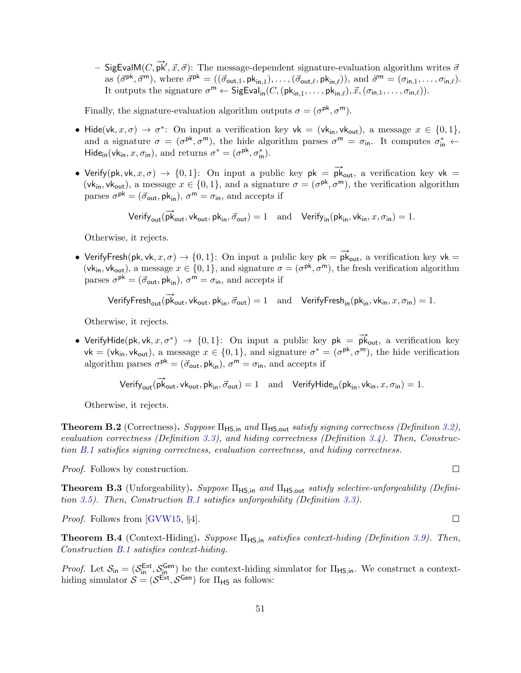$-$  SigEvalM(*C*,  $\overrightarrow{pk}$ ,  $\vec{x}, \vec{\sigma}$ ): The message-dependent signature-evaluation algorithm writes  $\vec{\sigma}$ as  $(\vec{\sigma}^{pk}, \vec{\sigma}^m)$ , where  $\vec{\sigma}^{pk} = ((\vec{\sigma}_{out,1}, pk_{in,1}), \dots, (\vec{\sigma}_{out,\ell}, pk_{in,\ell}))$ , and  $\vec{\sigma}^m = (\sigma_{in,1}, \dots, \sigma_{in,\ell})$ . It outputs the signature  $\sigma^m \leftarrow \textsf{SigEval}_{\textsf{in}}(C, (\textsf{pk}_{\textsf{in},1}, \ldots, \textsf{pk}_{\textsf{in},\ell}), \vec{x}, (\sigma_{\textsf{in},1}, \ldots, \sigma_{\textsf{in},\ell})).$ 

Finally, the signature-evaluation algorithm outputs  $\sigma = (\sigma^{\rm pk}, \sigma^{\rm m})$ .

- Hide(vk,  $x, \sigma$ )  $\rightarrow \sigma^*$ : On input a verification key vk = (vk<sub>in</sub>, vk<sub>out</sub>), a message  $x \in \{0, 1\}$ , and a signature  $\sigma = (\sigma^{pk}, \sigma^m)$ , the hide algorithm parses  $\sigma^m = \sigma_{in}$ . It computes  $\sigma_{in}^* \leftarrow$ Hide<sub>in</sub>(vk<sub>in</sub>, x,  $\sigma_{\text{in}}$ ), and returns  $\sigma^* = (\sigma^{\text{pk}}, \sigma_{\text{in}}^*)$ .
- Verify(pk, vk,  $x, \sigma$ )  $\rightarrow$  {0, 1}: On input a public key pk =  $\overrightarrow{pk}_{out}$ , a verification key vk = ( $vk_{in}, vk_{out}$ ), a message  $x \in \{0,1\}$ , and a signature  $\sigma = (\sigma^{pk}, \sigma^{m})$ , the verification algorithm parses  $\sigma^{pk} = (\vec{\sigma}_{out}, pk_{in}), \sigma^{m} = \sigma_{in}$ , and accepts if

 $\overrightarrow{\text{Verify}}_{\text{out}}(\overrightarrow{\text{pk}}_{\text{out}}, \text{vk}_{\text{out}}, \text{pk}_{\text{in}}, \vec{\sigma}_{\text{out}}) = 1 \quad \text{and} \quad \text{Verify}_{\text{in}}(\text{pk}_{\text{in}}, \text{vk}_{\text{in}}, x, \sigma_{\text{in}}) = 1.$ 

Otherwise, it rejects.

• VerifyFresh(pk, vk,  $x, \sigma$ )  $\rightarrow$  {0, 1}: On input a public key pk =  $\overrightarrow{pk}_{out}$ , a verification key vk = ( $vk_{in}, vk_{out}$ ), a message  $x \in \{0,1\}$ , and signature  $\sigma = (\sigma^{pk}, \sigma^{m})$ , the fresh verification algorithm parses  $\sigma^{pk} = (\vec{\sigma}_{out}, pk_{in}), \sigma^{m} = \sigma_{in}$ , and accepts if

 $\text{VerifyFresh}_{\text{out}}(\overrightarrow{\text{pk}}_{\text{out}},\text{vk}_{\text{out}},\text{pk}_{\text{in}},\vec{\sigma}_{\text{out}})=1 \quad \text{and} \quad \text{VerifyFresh}_{\text{in}}(\text{pk}_{\text{in}},\text{vk}_{\text{in}},x,\sigma_{\text{in}})=1.$ 

Otherwise, it rejects.

• VerifyHide(pk, vk,  $x, \sigma^*$ )  $\rightarrow$   $\{0, 1\}$ : On input a public key pk =  $\overrightarrow{pk}_{out}$ , a verification key vk = (vk<sub>in</sub>, vk<sub>out</sub>), a message  $x \in \{0,1\}$ , and signature  $\sigma^* = (\sigma^{pk}, \sigma^m)$ , the hide verification algorithm parses  $\sigma^{pk} = (\vec{\sigma}_{out}, pk_{in}), \sigma^{m} = \sigma_{in}$ , and accepts if

$$
\overrightarrow{\text{Verify}}_{\text{out}}(\overrightarrow{\text{pk}}_{\text{out}},\text{vk}_{\text{out}},\text{pk}_{\text{in}},\vec{\sigma}_{\text{out}})=1\quad\text{and}\quad\text{VerifyHide}_{\text{in}}(\text{pk}_{\text{in}},\text{vk}_{\text{in}},x,\sigma_{\text{in}})=1.
$$

Otherwise, it rejects.

**Theorem B.2** (Correctness). Suppose  $\Pi_{\mathsf{HS,in}}$  and  $\Pi_{\mathsf{HS,out}}$  satisfy signing correctness (Definition [3.2\)](#page-12-0), evaluation correctness (Definition [3.3\)](#page-13-1), and hiding correctness (Definition [3.4\)](#page-13-2). Then, Construction [B.1](#page-48-1) satisfies signing correctness, evaluation correctness, and hiding correctness.

Proof. Follows by construction.

 $\Box$ 

 $\Box$ 

**Theorem B.3** (Unforgeability). Suppose  $\Pi_{HS,in}$  and  $\Pi_{HS,out}$  satisfy selective-unforgeability (Definition [3.5\)](#page-13-0). Then, Construction [B.1](#page-48-1) satisfies unforgeability (Definition [3.3\)](#page-13-1).

Proof. Follows from [\[GVW15,](#page-42-4) §4].

**Theorem B.4** (Context-Hiding). Suppose  $\Pi_{HS,in}$  satisfies context-hiding (Definition [3.9\)](#page-16-0). Then, Construction [B.1](#page-48-1) satisfies context-hiding.

*Proof.* Let  $S_{\text{in}} = (S_{\text{in}}^{\text{Ext}}, S_{\text{in}}^{\text{Gen}})$  be the context-hiding simulator for  $\Pi_{\text{HS,in}}$ . We construct a contexthiding simulator  $S = (S^{Ext}, S^{Gen})$  for  $\Pi_{HS}$  as follows: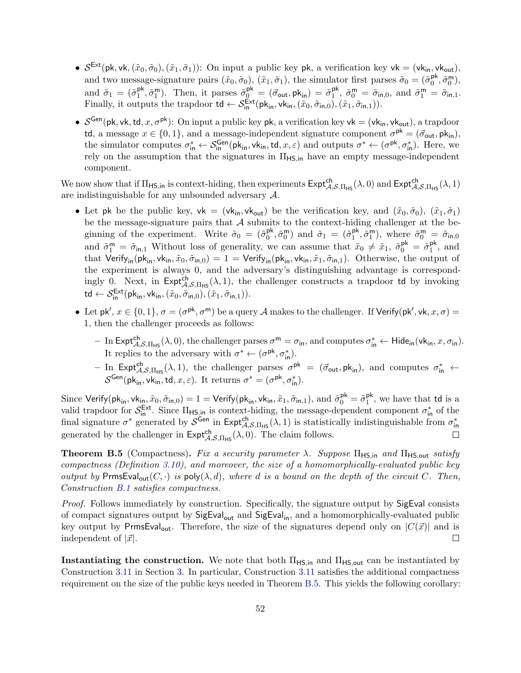- $S^{Ext}(pk, vk,(\tilde{x}_0, \tilde{\sigma}_0),(\tilde{x}_1, \tilde{\sigma}_1))$ : On input a public key pk, a verification key vk = (vk<sub>in</sub>, vk<sub>out</sub>), and two message-signature pairs  $(\tilde{x}_0, \tilde{\sigma}_0)$ ,  $(\tilde{x}_1, \tilde{\sigma}_1)$ , the simulator first parses  $\tilde{\sigma}_0 = (\tilde{\sigma}_0^{\rm pk})$  $_{0}^{\mathsf{pk}}, \tilde{\sigma}_{0}^{\mathsf{m}}$ ), and  $\tilde{\sigma}_1 = (\tilde{\sigma}_1^{\text{pk}})$  $p^{\mathsf{k}}, \tilde{\sigma}_1^{\mathsf{m}}$ ). Then, it parses  $\tilde{\sigma}_{\underline{0}}^{\mathsf{pk}} = (\vec{\sigma}_{\mathsf{out}}, \mathsf{pk}_{\mathsf{in}}) = \tilde{\sigma}_1^{\mathsf{pk}}$  $p^{\mathsf{k}}, \tilde{\sigma}_0^{\mathsf{m}} = \tilde{\sigma}_{\mathsf{in},0}, \text{ and } \tilde{\sigma}_1^{\mathsf{m}} = \tilde{\sigma}_{\mathsf{in},1}.$ Finally, it outputs the trapdoor  $\mathsf{td} \leftarrow \mathcal{S}_{\mathsf{in}}^{\mathsf{Ext}}(\mathsf{pk}_{\mathsf{in}}, \mathsf{vk}_{\mathsf{in}}, (\tilde{x}_0, \tilde{\sigma}_{\mathsf{in},0}), (\tilde{x}_1, \tilde{\sigma}_{\mathsf{in},1})).$
- $S^{\text{Gen}}(\text{pk}, \text{vk}, \text{td}, x, \sigma^{\text{pk}})$ : On input a public key  $\text{pk}$ , a verification key  $\text{vk} = (\text{vk}_{\text{in}}, \text{vk}_{\text{out}})$ , a trapdoor td, a message  $x \in \{0, 1\}$ , and a message-independent signature component  $\sigma^{pk} = (\vec{\sigma}_{out}, \mathsf{pk}_{in}),$ the simulator computes  $\sigma_{\text{in}}^* \leftarrow S_{\text{in}}^{\text{Gen}}(\text{pk}_{\text{in}}, \text{vk}_{\text{in}}, \text{td}, x, \varepsilon)$  and outputs  $\sigma^* \leftarrow (\sigma^{\text{pk}}, \sigma_{\text{in}}^*)$ . Here, we rely on the assumption that the signatures in  $\Pi_{\mathsf{HS},\mathsf{in}}$  have an empty message-independent component.

We now show that if  $\Pi_{\mathsf{HS},\mathsf{in}}$  is context-hiding, then experiments  $\mathsf{Expt}^{\mathsf{ch}}_{\mathcal{A},\mathcal{S},\Pi_{\mathsf{HS}}}(\lambda,0)$  and  $\mathsf{Expt}^{\mathsf{ch}}_{\mathcal{A},\mathcal{S},\Pi_{\mathsf{HS}}}(\lambda,1)$ are indistinguishable for any unbounded adversary A.

- Let pk be the public key,  $vk = (vk_{in}, vk_{out})$  be the verification key, and  $(\tilde{x}_0, \tilde{\sigma}_0), (\tilde{x}_1, \tilde{\sigma}_1)$ be the message-signature pairs that  $A$  submits to the context-hiding challenger at the beginning of the experiment. Write  $\tilde{\sigma}_0 = (\tilde{\sigma}_0^{\rm pk})$  $\begin{pmatrix} \n\mathsf{p}^{\mathsf{k}} \\
0 \n\end{pmatrix}$  and  $\tilde{\sigma}_1 = (\tilde{\sigma}_1^{\mathsf{pk}})$  $p^{\mathsf{k}}, \tilde{\sigma}_1^{\mathsf{m}}$ ), where  $\tilde{\sigma}_0^{\mathsf{m}} = \tilde{\sigma}_{\mathsf{in},0}$ and  $\tilde{\sigma}_1^{\mathsf{m}} = \tilde{\sigma}_{\mathsf{in},1}$  Without loss of generality, we can assume that  $\tilde{x}_0 \neq \tilde{x}_1$ ,  $\tilde{\sigma}_0^{\mathsf{pk}} = \tilde{\sigma}_1^{\mathsf{pk}}$  $1^{\mathsf{pk}}, \text{ and}$ that Verify<sub>in</sub>(pk<sub>in</sub>, vk<sub>in</sub>,  $\tilde{x}_0$ ,  $\tilde{\sigma}_{\text{in},0}$ ) = 1 = Verify<sub>in</sub>(pk<sub>in</sub>, vk<sub>in</sub>,  $\tilde{x}_1$ ,  $\tilde{\sigma}_{\text{in},1}$ ). Otherwise, the output of the experiment is always 0, and the adversary's distinguishing advantage is correspondingly 0. Next, in  $\mathsf{Expt}_{\mathcal{A},\mathcal{S},\Pi_{\mathsf{HS}}}^{\mathsf{ch}}(\lambda,1)$ , the challenger constructs a trapdoor td by invoking  $\mathsf{td} \leftarrow \mathcal{S}^{\mathsf{Ext}}_{\mathsf{in}}(\mathsf{pk}_{\mathsf{in}}, \mathsf{vk}_{\mathsf{in}}, (\tilde{x}_0, \tilde{\sigma}_{\mathsf{in},0}), (\tilde{x}_1, \tilde{\sigma}_{\mathsf{in},1})).$
- Let  $pk', x \in \{0,1\}, \sigma = (\sigma^{pk}, \sigma^{m})$  be a query A makes to the challenger. If Verify( $pk', vk, x, \sigma$ ) = 1, then the challenger proceeds as follows:
	- $-$  In  $\mathsf{Expt}_{\mathcal{A},\mathcal{S},\Pi_{\mathsf{HS}}}^{\mathsf{ch}}(\lambda,0)$ , the challenger parses  $\sigma^{\mathsf{m}}=\sigma_{\mathsf{in}}$ , and computes  $\sigma^*_{\mathsf{in}}\leftarrow\mathsf{Hide}_{\mathsf{in}}(\mathsf{vk}_{\mathsf{in}},x,\sigma_{\mathsf{in}})$ . It replies to the adversary with  $\sigma^* \leftarrow (\sigma^{\mathsf{pk}}, \sigma_{\mathsf{in}}^*).$
	- In  $\text{Expt}_{\mathcal{A},\mathcal{S},\Pi_{\text{HS}}}^{ch}(\lambda,1)$ , the challenger parses  $\sigma^{\text{pk}} = (\vec{\sigma}_{\text{out}}, \text{pk}_{\text{in}})$ , and computes  $\sigma_{\text{in}}^* \leftarrow$  $\mathcal{S}^{\mathsf{Gen}}(\mathsf{pk}_{\mathsf{in}},\mathsf{vk}_{\mathsf{in}},\mathsf{td},x,\varepsilon).$  It returns  $\sigma^*=(\sigma^{\mathsf{pk}},\sigma_{\mathsf{in}}^*).$

Since  $\mathsf{Verify}(\mathsf{pk}_{\mathsf{in}},\mathsf{vk}_{\mathsf{in}},\tilde{x}_0,\tilde{\sigma}_{\mathsf{in},0})=1=\mathsf{Verify}(\mathsf{pk}_{\mathsf{in}},\mathsf{vk}_{\mathsf{in}},\tilde{x}_1,\tilde{\sigma}_{\mathsf{in},1}), \text{ and } \tilde{\sigma}_0^{\mathsf{pk}}=\tilde{\sigma}_1^{\mathsf{pk}}$  $1^{\text{pk}}$ , we have that **td** is a valid trapdoor for  $S_{\text{in}}^{\text{Ext}}$ . Since  $\Pi_{\text{HS,in}}$  is context-hiding, the message-dependent component  $\sigma_{\text{in}}^*$  of the final signature  $\sigma^*$  generated by  $S^{\text{Gen}}$  in  $\text{Expt}_{\mathcal{A},\mathcal{S},\Pi_{\text{HS}}}^{\text{ch}}(\lambda,1)$  is statistically indistinguishable from  $\sigma_{\text{in}}^*$ generated by the challenger in  $\text{Expt}^{ch}_{\mathcal{A},\mathcal{S},\Pi_{\text{HS}}}(\lambda,0)$ . The claim follows.  $\Box$ 

<span id="page-51-0"></span>**Theorem B.5** (Compactness). Fix a security parameter  $\lambda$ . Suppose  $\Pi_{\mathsf{HS,in}}$  and  $\Pi_{\mathsf{HS,out}}$  satisfy compactness (Definition [3.10\)](#page-17-1), and moreover, the size of a homomorphically-evaluated public key output by PrmsEval<sub>out</sub> $(C, \cdot)$  is poly $(\lambda, d)$ , where d is a bound on the depth of the circuit C. Then, Construction [B.1](#page-48-1) satisfies compactness.

Proof. Follows immediately by construction. Specifically, the signature output by SigEval consists of compact signatures output by  $SigEval_{out}$  and  $SigEval_{in}$ , and a homomorphically-evaluated public key output by PrmsEval<sub>out</sub>. Therefore, the size of the signatures depend only on  $|C(\vec{x})|$  and is independent of  $|\vec{x}|$ .  $\Box$ 

Instantiating the construction. We note that both  $\Pi_{\mathsf{HS},\mathsf{in}}$  and  $\Pi_{\mathsf{HS},\mathsf{out}}$  can be instantiated by Construction [3.11](#page-17-0) in Section [3.](#page-10-0) In particular, Construction [3.11](#page-17-0) satisfies the additional compactness requirement on the size of the public keys needed in Theorem [B.5.](#page-51-0) This yields the following corollary: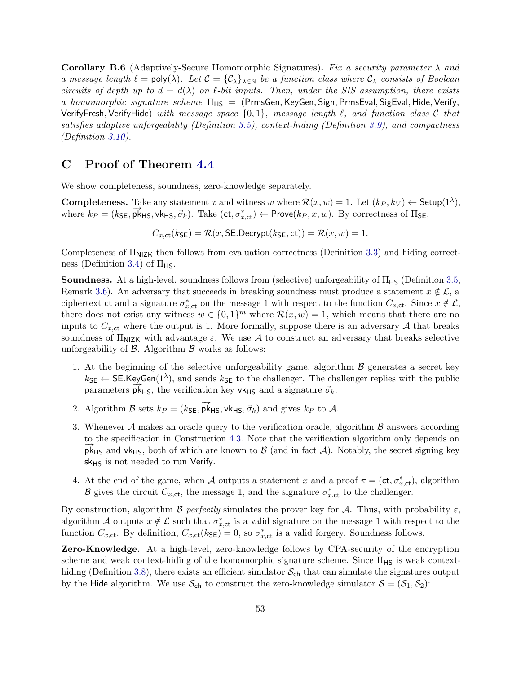**Corollary B.6** (Adaptively-Secure Homomorphic Signatures). Fix a security parameter  $\lambda$  and a message length  $\ell = \text{poly}(\lambda)$ . Let  $\mathcal{C} = {\mathcal{C}_{\lambda}}_{\lambda \in \mathbb{N}}$  be a function class where  $\mathcal{C}_{\lambda}$  consists of Boolean circuits of depth up to  $d = d(\lambda)$  on  $\ell$ -bit inputs. Then, under the SIS assumption, there exists a homomorphic signature scheme  $\Pi_{\mathsf{HS}} = (\mathsf{PrmsGen}, \mathsf{KeyGen}, \mathsf{Sign}, \mathsf{PrmsEval}, \mathsf{SigEval}, \mathsf{Hide}, \mathsf{Verify}, \mathsf{Set}$ VerifyFresh, VerifyHide) with message space  $\{0, 1\}$ , message length  $\ell$ , and function class C that satisfies adaptive unforgeability (Definition [3.5\)](#page-13-0), context-hiding (Definition [3.9\)](#page-16-0), and compactness (Definition [3.10\)](#page-17-1).

### C Proof of Theorem [4.4](#page-22-0)

We show completeness, soundness, zero-knowledge separately.

**Completeness.** Take any statement x and witness w where  $\mathcal{R}(x, w) = 1$ . Let  $(k_P, k_V) \leftarrow$  Setup(1<sup> $\lambda$ </sup>), **Completeness.** Lake any statement x and witness w where  $\kappa(x, w) = 1$ . Let  $(\kappa_P, \kappa_V) \leftarrow$  be where  $k_P = (k_{\mathsf{SE}}, \overrightarrow{pk}_{\mathsf{HS}}, \mathsf{vk}_{\mathsf{HS}}, \overrightarrow{\sigma}_k)$ . Take  $(\mathsf{ct}, \sigma_{x, \mathsf{ct}}^*) \leftarrow \mathsf{Prove}(k_P, x, w)$ . By correctness of  $\Pi_{\mathsf{SE}}$ 

 $C_{x,\text{ct}}(k_{\text{SE}}) = \mathcal{R}(x,\text{SE}.\text{Decrypt}(k_{\text{SE}},\text{ct})) = \mathcal{R}(x,w) = 1.$ 

Completeness of  $\Pi_{NIZK}$  then follows from evaluation correctness (Definition [3.3\)](#page-13-1) and hiding correct-ness (Definition [3.4\)](#page-13-2) of  $\Pi$ <sub>HS</sub>.

**Soundness.** At a high-level, soundness follows from (selective) unforgeability of  $\Pi$ <sub>HS</sub> (Definition [3.5,](#page-13-0) Remark [3.6\)](#page-14-0). An adversary that succeeds in breaking soundness must produce a statement  $x \notin \mathcal{L}$ , a ciphertext ct and a signature  $\sigma_{x,\text{ct}}^*$  on the message 1 with respect to the function  $C_{x,\text{ct}}$ . Since  $x \notin \mathcal{L}$ , there does not exist any witness  $w \in \{0,1\}^m$  where  $\mathcal{R}(x, w) = 1$ , which means that there are no inputs to  $C_{x,\text{ct}}$  where the output is 1. More formally, suppose there is an adversary A that breaks soundness of  $\Pi_{NIZK}$  with advantage  $\varepsilon$ . We use A to construct an adversary that breaks selective unforgeability of  $\beta$ . Algorithm  $\beta$  works as follows:

- 1. At the beginning of the selective unforgeability game, algorithm  $\beta$  generates a secret key  $k_{\mathsf{SE}} \leftarrow \mathsf{SE}.\mathsf{KeyGen}(1^{\lambda}),$  and sends  $k_{\mathsf{SE}}$  to the challenger. The challenger replies with the public  $\kappa_{SE} \leftarrow$  5E. Neysten(1<sup>11</sup>), and sends  $\kappa_{SE}$  to the challenger. The chaparameters  $\vec{p}_{k}$ , the verification key vk<sub>HS</sub> and a signature  $\vec{\sigma}_k$ .
- 2. Algorithm  $\mathcal{B}$  sets  $k_P = (k_{\mathsf{SE}}, \overrightarrow{\mathsf{pk}}_{\mathsf{HS}}, \mathsf{vk}_{\mathsf{HS}}, \overrightarrow{\sigma}_k)$  and gives  $k_P$  to  $\mathcal{A}$ .
- 3. Whenever A makes an oracle query to the verification oracle, algorithm  $\beta$  answers according to the specification in Construction [4.3.](#page-22-1) Note that the verification algorithm only depends on  $pk_{HS}$  and vk<sub>HS</sub>, both of which are known to  $\beta$  (and in fact  $\mathcal{A}$ ). Notably, the secret signing key sk<sub>HS</sub> is not needed to run Verify.
- 4. At the end of the game, when A outputs a statement x and a proof  $\pi = (ct, \sigma_{x,ct}^*)$ , algorithm B gives the circuit  $C_{x,\text{ct}}$ , the message 1, and the signature  $\sigma_{x,\text{ct}}^*$  to the challenger.

By construction, algorithm B perfectly simulates the prover key for A. Thus, with probability  $\varepsilon$ , algorithm A outputs  $x \notin \mathcal{L}$  such that  $\sigma_{x,\text{ct}}^*$  is a valid signature on the message 1 with respect to the function  $C_{x,\text{ct}}$ . By definition,  $C_{x,\text{ct}}(k_{\text{SE}}) = 0$ , so  $\sigma_{x,\text{ct}}^*$  is a valid forgery. Soundness follows.

Zero-Knowledge. At a high-level, zero-knowledge follows by CPA-security of the encryption scheme and weak context-hiding of the homomorphic signature scheme. Since  $\Pi_{HS}$  is weak context-hiding (Definition [3.8\)](#page-15-0), there exists an efficient simulator  $S_{ch}$  that can simulate the signatures output by the Hide algorithm. We use  $S_{ch}$  to construct the zero-knowledge simulator  $S = (S_1, S_2)$ :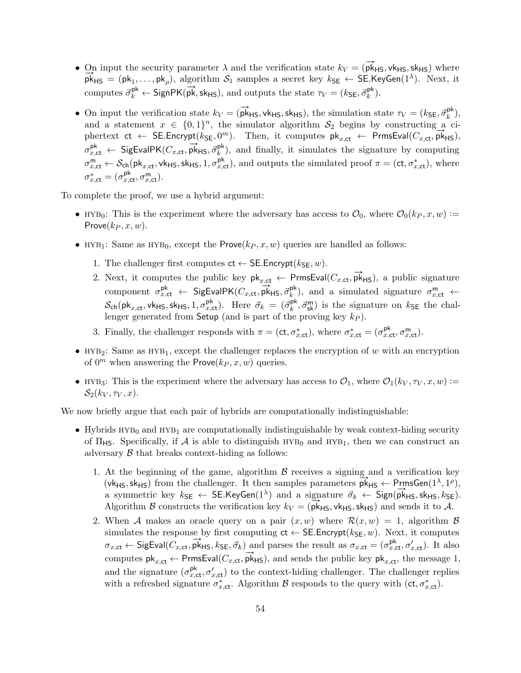- On input the security parameter  $\lambda$  and the verification state  $k_V = (\vec{pk}_{HS}, \vec{vk}_{HS}, \vec{sk}_{HS})$  where  $\overrightarrow{p}$  in put the security parameter  $\lambda$  and the verification state  $\kappa_V = (p\kappa_{HS}, \nu\kappa_{HS}, s\kappa_{HS})$  where  $\overrightarrow{p}\kappa_{HS} = (pk_1, \ldots, pk_\rho)$ , algorithm  $S_1$  samples a secret key  $k_{SE} \leftarrow SE.KeyGen(1^{\lambda})$ . Next, it computes  $\vec{\sigma}_k^{\mathsf{pk}} \leftarrow \mathsf{SignPK}(\vec{pk}, sk_{\mathsf{HS}})$ , and outputs the state  $\tau_V = (k_{\mathsf{SE}}, \vec{\sigma}_k^{\mathsf{pk}})$ .
- On input the verification state  $k_V = (\vec{pk}_{HS}, \text{vk}_{HS}, \text{sk}_{HS})$ , the simulation state  $\tau_V = (k_{SE}, \vec{\sigma}_k^{pk})$ , and a statement  $x \in \{0,1\}^n$ , the simulator algorithm  $S_2$  begins by constructing a ciand a statement  $x \in \{0, 1\}^n$ , the simulator algorithm  $S_2$  begins by constructing a ci-<br>phertext  $ct \leftarrow$  SE.Encrypt $(k_{SE}, 0^m)$ . Then, it computes  $pk_{x, ct} \leftarrow$  PrmsEval $(C_{x, ct}, pk_{HS})$ ,  $\sigma_{x,\text{ct}}^{\text{pk}}$  ← SigEvalPK( $C_{x,\text{ct}}, \overrightarrow{pk}_{\text{HS}}, \overrightarrow{\sigma}_k^{\text{pk}}$ ), and finally, it simulates the signature by computing  $\sigma_{x,\text{ct}}^{\text{m}} \leftarrow \mathcal{S}_{\text{ch}}(\text{pk}_{x,\text{ct}},\text{vk}_{\text{HS}},\text{sk}_{\text{HS}},1,\sigma_{x,\text{ct}}^{\text{pk}}),$  and outputs the simulated proof  $\pi = (\text{ct},\sigma_{x,\text{ct}}^{\ast}),$  where  $\sigma_{x,\text{ct}}^* = (\sigma_{x,\text{ct}}^{\text{pk}}, \sigma_{x,\text{ct}}^{\text{m}}).$

To complete the proof, we use a hybrid argument:

- HYB<sub>0</sub>: This is the experiment where the adversary has access to  $\mathcal{O}_0$ , where  $\mathcal{O}_0(k_P, x, w) :=$ Prove $(k_P, x, w)$ .
- HYB<sub>1</sub>: Same as HYB<sub>0</sub>, except the Prove $(k_P, x, w)$  queries are handled as follows:
	- 1. The challenger first computes  $ct \leftarrow$  SE. Encrypt $(k_{\mathsf{SE}}, w)$ .
	- 2. Next, it computes the public key  $pk_{x,ct} \leftarrow PrmsEval(C_{x,ct}, pk_{HS})$ , a public signature component  $\sigma_{x,\text{ct}}^{\text{pk}} \leftarrow \text{SigEvalPK}(C_{x,\text{ct}}, \vec{pk}_{\text{HS}}, \vec{\sigma}_{k}^{\text{pk}})$ , and a simulated signature  $\sigma_{x,\text{ct}}^{\text{m}} \leftarrow$  $\mathcal{S}_{ch}(\mathsf{pk}_{x,\mathsf{ct}},\mathsf{vk}_{\mathsf{HS}},\mathsf{sk}_{\mathsf{HS}},1,\sigma_{x,\mathsf{ct}}^{\mathsf{pk}})$ . Here  $\vec{\sigma}_k = (\vec{\sigma}_k^{\mathsf{pk}},\vec{\sigma}_{\mathsf{sk}}^{\mathsf{m}})$  is the signature on  $k_{\mathsf{SE}}$  the challenger generated from  $\mathsf{Setup}$  (and is part of the proving key  $k_P$ ).
	- 3. Finally, the challenger responds with  $\pi = (\text{ct}, \sigma_{x,\text{ct}}^*)$ , where  $\sigma_{x,\text{ct}}^* = (\sigma_{x,\text{ct}}^{\text{pk}}, \sigma_{x,\text{ct}}^{\text{m}})$ .
- HYB2: Same as HYB<sub>1</sub>, except the challenger replaces the encryption of w with an encryption of  $0^m$  when answering the Prove $(k_P, x, w)$  queries.
- HYB<sub>3</sub>: This is the experiment where the adversary has access to  $\mathcal{O}_1$ , where  $\mathcal{O}_1(k_V, \tau_V, x, w) :=$  $\mathcal{S}_2(k_V, \tau_V, x)$ .

We now briefly argue that each pair of hybrids are computationally indistinguishable:

- Hybrids  $HYB_0$  and  $HYB_1$  are computationally indistinguishable by weak context-hiding security of  $\Pi_{\rm HS}$ . Specifically, if A is able to distinguish  $HYB_0$  and  $HYB_1$ , then we can construct an adversary  $\beta$  that breaks context-hiding as follows:
	- 1. At the beginning of the game, algorithm  $\beta$  receives a signing and a verification key At the beginning of the game, algorithm  $\beta$  receives a signing and a verification key<br>(vk<sub>HS</sub>, sk<sub>HS</sub>) from the challenger. It then samples parameters  $pk_{HS} \leftarrow PrmsGen(1^{\lambda}, 1^{\rho})$ , ( $v_{\text{HIS}}$ ,  $s_{\text{HIS}}$ ) from the challenger. It then samples parameters  $p_{\text{HIS}} \leftarrow P_{\text{HIS}} \leftarrow (r, 1^{\kappa})$ ,<br>a symmetric key  $k_{\text{SE}} \leftarrow \text{SE} \leftarrow (1^{\lambda})$  and a signature  $\vec{\sigma}_k \leftarrow \text{Sign}(\vec{pk}_{\text{HS}}, sk_{\text{HS}}, k_{\text{SE}})$ . Algorithm B constructs the verification key  $k_V = (\overrightarrow{pk}_{HS}, \overrightarrow{vk}_{HS}, \overrightarrow{sk}_{HS})$  and sends it to A.
	- 2. When A makes an oracle query on a pair  $(x, w)$  where  $\mathcal{R}(x, w) = 1$ , algorithm  $\mathcal{B}$ simulates the response by first computing  $ct \leftarrow$  SE. Encrypt $(k_{SE}, w)$ . Next, it computes simulates the response by first computing  $ct \leftarrow 3L$ . Littly  $p_{k,k}$   $\infty$ ,  $m$ ,  $m$  computes  $\sigma_{x,ct}$   $\leftarrow$  SigEval( $C_{x,ct}$ ,  $\vec{pk}_{\text{HS}}, k_{\text{SE}}, \vec{\sigma}_k$ ) and parses the result as  $\sigma_{x,ct} = (\sigma_{x,ct}^{\text{pk}}, \sigma_{x,ct}')$ . It also computes  $p k_{x,ct} \leftarrow PrmsEval(C_{x,ct}, \overrightarrow{pk}_{HS})$ , and sends the public key  $p k_{x,ct}$ , the message 1, and the signature  $(\sigma_{x,\text{ct}}^{\text{pk}}, \sigma_{x,\text{ct}}')$  to the context-hiding challenger. The challenger replies with a refreshed signature  $\sigma_{x,\text{ct}}^*$ . Algorithm B responds to the query with  $(\text{ct}, \sigma_{x,\text{ct}}^*)$ .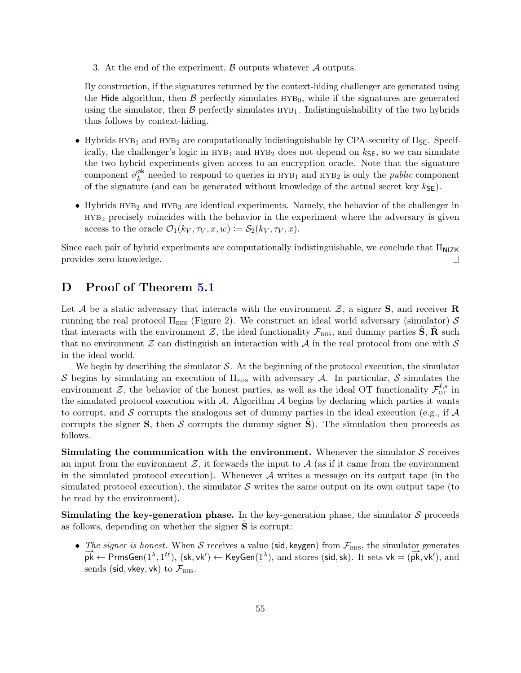3. At the end of the experiment,  $\beta$  outputs whatever  $\mathcal A$  outputs.

By construction, if the signatures returned by the context-hiding challenger are generated using the Hide algorithm, then  $\beta$  perfectly simulates  $HYB_0$ , while if the signatures are generated using the simulator, then  $\beta$  perfectly simulates  $HYB_1$ . Indistinguishability of the two hybrids thus follows by context-hiding.

- Hybrids  $HYB_1$  and  $HYB_2$  are computationally indistinguishable by CPA-security of  $\Pi_{\mathsf{SE}}$ . Specifically, the challenger's logic in  $HYB_1$  and  $HYB_2$  does not depend on  $k_{SE}$ , so we can simulate the two hybrid experiments given access to an encryption oracle. Note that the signature component  $\vec{\sigma}_k^{\text{pk}}$  needed to respond to queries in HYB<sub>1</sub> and HYB<sub>2</sub> is only the *public* component of the signature (and can be generated without knowledge of the actual secret key  $k_{\mathsf{SE}}$ ).
- Hybrids  $HYB_2$  and  $HYB_3$  are identical experiments. Namely, the behavior of the challenger in hyb<sup>2</sup> precisely coincides with the behavior in the experiment where the adversary is given access to the oracle  $\mathcal{O}_1(k_V, \tau_V, x, w) := \mathcal{S}_2(k_V, \tau_V, x)$ .

Since each pair of hybrid experiments are computationally indistinguishable, we conclude that  $\Pi_{NIZK}$ provides zero-knowledge.  $\Box$ 

## D Proof of Theorem [5.1](#page-31-0)

Let A be a static adversary that interacts with the environment  $\mathcal{Z}$ , a signer S, and receiver R running the real protocol  $\Pi_{\text{BHS}}$  (Figure [2\)](#page-30-0). We construct an ideal world adversary (simulator) S that interacts with the environment  $\mathcal{Z}$ , the ideal functionality  $\mathcal{F}_{\text{BHS}}$ , and dummy parties **S**, **R** such that no environment  $\mathcal Z$  can distinguish an interaction with  $\mathcal A$  in the real protocol from one with  $\mathcal S$ in the ideal world.

We begin by describing the simulator  $\mathcal S$ . At the beginning of the protocol execution, the simulator S begins by simulating an execution of  $\Pi_{\text{BHS}}$  with adversary A. In particular, S simulates the environment  $\mathcal{Z}$ , the behavior of the honest parties, as well as the ideal OT functionality  $\mathcal{F}_{\text{OT}}^{\ell,s}$  in the simulated protocol execution with  $A$ . Algorithm  $A$  begins by declaring which parties it wants to corrupt, and S corrupts the analogous set of dummy parties in the ideal execution (e.g., if  $\mathcal A$ corrupts the signer  $S$ , then S corrupts the dummy signer  $S$ ). The simulation then proceeds as follows.

Simulating the communication with the environment. Whenever the simulator  $S$  receives an input from the environment  $\mathcal{Z}$ , it forwards the input to  $\mathcal{A}$  (as if it came from the environment in the simulated protocol execution). Whenever  $A$  writes a message on its output tape (in the simulated protocol execution), the simulator  $\mathcal S$  writes the same output on its own output tape (to be read by the environment).

**Simulating the key-generation phase.** In the key-generation phase, the simulator  $S$  proceeds as follows, depending on whether the signer  $S$  is corrupt:

• The signer is honest. When S receives a value (sid, keygen) from  $\mathcal{F}_{\text{BHS}}$ , the simulator generates  $\mu$ e *signer is nonest*. When S receives a value (sid, keygen) from  $\mathcal{F}_{\text{BHS}}$ , the simulator generates  $\overrightarrow{pk} \leftarrow$  PrmsGen $(1^{\lambda}, 1^{t\ell})$ , (sk, vk')  $\leftarrow$  KeyGen $(1^{\lambda})$ , and stores (sid, sk). It sets vk = ( $\overrightarrow{pk}$ sends (sid, vkey, vk) to  $\mathcal{F}_{\text{BHS}}$ .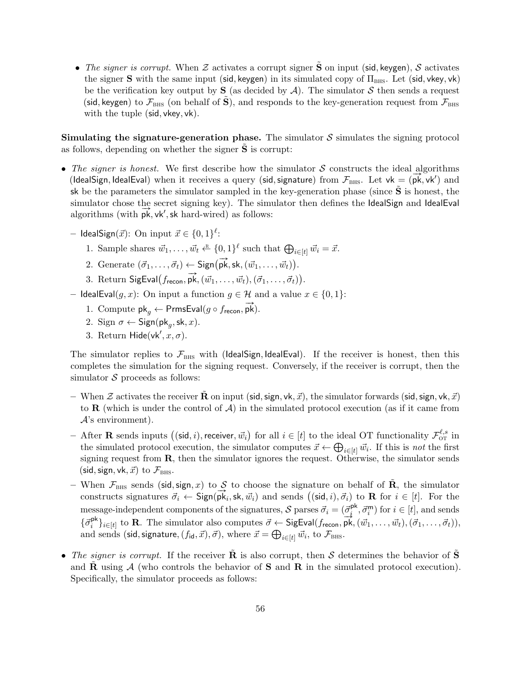• The signer is corrupt. When  $\mathcal Z$  activates a corrupt signer  $\tilde{\mathbf S}$  on input (sid, keygen),  $\mathcal S$  activates the signer S with the same input (sid, keygen) in its simulated copy of  $\Pi_{\text{BHS}}$ . Let (sid, vkey, vk) be the verification key output by  $S$  (as decided by  $A$ ). The simulator S then sends a request (sid, keygen) to  $\mathcal{F}_{\text{BHS}}$  (on behalf of S), and responds to the key-generation request from  $\mathcal{F}_{\text{BHS}}$ with the tuple (sid, vkey, vk).

**Simulating the signature-generation phase.** The simulator  $S$  simulates the signing protocol as follows, depending on whether the signer  $\tilde{S}$  is corrupt:

- The signer is honest. We first describe how the simulator  $S$  constructs the ideal algorithms The signer is honest. We first describe how the simulator S constructs the ideal algorithms (IdealSign, IdealEval) when it receives a query (sid, signature) from  $\mathcal{F}_{\text{BHS}}$ . Let vk = ( $\overrightarrow{pk}$ , vk') and sk be the parameters the simulator sampled in the key-generation phase (since  $S$  is honest, the simulator chose the secret signing key). The simulator then defines the IdealSign and IdealEval simulator chose the secret signing key). The simulator chose the secret signing key). The simulator
	- IdealSign $(\vec{x})$ : On input  $\vec{x} \in \{0,1\}^{\ell}$ :
		- 1. Sample shares  $\vec{w}_1, \ldots, \vec{w}_t \stackrel{\text{R}}{\leftarrow} \{0, 1\}^{\ell}$  such that  $\bigoplus_{i \in [t]} \vec{w}_i = \vec{x}$ .
		- 2. Generate  $(\vec{\sigma}_1, \ldots, \vec{\sigma}_t) \leftarrow \text{Sign}(\vec{pk}, sk, (\vec{w}_1, \ldots, \vec{w}_t)).$
		- 3. Return SigEval( $f_{\text{recon}}, \overrightarrow{pk}, (\overrightarrow{w}_1, \ldots, \overrightarrow{w}_t), (\overrightarrow{\sigma}_1, \ldots, \overrightarrow{\sigma}_t)$ ).
	- IdealEval( $g, x$ ): On input a function  $g \in \mathcal{H}$  and a value  $x \in \{0, 1\}$ :
		- 1. Compute  $pk_g \leftarrow PrmsEval(g \circ f_{recon}, \overrightarrow{pk}).$
		- 2. Sign  $\sigma \leftarrow$  Sign(pk<sub>g</sub>, sk, x).
		- 3. Return  $\text{Hide}(\text{vk}', x, \sigma)$ .

The simulator replies to  $\mathcal{F}_{\text{BHS}}$  with (IdealSign, IdealEval). If the receiver is honest, then this completes the simulation for the signing request. Conversely, if the receiver is corrupt, then the simulator  $S$  proceeds as follows:

- When Z activates the receiver **R** on input (sid, sign, vk,  $\vec{x}$ ), the simulator forwards (sid, sign, vk,  $\vec{x}$ ) to **R** (which is under the control of  $\mathcal{A}$ ) in the simulated protocol execution (as if it came from  $\mathcal{A}$ 's environment).
- $-$  After **R** sends inputs  $((\mathsf{sid}, i), \mathsf{receiver}, \vec{w_i})$  for all  $i \in [t]$  to the ideal OT functionality  $\mathcal{F}^{\ell,s}_{\text{OT}}$  in the simulated protocol execution, the simulator computes  $\vec{x} \leftarrow \bigoplus_{i \in [t]} \vec{w_i}$ . If this is not the first signing request from R, then the simulator ignores the request. Otherwise, the simulator sends (sid, sign, vk,  $\vec{x}$ ) to  $\mathcal{F}_{\text{BHS}}$ .
- When  $\mathcal{F}_{\text{BHS}}$  sends (sid, sign, x) to  $\mathcal{S}_{\mathcal{S}}$  to choose the signature on behalf of **R**, the simulator when  $\mathcal{F}_{\text{BHS}}$  sends (sid, sign, x) to S to choose the signature on behalf of **R**, the simulator constructs signatures  $\vec{\sigma}_i \leftarrow \text{Sign}(\vec{pk}_i, sk, \vec{w}_i)$  and sends  $((sid, i), \vec{\sigma}_i)$  to **R** for  $i \in [t]$ . For the message-independent components of the signatures,  $S$  parses  $\vec{\sigma}_i = (\vec{\sigma}_i^{\text{pk}}, \vec{\sigma}_i^{\text{m}})$  for  $i \in [t]$ , and sends inessage-independent components of the signatures,  $\mathcal{O}$  parses  $\sigma_i = (\sigma_i, \sigma_i)$  for  $i \in [t]$ , and sends  $\{\vec{\sigma}_i^{\text{pk}}\}_{i \in [t]}$  to **R**. The simulator also computes  $\vec{\sigma} \leftarrow \text{SigEval}(f_{\text{recon}}, \vec{pk}, (\vec{w}_1, \dots, \vec{w}_t), (\vec{\sigma}_1, \dots,$ and sends (sid, signature,  $(f_{\mathsf{id}}, \vec{x}), \vec{\sigma})$ , where  $\vec{x} = \bigoplus_{i \in [t]} \vec{w_i}$ , to  $\mathcal{F}_{\text{BHS}}$ .
- The signer is corrupt. If the receiver  $\hat{\mathbf{R}}$  is also corrupt, then S determines the behavior of  $\hat{\mathbf{S}}$ and **R** using  $\mathcal A$  (who controls the behavior of **S** and **R** in the simulated protocol execution). Specifically, the simulator proceeds as follows: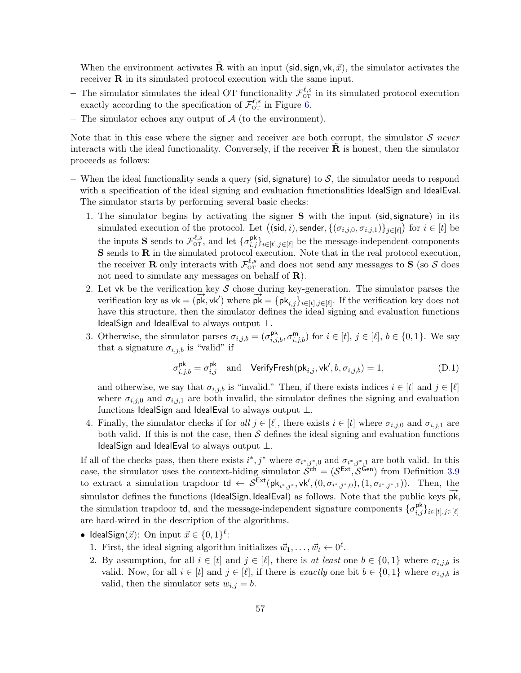- When the environment activates **R** with an input (sid, sign, vk,  $\vec{x}$ ), the simulator activates the receiver R in its simulated protocol execution with the same input.
- The simulator simulates the ideal OT functionality  $\mathcal{F}_{\text{OT}}^{\ell,s}$  in its simulated protocol execution exactly according to the specification of  $\mathcal{F}_{\text{OT}}^{\ell,s}$  in Figure [6.](#page-47-0)
- The simulator echoes any output of  $A$  (to the environment).

Note that in this case where the signer and receiver are both corrupt, the simulator  $S$  never interacts with the ideal functionality. Conversely, if the receiver  $\bf{R}$  is honest, then the simulator proceeds as follows:

- When the ideal functionality sends a query (sid, signature) to  $S$ , the simulator needs to respond with a specification of the ideal signing and evaluation functionalities IdealSign and IdealEval. The simulator starts by performing several basic checks:
	- 1. The simulator begins by activating the signer S with the input (sid,signature) in its simulated execution of the protocol. Let  $((\text{sid}, i), \text{sender}, \{(\sigma_{i,j,0}, \sigma_{i,j,1})\}_{j \in [\ell]})$  for  $i \in [t]$  be the inputs S sends to  $\mathcal{F}_{\text{OT}}^{\ell,s}$ , and let  $\{\sigma_{i,j}^{\text{pk}}\}_{i\in[t],j\in[\ell]}$  be the message-independent components S sends to R in the simulated protocol execution. Note that in the real protocol execution, the receiver **R** only interacts with  $\mathcal{F}_{\text{OT}}^{\ell,s}$  and does not send any messages to **S** (so S does not need to simulate any messages on behalf of **).**
	- 2. Let vk be the verification key  $\mathcal S$  chose during key-generation. The simulator parses the Let vk be the verification key S chose during key-generation. The simulator parses the verification key as  $vk = (pk, vk')$  where  $pk = \{pk_{i,j}\}_{i \in [t], j \in [\ell]}$ . If the verification key does not have this structure, then the simulator defines the ideal signing and evaluation functions IdealSign and IdealEval to always output ⊥.
	- 3. Otherwise, the simulator parses  $\sigma_{i,j,b} = (\sigma_{i,j,b}^{\mathsf{pk}}, \sigma_{i,j,b}^{\mathsf{m}})$  for  $i \in [t], j \in [\ell], b \in \{0,1\}$ . We say that a signature  $\sigma_{i,j,b}$  is "valid" if

<span id="page-56-0"></span>
$$
\sigma^{\mathsf{pk}}_{i,j,b} = \sigma^{\mathsf{pk}}_{i,j} \quad \text{and} \quad \mathsf{VerifyFresh}(\mathsf{pk}_{i,j}, \mathsf{vk}', b, \sigma_{i,j,b}) = 1,\tag{D.1}
$$

and otherwise, we say that  $\sigma_{i,j,b}$  is "invalid." Then, if there exists indices  $i \in [t]$  and  $j \in [\ell]$ where  $\sigma_{i,j,0}$  and  $\sigma_{i,j,1}$  are both invalid, the simulator defines the signing and evaluation functions IdealSign and IdealEval to always output ⊥.

4. Finally, the simulator checks if for all  $j \in [\ell]$ , there exists  $i \in [t]$  where  $\sigma_{i,j,0}$  and  $\sigma_{i,j,1}$  are both valid. If this is not the case, then  $S$  defines the ideal signing and evaluation functions IdealSign and IdealEval to always output ⊥.

If all of the checks pass, then there exists  $i^*, j^*$  where  $\sigma_{i^*, j^*, 0}$  and  $\sigma_{i^*, j^*, 1}$  are both valid. In this case, the simulator uses the context-hiding simulator  $S^{ch} = (S^{Ext}, S^{Gen})$  from Definition [3.9](#page-16-0) to extract a simulation trapdoor  $\mathsf{td} \leftarrow \mathcal{S}^{\mathsf{Ext}}(\mathsf{pk}_{i^*,j^*}, \mathsf{vk}', (0, \sigma_{i^*,j^*,0}), (1, \sigma_{i^*,j^*,1})).$  Then, the simulator defines the functions (IdealSign, IdealEval) as follows. Note that the public keys  $\overrightarrow{pk}$ , the simulation trapdoor **td**, and the message-independent signature components  $\{\sigma_{i,j}^{\mathsf{pk}}\}_{i \in [t], j \in [\ell]}$ are hard-wired in the description of the algorithms.

- IdealSign( $\vec{x}$ ): On input  $\vec{x} \in \{0,1\}^{\ell}$ :
	- 1. First, the ideal signing algorithm initializes  $\vec{w}_1, \dots, \vec{w}_t \leftarrow 0^{\ell}$ .
	- 2. By assumption, for all  $i \in [t]$  and  $j \in [\ell]$ , there is at least one  $b \in \{0,1\}$  where  $\sigma_{i,j,b}$  is valid. Now, for all  $i \in [t]$  and  $j \in [\ell]$ , if there is exactly one bit  $b \in \{0, 1\}$  where  $\sigma_{i,j,b}$  is valid, then the simulator sets  $w_{i,j} = b$ .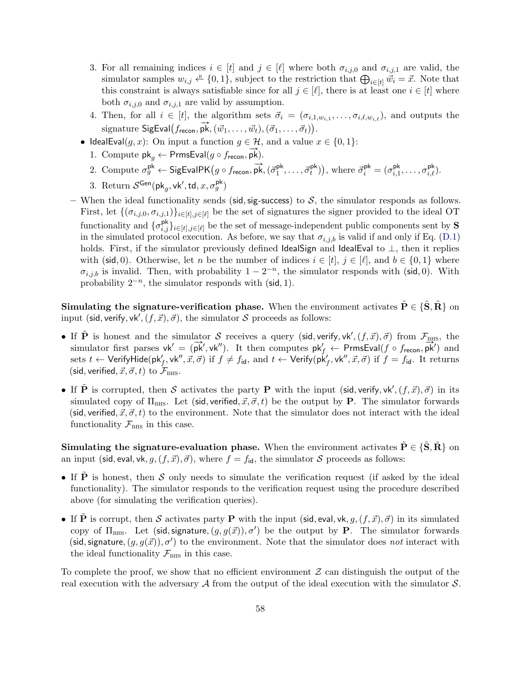- 3. For all remaining indices  $i \in [t]$  and  $j \in [\ell]$  where both  $\sigma_{i,j,0}$  and  $\sigma_{i,j,1}$  are valid, the simulator samples  $w_{i,j} \in \{0,1\}$ , subject to the restriction that  $\bigoplus_{i\in[t]} \vec{w}_i = \vec{x}$ . Note that this constraint is always satisfiable since for all  $j \in [\ell]$ , there is at least one  $i \in [t]$  where both  $\sigma_{i,j,0}$  and  $\sigma_{i,j,1}$  are valid by assumption.
- 4. Then, for all  $i \in [t]$ , the algorithm sets  $\vec{\sigma}_i = (\sigma_{i,1,w_{i,1}}, \ldots, \sigma_{i,\ell,w_{i,\ell}})$ , and outputs the signature SigEval( $f_{\text{recon}}$ ,  $\overrightarrow{pk}$ ,  $(\vec{w_1}, \ldots, \vec{w_t})$ ,  $(\vec{\sigma_1}, \ldots, \vec{\sigma_t})$ ).
- IdealEval $(g, x)$ : On input a function  $g \in \mathcal{H}$ , and a value  $x \in \{0, 1\}$ :
	- deal  $Var(g, x)$ . On input a function  $g \in \mathcal{H}$ ,<br>1. Compute  $pk_g \leftarrow PrmsEval(g \circ f_{recon}, \overrightarrow{pk}).$
	- 2. Compute  $\sigma_g^{pk} \leftarrow$  SigEvalPK $(g \circ f_{recon}, \overrightarrow{pk}, (\vec{\sigma}_1^{pk}, \dots, \vec{\sigma}_t^{pk})$ , where  $\vec{\sigma}_i^{pk} = (\sigma_{i,1}^{pk} \times \vec{\sigma}_i^{pk})$  $_{i,1}^{\mathsf{pk}}, \ldots, \sigma_{i,\ell}^{\mathsf{pk}}).$
	- 3. Return  $S^{\text{Gen}}(\text{pk}_g, \text{vk}', \text{td}, x, \sigma_g^{\text{pk}})$
- When the ideal functionality sends (sid, sig-success) to  $S$ , the simulator responds as follows. First, let  $\{(\sigma_{i,j,0}, \sigma_{i,j,1})\}_{i\in[t],j\in[\ell]}$  be the set of signatures the signer provided to the ideal OT functionality and  $\{\sigma_{i,j}^{\mathsf{pk}}\}_{i\in[t],j\in[\ell]}$  be the set of message-independent public components sent by S in the simulated protocol execution. As before, we say that  $\sigma_{i,j,b}$  is valid if and only if Eq. [\(D.1\)](#page-56-0) holds. First, if the simulator previously defined IdealSign and IdealEval to ⊥, then it replies with (sid, 0). Otherwise, let n be the number of indices  $i \in [t], j \in [\ell]$ , and  $b \in \{0, 1\}$  where  $\sigma_{i,j,b}$  is invalid. Then, with probability  $1 - 2^{-n}$ , the simulator responds with (sid, 0). With probability  $2^{-n}$ , the simulator responds with (sid, 1).

Simulating the signature-verification phase. When the environment activates  $P \in \{S, R\}$  on input (sid, verify, vk',  $(f, \vec{x}), \vec{\sigma}$ ), the simulator S proceeds as follows:

- If  $\tilde{P}$  is honest and the simulator S receives a query (sid, verify, vk',  $(f, \vec{x}), \vec{\sigma}$ ) from  $\mathcal{F}_{BHS}$ , the If P is nonest and the simulator S receives a query (sid, verify, vk,  $(f, x)$ ,  $\sigma$ ) from  $\mathcal{F}_{\text{BHS}}$ , the simulator first parses  $vk' = (\vec{pk}', vk'')$ . It then computes  $pk'_{f} \leftarrow PrmsEval(f \circ f_{recon}, \vec{pk}')$  and sets  $t \leftarrow$  VerifyHide(pk'<sub>f</sub>, vk'',  $\vec{x}, \vec{\sigma}$ ) if  $f \neq f_{\sf id}$ , and  $t \leftarrow$  Verify(pk'<sub>f</sub>, vk'',  $\vec{x}, \vec{\sigma}$ ) if  $f = f_{\sf id}$ . It returns (sid, verified,  $\vec{x}, \vec{\sigma}, t$ ) to  $\mathcal{F}_{\text{BHS}}$ .
- If  $\tilde{\mathbf{P}}$  is corrupted, then S activates the party P with the input (sid, verify, vk',  $(f, \vec{x}), \vec{\sigma}$ ) in its simulated copy of  $\Pi_{\text{BHS}}$ . Let (sid, verified,  $\vec{x}, \vec{\sigma}, t$ ) be the output by **P**. The simulator forwards (sid, verified,  $\vec{x}, \vec{\sigma}, t$ ) to the environment. Note that the simulator does not interact with the ideal functionality  $\mathcal{F}_{\text{BHS}}$  in this case.

Simulating the signature-evaluation phase. When the environment activates  $\mathbf{P} \in \{\hat{\mathbf{S}}, \hat{\mathbf{R}}\}$  on an input (sid, eval, vk,  $g,(f, \vec{x}), \vec{\sigma}$ ), where  $f = f_{id}$ , the simulator S proceeds as follows:

- If  $\tilde{P}$  is honest, then S only needs to simulate the verification request (if asked by the ideal functionality). The simulator responds to the verification request using the procedure described above (for simulating the verification queries).
- If  $\tilde{P}$  is corrupt, then S activates party P with the input (sid, eval, vk,  $g,(f,\vec{x}), \vec{\sigma}$ ) in its simulated copy of  $\Pi_{\text{BHS}}$ . Let (sid, signature,  $(g, g(\vec{x})), \sigma')$  be the output by **P**. The simulator forwards (sid, signature,  $(g, g(\vec{x}))$ ,  $\sigma'$ ) to the environment. Note that the simulator does not interact with the ideal functionality  $\mathcal{F}_{\text{BHS}}$  in this case.

To complete the proof, we show that no efficient environment  $\mathcal Z$  can distinguish the output of the real execution with the adversary  $A$  from the output of the ideal execution with the simulator  $S$ .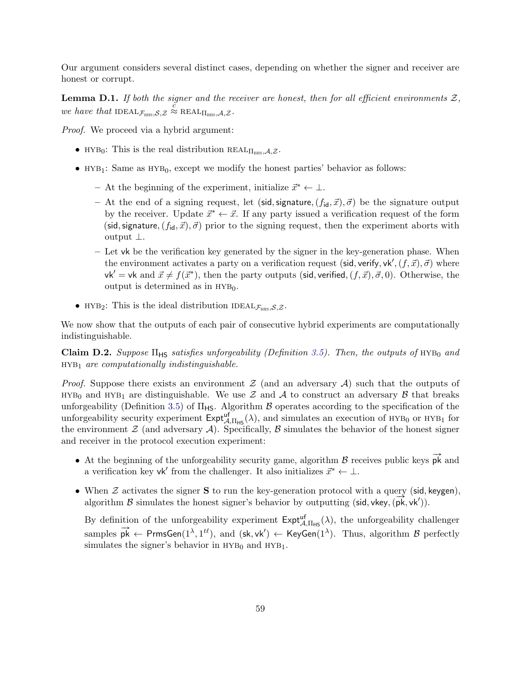Our argument considers several distinct cases, depending on whether the signer and receiver are honest or corrupt.

<span id="page-58-0"></span>**Lemma D.1.** If both the signer and the receiver are honest, then for all efficient environments  $\mathcal{Z}$ , we have that  $\overline{\text{IDEAL}_{\mathcal{F}_{\text{BHS}},\mathcal{S},\mathcal{Z}}}\overset{c}{\approx}\text{REAL}_{\Pi_{\text{BHS}},\mathcal{A},\mathcal{Z}}.$ 

Proof. We proceed via a hybrid argument:

- HYB<sub>0</sub>: This is the real distribution  $REAL_{\Pi_{BHS},\mathcal{A},\mathcal{Z}}$ .
- $HYB_1$ : Same as  $HYB_0$ , except we modify the honest parties' behavior as follows:
	- At the beginning of the experiment, initialize  $\vec{x}^* \leftarrow \perp$ .
	- At the end of a signing request, let (sid, signature,  $(f_{id}, \vec{x}), \vec{\sigma}$ ) be the signature output by the receiver. Update  $\vec{x}^* \leftarrow \vec{x}$ . If any party issued a verification request of the form (sid, signature,  $(f_{id}, \vec{x}), \vec{\sigma}$ ) prior to the signing request, then the experiment aborts with output ⊥.
	- Let vk be the verification key generated by the signer in the key-generation phase. When the environment activates a party on a verification request (sid, verify, vk',  $(f, \vec{x}), \vec{\sigma}$ ) where vk' = vk and  $\vec{x} \neq f(\vec{x}^*)$ , then the party outputs (sid, verified,  $(f, \vec{x}), \vec{\sigma}, 0$ ). Otherwise, the output is determined as in  $HYB_0$ .
- HYB<sub>2</sub>: This is the ideal distribution IDEAL $_{\mathcal{F}_{\text{BHS}},\mathcal{S},\mathcal{Z}}$ .

We now show that the outputs of each pair of consecutive hybrid experiments are computationally indistinguishable.

<span id="page-58-1"></span>Claim D.2. Suppose  $\Pi_{\text{HS}}$  satisfies unforgeability (Definition [3.5\)](#page-13-0). Then, the outputs of HYB<sub>0</sub> and  $HYB1$  are computationally indistinguishable.

*Proof.* Suppose there exists an environment  $Z$  (and an adversary  $A$ ) such that the outputs of HYB<sub>0</sub> and HYB<sub>1</sub> are distinguishable. We use  $\mathcal Z$  and  $\mathcal A$  to construct an adversary  $\mathcal B$  that breaks unforgeability (Definition [3.5\)](#page-13-0) of  $\Pi$ <sub>HS</sub>. Algorithm  $\beta$  operates according to the specification of the unforgeability security experiment  $\text{Expt}_{\mathcal{A},\Pi_{HS}}^{\text{uf}}(\lambda)$ , and simulates an execution of HYB<sub>0</sub> or HYB<sub>1</sub> for the environment  $\mathcal{Z}$  (and adversary  $\mathcal{A}$ ). Specifically,  $\mathcal{B}$  simulates the behavior of the honest signer and receiver in the protocol execution experiment:

- At the beginning of the unforgeability security game, algorithm  $\beta$  receives public keys  $\overrightarrow{pk}$  and a verification key vk' from the challenger. It also initializes  $\vec{x}^* \leftarrow \perp$ .
- When  $Z$  activates the signer  $S$  to run the key-generation protocol with a query (sid, keygen), when z activates the signer **S** to run the key-generation protocol with a query (sid,  $\kappa$ ).<br>algorithm B simulates the honest signer's behavior by outputting (sid, vkey,  $(\vec{pk}, vk')$ ).

By definition of the unforgeability experiment  $\text{Expt}_{A,\Pi_{HS}}^{\text{uf}}(\lambda)$ , the unforgeability challenger  $\mathcal{L}_{\mathcal{A}}$  and  $\mathcal{L}_{\mathcal{A}}$ ,  $\mathcal{L}_{\mathcal{A}}$ ,  $\mathcal{L}_{\mathcal{A}}$ ,  $\mathcal{L}_{\mathcal{A}}$ ,  $\mathcal{L}_{\mathcal{A}}$ ,  $\mathcal{L}_{\mathcal{A}}$ ,  $\mathcal{L}_{\mathcal{A}}$ ,  $\mathcal{L}_{\mathcal{A}}$ ,  $\mathcal{L}_{\mathcal{A}}$ ,  $\mathcal{L}_{\mathcal{A}}$ ,  $\mathcal{L}_{\mathcal{A}}$ ,  $\mathcal{L}_{\mathcal{A}}$ ,  $\mathcal{L}_{\mathcal$ simulates the signer's behavior in  $HYB_0$  and  $HYB_1$ .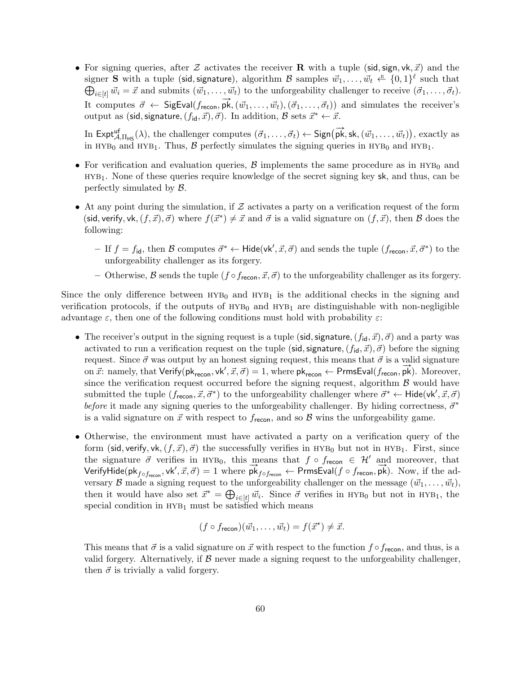• For signing queries, after  $\mathcal Z$  activates the receiver **R** with a tuple (sid, sign, vk,  $\vec{x}$ ) and the signer  ${\bf S}$  with a tuple (sid, signature), algorithm  ${\cal B}$  samples  $\vec{w}_1,\ldots,\vec{w}_t \in \{0,1\}^{\ell}$  such that  $\bigoplus_{i\in[t]} \vec{w}_i = \vec{x}$  and submits  $(\vec{w}_1, \ldots, \vec{w}_t)$  to the unforgeability challenger to receive  $(\vec{\sigma}_1, \ldots, \vec{\sigma}_t)$ .  $\bigcup_{i\in[t]} x_i$  and sabilities  $\vec{\sigma} \leftarrow \text{SigEval}(f_{\text{recon}}, \overrightarrow{pk},(\vec{w}_1,\ldots,\vec{w}_t),(\vec{\sigma}_1,\ldots,\vec{\sigma}_t))$  and simulates the receiver's output as (sid, signature,  $(f_{id}, \vec{x}), \vec{\sigma}$ ). In addition, B sets  $\vec{x}^* \leftarrow \vec{x}$ .

In  $\text{Expt}_{\mathcal{A},\Pi_{\text{HS}}}^{\text{uf}}(\lambda)$ , the challenger computes  $(\vec{\sigma}_1,\ldots,\vec{\sigma}_t) \leftarrow \text{Sign}(\overrightarrow{\text{pk}},\text{sk},(\vec{w}_1,\ldots,\vec{w}_t)),$  exactly as in  $HYB_0$  and  $HYB_1$ . Thus,  $\beta$  perfectly simulates the signing queries in  $HYB_0$  and  $HYB_1$ .

- For verification and evaluation queries,  $\beta$  implements the same procedure as in  $HYB_0$  and hyb1. None of these queries require knowledge of the secret signing key sk, and thus, can be perfectly simulated by B.
- At any point during the simulation, if  $\mathcal Z$  activates a party on a verification request of the form (sid, verify, vk,  $(f, \vec{x}), \vec{\sigma}$ ) where  $f(\vec{x}^*) \neq \vec{x}$  and  $\vec{\sigma}$  is a valid signature on  $(f, \vec{x})$ , then  $\vec{B}$  does the following:
	- If  $f = f_{id}$ , then B computes  $\vec{\sigma}^*$  ← Hide(vk',  $\vec{x}, \vec{\sigma}$ ) and sends the tuple ( $f_{recon}, \vec{x}, \vec{\sigma}^*$ ) to the unforgeability challenger as its forgery.
	- Otherwise, B sends the tuple  $(f \circ f_{\text{recon}}, \vec{x}, \vec{\sigma})$  to the unforgeability challenger as its forgery.

Since the only difference between  $HYB_0$  and  $HYB_1$  is the additional checks in the signing and verification protocols, if the outputs of  $HYB_0$  and  $HYB_1$  are distinguishable with non-negligible advantage  $\varepsilon$ , then one of the following conditions must hold with probability  $\varepsilon$ :

- The receiver's output in the signing request is a tuple (sid, signature,  $(f_{id}, \vec{x})$ ,  $\vec{\sigma}$ ) and a party was activated to run a verification request on the tuple (sid, signature,  $(f_{id}, \vec{x}), \vec{\sigma}$ ) before the signing request. Since  $\vec{\sigma}$  was output by an honest signing request, this means that  $\vec{\sigma}$  is a valid signature request. Since  $\sigma$  was output by an nonest signing request, this means that  $\sigma$  is a valid signature<br>on  $\vec{x}$ : namely, that Verify(pk<sub>recon</sub>, vk',  $\vec{x}, \vec{\sigma}$ ) = 1, where pk<sub>recon</sub>  $\leftarrow$  PrmsEval( $f_{\text{recon}}$ , pk). Moreo since the verification request occurred before the signing request, algorithm  $\beta$  would have submitted the tuple  $(f_{\text{recon}}, \vec{x}, \vec{\sigma}^*)$  to the unforgeability challenger where  $\vec{\sigma}^* \leftarrow \text{Hide}(\mathsf{vk}', \vec{x}, \vec{\sigma})$ before it made any signing queries to the unforgeability challenger. By hiding correctness,  $\vec{\sigma}^*$ is a valid signature on  $\vec{x}$  with respect to  $f_{\text{recon}}$ , and so  $\beta$  wins the unforgeability game.
- Otherwise, the environment must have activated a party on a verification query of the form (sid, verify, vk,  $(f, \vec{x}), \vec{\sigma}$ ) the successfully verifies in HYB<sub>0</sub> but not in HYB<sub>1</sub>. First, since the signature  $\vec{\sigma}$  verifies in HYB<sub>0</sub>, this means that  $f \circ f_{\text{recon}} \in \mathcal{H}'$  and moreover, that the signature  $\sigma$  verifies in HYB<sub>0</sub>, this means that  $f \circ f_{recon} \in H$  and moreover, that<br>VerifyHide(pk<sub>f∘frecon</sub>, vk',  $\vec{x}, \vec{\sigma}$ ) = 1 where pk<sub>f∘frecon</sub> ← PrmsEval( $f \circ f_{recon}$ , pk). Now, if the adversary B made a signing request to the unforgeability challenger on the message  $(\vec{w}_1, \ldots, \vec{w}_t)$ , then it would have also set  $\vec{x}^* = \bigoplus_{i \in [t]} \vec{w}_i$ . Since  $\vec{\sigma}$  verifies in HYB<sub>0</sub> but not in HYB<sub>1</sub>, the special condition in  $HYB_1$  must be satisfied which means

$$
(f \circ f_{\mathsf{recon}})(\vec{w}_1, \dots, \vec{w}_t) = f(\vec{x}^*) \neq \vec{x}.
$$

This means that  $\vec{\sigma}$  is a valid signature on  $\vec{x}$  with respect to the function  $f \circ f_{\text{recon}}$ , and thus, is a valid forgery. Alternatively, if  $\beta$  never made a signing request to the unforgeability challenger, then  $\vec{\sigma}$  is trivially a valid forgery.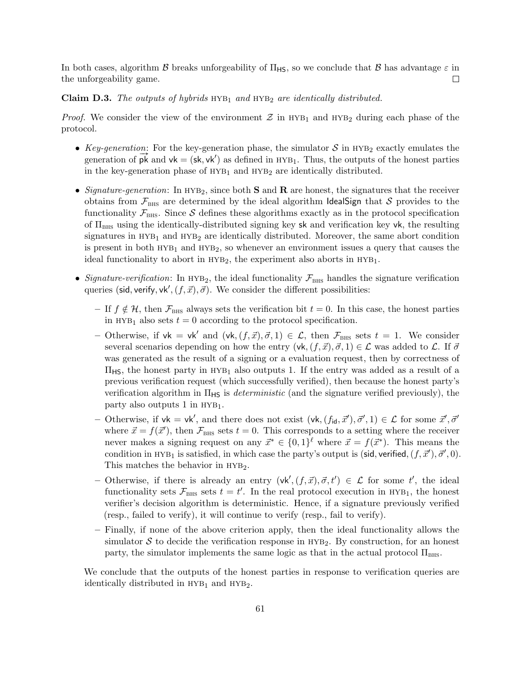In both cases, algorithm B breaks unforgeability of  $\Pi_{HS}$ , so we conclude that B has advantage  $\varepsilon$  in the unforgeability game.  $\Box$ 

<span id="page-60-0"></span>Claim D.3. The outputs of hybrids  $HY_{B_1}$  and  $HY_{B_2}$  are identically distributed.

*Proof.* We consider the view of the environment  $\mathcal{Z}$  in  $HYB_1$  and  $HYB_2$  during each phase of the protocol.

- Key-generation: For the key-generation phase, the simulator S in  $HY_{B2}$  exactly emulates the *Rey-generation*: For the key-generation phase, the simulator  $S$  in HYB<sub>2</sub> exactly emulates the generation of  $\overrightarrow{pk}$  and  $vk = (sk, vk')$  as defined in HYB<sub>1</sub>. Thus, the outputs of the honest parties in the key-generation phase of  $HYB_1$  and  $HYB_2$  are identically distributed.
- Signature-generation: In  $HYB_2$ , since both **S** and **R** are honest, the signatures that the receiver obtains from  $\mathcal{F}_{\text{BHS}}$  are determined by the ideal algorithm IdealSign that S provides to the functionality  $\mathcal{F}_{\text{BHS}}$ . Since S defines these algorithms exactly as in the protocol specification of  $\Pi_{\text{BHS}}$  using the identically-distributed signing key sk and verification key vk, the resulting signatures in  $HYB_1$  and  $HYB_2$  are identically distributed. Moreover, the same abort condition is present in both  $HYB_1$  and  $HYB_2$ , so whenever an environment issues a query that causes the ideal functionality to abort in  $HYB_2$ , the experiment also aborts in  $HYB_1$ .
- Signature-verification: In HYB<sub>2</sub>, the ideal functionality  $\mathcal{F}_{\text{BHS}}$  handles the signature verification queries (sid, verify, vk',  $(f, \vec{x}), \vec{\sigma}$ ). We consider the different possibilities:
	- If  $f \notin H$ , then  $\mathcal{F}_{\text{BHS}}$  always sets the verification bit  $t = 0$ . In this case, the honest parties in  $HYB_1$  also sets  $t = 0$  according to the protocol specification.
	- Otherwise, if  $vk = vk'$  and  $(vk, (f, \vec{x}), \vec{\sigma}, 1) \in \mathcal{L}$ , then  $\mathcal{F}_{BHS}$  sets  $t = 1$ . We consider several scenarios depending on how the entry  $(vk, (f, \vec{x}), \vec{\sigma}, 1) \in \mathcal{L}$  was added to  $\mathcal{L}$ . If  $\vec{\sigma}$ was generated as the result of a signing or a evaluation request, then by correctness of  $\Pi_{\rm HS}$ , the honest party in HYB<sub>1</sub> also outputs 1. If the entry was added as a result of a previous verification request (which successfully verified), then because the honest party's verification algorithm in  $\Pi_{\rm HS}$  is *deterministic* (and the signature verified previously), the party also outputs 1 in  $HYB_1$ .
	- Otherwise, if vk = vk', and there does not exist  $(vk, (f_{id}, \vec{x}'), \vec{\sigma}', 1) \in \mathcal{L}$  for some  $\vec{x}', \vec{\sigma}'$ where  $\vec{x} = f(\vec{x}')$ , then  $\mathcal{F}_{\text{BHS}}$  sets  $t = 0$ . This corresponds to a setting where the receiver never makes a signing request on any  $\vec{x}^* \in \{0,1\}^{\ell}$  where  $\vec{x} = f(\vec{x}^*)$ . This means the condition in HYB<sub>1</sub> is satisfied, in which case the party's output is (sid, verified,  $(f, \vec{x}')$ ,  $\vec{\sigma}'$ , 0). This matches the behavior in  $HYB<sub>2</sub>$ .
	- Otherwise, if there is already an entry  $(vk', (f, \vec{x}), \vec{\sigma}, t') \in \mathcal{L}$  for some t', the ideal functionality sets  $\mathcal{F}_{\text{BHS}}$  sets  $t = t'$ . In the real protocol execution in HYB<sub>1</sub>, the honest verifier's decision algorithm is deterministic. Hence, if a signature previously verified (resp., failed to verify), it will continue to verify (resp., fail to verify).
	- Finally, if none of the above criterion apply, then the ideal functionality allows the simulator  $S$  to decide the verification response in  $HYB_2$ . By construction, for an honest party, the simulator implements the same logic as that in the actual protocol  $\Pi_{\text{BHS}}$ .

We conclude that the outputs of the honest parties in response to verification queries are identically distributed in  $HYB_1$  and  $HYB_2$ .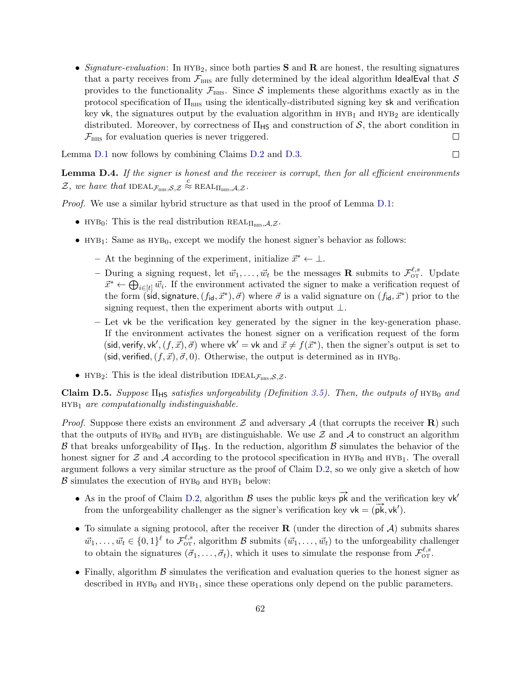• Signature-evaluation: In  $HYB_2$ , since both parties **S** and **R** are honest, the resulting signatures that a party receives from  $\mathcal{F}_{\text{BHS}}$  are fully determined by the ideal algorithm IdealEval that  $\mathcal S$ provides to the functionality  $\mathcal{F}_{\text{BHS}}$ . Since S implements these algorithms exactly as in the protocol specification of  $\Pi_{\text{BHS}}$  using the identically-distributed signing key sk and verification key vk, the signatures output by the evaluation algorithm in  $HYB_1$  and  $HYB_2$  are identically distributed. Moreover, by correctness of  $\Pi_{\mathsf{HS}}$  and construction of S, the abort condition in  $\mathcal{F}_{\text{BHS}}$  for evaluation queries is never triggered.  $\Box$ 

Lemma [D.1](#page-58-0) now follows by combining Claims [D.2](#page-58-1) and [D.3.](#page-60-0)

 $\Box$ 

<span id="page-61-1"></span>Lemma D.4. If the signer is honest and the receiver is corrupt, then for all efficient environments  $\mathcal{Z},$  we have that IDEAL $\mathcal{F}_{\text{BHS}},\mathcal{S},\mathcal{Z} \stackrel{c}{\approx} \text{REAL}_{\Pi_{\text{BHS}},\mathcal{A},\mathcal{Z}}.$ 

*Proof.* We use a similar hybrid structure as that used in the proof of Lemma [D.1:](#page-58-0)

- HYB<sub>0</sub>: This is the real distribution  $REAL_{\Pi_{\text{BHS}},\mathcal{A},\mathcal{Z}}$ .
- HYB<sub>1</sub>: Same as HYB<sub>0</sub>, except we modify the honest signer's behavior as follows:
	- At the beginning of the experiment, initialize  $\vec{x}^* \leftarrow \perp$ .
	- During a signing request, let  $\vec{w}_1, \ldots, \vec{w}_t$  be the messages **R** submits to  $\mathcal{F}_{\text{OT}}^{\ell,s}$ . Update  $\vec{x}^* \leftarrow \bigoplus_{i \in [t]} \vec{w}_i$ . If the environment activated the signer to make a verification request of the form (sid, signature,  $(f_{id}, \vec{x}^*), \vec{\sigma}$ ) where  $\vec{\sigma}$  is a valid signature on  $(f_{id}, \vec{x}^*)$  prior to the signing request, then the experiment aborts with output  $\bot$ .
	- Let vk be the verification key generated by the signer in the key-generation phase. If the environment activates the honest signer on a verification request of the form (sid, verify, vk',  $(f, \vec{x}), \vec{\sigma}$ ) where vk' = vk and  $\vec{x} \neq f(\vec{x}^*)$ , then the signer's output is set to (sid, verified,  $(f, \vec{x}), \vec{\sigma}, 0$ ). Otherwise, the output is determined as in HYB<sub>0</sub>.
- HYB<sub>2</sub>: This is the ideal distribution IDEAL $_{\mathcal{F}_{\text{RHS}},\mathcal{S},\mathcal{Z}}$ .

<span id="page-61-0"></span>Claim D.5. Suppose  $\Pi_{\text{HS}}$  satisfies unforgeability (Definition [3.5\)](#page-13-0). Then, the outputs of HYB<sub>0</sub> and  $HYB_1$  are computationally indistinguishable.

*Proof.* Suppose there exists an environment  $\mathcal Z$  and adversary  $\mathcal A$  (that corrupts the receiver **R**) such that the outputs of HYB<sub>0</sub> and HYB<sub>1</sub> are distinguishable. We use  $\mathcal Z$  and  $\mathcal A$  to construct an algorithm B that breaks unforgeability of  $\Pi_{\rm HS}$ . In the reduction, algorithm B simulates the behavior of the honest signer for  $\mathcal Z$  and  $\mathcal A$  according to the protocol specification in HYB<sub>0</sub> and HYB<sub>1</sub>. The overall argument follows a very similar structure as the proof of Claim [D.2,](#page-58-1) so we only give a sketch of how  $\beta$  simulates the execution of HYB<sub>0</sub> and HYB<sub>1</sub> below:

- As in the proof of Claim [D.2,](#page-58-1) algorithm  $\mathcal B$  uses the public keys  $\overrightarrow{pk}$  and the verification key vk<sup>'</sup> As in the proof of Claim D.2, algorithm **B** uses the public keys  $\beta$ K and the verific<br>from the unforgeability challenger as the signer's verification key  $vk = (\vec{pk}, vk')$ .
- To simulate a signing protocol, after the receiver **R** (under the direction of  $\mathcal{A}$ ) submits shares  $\vec{w}_1,\ldots,\vec{w}_t \in \{0,1\}^{\ell}$  to  $\mathcal{F}_{\text{OT}}^{\ell,s}$ , algorithm  $\mathcal B$  submits  $(\vec{w}_1,\ldots,\vec{w}_t)$  to the unforgeability challenger to obtain the signatures  $(\vec{\sigma}_1,\ldots,\vec{\sigma}_t)$ , which it uses to simulate the response from  $\mathcal{F}_{\text{OT}}^{\ell,s}$ .
- Finally, algorithm  $\beta$  simulates the verification and evaluation queries to the honest signer as described in  $HYB_0$  and  $HYB_1$ , since these operations only depend on the public parameters.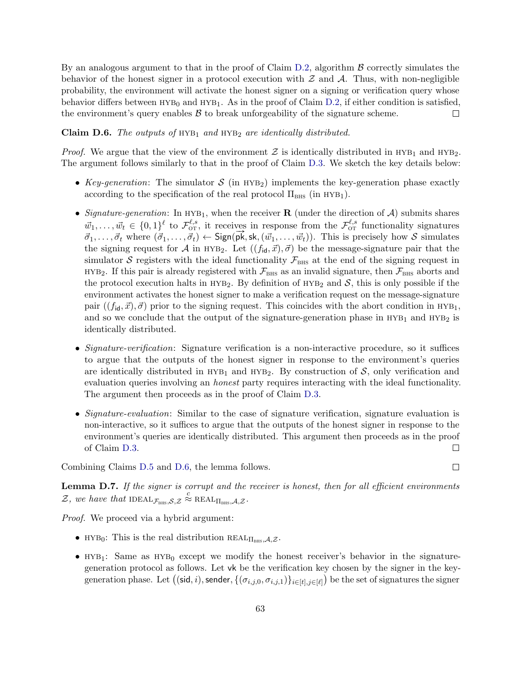By an analogous argument to that in the proof of Claim [D.2,](#page-58-1) algorithm B correctly simulates the behavior of the honest signer in a protocol execution with  $\mathcal Z$  and  $\mathcal A$ . Thus, with non-negligible probability, the environment will activate the honest signer on a signing or verification query whose behavior differs between  $HYB_0$  and  $HYB_1$ . As in the proof of Claim [D.2,](#page-58-1) if either condition is satisfied, the environment's query enables  $\beta$  to break unforgeability of the signature scheme.  $\Box$ 

#### <span id="page-62-0"></span>**Claim D.6.** The outputs of  $HYB_1$  and  $HYB_2$  are identically distributed.

*Proof.* We argue that the view of the environment  $\mathcal Z$  is identically distributed in HYB<sub>1</sub> and HYB<sub>2</sub>. The argument follows similarly to that in the proof of Claim [D.3.](#page-60-0) We sketch the key details below:

- Key-generation: The simulator S (in HYB<sub>2</sub>) implements the key-generation phase exactly according to the specification of the real protocol  $\Pi_{BHS}$  (in HYB<sub>1</sub>).
- Signature-generation: In  $HYB_1$ , when the receiver **R** (under the direction of A) submits shares  $\vec{w}_1,\ldots,\vec{w}_t \in \{0,1\}^{\ell}$  to  $\mathcal{F}_{\text{OT}}^{\ell,s}$ , it receives in response from the  $\mathcal{F}_{\text{OT}}^{\ell,s}$  functionality signatures  $\vec{\sigma}_1, \ldots, \vec{\sigma}_t$  where  $(\vec{\sigma}_1, \ldots, \vec{\sigma}_t) \leftarrow \text{Sign}(\overrightarrow{pk}, sk, (\vec{\omega}_1, \ldots, \vec{\omega}_t))$ . This is precisely how S simulates the signing request for A in HYB<sub>2</sub>. Let  $((f_{id}, \vec{x}), \vec{\sigma})$  be the message-signature pair that the simulator S registers with the ideal functionality  $\mathcal{F}_{\text{BHS}}$  at the end of the signing request in HYB<sub>2</sub>. If this pair is already registered with  $\mathcal{F}_{\text{BHS}}$  as an invalid signature, then  $\mathcal{F}_{\text{BHS}}$  aborts and the protocol execution halts in  $HYB_2$ . By definition of  $HYB_2$  and S, this is only possible if the environment activates the honest signer to make a verification request on the message-signature pair  $((f_{id}, \vec{x}), \vec{\sigma})$  prior to the signing request. This coincides with the abort condition in HYB<sub>1</sub>, and so we conclude that the output of the signature-generation phase in  $HYB_1$  and  $HYB_2$  is identically distributed.
- Signature-verification: Signature verification is a non-interactive procedure, so it suffices to argue that the outputs of the honest signer in response to the environment's queries are identically distributed in  $HYB_1$  and  $HYB_2$ . By construction of S, only verification and evaluation queries involving an *honest* party requires interacting with the ideal functionality. The argument then proceeds as in the proof of Claim [D.3.](#page-60-0)
- Signature-evaluation: Similar to the case of signature verification, signature evaluation is non-interactive, so it suffices to argue that the outputs of the honest signer in response to the environment's queries are identically distributed. This argument then proceeds as in the proof of Claim [D.3.](#page-60-0)  $\Box$

Combining Claims [D.5](#page-61-0) and [D.6,](#page-62-0) the lemma follows.

<span id="page-62-1"></span>Lemma D.7. If the signer is corrupt and the receiver is honest, then for all efficient environments  $\mathcal{Z},$  we have that IDEAL $\mathcal{F}_{\text{BHS}},\mathcal{S},\mathcal{Z} \stackrel{c}{\approx} \text{REAL}_{\Pi_{\text{BHS}},\mathcal{A},\mathcal{Z}}.$ 

Proof. We proceed via a hybrid argument:

- HYB<sub>0</sub>: This is the real distribution REAL<sub>IInus</sub>, $A_z$ .
- HYB<sub>1</sub>: Same as HYB<sub>0</sub> except we modify the honest receiver's behavior in the signaturegeneration protocol as follows. Let vk be the verification key chosen by the signer in the keygeneration phase. Let  $((\mathsf{sid}, i), \mathsf{sender}, \{(\sigma_{i,j,0}, \sigma_{i,j,1})\}_{i \in [t], j \in [\ell]})$  be the set of signatures the signer

 $\Box$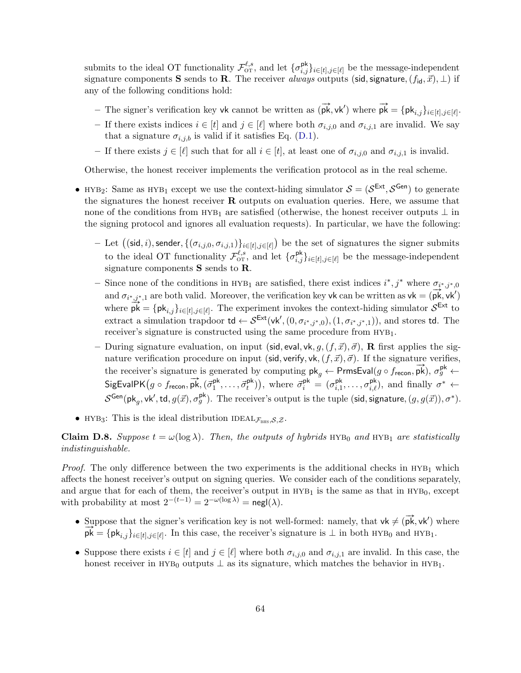submits to the ideal OT functionality  $\mathcal{F}_{\text{OT}}^{\ell,s}$ , and let  $\{\sigma_{i,j}^{\text{pk}}\}_{i\in[t],j\in[\ell]}$  be the message-independent signature components S sends to R. The receiver always outputs (sid, signature,  $(f_{id}, \vec{x})$ ,  $\perp$ ) if any of the following conditions hold:

- The signer's verification key vk cannot be written as  $(\overrightarrow{pk}, vk')$  where  $\overrightarrow{pk} = {pk_{i,j}}_{i \in [t], j \in [\ell]}$ .
- If there exists indices  $i \in [t]$  and  $j \in [\ell]$  where both  $\sigma_{i,j,0}$  and  $\sigma_{i,j,1}$  are invalid. We say that a signature  $\sigma_{i,j,b}$  is valid if it satisfies Eq. [\(D.1\)](#page-56-0).
- If there exists  $j \in [\ell]$  such that for all  $i \in [t]$ , at least one of  $\sigma_{i,j,0}$  and  $\sigma_{i,j,1}$  is invalid.

Otherwise, the honest receiver implements the verification protocol as in the real scheme.

- HYB<sub>2</sub>: Same as HYB<sub>1</sub> except we use the context-hiding simulator  $S = (S^{Ext}, S^{Gen})$  to generate the signatures the honest receiver  **outputs on evaluation queries. Here, we assume that** none of the conditions from HYB<sub>1</sub> are satisfied (otherwise, the honest receiver outputs  $\perp$  in the signing protocol and ignores all evaluation requests). In particular, we have the following:
	- Let  $((\textsf{sid}, i), \textsf{sender}, \{(\sigma_{i,j,0}, \sigma_{i,j,1})\}_{i \in [t], j \in [\ell]} )$  be the set of signatures the signer submits to the ideal OT functionality  $\mathcal{F}_{\text{OT}}^{\ell,s}$ , and let  $\{\sigma_{i,j}^{\mathsf{pk}}\}_{i\in[t],j\in[\ell]}$  be the message-independent signature components S sends to R.
	- Since none of the conditions in  $HYB_1$  are satisfied, there exist indices  $i^*, j^*$  where  $\sigma_{i^*, j^*, 0}$ since none of the conditions in  $A \r B_1$  are satisfied, there exist multes  $\iota$ ,  $\jmath$  where  $\partial_{\iota^*,j^*,0}^{i^*,j^*,0}$  and  $\sigma_{i^*,j^*,1}$  are both valid. Moreover, the verification key vk can be written as  $\mathsf{vk} = (\vec{\mathsf{pk}},$ where  $\vec{pk} = \{pk_{i,j}\}_{i \in [t],j \in [\ell]}$ . The experiment invokes the context-hiding simulator  $S^{\text{Ext}}$  to extract a simulation trapdoor  $\mathsf{td} \leftarrow \mathcal{S}^{\mathsf{Ext}}(\mathsf{vk}', (0, \sigma_{i^*, j^*, 0}), (1, \sigma_{i^*, j^*, 1}))$ , and stores  $\mathsf{td}$ . The receiver's signature is constructed using the same procedure from  $HYB_1$ .
	- During signature evaluation, on input (sid, eval, vk,  $q, (f, \vec{x}), \vec{\sigma}$ ), R first applies the signature verification procedure on input (sid, verify, vk,  $(f, \vec{x}), \vec{\sigma}$ ). If the signature verifies, the receiver's signature is generated by computing  $pk_g \leftarrow PrmsEval(g \circ f_{recon}, \overrightarrow{pk}), \sigma_g^{pk} \leftarrow$ SigEvalPK( $g \circ f_{\text{recon}}$ ,  $\overrightarrow{pk}$ ,  $(\overrightarrow{\sigma}_1^{pk}, \dots, \overrightarrow{\sigma}_t^{pk})$ ), where  $\overrightarrow{\sigma}_i^{pk} = (\sigma_{i,1}^{pk})$  $\sigma_{i,1}^{\mathsf{pk}}, \ldots, \sigma_{i,\ell}^{\mathsf{pk}}$ , and finally  $\sigma^* \leftarrow$  $\mathcal{S}^{\mathsf{Gen}}(\mathsf{pk}_g, \mathsf{vk}', \mathsf{td}, g(\vec{x}), \sigma_g^{\mathsf{pk}})$ . The receiver's output is the tuple (sid, signature,  $(g, g(\vec{x})), \sigma^*$ ).
- HYB<sub>3</sub>: This is the ideal distribution IDEAL $_{\mathcal{F}_{\text{RHS}},\mathcal{S},\mathcal{Z}}$ .

<span id="page-63-0"></span>**Claim D.8.** Suppose  $t = \omega(\log \lambda)$ . Then, the outputs of hybrids  $HYB_0$  and  $HYB_1$  are statistically indistinguishable.

*Proof.* The only difference between the two experiments is the additional checks in  $HYB_1$  which affects the honest receiver's output on signing queries. We consider each of the conditions separately, and argue that for each of them, the receiver's output in  $HYB_1$  is the same as that in  $HYB_0$ , except with probability at most  $2^{-(t-1)} = 2^{-\omega(\log \lambda)} = \text{negl}(\lambda)$ .

- Suppose that the signer's verification key is not well-formed: namely, that  $vk \neq (\overrightarrow{pk}, vk')$  where suppose that the signer's verification key is not well-formed: namely, that  $\forall \kappa \neq (\beta \kappa, \gamma \kappa)$ <br>  $\overrightarrow{pk} = \{pk_{i,j}\}_{i \in [t], j \in [\ell]}$ . In this case, the receiver's signature is  $\bot$  in both HYB<sub>0</sub> and HYB<sub>1</sub>.
- Suppose there exists  $i \in [t]$  and  $j \in [\ell]$  where both  $\sigma_{i,j,0}$  and  $\sigma_{i,j,1}$  are invalid. In this case, the honest receiver in HYB<sub>0</sub> outputs  $\perp$  as its signature, which matches the behavior in HYB<sub>1</sub>.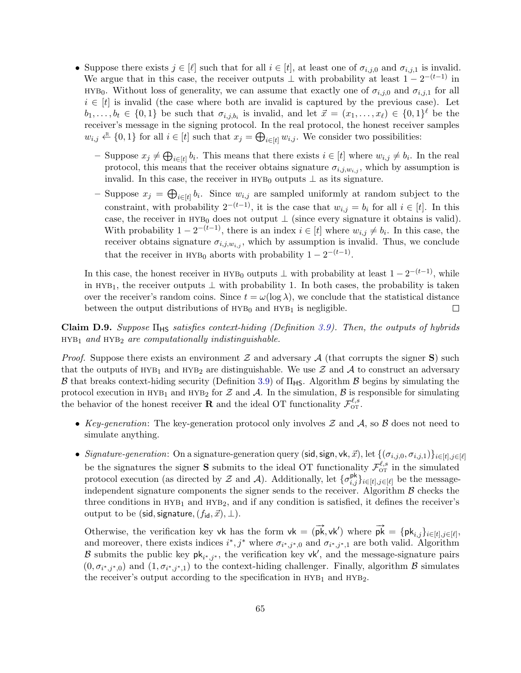- Suppose there exists  $j \in [\ell]$  such that for all  $i \in [t]$ , at least one of  $\sigma_{i,j,0}$  and  $\sigma_{i,j,1}$  is invalid. We argue that in this case, the receiver outputs  $\perp$  with probability at least  $1 - 2^{-(t-1)}$  in HYB<sub>0</sub>. Without loss of generality, we can assume that exactly one of  $\sigma_{i,j,0}$  and  $\sigma_{i,j,1}$  for all  $i \in [t]$  is invalid (the case where both are invalid is captured by the previous case). Let  $b_1,\ldots,b_t \in \{0,1\}$  be such that  $\sigma_{i,j,b_i}$  is invalid, and let  $\vec{x} = (x_1,\ldots,x_\ell) \in \{0,1\}^\ell$  be the receiver's message in the signing protocol. In the real protocol, the honest receiver samples  $w_{i,j} \stackrel{\text{R}}{\leftarrow} \{0,1\}$  for all  $i \in [t]$  such that  $x_j = \bigoplus_{i \in [t]} w_{i,j}$ . We consider two possibilities:
	- Suppose  $x_j \neq \bigoplus_{i \in [t]} b_i$ . This means that there exists  $i \in [t]$  where  $w_{i,j} \neq b_i$ . In the real protocol, this means that the receiver obtains signature  $\sigma_{i,j,w_{i,j}}$ , which by assumption is invalid. In this case, the receiver in  $HYB_0$  outputs  $\perp$  as its signature.
	- Suppose  $x_j = \bigoplus_{i \in [t]} b_i$ . Since  $w_{i,j}$  are sampled uniformly at random subject to the constraint, with probability  $2^{-(t-1)}$ , it is the case that  $w_{i,j} = b_i$  for all  $i \in [t]$ . In this case, the receiver in  $HYB_0$  does not output  $\perp$  (since every signature it obtains is valid). With probability  $1 - 2^{-(t-1)}$ , there is an index  $i \in [t]$  where  $w_{i,j} \neq b_i$ . In this case, the receiver obtains signature  $\sigma_{i,j,w_i,j}$ , which by assumption is invalid. Thus, we conclude that the receiver in HYB<sub>0</sub> aborts with probability  $1 - 2^{-(t-1)}$ .

In this case, the honest receiver in HYB<sub>0</sub> outputs  $\perp$  with probability at least  $1 - 2^{-(t-1)}$ , while in HYB<sub>1</sub>, the receiver outputs  $\perp$  with probability 1. In both cases, the probability is taken over the receiver's random coins. Since  $t = \omega(\log \lambda)$ , we conclude that the statistical distance between the output distributions of  $HYB_0$  and  $HYB_1$  is negligible.  $\Box$ 

<span id="page-64-0"></span>Claim D.9. Suppose  $\Pi_{\text{HS}}$  satisfies context-hiding (Definition [3.9\)](#page-16-0). Then, the outputs of hybrids  $HYB_1$  and  $HYB_2$  are computationally indistinguishable.

*Proof.* Suppose there exists an environment  $\mathcal Z$  and adversary  $\mathcal A$  (that corrupts the signer S) such that the outputs of HYB<sub>1</sub> and HYB<sub>2</sub> are distinguishable. We use  $\mathcal Z$  and  $\mathcal A$  to construct an adversary B that breaks context-hiding security (Definition [3.9\)](#page-16-0) of  $\Pi_{\rm HS}$ . Algorithm B begins by simulating the protocol execution in  $HY_{B_1}$  and  $HY_{B_2}$  for  $\mathcal Z$  and  $\mathcal A$ . In the simulation,  $\mathcal B$  is responsible for simulating the behavior of the honest receiver **R** and the ideal OT functionality  $\mathcal{F}_{\text{OT}}^{\ell,s}$ .

- Key-generation: The key-generation protocol only involves  $\mathcal Z$  and  $\mathcal A$ , so  $\mathcal B$  does not need to simulate anything.
- Signature-generation: On a signature-generation query (sid, sign, vk,  $\vec{x}$ ), let  $\{(\sigma_{i,j,0}, \sigma_{i,j,1})\}_{i\in[t],j\in[\ell]}$ be the signatures the signer **S** submits to the ideal OT functionality  $\mathcal{F}_{\text{OT}}^{\ell,s}$  in the simulated protocol execution (as directed by Z and A). Additionally, let  $\{\sigma_{i,j}^{\mathsf{pk}}\}_{i\in[t],j\in[\ell]}$  be the messageindependent signature components the signer sends to the receiver. Algorithm  $\beta$  checks the three conditions in  $HYB<sub>1</sub>$  and  $HYB<sub>2</sub>$ , and if any condition is satisfied, it defines the receiver's output to be (sid, signature,  $(f_{id}, \vec{x}), \perp$ ).

Otherwise, the verification key vk has the form  $vk = (\vec{pk}, vk')$  where  $\vec{pk} = \{pk_{i,j}\}_{i \in [t], j \in [\ell]},$ and moreover, there exists indices  $i^*, j^*$  where  $\sigma_{i^*, j^*, 0}$  and  $\sigma_{i^*, j^*, 1}$  are both valid. Algorithm B submits the public key  $\mathsf{pk}_{i^*,j^*}$ , the verification key vk', and the message-signature pairs  $(0, \sigma_{i^*,j^*,0})$  and  $(1, \sigma_{i^*,j^*,1})$  to the context-hiding challenger. Finally, algorithm B simulates the receiver's output according to the specification in  $HYB_1$  and  $HYB_2$ .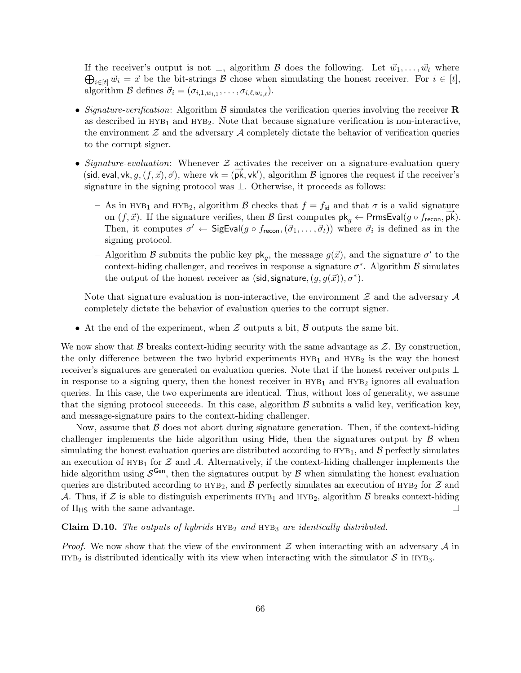If the receiver's output is not  $\perp$ , algorithm  $\mathcal B$  does the following. Let  $\vec{w}_1, \ldots, \vec{w}_t$  where  $\bigoplus_{i\in[t]} \vec{w}_i = \vec{x}$  be the bit-strings  $\beta$  chose when simulating the honest receiver. For  $i \in [t]$ , algorithm  $\mathcal B$  defines  $\vec{\sigma}_i = (\sigma_{i,1,w_{i,1}}, \ldots, \sigma_{i,\ell,w_{i,\ell}}).$ 

- Signature-verification: Algorithm  $\beta$  simulates the verification queries involving the receiver  $\bf R$ as described in  $HYB_1$  and  $HYB_2$ . Note that because signature verification is non-interactive, the environment  $\mathcal Z$  and the adversary  $\mathcal A$  completely dictate the behavior of verification queries to the corrupt signer.
- Signature-evaluation: Whenever  $\mathcal Z$  activates the receiver on a signature-evaluation query *Signature-evaluation*: Whenever  $\mathcal{Z}$  activates the receiver on a signature-evaluation query (sid, eval, vk,  $g, (f, \vec{x}), \vec{\sigma}$ ), where  $\mathsf{vk} = (\overrightarrow{pk}, \mathsf{vk}'),$  algorithm  $\mathcal B$  ignores the request if the receiver's signature in the signing protocol was ⊥. Otherwise, it proceeds as follows:
	- As in HYB<sub>1</sub> and HYB<sub>2</sub>, algorithm B checks that  $f = f_{id}$  and that  $\sigma$  is a valid signature As in HYB<sub>1</sub> and HYB<sub>2</sub>, algorithm  $\beta$  checks that  $f = f_{\text{id}}$  and that  $\sigma$  is a valid signature on  $(f, \vec{x})$ . If the signature verifies, then  $\beta$  first computes  $\mathsf{pk}_g \leftarrow \mathsf{PrmsEval}(g \circ f_{\text{recon}}, \vec{pk})$ . Then, it computes  $\sigma' \leftarrow \mathsf{SigEval}(g \circ f_{\mathsf{recon}}, (\vec{\sigma}_1, \ldots, \vec{\sigma}_t))$  where  $\vec{\sigma}_i$  is defined as in the signing protocol.
	- Algorithm B submits the public key  $\mathsf{pk}_g$ , the message  $g(\vec{x})$ , and the signature  $\sigma'$  to the context-hiding challenger, and receives in response a signature  $\sigma^*$ . Algorithm  $\mathcal{B}$  simulates the output of the honest receiver as (sid, signature,  $(g, g(\vec{x})), \sigma^*$ ).

Note that signature evaluation is non-interactive, the environment  $\mathcal Z$  and the adversary  $\mathcal A$ completely dictate the behavior of evaluation queries to the corrupt signer.

• At the end of the experiment, when  $\mathcal Z$  outputs a bit,  $\mathcal B$  outputs the same bit.

We now show that  $\beta$  breaks context-hiding security with the same advantage as  $\mathcal{Z}$ . By construction, the only difference between the two hybrid experiments  $HYB_1$  and  $HYB_2$  is the way the honest receiver's signatures are generated on evaluation queries. Note that if the honest receiver outputs ⊥ in response to a signing query, then the honest receiver in  $HYB_1$  and  $HYB_2$  ignores all evaluation queries. In this case, the two experiments are identical. Thus, without loss of generality, we assume that the signing protocol succeeds. In this case, algorithm  $\beta$  submits a valid key, verification key, and message-signature pairs to the context-hiding challenger.

Now, assume that  $\beta$  does not abort during signature generation. Then, if the context-hiding challenger implements the hide algorithm using Hide, then the signatures output by  $\beta$  when simulating the honest evaluation queries are distributed according to  $HYB_1$ , and  $\beta$  perfectly simulates an execution of  $HYB_1$  for  $Z$  and  $A$ . Alternatively, if the context-hiding challenger implements the hide algorithm using  $S^{\text{Gen}}$ , then the signatures output by  $B$  when simulating the honest evaluation queries are distributed according to  $HYB_2$ , and  $B$  perfectly simulates an execution of  $HYB_2$  for  $Z$  and A. Thus, if Z is able to distinguish experiments  $HYB_1$  and  $HYB_2$ , algorithm B breaks context-hiding of  $\Pi$ <sub>HS</sub> with the same advantage.  $\Box$ 

#### <span id="page-65-0"></span>Claim D.10. The outputs of hybrids  $HYB_2$  and  $HYB_3$  are identically distributed.

*Proof.* We now show that the view of the environment  $\mathcal Z$  when interacting with an adversary  $\mathcal A$  in  $HYB_2$  is distributed identically with its view when interacting with the simulator S in  $HYB_3$ .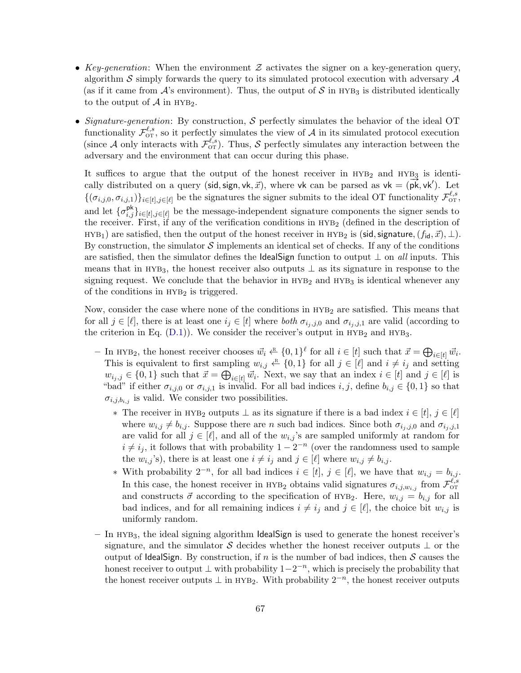- Key-generation: When the environment  $\mathcal Z$  activates the signer on a key-generation query, algorithm  $\mathcal S$  simply forwards the query to its simulated protocol execution with adversary  $\mathcal A$ (as if it came from  $\mathcal{A}$ 's environment). Thus, the output of  $\mathcal{S}$  in HYB<sub>3</sub> is distributed identically to the output of  $A$  in HYB<sub>2</sub>.
- Signature-generation: By construction,  $S$  perfectly simulates the behavior of the ideal OT functionality  $\mathcal{F}_{\text{OT}}^{\ell,s}$ , so it perfectly simulates the view of A in its simulated protocol execution (since A only interacts with  $\mathcal{F}_{\text{OT}}^{\ell,s}$ ). Thus, S perfectly simulates any interaction between the adversary and the environment that can occur during this phase.

It suffices to argue that the output of the honest receiver in  $HYB_2$  and  $HYB_3$  is identi-It sumes to argue that the output or the honest receiver in  $HYB_2$  and  $HYB_3$  is identi-<br>cally distributed on a query (sid, sign, vk,  $\vec{x}$ ), where vk can be parsed as vk = ( $\overrightarrow{pk}$ , vk'). Let  $\{(\sigma_{i,j,0}, \sigma_{i,j,1})\}_{i \in [t], j \in [\ell]}$  be the signatures the signer submits to the ideal OT functionality  $\mathcal{F}^{\ell,s}_{\text{OT}},$ and let  $\{\sigma_{i,j}^{\mathsf{pk}}\}_{i \in [t], j \in [\ell]}$  be the message-independent signature components the signer sends to the receiver. First, if any of the verification conditions in  $HYB_2$  (defined in the description of  $HYB_1$ ) are satisfied, then the output of the honest receiver in  $HYB_2$  is (sid, signature,  $(f_{id}, \vec{x}), \perp$ ). By construction, the simulator  $\mathcal S$  implements an identical set of checks. If any of the conditions are satisfied, then the simulator defines the IdealSign function to output  $\perp$  on all inputs. This means that in HYB<sub>3</sub>, the honest receiver also outputs  $\perp$  as its signature in response to the signing request. We conclude that the behavior in  $HY_{B2}$  and  $HY_{B3}$  is identical whenever any of the conditions in  $HYB_2$  is triggered.

Now, consider the case where none of the conditions in  $HYB<sub>2</sub>$  are satisfied. This means that for all  $j \in [\ell]$ , there is at least one  $i_j \in [t]$  where both  $\sigma_{i_j,j,0}$  and  $\sigma_{i_j,j,1}$  are valid (according to the criterion in Eq.  $(D.1)$ ). We consider the receiver's output in  $HYB<sub>2</sub>$  and  $HYB<sub>3</sub>$ .

- In HYB<sub>2</sub>, the honest receiver chooses  $\vec{w}_i \in \{0,1\}^{\ell}$  for all  $i \in [t]$  such that  $\vec{x} = \bigoplus_{i \in [t]} \vec{w}_i$ . This is equivalent to first sampling  $w_{i,j} \in \{0,1\}$  for all  $j \in [\ell]$  and  $i \neq i_j$  and setting  $w_{i_j,j} \in \{0,1\}$  such that  $\vec{x} = \bigoplus_{i \in [t]} \vec{w}_i$ . Next, we say that an index  $i \in [t]$  and  $j \in [\ell]$  is "bad" if either  $\sigma_{i,j,0}$  or  $\sigma_{i,j,1}$  is invalid. For all bad indices  $i, j$ , define  $b_{i,j} \in \{0,1\}$  so that  $\sigma_{i,j,b_{i,j}}$  is valid. We consider two possibilities.
	- ∗ The receiver in HYB<sub>2</sub> outputs  $\bot$  as its signature if there is a bad index  $i \in [t], j \in [\ell]$ where  $w_{i,j} \neq b_{i,j}$ . Suppose there are n such bad indices. Since both  $\sigma_{i_j,j,0}$  and  $\sigma_{i_j,j,1}$ are valid for all  $j \in [\ell]$ , and all of the  $w_{i,j}$ 's are sampled uniformly at random for  $i \neq i_j$ , it follows that with probability  $1 - 2^{-n}$  (over the randomness used to sample the  $w_{i,j}$ 's), there is at least one  $i \neq i_j$  and  $j \in [\ell]$  where  $w_{i,j} \neq b_{i,j}$ .
	- ∗ With probability  $2^{-n}$ , for all bad indices  $i \in [t], j \in [\ell]$ , we have that  $w_{i,j} = b_{i,j}$ . In this case, the honest receiver in HYB<sub>2</sub> obtains valid signatures  $\sigma_{i,j,w_{i,j}}$  from  $\mathcal{F}_{\text{OT}}^{\ell,s}$ and constructs  $\vec{\sigma}$  according to the specification of HYB<sub>2</sub>. Here,  $w_{i,j} = b_{i,j}$  for all bad indices, and for all remaining indices  $i \neq i_j$  and  $j \in [\ell]$ , the choice bit  $w_{i,j}$  is uniformly random.
- $-$  In HYB<sub>3</sub>, the ideal signing algorithm **IdealSign** is used to generate the honest receiver's signature, and the simulator S decides whether the honest receiver outputs  $\perp$  or the output of IdealSign. By construction, if n is the number of bad indices, then  $S$  causes the honest receiver to output  $\perp$  with probability  $1-2^{-n}$ , which is precisely the probability that the honest receiver outputs  $\perp$  in HYB<sub>2</sub>. With probability  $2^{-n}$ , the honest receiver outputs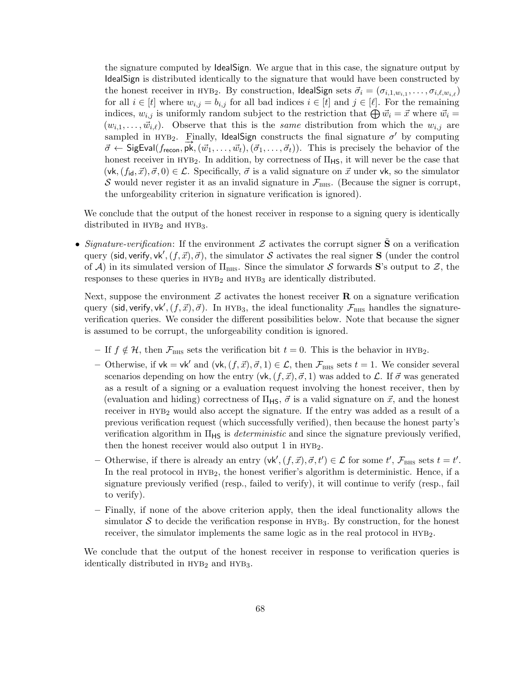the signature computed by IdealSign. We argue that in this case, the signature output by IdealSign is distributed identically to the signature that would have been constructed by the honest receiver in HYB<sub>2</sub>. By construction, IdealSign sets  $\vec{\sigma}_i = (\sigma_{i,1,w_{i,1}}, \ldots, \sigma_{i,\ell,w_{i,\ell}})$ for all  $i \in [t]$  where  $w_{i,j} = b_{i,j}$  for all bad indices  $i \in [t]$  and  $j \in [\ell]$ . For the remaining indices,  $w_{i,j}$  is uniformly random subject to the restriction that  $\bigoplus \vec{w}_i = \vec{x}$  where  $\vec{w}_i =$  $(w_{i,1}, \ldots, \vec{w}_{i,\ell})$ . Observe that this is the same distribution from which the  $w_{i,j}$  are sampled in HYB<sub>2</sub>. Finally, IdealSign constructs the final signature  $\sigma'$  by computing sampled in  $HYB_2$ . Finally, idealisign constructs the final signature  $\sigma$  by computing  $\vec{\sigma} \leftarrow$  SigEval( $f_{\text{recon}}$ ,  $\vec{pk}$ ,  $(\vec{w_1}, \dots, \vec{w_t})$ ,  $(\vec{\sigma_1}, \dots, \vec{\sigma_t})$ ). This is precisely the behavior of the honest receiver in  $HYB_2$ . In addition, by correctness of  $\Pi_{\mathsf{HS}}$ , it will never be the case that  $(vk,(f_{id},\vec{x}), \vec{\sigma}, 0) \in \mathcal{L}$ . Specifically,  $\vec{\sigma}$  is a valid signature on  $\vec{x}$  under vk, so the simulator S would never register it as an invalid signature in  $\mathcal{F}_{\text{BHS}}$ . (Because the signer is corrupt, the unforgeability criterion in signature verification is ignored).

We conclude that the output of the honest receiver in response to a signing query is identically distributed in  $HYB_2$  and  $HYB_3$ .

• Signature-verification: If the environment  $\mathcal Z$  activates the corrupt signer S on a verification query (sid, verify, vk',  $(f, \vec{x}), \vec{\sigma}$ ), the simulator S activates the real signer S (under the control of A) in its simulated version of  $\Pi_{\text{BHS}}$ . Since the simulator S forwards S's output to Z, the responses to these queries in  $HYB_2$  and  $HYB_3$  are identically distributed.

Next, suppose the environment  $\mathcal Z$  activates the honest receiver **R** on a signature verification query (sid, verify, vk',  $(f, \vec{x}), \vec{\sigma}$ ). In HYB<sub>3</sub>, the ideal functionality  $\mathcal{F}_{\text{BHS}}$  handles the signatureverification queries. We consider the different possibilities below. Note that because the signer is assumed to be corrupt, the unforgeability condition is ignored.

- If  $f \notin \mathcal{H}$ , then  $\mathcal{F}_{\text{BHS}}$  sets the verification bit  $t = 0$ . This is the behavior in HYB<sub>2</sub>.
- Otherwise, if  $vk = vk'$  and  $(vk, (f, \vec{x}), \vec{\sigma}, 1) \in \mathcal{L}$ , then  $\mathcal{F}_{BHS}$  sets  $t = 1$ . We consider several scenarios depending on how the entry  $(vk, (f, \vec{x}), \vec{\sigma}, 1)$  was added to  $\mathcal{L}$ . If  $\vec{\sigma}$  was generated as a result of a signing or a evaluation request involving the honest receiver, then by (evaluation and hiding) correctness of  $\Pi_{\rm HS}$ ,  $\vec{\sigma}$  is a valid signature on  $\vec{x}$ , and the honest receiver in HYB<sub>2</sub> would also accept the signature. If the entry was added as a result of a previous verification request (which successfully verified), then because the honest party's verification algorithm in  $\Pi_{\mathsf{HS}}$  is *deterministic* and since the signature previously verified, then the honest receiver would also output 1 in  $HYB_2$ .
- Otherwise, if there is already an entry  $(v\mathsf{k}', (f, \vec{x}), \vec{\sigma}, t') \in \mathcal{L}$  for some  $t'$ ,  $\mathcal{F}_{\text{BHS}}$  sets  $t = t'$ . In the real protocol in  $HYB_2$ , the honest verifier's algorithm is deterministic. Hence, if a signature previously verified (resp., failed to verify), it will continue to verify (resp., fail to verify).
- Finally, if none of the above criterion apply, then the ideal functionality allows the simulator  $S$  to decide the verification response in HYB<sub>3</sub>. By construction, for the honest receiver, the simulator implements the same logic as in the real protocol in  $HYB_2$ .

We conclude that the output of the honest receiver in response to verification queries is identically distributed in  $HYB<sub>2</sub>$  and  $HYB<sub>3</sub>$ .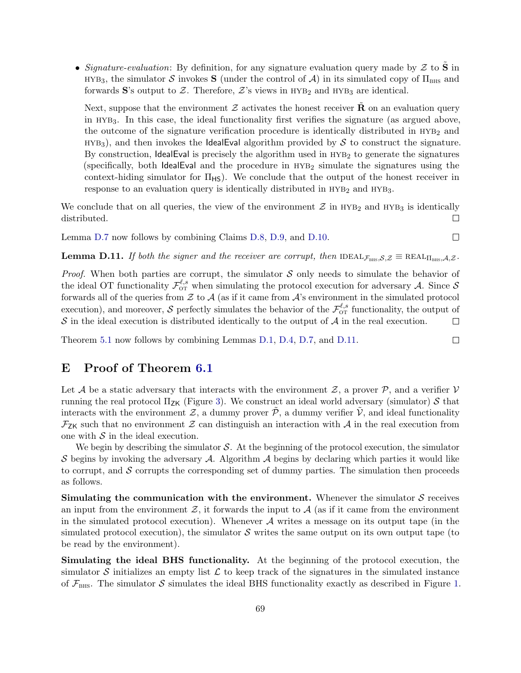• Signature-evaluation: By definition, for any signature evaluation query made by  $\mathcal Z$  to  $\tilde S$  in  $HYB_3$ , the simulator S invokes S (under the control of A) in its simulated copy of  $\Pi_{BHS}$  and forwards S's output to Z. Therefore, Z's views in  $HYB<sub>2</sub>$  and  $HYB<sub>3</sub>$  are identical.

Next, suppose that the environment  $\mathcal Z$  activates the honest receiver **R** on an evaluation query in  $HYB_3$ . In this case, the ideal functionality first verifies the signature (as argued above, the outcome of the signature verification procedure is identically distributed in  $HYB_2$  and  $HYB_3$ , and then invokes the IdealEval algorithm provided by S to construct the signature. By construction, IdealEval is precisely the algorithm used in  $HYB<sub>2</sub>$  to generate the signatures (specifically, both IdealEval and the procedure in  $HYB_2$  simulate the signatures using the context-hiding simulator for  $\Pi_{\rm HS}$ ). We conclude that the output of the honest receiver in response to an evaluation query is identically distributed in  $HYB_2$  and  $HYB_3$ .

We conclude that on all queries, the view of the environment  $\mathcal Z$  in  $HYB_2$  and  $HYB_3$  is identically distributed.  $\Box$ 

Lemma [D.7](#page-62-1) now follows by combining Claims [D.8,](#page-63-0) [D.9,](#page-64-0) and [D.10.](#page-65-0)

 $\Box$ 

<span id="page-68-0"></span>**Lemma D.11.** If both the signer and the receiver are corrupt, then IDEAL $\mathcal{F}_{\text{BHS}},\mathcal{S},\mathcal{Z} \equiv \text{REAL}_{\Pi_{\text{BHS}},\mathcal{A},\mathcal{Z}}$ .

*Proof.* When both parties are corrupt, the simulator  $S$  only needs to simulate the behavior of the ideal OT functionality  $\mathcal{F}_{\text{OT}}^{\ell,s}$  when simulating the protocol execution for adversary A. Since S forwards all of the queries from  $\mathcal Z$  to  $\mathcal A$  (as if it came from  $\mathcal A$ 's environment in the simulated protocol execution), and moreover, S perfectly simulates the behavior of the  $\mathcal{F}_{\text{OT}}^{\ell,s}$  functionality, the output of  $\mathcal S$  in the ideal execution is distributed identically to the output of  $\mathcal A$  in the real execution.  $\Box$ 

Theorem [5.1](#page-31-0) now follows by combining Lemmas [D.1,](#page-58-0) [D.4,](#page-61-1) [D.7,](#page-62-1) and [D.11.](#page-68-0)  $\Box$ 

## E Proof of Theorem [6.1](#page-32-0)

Let A be a static adversary that interacts with the environment  $\mathcal{Z}$ , a prover  $\mathcal{P}$ , and a verifier  $\mathcal{V}$ running the real protocol  $\Pi_{ZK}$  (Figure [3\)](#page-33-1). We construct an ideal world adversary (simulator) S that interacts with the environment  $\mathcal{Z}$ , a dummy prover  $\tilde{\mathcal{P}}$ , a dummy verifier  $\tilde{\mathcal{V}}$ , and ideal functionality  $\mathcal{F}_{\mathsf{ZK}}$  such that no environment Z can distinguish an interaction with A in the real execution from one with  $S$  in the ideal execution.

We begin by describing the simulator  $S$ . At the beginning of the protocol execution, the simulator S begins by invoking the adversary A. Algorithm A begins by declaring which parties it would like to corrupt, and  $\mathcal S$  corrupts the corresponding set of dummy parties. The simulation then proceeds as follows.

Simulating the communication with the environment. Whenever the simulator  $S$  receives an input from the environment  $\mathcal{Z}$ , it forwards the input to  $\mathcal{A}$  (as if it came from the environment in the simulated protocol execution). Whenever  $A$  writes a message on its output tape (in the simulated protocol execution), the simulator  $S$  writes the same output on its own output tape (to be read by the environment).

Simulating the ideal BHS functionality. At the beginning of the protocol execution, the simulator S initializes an empty list  $\mathcal L$  to keep track of the signatures in the simulated instance of  $\mathcal{F}_{\text{BHS}}$ . The simulator S simulates the ideal BHS functionality exactly as described in Figure [1.](#page-29-0)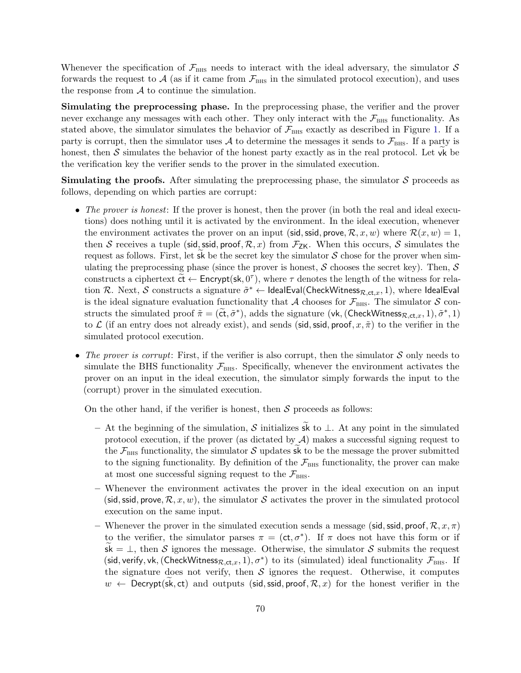Whenever the specification of  $\mathcal{F}_{\text{BHS}}$  needs to interact with the ideal adversary, the simulator  $\mathcal{S}$ forwards the request to  $\mathcal{A}$  (as if it came from  $\mathcal{F}_{\text{BHS}}$  in the simulated protocol execution), and uses the response from  $A$  to continue the simulation.

Simulating the preprocessing phase. In the preprocessing phase, the verifier and the prover never exchange any messages with each other. They only interact with the  $\mathcal{F}_{\text{BHS}}$  functionality. As stated above, the simulator simulates the behavior of  $\mathcal{F}_{\text{BHS}}$  exactly as described in Figure [1.](#page-29-0) If a party is corrupt, then the simulator uses A to determine the messages it sends to  $\mathcal{F}_{\text{BHS}}$ . If a party is honest, then  $S$  simulates the behavior of the honest party exactly as in the real protocol. Let vk be the verification key the verifier sends to the prover in the simulated execution.

**Simulating the proofs.** After simulating the preprocessing phase, the simulator  $S$  proceeds as follows, depending on which parties are corrupt:

- The prover is honest: If the prover is honest, then the prover (in both the real and ideal executions) does nothing until it is activated by the environment. In the ideal execution, whenever the environment activates the prover on an input (sid, ssid, prove,  $\mathcal{R}, x, w$ ) where  $\mathcal{R}(x, w) = 1$ , then S receives a tuple (sid, ssid, proof,  $\mathcal{R}, x$ ) from  $\mathcal{F}_{ZK}$ . When this occurs, S simulates the request as follows. First, let sk be the secret key the simulator  $S$  chose for the prover when simulating the preprocessing phase (since the prover is honest,  $S$  chooses the secret key). Then,  $S$ constructs a ciphertext  $\tilde{c}t \leftarrow$  Encrypt(sk,  $0^{\tau}$ ), where  $\tau$  denotes the length of the witness for relation R. Next, S constructs a signature  $\tilde{\sigma}^* \leftarrow$  IdealEval(CheckWitness $\mathcal{R},ct,x,1$ ), where IdealEval is the ideal signature evaluation functionality that A chooses for  $\mathcal{F}_{\text{BHS}}$ . The simulator S constructs the simulated proof  $\tilde{\pi} = (\tilde{c}\tilde{t}, \tilde{\sigma}^*)$ , adds the signature (vk, (CheckWitness<sub>R,ct,x</sub>, 1),  $\tilde{\sigma}^*, 1$ ) to L (if an entry does not already exist), and sends (sid, ssid, proof,  $x, \tilde{\pi}$ ) to the verifier in the simulated protocol execution.
- The prover is corrupt: First, if the verifier is also corrupt, then the simulator  $S$  only needs to simulate the BHS functionality  $\mathcal{F}_{\text{BHS}}$ . Specifically, whenever the environment activates the prover on an input in the ideal execution, the simulator simply forwards the input to the (corrupt) prover in the simulated execution.

On the other hand, if the verifier is honest, then  $S$  proceeds as follows:

- At the beginning of the simulation, S initializes sk to ⊥. At any point in the simulated protocol execution, if the prover (as dictated by  $A$ ) makes a successful signing request to the  $\mathcal{F}_{\text{BHS}}$  functionality, the simulator S updates sk to be the message the prover submitted to the signing functionality. By definition of the  $\mathcal{F}_{\text{BHS}}$  functionality, the prover can make at most one successful signing request to the  $\mathcal{F}_{\text{BHS}}$ .
- Whenever the environment activates the prover in the ideal execution on an input (sid, ssid, prove,  $\mathcal{R}, x, w$ ), the simulator S activates the prover in the simulated protocol execution on the same input.
- Whenever the prover in the simulated execution sends a message (sid, ssid, proof,  $\mathcal{R}, x, \pi$ ) to the verifier, the simulator parses  $\pi = (ct, \sigma^*)$ . If  $\pi$  does not have this form or if sk =  $\perp$ , then S ignores the message. Otherwise, the simulator S submits the request (sid, verify, vk, (CheckWitness $_{\mathcal{R},ct,x}$ , 1),  $\sigma^*$ ) to its (simulated) ideal functionality  $\mathcal{F}_{\text{BHS}}$ . If the signature does not verify, then  $S$  ignores the request. Otherwise, it computes  $w \leftarrow$  Decrypt(sk, ct) and outputs (sid, ssid, proof,  $\mathcal{R}, x$ ) for the honest verifier in the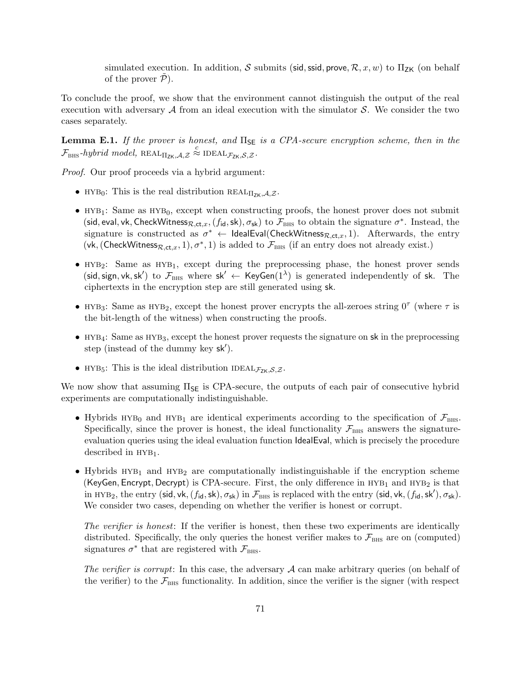simulated execution. In addition, S submits (sid, ssid, prove,  $\mathcal{R}, x, w$ ) to  $\Pi_{\mathsf{ZK}}$  (on behalf of the prover  $\tilde{\mathcal{P}}$ ).

To conclude the proof, we show that the environment cannot distinguish the output of the real execution with adversary  $A$  from an ideal execution with the simulator  $S$ . We consider the two cases separately.

**Lemma E.1.** If the prover is honest, and  $\Pi_{\mathsf{SE}}$  is a CPA-secure encryption scheme, then in the  $\mathcal{F}_{\text{BHS}}$ -hybrid model,  $\text{REAL}_{\Pi_{\text{ZK}},\mathcal{A},\mathcal{Z}} \overset{c}{\approx} \text{IDEAL}_{\mathcal{F}_{\text{ZK}},\mathcal{S},\mathcal{Z}}$ .

Proof. Our proof proceeds via a hybrid argument:

- HYB<sub>0</sub>: This is the real distribution REAL<sub>ΠzK</sub>, $A, \mathcal{Z}$ .
- $HYB_1$ : Same as  $HYB_0$ , except when constructing proofs, the honest prover does not submit (sid, eval, vk, CheckWitness $_{R,ct,x}$ , ( $f_{id}$ , sk),  $\sigma_{sk}$ ) to  $\mathcal{F}_{\text{BHS}}$  to obtain the signature  $\sigma^*$ . Instead, the signature is constructed as  $\sigma^* \leftarrow$  IdealEval(CheckWitness<sub>R,ct,x</sub>, 1). Afterwards, the entry (vk, (CheckWitness<sub>R,ct,x</sub>, 1),  $\sigma^*$ , 1) is added to  $\mathcal{F}_{\text{BHS}}$  (if an entry does not already exist.)
- HYB2: Same as HYB1, except during the preprocessing phase, the honest prover sends (sid, sign, vk, sk') to  $\mathcal{F}_{\text{BHS}}$  where sk'  $\leftarrow$  KeyGen(1<sup> $\lambda$ </sup>) is generated independently of sk. The ciphertexts in the encryption step are still generated using sk.
- HYB<sub>3</sub>: Same as HYB<sub>2</sub>, except the honest prover encrypts the all-zeroes string  $0^{\tau}$  (where  $\tau$  is the bit-length of the witness) when constructing the proofs.
- HYB<sub>4</sub>: Same as HYB<sub>3</sub>, except the honest prover requests the signature on sk in the preprocessing step (instead of the dummy key  $sk'$ ).
- HYB<sub>5</sub>: This is the ideal distribution IDEAL $_{\mathcal{F}_{\mathsf{ZK}},\mathcal{S},\mathcal{Z}}$ .

We now show that assuming  $\Pi_{\mathsf{SE}}$  is CPA-secure, the outputs of each pair of consecutive hybrid experiments are computationally indistinguishable.

- Hybrids  $HYB_0$  and  $HYB_1$  are identical experiments according to the specification of  $\mathcal{F}_{BHS}$ . Specifically, since the prover is honest, the ideal functionality  $\mathcal{F}_{\text{BHS}}$  answers the signatureevaluation queries using the ideal evaluation function IdealEval, which is precisely the procedure described in  $HYB<sub>1</sub>$ .
- Hybrids  $HYB_1$  and  $HYB_2$  are computationally indistinguishable if the encryption scheme (KeyGen, Encrypt, Decrypt) is CPA-secure. First, the only difference in  $HYB_1$  and  $HYB_2$  is that in HYB<sub>2</sub>, the entry (sid, vk,  $(f_{id}, \text{sk})$ ,  $\sigma_{\text{sk}}$ ) in  $\mathcal{F}_{\text{BHS}}$  is replaced with the entry (sid, vk,  $(f_{id}, \text{sk}'), \sigma_{\text{sk}}$ ). We consider two cases, depending on whether the verifier is honest or corrupt.

The verifier is honest: If the verifier is honest, then these two experiments are identically distributed. Specifically, the only queries the honest verifier makes to  $\mathcal{F}_{\text{BHS}}$  are on (computed) signatures  $\sigma^*$  that are registered with  $\mathcal{F}_{\text{BHS}}$ .

The verifier is corrupt: In this case, the adversary  $A$  can make arbitrary queries (on behalf of the verifier) to the  $\mathcal{F}_{\text{BHS}}$  functionality. In addition, since the verifier is the signer (with respect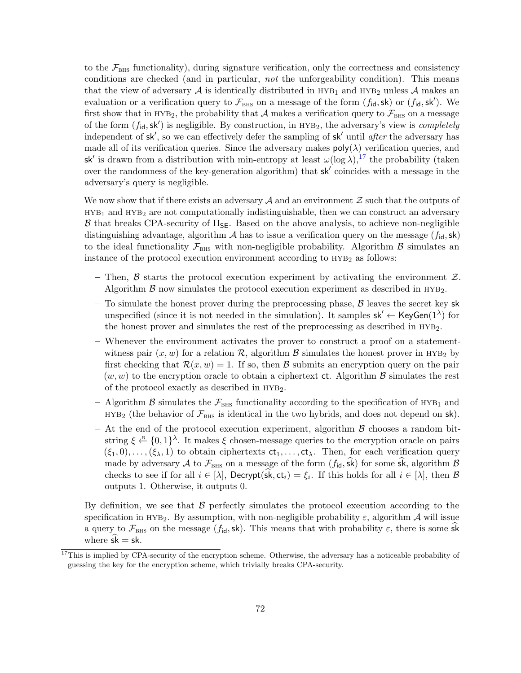to the  $\mathcal{F}_{\text{BHS}}$  functionality), during signature verification, only the correctness and consistency conditions are checked (and in particular, not the unforgeability condition). This means that the view of adversary A is identically distributed in  $HY_{B_1}$  and  $HY_{B_2}$  unless A makes an evaluation or a verification query to  $\mathcal{F}_{\text{BHS}}$  on a message of the form  $(f_{\mathsf{id}}, \mathsf{sk})$  or  $(f_{\mathsf{id}}, \mathsf{sk}^{\prime})$ . We first show that in HYB<sub>2</sub>, the probability that A makes a verification query to  $\mathcal{F}_{\text{BHS}}$  on a message of the form  $(f_{\text{id}}, \text{sk}')$  is negligible. By construction, in  $HYB_2$ , the adversary's view is *completely* independent of  $sk'$ , so we can effectively defer the sampling of  $sk'$  until after the adversary has made all of its verification queries. Since the adversary makes  $poly(\lambda)$  verification queries, and sk' is drawn from a distribution with min-entropy at least  $\omega(\log \lambda)$ ,<sup>[17](#page-0-0)</sup> the probability (taken over the randomness of the key-generation algorithm) that sk' coincides with a message in the adversary's query is negligible.

We now show that if there exists an adversary  $A$  and an environment  $\mathcal Z$  such that the outputs of  $HYB<sub>1</sub>$  and  $HYB<sub>2</sub>$  are not computationally indistinguishable, then we can construct an adversary B that breaks CPA-security of  $\Pi_{\mathsf{SE}}$ . Based on the above analysis, to achieve non-negligible distinguishing advantage, algorithm A has to issue a verification query on the message  $(f_{\mathsf{id}}, \mathsf{sk})$ to the ideal functionality  $\mathcal{F}_{\text{BHS}}$  with non-negligible probability. Algorithm  $\beta$  simulates an instance of the protocol execution environment according to  $HYB<sub>2</sub>$  as follows:

- Then,  $\beta$  starts the protocol execution experiment by activating the environment  $\mathcal{Z}$ . Algorithm  $\beta$  now simulates the protocol execution experiment as described in  $HYB_2$ .
- To simulate the honest prover during the preprocessing phase,  $\beta$  leaves the secret key sk unspecified (since it is not needed in the simulation). It samples  $sk' \leftarrow KeyGen(1^{\lambda})$  for the honest prover and simulates the rest of the preprocessing as described in  $HYB_2$ .
- Whenever the environment activates the prover to construct a proof on a statementwitness pair  $(x, w)$  for a relation R, algorithm B simulates the honest prover in HYB<sub>2</sub> by first checking that  $\mathcal{R}(x, w) = 1$ . If so, then B submits an encryption query on the pair  $(w, w)$  to the encryption oracle to obtain a ciphertext ct. Algorithm  $\beta$  simulates the rest of the protocol exactly as described in hyb2.
- Algorithm B simulates the  $\mathcal{F}_{\text{BHS}}$  functionality according to the specification of HYB<sub>1</sub> and  $HYB_2$  (the behavior of  $\mathcal{F}_{BHS}$  is identical in the two hybrids, and does not depend on sk).
- $-$  At the end of the protocol execution experiment, algorithm  $\beta$  chooses a random bitstring  $\xi \in \{0,1\}^{\lambda}$ . It makes  $\xi$  chosen-message queries to the encryption oracle on pairs  $(\xi_1, 0), \ldots, (\xi_\lambda, 1)$  to obtain ciphertexts  $ct_1, \ldots, ct_\lambda$ . Then, for each verification query made by adversary A to  $\mathcal{F}_{\text{BHS}}$  on a message of the form  $(f_{\text{id}},\text{sk})$  for some sk, algorithm B checks to see if for all  $i \in [\lambda]$ , Decrypt(sk, ct<sub>i</sub>) =  $\xi_i$ . If this holds for all  $i \in [\lambda]$ , then B outputs 1. Otherwise, it outputs 0.

By definition, we see that  $\beta$  perfectly simulates the protocol execution according to the specification in HYB<sub>2</sub>. By assumption, with non-negligible probability  $\varepsilon$ , algorithm A will issue a query to  $\mathcal{F}_{\text{BHS}}$  on the message  $(f_{\text{id}},\text{sk})$ . This means that with probability  $\varepsilon$ , there is some sk where  $sk = sk$ .

<sup>&</sup>lt;sup>17</sup>This is implied by CPA-security of the encryption scheme. Otherwise, the adversary has a noticeable probability of guessing the key for the encryption scheme, which trivially breaks CPA-security.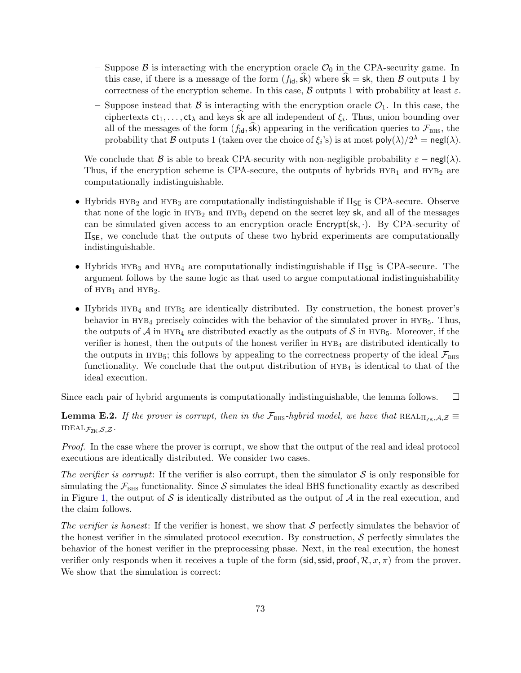- Suppose B is interacting with the encryption oracle  $\mathcal{O}_0$  in the CPA-security game. In this case, if there is a message of the form  $(f_{id}, s\hat{k})$  where  $s\hat{k} = s\hat{k}$ , then B outputs 1 by correctness of the encryption scheme. In this case,  $\beta$  outputs 1 with probability at least  $\varepsilon$ .
- Suppose instead that B is interacting with the encryption oracle  $\mathcal{O}_1$ . In this case, the ciphertexts  $ct_1, \ldots, ct_\lambda$  and keys sk are all independent of  $\xi_i$ . Thus, union bounding over all of the messages of the form  $(f_{\text{id}},\text{sk})$  appearing in the verification queries to  $\mathcal{F}_{\text{BHS}}$ , the probability that  $\mathcal B$  outputs 1 (taken over the choice of  $\xi_i$ 's) is at most  $\mathsf{poly}(\lambda)/2^{\lambda} = \mathsf{negl}(\lambda)$ .

We conclude that B is able to break CPA-security with non-negligible probability  $\varepsilon - \text{negl}(\lambda)$ . Thus, if the encryption scheme is CPA-secure, the outputs of hybrids  $HYB_1$  and  $HYB_2$  are computationally indistinguishable.

- Hybrids  $HYB_2$  and  $HYB_3$  are computationally indistinguishable if  $\Pi_{\mathsf{SE}}$  is CPA-secure. Observe that none of the logic in  $HYB_2$  and  $HYB_3$  depend on the secret key sk, and all of the messages can be simulated given access to an encryption oracle  $\mathsf{Encrypt}(\mathsf{sk}, \cdot)$ . By CPA-security of  $\Pi_{\mathsf{SE}}$ , we conclude that the outputs of these two hybrid experiments are computationally indistinguishable.
- Hybrids  $HYB_3$  and  $HYB_4$  are computationally indistinguishable if  $\Pi_{\mathsf{SE}}$  is CPA-secure. The argument follows by the same logic as that used to argue computational indistinguishability of  $HYB<sub>1</sub>$  and  $HYB<sub>2</sub>$ .
- Hybrids  $HYB_4$  and  $HYB_5$  are identically distributed. By construction, the honest prover's behavior in  $HYB_4$  precisely coincides with the behavior of the simulated prover in  $HYB_5$ . Thus, the outputs of A in HYB<sub>4</sub> are distributed exactly as the outputs of S in HYB<sub>5</sub>. Moreover, if the verifier is honest, then the outputs of the honest verifier in  $HY_{4}$  are distributed identically to the outputs in HYB<sub>5</sub>; this follows by appealing to the correctness property of the ideal  $\mathcal{F}_{\text{BHS}}$ functionality. We conclude that the output distribution of  $HYB<sub>4</sub>$  is identical to that of the ideal execution.

Since each pair of hybrid arguments is computationally indistinguishable, the lemma follows.  $\Box$ 

<span id="page-72-0"></span>**Lemma E.2.** If the prover is corrupt, then in the  $\mathcal{F}_{BHS}$ -hybrid model, we have that REAL $_{\Pi_{7\mathbf{k}},\mathcal{A},\mathcal{Z}}$ IDEAL $\mathcal{F}_{ZK},\mathcal{S},\mathcal{Z}$ .

Proof. In the case where the prover is corrupt, we show that the output of the real and ideal protocol executions are identically distributed. We consider two cases.

The verifier is corrupt: If the verifier is also corrupt, then the simulator  $S$  is only responsible for simulating the  $\mathcal{F}_{\text{BHS}}$  functionality. Since S simulates the ideal BHS functionality exactly as described in Figure [1,](#page-29-0) the output of S is identically distributed as the output of  $\mathcal A$  in the real execution, and the claim follows.

The verifier is honest: If the verifier is honest, we show that  $S$  perfectly simulates the behavior of the honest verifier in the simulated protocol execution. By construction,  $\mathcal S$  perfectly simulates the behavior of the honest verifier in the preprocessing phase. Next, in the real execution, the honest verifier only responds when it receives a tuple of the form (sid, ssid, proof,  $\mathcal{R}, x, \pi$ ) from the prover. We show that the simulation is correct: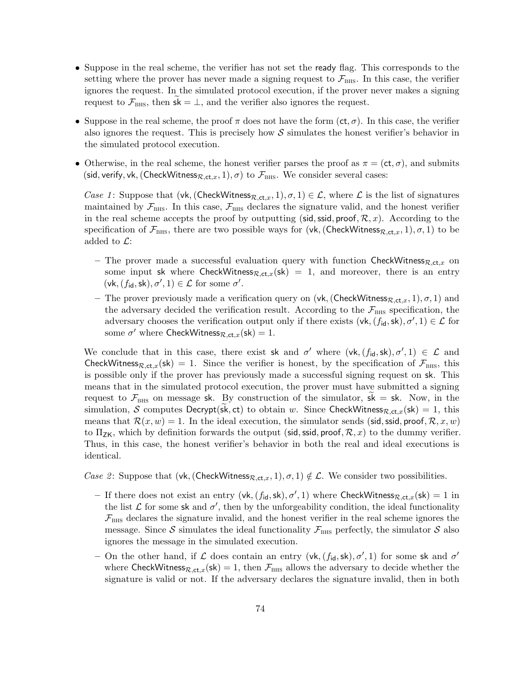- Suppose in the real scheme, the verifier has not set the ready flag. This corresponds to the setting where the prover has never made a signing request to  $\mathcal{F}_{\text{BHS}}$ . In this case, the verifier ignores the request. In the simulated protocol execution, if the prover never makes a signing request to  $\mathcal{F}_{\text{BHS}}$ , then  $\mathsf{sk} = \perp$ , and the verifier also ignores the request.
- Suppose in the real scheme, the proof  $\pi$  does not have the form  $(ct, \sigma)$ . In this case, the verifier also ignores the request. This is precisely how  $\mathcal S$  simulates the honest verifier's behavior in the simulated protocol execution.
- Otherwise, in the real scheme, the honest verifier parses the proof as  $\pi = (\text{ct}, \sigma)$ , and submits (sid, verify, vk, (CheckWitness $_{\mathcal{R}.\text{ct},x}$ , 1),  $\sigma$ ) to  $\mathcal{F}_{\text{BHS}}$ . We consider several cases:

Case 1: Suppose that (vk, (CheckWitness<sub>R,ct,x</sub>, 1),  $\sigma$ , 1)  $\in \mathcal{L}$ , where  $\mathcal{L}$  is the list of signatures maintained by  $\mathcal{F}_{\text{BHS}}$ . In this case,  $\mathcal{F}_{\text{BHS}}$  declares the signature valid, and the honest verifier in the real scheme accepts the proof by outputting (sid, ssid, proof,  $\mathcal{R}, x$ ). According to the specification of  $\mathcal{F}_{\text{BHS}}$ , there are two possible ways for (vk, (CheckWitness<sub>R,ct,x</sub>, 1),  $\sigma$ , 1) to be added to  $\mathcal{L}$ :

- The prover made a successful evaluation query with function CheckWitness $_{\mathcal{R},ct,x}$  on some input sk where CheckWitness<sub>R,ct,x</sub>(sk) = 1, and moreover, there is an entry  $(\mathsf{vk},(f_{\mathsf{id}},\mathsf{sk}),\sigma',1) \in \mathcal{L}$  for some  $\sigma'.$
- The prover previously made a verification query on (vk, (CheckWitness $\mathcal{R}_{\text{cct},x}$ , 1),  $\sigma$ , 1) and the adversary decided the verification result. According to the  $\mathcal{F}_{\text{BHS}}$  specification, the adversary chooses the verification output only if there exists  $(\mathsf{vk},(f_{\mathsf{id}},\mathsf{sk}), \sigma', 1) \in \mathcal{L}$  for some  $\sigma'$  where CheckWitness $\mathcal{R}_{\text{,ct},x}(\textsf{sk}) = 1$ .

We conclude that in this case, there exist sk and  $\sigma'$  where  $(\mathsf{vk},(f_{\mathsf{id}},\mathsf{sk}),\sigma',1) \in \mathcal{L}$  and CheckWitness<sub>R,ct,x</sub>(sk) = 1. Since the verifier is honest, by the specification of  $\mathcal{F}_{BHS}$ , this is possible only if the prover has previously made a successful signing request on sk. This means that in the simulated protocol execution, the prover must have submitted a signing request to  $\mathcal{F}_{\text{BHS}}$  on message sk. By construction of the simulator, sk = sk. Now, in the simulation, S computes Decrypt(sk, ct) to obtain w. Since CheckWitness $\mathcal{R}_{\text{c},ct,x}(\text{sk}) = 1$ , this means that  $\mathcal{R}(x, w) = 1$ . In the ideal execution, the simulator sends (sid, ssid, proof,  $\mathcal{R}, x, w$ ) to  $\Pi_{\mathsf{ZK}}$ , which by definition forwards the output (sid, ssid, proof,  $\mathcal{R}, x$ ) to the dummy verifier. Thus, in this case, the honest verifier's behavior in both the real and ideal executions is identical.

Case 2: Suppose that (vk, (CheckWitness<sub>R,ct,x</sub>, 1),  $\sigma$ , 1)  $\notin \mathcal{L}$ . We consider two possibilities.

- If there does not exist an entry  $(vk, (f_{id}, sk), \sigma', 1)$  where CheckWitness $\mathcal{R}_{,ct,x}(sk) = 1$  in the list  $\mathcal L$  for some sk and  $\sigma'$ , then by the unforgeability condition, the ideal functionality  $\mathcal{F}_{\text{\sc blue}}$  declares the signature invalid, and the honest verifier in the real scheme ignores the message. Since S simulates the ideal functionality  $\mathcal{F}_{\text{BHS}}$  perfectly, the simulator S also ignores the message in the simulated execution.
- On the other hand, if  $\mathcal L$  does contain an entry  $(\mathsf{vk},(f_{\mathsf{id}},\mathsf{sk}),\sigma',1)$  for some sk and  $\sigma'$ where CheckWitness<sub>R,ct,x</sub>(sk) = 1, then  $\mathcal{F}_{\text{BHS}}$  allows the adversary to decide whether the signature is valid or not. If the adversary declares the signature invalid, then in both